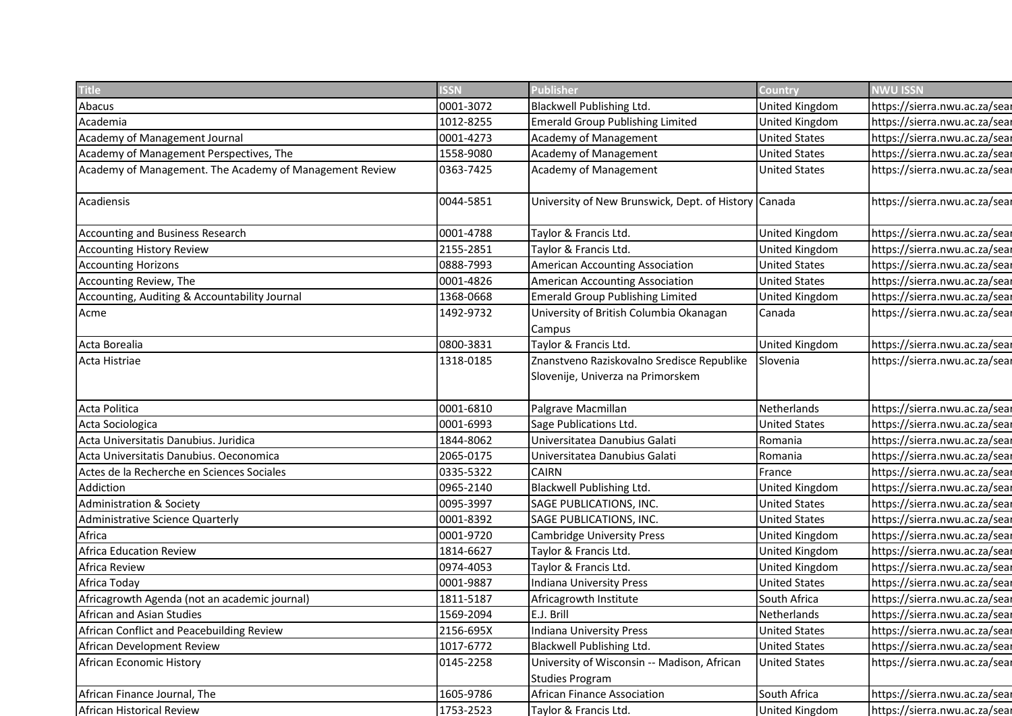| <b>ISSN</b> | <b>Publisher</b>                                                                                                                                                                                                                       | Country                                                                                                                                                                                                                                                                                                                                                                                                                                                                                                                                                                      | NWU ISSN                                                                                                                                                                                                                                                                                                                                                                      |
|-------------|----------------------------------------------------------------------------------------------------------------------------------------------------------------------------------------------------------------------------------------|------------------------------------------------------------------------------------------------------------------------------------------------------------------------------------------------------------------------------------------------------------------------------------------------------------------------------------------------------------------------------------------------------------------------------------------------------------------------------------------------------------------------------------------------------------------------------|-------------------------------------------------------------------------------------------------------------------------------------------------------------------------------------------------------------------------------------------------------------------------------------------------------------------------------------------------------------------------------|
|             |                                                                                                                                                                                                                                        |                                                                                                                                                                                                                                                                                                                                                                                                                                                                                                                                                                              | https://sierra.nwu.ac.za/sear                                                                                                                                                                                                                                                                                                                                                 |
|             |                                                                                                                                                                                                                                        |                                                                                                                                                                                                                                                                                                                                                                                                                                                                                                                                                                              | https://sierra.nwu.ac.za/sear                                                                                                                                                                                                                                                                                                                                                 |
|             |                                                                                                                                                                                                                                        |                                                                                                                                                                                                                                                                                                                                                                                                                                                                                                                                                                              | https://sierra.nwu.ac.za/sear                                                                                                                                                                                                                                                                                                                                                 |
|             |                                                                                                                                                                                                                                        |                                                                                                                                                                                                                                                                                                                                                                                                                                                                                                                                                                              | https://sierra.nwu.ac.za/sear                                                                                                                                                                                                                                                                                                                                                 |
|             |                                                                                                                                                                                                                                        |                                                                                                                                                                                                                                                                                                                                                                                                                                                                                                                                                                              | https://sierra.nwu.ac.za/sear                                                                                                                                                                                                                                                                                                                                                 |
|             |                                                                                                                                                                                                                                        |                                                                                                                                                                                                                                                                                                                                                                                                                                                                                                                                                                              |                                                                                                                                                                                                                                                                                                                                                                               |
|             |                                                                                                                                                                                                                                        |                                                                                                                                                                                                                                                                                                                                                                                                                                                                                                                                                                              | https://sierra.nwu.ac.za/sear                                                                                                                                                                                                                                                                                                                                                 |
|             |                                                                                                                                                                                                                                        |                                                                                                                                                                                                                                                                                                                                                                                                                                                                                                                                                                              |                                                                                                                                                                                                                                                                                                                                                                               |
|             |                                                                                                                                                                                                                                        |                                                                                                                                                                                                                                                                                                                                                                                                                                                                                                                                                                              | https://sierra.nwu.ac.za/sear                                                                                                                                                                                                                                                                                                                                                 |
|             |                                                                                                                                                                                                                                        |                                                                                                                                                                                                                                                                                                                                                                                                                                                                                                                                                                              | https://sierra.nwu.ac.za/sear                                                                                                                                                                                                                                                                                                                                                 |
|             |                                                                                                                                                                                                                                        |                                                                                                                                                                                                                                                                                                                                                                                                                                                                                                                                                                              | https://sierra.nwu.ac.za/sear                                                                                                                                                                                                                                                                                                                                                 |
|             |                                                                                                                                                                                                                                        |                                                                                                                                                                                                                                                                                                                                                                                                                                                                                                                                                                              | https://sierra.nwu.ac.za/sear                                                                                                                                                                                                                                                                                                                                                 |
|             |                                                                                                                                                                                                                                        |                                                                                                                                                                                                                                                                                                                                                                                                                                                                                                                                                                              | https://sierra.nwu.ac.za/sear                                                                                                                                                                                                                                                                                                                                                 |
|             |                                                                                                                                                                                                                                        | Canada                                                                                                                                                                                                                                                                                                                                                                                                                                                                                                                                                                       | https://sierra.nwu.ac.za/sear                                                                                                                                                                                                                                                                                                                                                 |
|             | Campus                                                                                                                                                                                                                                 |                                                                                                                                                                                                                                                                                                                                                                                                                                                                                                                                                                              |                                                                                                                                                                                                                                                                                                                                                                               |
| 0800-3831   | Taylor & Francis Ltd.                                                                                                                                                                                                                  | United Kingdom                                                                                                                                                                                                                                                                                                                                                                                                                                                                                                                                                               | https://sierra.nwu.ac.za/sear                                                                                                                                                                                                                                                                                                                                                 |
| 1318-0185   |                                                                                                                                                                                                                                        | Slovenia                                                                                                                                                                                                                                                                                                                                                                                                                                                                                                                                                                     | https://sierra.nwu.ac.za/sear                                                                                                                                                                                                                                                                                                                                                 |
|             | Slovenije, Univerza na Primorskem                                                                                                                                                                                                      |                                                                                                                                                                                                                                                                                                                                                                                                                                                                                                                                                                              |                                                                                                                                                                                                                                                                                                                                                                               |
|             |                                                                                                                                                                                                                                        |                                                                                                                                                                                                                                                                                                                                                                                                                                                                                                                                                                              |                                                                                                                                                                                                                                                                                                                                                                               |
| 0001-6810   | Palgrave Macmillan                                                                                                                                                                                                                     | Netherlands                                                                                                                                                                                                                                                                                                                                                                                                                                                                                                                                                                  | https://sierra.nwu.ac.za/sear                                                                                                                                                                                                                                                                                                                                                 |
| 0001-6993   | Sage Publications Ltd.                                                                                                                                                                                                                 | <b>United States</b>                                                                                                                                                                                                                                                                                                                                                                                                                                                                                                                                                         | https://sierra.nwu.ac.za/sear                                                                                                                                                                                                                                                                                                                                                 |
| 1844-8062   | Universitatea Danubius Galati                                                                                                                                                                                                          | Romania                                                                                                                                                                                                                                                                                                                                                                                                                                                                                                                                                                      | https://sierra.nwu.ac.za/sear                                                                                                                                                                                                                                                                                                                                                 |
| 2065-0175   | Universitatea Danubius Galati                                                                                                                                                                                                          | Romania                                                                                                                                                                                                                                                                                                                                                                                                                                                                                                                                                                      | https://sierra.nwu.ac.za/sear                                                                                                                                                                                                                                                                                                                                                 |
| 0335-5322   | <b>CAIRN</b>                                                                                                                                                                                                                           | France                                                                                                                                                                                                                                                                                                                                                                                                                                                                                                                                                                       | https://sierra.nwu.ac.za/sear                                                                                                                                                                                                                                                                                                                                                 |
| 0965-2140   | Blackwell Publishing Ltd.                                                                                                                                                                                                              | United Kingdom                                                                                                                                                                                                                                                                                                                                                                                                                                                                                                                                                               | https://sierra.nwu.ac.za/sear                                                                                                                                                                                                                                                                                                                                                 |
| 0095-3997   | SAGE PUBLICATIONS, INC.                                                                                                                                                                                                                | <b>United States</b>                                                                                                                                                                                                                                                                                                                                                                                                                                                                                                                                                         | https://sierra.nwu.ac.za/sear                                                                                                                                                                                                                                                                                                                                                 |
| 0001-8392   | SAGE PUBLICATIONS, INC.                                                                                                                                                                                                                | <b>United States</b>                                                                                                                                                                                                                                                                                                                                                                                                                                                                                                                                                         | https://sierra.nwu.ac.za/sear                                                                                                                                                                                                                                                                                                                                                 |
| 0001-9720   | Cambridge University Press                                                                                                                                                                                                             | United Kingdom                                                                                                                                                                                                                                                                                                                                                                                                                                                                                                                                                               | https://sierra.nwu.ac.za/sear                                                                                                                                                                                                                                                                                                                                                 |
| 1814-6627   | Taylor & Francis Ltd.                                                                                                                                                                                                                  | United Kingdom                                                                                                                                                                                                                                                                                                                                                                                                                                                                                                                                                               | https://sierra.nwu.ac.za/sear                                                                                                                                                                                                                                                                                                                                                 |
| 0974-4053   | Taylor & Francis Ltd.                                                                                                                                                                                                                  | United Kingdom                                                                                                                                                                                                                                                                                                                                                                                                                                                                                                                                                               | https://sierra.nwu.ac.za/sear                                                                                                                                                                                                                                                                                                                                                 |
| 0001-9887   | Indiana University Press                                                                                                                                                                                                               | <b>United States</b>                                                                                                                                                                                                                                                                                                                                                                                                                                                                                                                                                         | https://sierra.nwu.ac.za/sear                                                                                                                                                                                                                                                                                                                                                 |
| 1811-5187   | Africagrowth Institute                                                                                                                                                                                                                 | South Africa                                                                                                                                                                                                                                                                                                                                                                                                                                                                                                                                                                 | https://sierra.nwu.ac.za/sear                                                                                                                                                                                                                                                                                                                                                 |
|             | E.J. Brill                                                                                                                                                                                                                             |                                                                                                                                                                                                                                                                                                                                                                                                                                                                                                                                                                              | https://sierra.nwu.ac.za/sear                                                                                                                                                                                                                                                                                                                                                 |
|             |                                                                                                                                                                                                                                        |                                                                                                                                                                                                                                                                                                                                                                                                                                                                                                                                                                              | https://sierra.nwu.ac.za/sear                                                                                                                                                                                                                                                                                                                                                 |
|             |                                                                                                                                                                                                                                        |                                                                                                                                                                                                                                                                                                                                                                                                                                                                                                                                                                              | https://sierra.nwu.ac.za/sear                                                                                                                                                                                                                                                                                                                                                 |
|             |                                                                                                                                                                                                                                        |                                                                                                                                                                                                                                                                                                                                                                                                                                                                                                                                                                              | https://sierra.nwu.ac.za/sear                                                                                                                                                                                                                                                                                                                                                 |
|             |                                                                                                                                                                                                                                        |                                                                                                                                                                                                                                                                                                                                                                                                                                                                                                                                                                              |                                                                                                                                                                                                                                                                                                                                                                               |
|             |                                                                                                                                                                                                                                        |                                                                                                                                                                                                                                                                                                                                                                                                                                                                                                                                                                              | https://sierra.nwu.ac.za/sear                                                                                                                                                                                                                                                                                                                                                 |
|             | Taylor & Francis Ltd.                                                                                                                                                                                                                  | United Kingdom                                                                                                                                                                                                                                                                                                                                                                                                                                                                                                                                                               | https://sierra.nwu.ac.za/sear                                                                                                                                                                                                                                                                                                                                                 |
|             | 0001-3072<br>1012-8255<br>0001-4273<br>1558-9080<br>0363-7425<br>0044-5851<br>0001-4788<br>2155-2851<br>0888-7993<br>0001-4826<br>1368-0668<br>1492-9732<br>1569-2094<br>2156-695X<br>1017-6772<br>0145-2258<br>1605-9786<br>1753-2523 | Blackwell Publishing Ltd.<br><b>Emerald Group Publishing Limited</b><br>Academy of Management<br>Academy of Management<br>Academy of Management<br>Taylor & Francis Ltd.<br>Taylor & Francis Ltd.<br>American Accounting Association<br>American Accounting Association<br><b>Emerald Group Publishing Limited</b><br>University of British Columbia Okanagan<br>Znanstveno Raziskovalno Sredisce Republike<br>Indiana University Press<br>Blackwell Publishing Ltd.<br>University of Wisconsin -- Madison, African<br><b>Studies Program</b><br>African Finance Association | United Kingdom<br>United Kingdom<br><b>United States</b><br><b>United States</b><br><b>United States</b><br>University of New Brunswick, Dept. of History Canada<br>United Kingdom<br>United Kingdom<br><b>United States</b><br><b>United States</b><br>United Kingdom<br>Netherlands<br><b>United States</b><br><b>United States</b><br><b>United States</b><br>South Africa |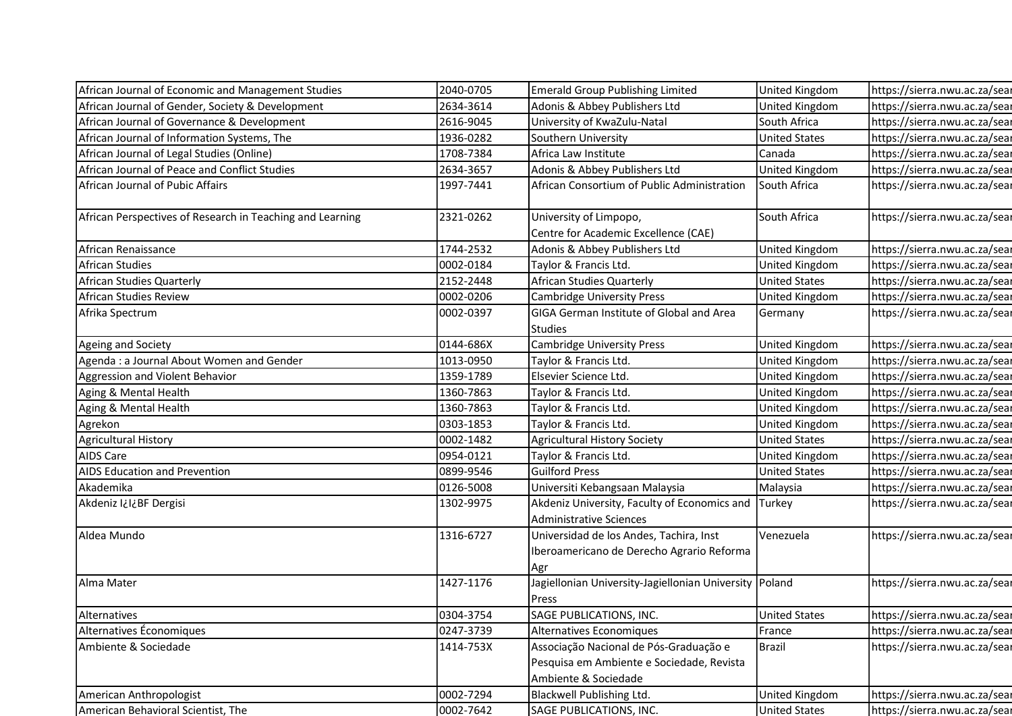| African Journal of Economic and Management Studies        | 2040-0705 | <b>Emerald Group Publishing Limited</b>                         | United Kingdom       | https://sierra.nwu.ac.za/sear |
|-----------------------------------------------------------|-----------|-----------------------------------------------------------------|----------------------|-------------------------------|
| African Journal of Gender, Society & Development          | 2634-3614 | Adonis & Abbey Publishers Ltd                                   | United Kingdom       | https://sierra.nwu.ac.za/sear |
| African Journal of Governance & Development               | 2616-9045 | University of KwaZulu-Natal                                     | South Africa         | https://sierra.nwu.ac.za/sear |
| African Journal of Information Systems, The               | 1936-0282 | Southern University                                             | <b>United States</b> | https://sierra.nwu.ac.za/sear |
| African Journal of Legal Studies (Online)                 | 1708-7384 | Africa Law Institute                                            | Canada               | https://sierra.nwu.ac.za/sear |
| African Journal of Peace and Conflict Studies             | 2634-3657 | Adonis & Abbey Publishers Ltd                                   | United Kingdom       | https://sierra.nwu.ac.za/sear |
| African Journal of Pubic Affairs                          | 1997-7441 | African Consortium of Public Administration                     | South Africa         | https://sierra.nwu.ac.za/sear |
| African Perspectives of Research in Teaching and Learning | 2321-0262 | University of Limpopo,                                          | South Africa         | https://sierra.nwu.ac.za/sear |
|                                                           |           | Centre for Academic Excellence (CAE)                            |                      |                               |
| African Renaissance                                       | 1744-2532 | Adonis & Abbey Publishers Ltd                                   | United Kingdom       | https://sierra.nwu.ac.za/sear |
| African Studies                                           | 0002-0184 | Taylor & Francis Ltd.                                           | United Kingdom       | https://sierra.nwu.ac.za/sear |
| African Studies Quarterly                                 | 2152-2448 | African Studies Quarterly                                       | <b>United States</b> | https://sierra.nwu.ac.za/sear |
| African Studies Review                                    | 0002-0206 | <b>Cambridge University Press</b>                               | United Kingdom       | https://sierra.nwu.ac.za/sear |
| Afrika Spectrum                                           | 0002-0397 | GIGA German Institute of Global and Area                        | Germany              | https://sierra.nwu.ac.za/sear |
|                                                           |           | <b>Studies</b>                                                  |                      |                               |
| Ageing and Society                                        | 0144-686X | <b>Cambridge University Press</b>                               | United Kingdom       | https://sierra.nwu.ac.za/sear |
| Agenda: a Journal About Women and Gender                  | 1013-0950 | Taylor & Francis Ltd.                                           | United Kingdom       | https://sierra.nwu.ac.za/sear |
| Aggression and Violent Behavior                           | 1359-1789 | Elsevier Science Ltd.                                           | United Kingdom       | https://sierra.nwu.ac.za/sear |
| Aging & Mental Health                                     | 1360-7863 | Taylor & Francis Ltd.                                           | United Kingdom       | https://sierra.nwu.ac.za/sear |
| Aging & Mental Health                                     | 1360-7863 | Taylor & Francis Ltd.                                           | United Kingdom       | https://sierra.nwu.ac.za/sear |
| Agrekon                                                   | 0303-1853 | Taylor & Francis Ltd.                                           | United Kingdom       | https://sierra.nwu.ac.za/sear |
| <b>Agricultural History</b>                               | 0002-1482 | <b>Agricultural History Society</b>                             | United States        | https://sierra.nwu.ac.za/sear |
| AIDS Care                                                 | 0954-0121 | Taylor & Francis Ltd.                                           | United Kingdom       | https://sierra.nwu.ac.za/sear |
| <b>AIDS Education and Prevention</b>                      | 0899-9546 | <b>Guilford Press</b>                                           | <b>United States</b> | https://sierra.nwu.ac.za/sear |
| Akademika                                                 | 0126-5008 | Universiti Kebangsaan Malaysia                                  | Malaysia             | https://sierra.nwu.ac.za/sear |
| Akdeniz I¿I¿BF Dergisi                                    | 1302-9975 | Akdeniz University, Faculty of Economics and Turkey             |                      | https://sierra.nwu.ac.za/sear |
|                                                           |           | <b>Administrative Sciences</b>                                  |                      |                               |
| Aldea Mundo                                               | 1316-6727 | Universidad de los Andes, Tachira, Inst                         | Venezuela            | https://sierra.nwu.ac.za/sear |
|                                                           |           | Iberoamericano de Derecho Agrario Reforma                       |                      |                               |
|                                                           |           | Agr                                                             |                      |                               |
| Alma Mater                                                | 1427-1176 | Jagiellonian University-Jagiellonian University Poland<br>Press |                      | https://sierra.nwu.ac.za/sear |
| Alternatives                                              | 0304-3754 | SAGE PUBLICATIONS, INC.                                         | <b>United States</b> | https://sierra.nwu.ac.za/sear |
| Alternatives Économiques                                  | 0247-3739 | Alternatives Economiques                                        | France               | https://sierra.nwu.ac.za/sear |
| Ambiente & Sociedade                                      | 1414-753X | Associação Nacional de Pós-Graduação e                          | <b>Brazil</b>        | https://sierra.nwu.ac.za/sear |
|                                                           |           | Pesquisa em Ambiente e Sociedade, Revista                       |                      |                               |
|                                                           |           | Ambiente & Sociedade                                            |                      |                               |
| American Anthropologist                                   | 0002-7294 | Blackwell Publishing Ltd.                                       | United Kingdom       | https://sierra.nwu.ac.za/sear |
|                                                           |           |                                                                 |                      |                               |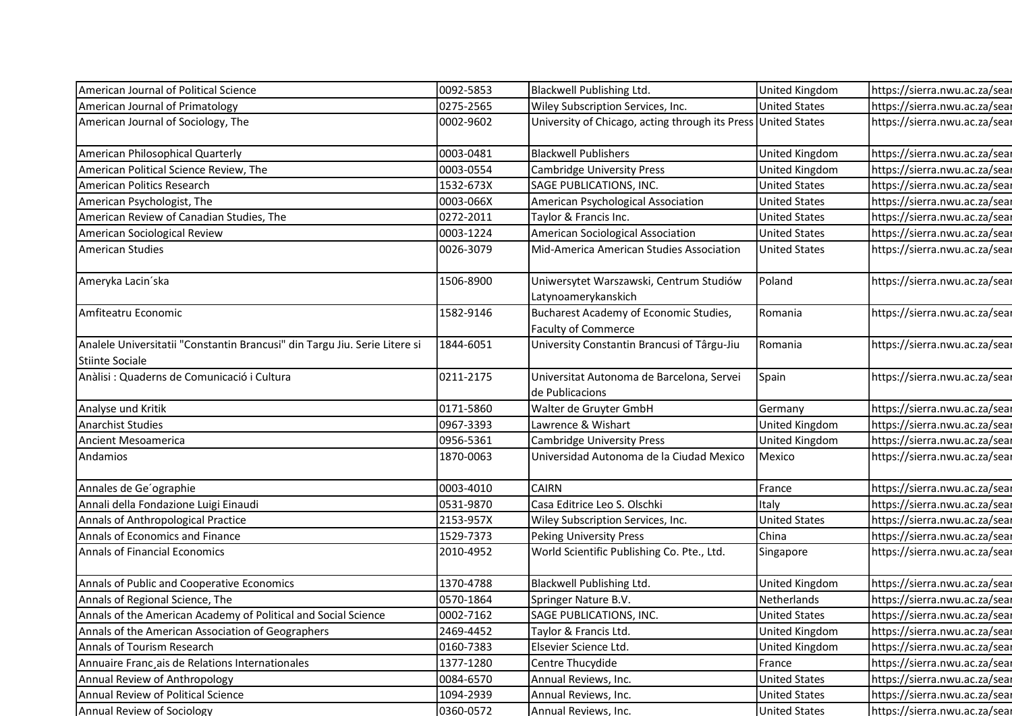| American Journal of Political Science                                      | 0092-5853              | Blackwell Publishing Ltd.                                            | United Kingdom                               | https://sierra.nwu.ac.za/sear                                  |
|----------------------------------------------------------------------------|------------------------|----------------------------------------------------------------------|----------------------------------------------|----------------------------------------------------------------|
| American Journal of Primatology                                            | 0275-2565              | Wiley Subscription Services, Inc.                                    | <b>United States</b>                         | https://sierra.nwu.ac.za/sear                                  |
| American Journal of Sociology, The                                         | 0002-9602              | University of Chicago, acting through its Press United States        |                                              | https://sierra.nwu.ac.za/sear                                  |
|                                                                            |                        |                                                                      |                                              |                                                                |
| American Philosophical Quarterly                                           | 0003-0481              | <b>Blackwell Publishers</b>                                          | United Kingdom                               | https://sierra.nwu.ac.za/sear                                  |
| American Political Science Review, The                                     | 0003-0554              | <b>Cambridge University Press</b>                                    | United Kingdom                               | https://sierra.nwu.ac.za/sear                                  |
| American Politics Research                                                 | 1532-673X              | SAGE PUBLICATIONS, INC.                                              | <b>United States</b>                         | https://sierra.nwu.ac.za/sear                                  |
| American Psychologist, The                                                 | 0003-066X              | American Psychological Association                                   | <b>United States</b>                         | https://sierra.nwu.ac.za/sear                                  |
| American Review of Canadian Studies, The                                   | 0272-2011              | Taylor & Francis Inc.                                                | <b>United States</b>                         | https://sierra.nwu.ac.za/sear                                  |
| American Sociological Review                                               | 0003-1224              | American Sociological Association                                    | <b>United States</b>                         | https://sierra.nwu.ac.za/sear                                  |
| <b>American Studies</b>                                                    | 0026-3079              | Mid-America American Studies Association                             | <b>United States</b>                         | https://sierra.nwu.ac.za/sear                                  |
| Ameryka Lacin'ska                                                          | 1506-8900              | Uniwersytet Warszawski, Centrum Studiów<br>Latynoamerykanskich       | Poland                                       | https://sierra.nwu.ac.za/sear                                  |
| Amfiteatru Economic                                                        | 1582-9146              | Bucharest Academy of Economic Studies,<br><b>Faculty of Commerce</b> | Romania                                      | https://sierra.nwu.ac.za/sear                                  |
| Analele Universitatii "Constantin Brancusi" din Targu Jiu. Serie Litere si | 1844-6051              | University Constantin Brancusi of Târgu-Jiu                          | Romania                                      | https://sierra.nwu.ac.za/sear                                  |
| Stiinte Sociale                                                            |                        |                                                                      |                                              |                                                                |
| Anàlisi : Quaderns de Comunicació i Cultura                                | 0211-2175              | Universitat Autonoma de Barcelona, Servei<br>de Publicacions         | Spain                                        | https://sierra.nwu.ac.za/sear                                  |
| Analyse und Kritik                                                         | 0171-5860              | Walter de Gruyter GmbH                                               | Germany                                      | https://sierra.nwu.ac.za/sear                                  |
| <b>Anarchist Studies</b>                                                   | 0967-3393              | Lawrence & Wishart                                                   | United Kingdom                               | https://sierra.nwu.ac.za/sear                                  |
| Ancient Mesoamerica                                                        | 0956-5361              | <b>Cambridge University Press</b>                                    | United Kingdom                               | https://sierra.nwu.ac.za/sear                                  |
| Andamios                                                                   | 1870-0063              | Universidad Autonoma de la Ciudad Mexico                             | Mexico                                       | https://sierra.nwu.ac.za/sear                                  |
| Annales de Ge'ographie                                                     | 0003-4010              | <b>CAIRN</b>                                                         | France                                       | https://sierra.nwu.ac.za/sear                                  |
| Annali della Fondazione Luigi Einaudi                                      | 0531-9870              | Casa Editrice Leo S. Olschki                                         | Italy                                        | https://sierra.nwu.ac.za/sear                                  |
| Annals of Anthropological Practice                                         | 2153-957X              | Wiley Subscription Services, Inc.                                    | <b>United States</b>                         | https://sierra.nwu.ac.za/sear                                  |
| Annals of Economics and Finance                                            | 1529-7373              | <b>Peking University Press</b>                                       | China                                        | https://sierra.nwu.ac.za/sear                                  |
| Annals of Financial Economics                                              | 2010-4952              | World Scientific Publishing Co. Pte., Ltd.                           | Singapore                                    | https://sierra.nwu.ac.za/sear                                  |
|                                                                            | 1370-4788              | <b>Blackwell Publishing Ltd.</b>                                     | United Kingdom                               | https://sierra.nwu.ac.za/sear                                  |
|                                                                            |                        | Springer Nature B.V.                                                 | Netherlands                                  | https://sierra.nwu.ac.za/sear                                  |
| Annals of Public and Cooperative Economics                                 |                        |                                                                      |                                              |                                                                |
| Annals of Regional Science, The                                            | 0570-1864              |                                                                      |                                              |                                                                |
| Annals of the American Academy of Political and Social Science             | 0002-7162              | SAGE PUBLICATIONS, INC.                                              | <b>United States</b>                         | https://sierra.nwu.ac.za/sear                                  |
| Annals of the American Association of Geographers                          | 2469-4452              | Taylor & Francis Ltd.                                                | United Kingdom                               | https://sierra.nwu.ac.za/sear                                  |
| Annals of Tourism Research                                                 | 0160-7383              | Elsevier Science Ltd.                                                | United Kingdom                               | https://sierra.nwu.ac.za/sear                                  |
| Annuaire Franc ais de Relations Internationales                            | 1377-1280              | Centre Thucydide                                                     | France                                       | https://sierra.nwu.ac.za/sear                                  |
| Annual Review of Anthropology<br>Annual Review of Political Science        | 0084-6570<br>1094-2939 | Annual Reviews, Inc.<br>Annual Reviews, Inc.                         | <b>United States</b><br><b>United States</b> | https://sierra.nwu.ac.za/sear<br>https://sierra.nwu.ac.za/sear |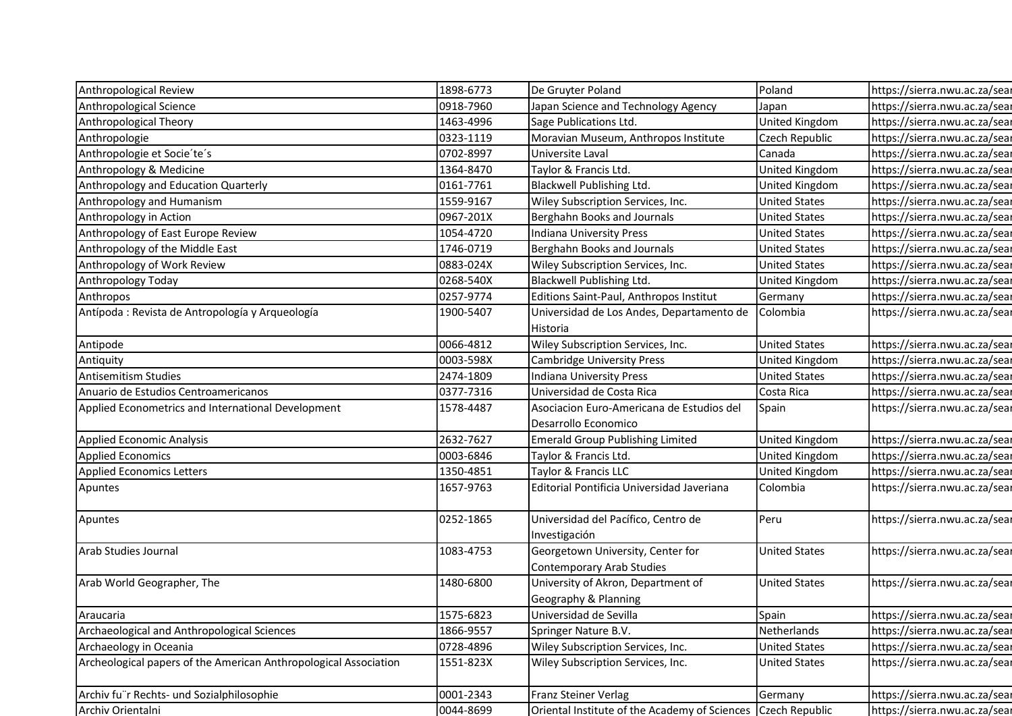| Anthropological Review                                           | 1898-6773 | De Gruyter Poland                             | Poland               | https://sierra.nwu.ac.za/sear |
|------------------------------------------------------------------|-----------|-----------------------------------------------|----------------------|-------------------------------|
| Anthropological Science                                          | 0918-7960 | Japan Science and Technology Agency           | Japan                | https://sierra.nwu.ac.za/sear |
| Anthropological Theory                                           | 1463-4996 | Sage Publications Ltd.                        | United Kingdom       | https://sierra.nwu.ac.za/sear |
| Anthropologie                                                    | 0323-1119 | Moravian Museum, Anthropos Institute          | Czech Republic       | https://sierra.nwu.ac.za/sear |
| Anthropologie et Socie'te's                                      | 0702-8997 | Universite Laval                              | Canada               | https://sierra.nwu.ac.za/sear |
| Anthropology & Medicine                                          | 1364-8470 | Taylor & Francis Ltd.                         | United Kingdom       | https://sierra.nwu.ac.za/sear |
| Anthropology and Education Quarterly                             | 0161-7761 | Blackwell Publishing Ltd.                     | United Kingdom       | https://sierra.nwu.ac.za/sear |
| Anthropology and Humanism                                        | 1559-9167 | Wiley Subscription Services, Inc.             | <b>United States</b> | https://sierra.nwu.ac.za/sear |
| Anthropology in Action                                           | 0967-201X | Berghahn Books and Journals                   | <b>United States</b> | https://sierra.nwu.ac.za/sear |
| Anthropology of East Europe Review                               | 1054-4720 | Indiana University Press                      | <b>United States</b> | https://sierra.nwu.ac.za/sear |
| Anthropology of the Middle East                                  | 1746-0719 | Berghahn Books and Journals                   | <b>United States</b> | https://sierra.nwu.ac.za/sear |
| Anthropology of Work Review                                      | 0883-024X | Wiley Subscription Services, Inc.             | <b>United States</b> | https://sierra.nwu.ac.za/sear |
| Anthropology Today                                               | 0268-540X | Blackwell Publishing Ltd.                     | United Kingdom       | https://sierra.nwu.ac.za/sear |
| Anthropos                                                        | 0257-9774 | Editions Saint-Paul, Anthropos Institut       | Germany              | https://sierra.nwu.ac.za/sear |
| Antípoda : Revista de Antropología y Arqueología                 | 1900-5407 | Universidad de Los Andes, Departamento de     | Colombia             | https://sierra.nwu.ac.za/sear |
|                                                                  |           | Historia                                      |                      |                               |
| Antipode                                                         | 0066-4812 | Wiley Subscription Services, Inc.             | <b>United States</b> | https://sierra.nwu.ac.za/sear |
| Antiquity                                                        | 0003-598X | <b>Cambridge University Press</b>             | United Kingdom       | https://sierra.nwu.ac.za/sear |
| <b>Antisemitism Studies</b>                                      | 2474-1809 | Indiana University Press                      | <b>United States</b> | https://sierra.nwu.ac.za/sear |
| Anuario de Estudios Centroamericanos                             | 0377-7316 | Universidad de Costa Rica                     | Costa Rica           | https://sierra.nwu.ac.za/sear |
| Applied Econometrics and International Development               | 1578-4487 | Asociacion Euro-Americana de Estudios del     | Spain                | https://sierra.nwu.ac.za/sear |
|                                                                  |           | Desarrollo Economico                          |                      |                               |
| Applied Economic Analysis                                        | 2632-7627 | <b>Emerald Group Publishing Limited</b>       | United Kingdom       | https://sierra.nwu.ac.za/sear |
| <b>Applied Economics</b>                                         | 0003-6846 | Taylor & Francis Ltd.                         | United Kingdom       | https://sierra.nwu.ac.za/sear |
| <b>Applied Economics Letters</b>                                 | 1350-4851 | Taylor & Francis LLC                          | United Kingdom       | https://sierra.nwu.ac.za/sear |
| Apuntes                                                          | 1657-9763 | Editorial Pontificia Universidad Javeriana    | Colombia             | https://sierra.nwu.ac.za/sear |
|                                                                  |           |                                               |                      |                               |
| Apuntes                                                          | 0252-1865 | Universidad del Pacífico, Centro de           | Peru                 | https://sierra.nwu.ac.za/sear |
|                                                                  |           | Investigación                                 |                      |                               |
| Arab Studies Journal                                             | 1083-4753 | Georgetown University, Center for             | <b>United States</b> | https://sierra.nwu.ac.za/sear |
|                                                                  |           | Contemporary Arab Studies                     |                      |                               |
| Arab World Geographer, The                                       | 1480-6800 | University of Akron, Department of            | <b>United States</b> | https://sierra.nwu.ac.za/sear |
|                                                                  |           | Geography & Planning                          |                      |                               |
| Araucaria                                                        | 1575-6823 | Universidad de Sevilla                        | Spain                | https://sierra.nwu.ac.za/sear |
| Archaeological and Anthropological Sciences                      | 1866-9557 | Springer Nature B.V.                          | Netherlands          | https://sierra.nwu.ac.za/sear |
| Archaeology in Oceania                                           | 0728-4896 | Wiley Subscription Services, Inc.             | <b>United States</b> | https://sierra.nwu.ac.za/sear |
| Archeological papers of the American Anthropological Association | 1551-823X | Wiley Subscription Services, Inc.             | <b>United States</b> | https://sierra.nwu.ac.za/sear |
|                                                                  |           |                                               |                      |                               |
| Archiv fu"r Rechts- und Sozialphilosophie                        | 0001-2343 | Franz Steiner Verlag                          | Germany              | https://sierra.nwu.ac.za/sear |
| Archiv Orientalni                                                | 0044-8699 | Oriental Institute of the Academy of Sciences | Czech Republic       | https://sierra.nwu.ac.za/sear |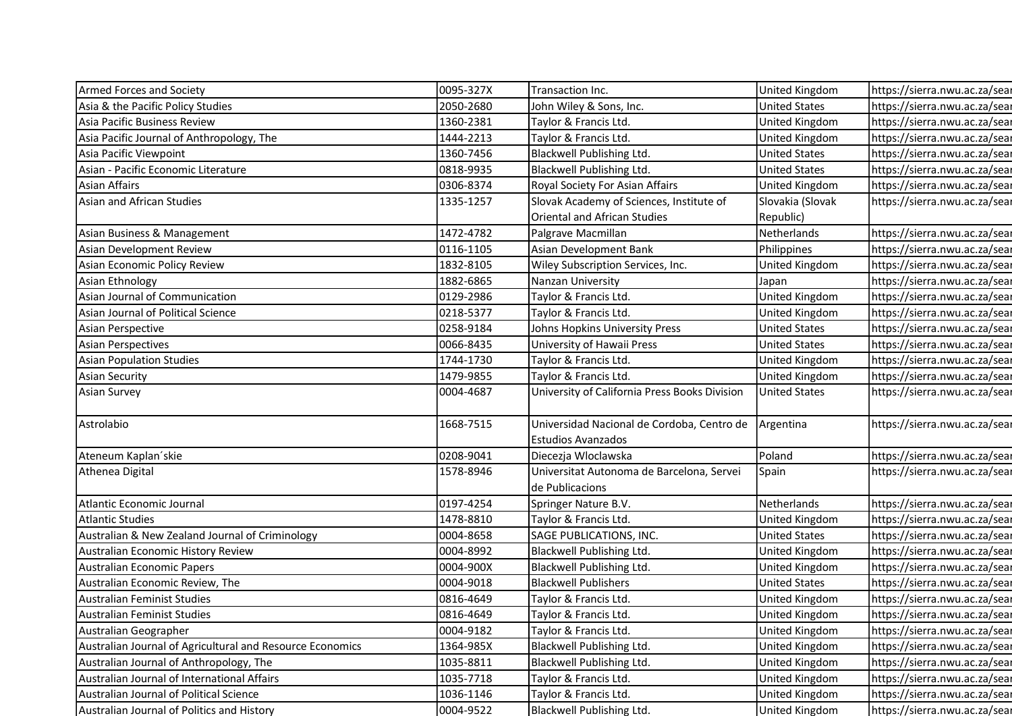| <b>Armed Forces and Society</b>                           | 0095-327X | Transaction Inc.                              | <b>United Kingdom</b> | https://sierra.nwu.ac.za/sear |
|-----------------------------------------------------------|-----------|-----------------------------------------------|-----------------------|-------------------------------|
| Asia & the Pacific Policy Studies                         | 2050-2680 | John Wiley & Sons, Inc.                       | <b>United States</b>  | https://sierra.nwu.ac.za/sear |
| Asia Pacific Business Review                              | 1360-2381 | Taylor & Francis Ltd.                         | United Kingdom        | https://sierra.nwu.ac.za/sear |
| Asia Pacific Journal of Anthropology, The                 | 1444-2213 | Taylor & Francis Ltd.                         | United Kingdom        | https://sierra.nwu.ac.za/sear |
| Asia Pacific Viewpoint                                    | 1360-7456 | Blackwell Publishing Ltd.                     | <b>United States</b>  | https://sierra.nwu.ac.za/sear |
| Asian - Pacific Economic Literature                       | 0818-9935 | Blackwell Publishing Ltd.                     | <b>United States</b>  | https://sierra.nwu.ac.za/sear |
| <b>Asian Affairs</b>                                      | 0306-8374 | Royal Society For Asian Affairs               | <b>United Kingdom</b> | https://sierra.nwu.ac.za/sear |
| Asian and African Studies                                 | 1335-1257 | Slovak Academy of Sciences, Institute of      | Slovakia (Slovak      | https://sierra.nwu.ac.za/sear |
|                                                           |           | Oriental and African Studies                  | Republic)             |                               |
| Asian Business & Management                               | 1472-4782 | Palgrave Macmillan                            | Netherlands           | https://sierra.nwu.ac.za/sear |
| Asian Development Review                                  | 0116-1105 | Asian Development Bank                        | Philippines           | https://sierra.nwu.ac.za/sear |
| Asian Economic Policy Review                              | 1832-8105 | Wiley Subscription Services, Inc.             | United Kingdom        | https://sierra.nwu.ac.za/sear |
| Asian Ethnology                                           | 1882-6865 | Nanzan University                             | Japan                 | https://sierra.nwu.ac.za/sear |
| Asian Journal of Communication                            | 0129-2986 | Taylor & Francis Ltd.                         | United Kingdom        | https://sierra.nwu.ac.za/sear |
| Asian Journal of Political Science                        | 0218-5377 | Taylor & Francis Ltd.                         | United Kingdom        | https://sierra.nwu.ac.za/sear |
| Asian Perspective                                         | 0258-9184 | Johns Hopkins University Press                | <b>United States</b>  | https://sierra.nwu.ac.za/sear |
| <b>Asian Perspectives</b>                                 | 0066-8435 | University of Hawaii Press                    | <b>United States</b>  | https://sierra.nwu.ac.za/sear |
| <b>Asian Population Studies</b>                           | 1744-1730 | Taylor & Francis Ltd.                         | United Kingdom        | https://sierra.nwu.ac.za/sear |
| <b>Asian Security</b>                                     | 1479-9855 | Taylor & Francis Ltd.                         | <b>United Kingdom</b> | https://sierra.nwu.ac.za/sear |
| <b>Asian Survey</b>                                       | 0004-4687 | University of California Press Books Division | <b>United States</b>  | https://sierra.nwu.ac.za/sear |
| Astrolabio                                                | 1668-7515 | Universidad Nacional de Cordoba, Centro de    | Argentina             | https://sierra.nwu.ac.za/sear |
|                                                           |           | <b>Estudios Avanzados</b>                     |                       |                               |
| Ateneum Kaplan'skie                                       | 0208-9041 | Diecezja Wloclawska                           | Poland                | https://sierra.nwu.ac.za/sear |
| Athenea Digital                                           | 1578-8946 | Universitat Autonoma de Barcelona, Servei     | Spain                 | https://sierra.nwu.ac.za/sear |
|                                                           |           | de Publicacions                               |                       |                               |
| Atlantic Economic Journal                                 | 0197-4254 | Springer Nature B.V.                          | Netherlands           | https://sierra.nwu.ac.za/sear |
| <b>Atlantic Studies</b>                                   | 1478-8810 | Taylor & Francis Ltd.                         | United Kingdom        | https://sierra.nwu.ac.za/sear |
| Australian & New Zealand Journal of Criminology           | 0004-8658 | SAGE PUBLICATIONS, INC.                       | <b>United States</b>  | https://sierra.nwu.ac.za/sear |
| Australian Economic History Review                        | 0004-8992 | Blackwell Publishing Ltd.                     | United Kingdom        | https://sierra.nwu.ac.za/sear |
| Australian Economic Papers                                | 0004-900X | Blackwell Publishing Ltd.                     | United Kingdom        | https://sierra.nwu.ac.za/sear |
| Australian Economic Review, The                           | 0004-9018 | <b>Blackwell Publishers</b>                   | <b>United States</b>  | https://sierra.nwu.ac.za/sear |
| <b>Australian Feminist Studies</b>                        | 0816-4649 | Taylor & Francis Ltd.                         | United Kingdom        | https://sierra.nwu.ac.za/sear |
| <b>Australian Feminist Studies</b>                        | 0816-4649 | Taylor & Francis Ltd.                         | United Kingdom        | https://sierra.nwu.ac.za/sear |
| Australian Geographer                                     | 0004-9182 | Taylor & Francis Ltd.                         | United Kingdom        | https://sierra.nwu.ac.za/sear |
| Australian Journal of Agricultural and Resource Economics | 1364-985X | Blackwell Publishing Ltd.                     | United Kingdom        | https://sierra.nwu.ac.za/sear |
| Australian Journal of Anthropology, The                   | 1035-8811 | Blackwell Publishing Ltd.                     | United Kingdom        | https://sierra.nwu.ac.za/sear |
| Australian Journal of International Affairs               | 1035-7718 | Taylor & Francis Ltd.                         | United Kingdom        | https://sierra.nwu.ac.za/sear |
| Australian Journal of Political Science                   | 1036-1146 | Taylor & Francis Ltd.                         | United Kingdom        | https://sierra.nwu.ac.za/sear |
| Australian Journal of Politics and History                | 0004-9522 | Blackwell Publishing Ltd.                     | <b>United Kingdom</b> | https://sierra.nwu.ac.za/sear |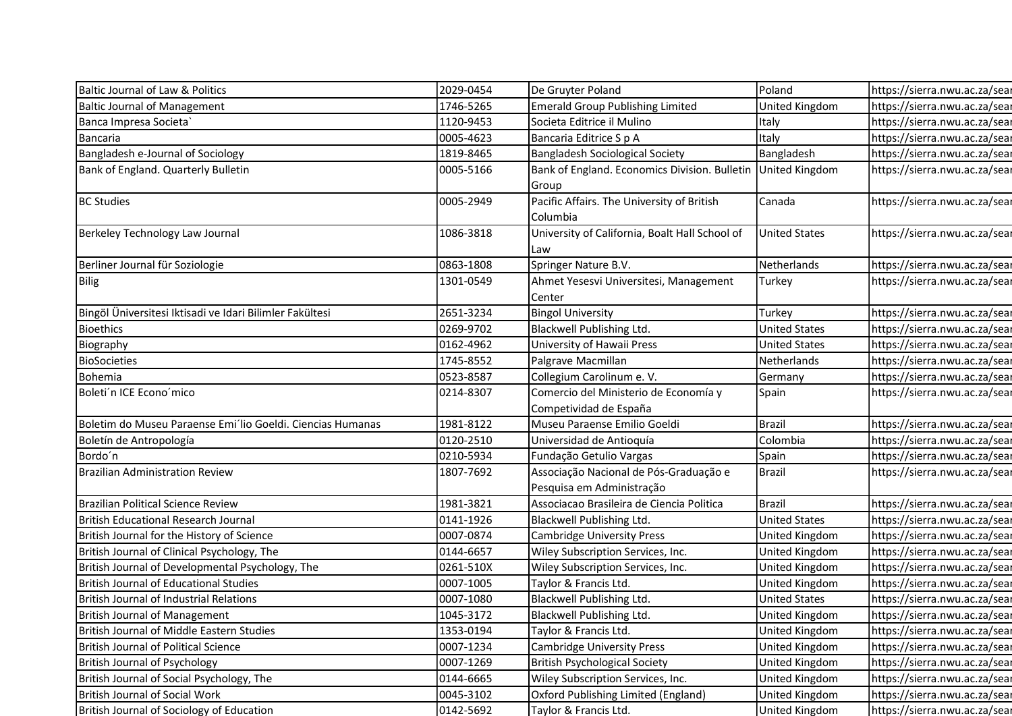| Baltic Journal of Law & Politics                           | 2029-0454 | De Gruyter Poland                                        | Poland                | https://sierra.nwu.ac.za/sear                                  |
|------------------------------------------------------------|-----------|----------------------------------------------------------|-----------------------|----------------------------------------------------------------|
| <b>Baltic Journal of Management</b>                        | 1746-5265 | <b>Emerald Group Publishing Limited</b>                  | United Kingdom        | https://sierra.nwu.ac.za/sear                                  |
| Banca Impresa Societa                                      | 1120-9453 | Societa Editrice il Mulino                               | Italy                 | https://sierra.nwu.ac.za/sear                                  |
| Bancaria                                                   | 0005-4623 | Bancaria Editrice S p A                                  | Italy                 | https://sierra.nwu.ac.za/sear                                  |
| Bangladesh e-Journal of Sociology                          | 1819-8465 | Bangladesh Sociological Society                          | Bangladesh            | https://sierra.nwu.ac.za/sear                                  |
| Bank of England. Quarterly Bulletin                        | 0005-5166 | Bank of England. Economics Division. Bulletin            | <b>United Kingdom</b> | https://sierra.nwu.ac.za/sear                                  |
|                                                            |           | Group                                                    |                       |                                                                |
| <b>BC Studies</b>                                          | 0005-2949 | Pacific Affairs. The University of British               | Canada                | https://sierra.nwu.ac.za/sear                                  |
|                                                            |           | Columbia                                                 |                       |                                                                |
| Berkeley Technology Law Journal                            | 1086-3818 | University of California, Boalt Hall School of<br>l Law  | <b>United States</b>  | https://sierra.nwu.ac.za/sear                                  |
| Berliner Journal für Soziologie                            | 0863-1808 | Springer Nature B.V.                                     | Netherlands           | https://sierra.nwu.ac.za/sear                                  |
| Bilig                                                      | 1301-0549 | Ahmet Yesesvi Universitesi, Management                   | Turkey                | https://sierra.nwu.ac.za/sear                                  |
|                                                            |           | Center                                                   |                       |                                                                |
| Bingöl Üniversitesi Iktisadi ve Idari Bilimler Fakültesi   | 2651-3234 | <b>Bingol University</b>                                 | Turkey                | https://sierra.nwu.ac.za/sear                                  |
| <b>Bioethics</b>                                           | 0269-9702 | Blackwell Publishing Ltd.                                | <b>United States</b>  | https://sierra.nwu.ac.za/sear                                  |
| Biography                                                  | 0162-4962 | University of Hawaii Press                               | <b>United States</b>  | https://sierra.nwu.ac.za/sear                                  |
| <b>BioSocieties</b>                                        | 1745-8552 | Palgrave Macmillan                                       | Netherlands           | https://sierra.nwu.ac.za/sear                                  |
| Bohemia                                                    | 0523-8587 | Collegium Carolinum e. V.                                | Germany               | https://sierra.nwu.ac.za/sear                                  |
|                                                            |           |                                                          | Spain                 | https://sierra.nwu.ac.za/sear                                  |
|                                                            |           |                                                          |                       |                                                                |
| Boleti'n ICE Econo'mico                                    | 0214-8307 | Comercio del Ministerio de Economía y                    |                       |                                                                |
| Boletim do Museu Paraense Emi'lio Goeldi. Ciencias Humanas | 1981-8122 | Competividad de España                                   | <b>Brazil</b>         |                                                                |
| Boletín de Antropología                                    | 0120-2510 | Museu Paraense Emilio Goeldi<br>Universidad de Antioquía | Colombia              | https://sierra.nwu.ac.za/sear<br>https://sierra.nwu.ac.za/sear |
| Bordo'n                                                    | 0210-5934 | Fundação Getulio Vargas                                  | Spain                 | https://sierra.nwu.ac.za/sear                                  |
| <b>Brazilian Administration Review</b>                     | 1807-7692 | Associação Nacional de Pós-Graduação e                   | <b>Brazil</b>         | https://sierra.nwu.ac.za/sear                                  |
|                                                            |           | Pesquisa em Administração                                |                       |                                                                |
| Brazilian Political Science Review                         | 1981-3821 | Associacao Brasileira de Ciencia Politica                | <b>Brazil</b>         | https://sierra.nwu.ac.za/sear                                  |
| British Educational Research Journal                       | 0141-1926 | Blackwell Publishing Ltd.                                | <b>United States</b>  | https://sierra.nwu.ac.za/sear                                  |
| British Journal for the History of Science                 | 0007-0874 | <b>Cambridge University Press</b>                        | <b>United Kingdom</b> | https://sierra.nwu.ac.za/sear                                  |
| British Journal of Clinical Psychology, The                | 0144-6657 | Wiley Subscription Services, Inc.                        | United Kingdom        | https://sierra.nwu.ac.za/sear                                  |
| British Journal of Developmental Psychology, The           | 0261-510X | Wiley Subscription Services, Inc.                        | United Kingdom        | https://sierra.nwu.ac.za/sear                                  |
| British Journal of Educational Studies                     | 0007-1005 | Taylor & Francis Ltd.                                    | United Kingdom        | https://sierra.nwu.ac.za/sear                                  |
| British Journal of Industrial Relations                    | 0007-1080 | Blackwell Publishing Ltd.                                | <b>United States</b>  | https://sierra.nwu.ac.za/sear                                  |
| <b>British Journal of Management</b>                       | 1045-3172 | Blackwell Publishing Ltd.                                | United Kingdom        | https://sierra.nwu.ac.za/sear                                  |
| British Journal of Middle Eastern Studies                  | 1353-0194 | Taylor & Francis Ltd.                                    | United Kingdom        | https://sierra.nwu.ac.za/sear                                  |
| British Journal of Political Science                       | 0007-1234 | <b>Cambridge University Press</b>                        | United Kingdom        | https://sierra.nwu.ac.za/sear                                  |
| British Journal of Psychology                              | 0007-1269 | <b>British Psychological Society</b>                     | United Kingdom        | https://sierra.nwu.ac.za/sear                                  |
| British Journal of Social Psychology, The                  | 0144-6665 | Wiley Subscription Services, Inc.                        | <b>United Kingdom</b> | https://sierra.nwu.ac.za/sear                                  |
| British Journal of Social Work                             | 0045-3102 | Oxford Publishing Limited (England)                      | <b>United Kingdom</b> | https://sierra.nwu.ac.za/sear                                  |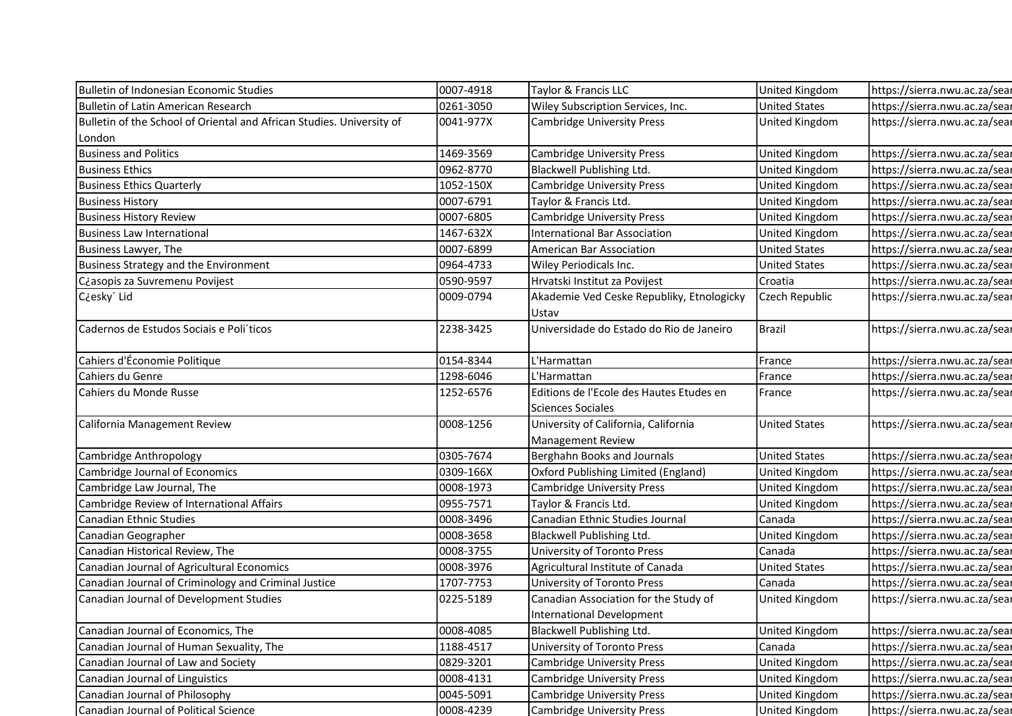| 0007-4918 | Taylor & Francis LLC                                                 |                       | https://sierra.nwu.ac.za/sear |
|-----------|----------------------------------------------------------------------|-----------------------|-------------------------------|
| 0261-3050 | Wiley Subscription Services, Inc.                                    | <b>United States</b>  | https://sierra.nwu.ac.za/sear |
| 0041-977X | <b>Cambridge University Press</b>                                    | United Kingdom        | https://sierra.nwu.ac.za/sear |
|           |                                                                      |                       |                               |
| 1469-3569 | <b>Cambridge University Press</b>                                    | United Kingdom        | https://sierra.nwu.ac.za/sear |
| 0962-8770 | Blackwell Publishing Ltd.                                            | United Kingdom        | https://sierra.nwu.ac.za/sear |
| 1052-150X | <b>Cambridge University Press</b>                                    | <b>United Kingdom</b> | https://sierra.nwu.ac.za/sear |
| 0007-6791 | Taylor & Francis Ltd.                                                | United Kingdom        | https://sierra.nwu.ac.za/sear |
| 0007-6805 | <b>Cambridge University Press</b>                                    | United Kingdom        | https://sierra.nwu.ac.za/sear |
| 1467-632X | <b>International Bar Association</b>                                 | United Kingdom        | https://sierra.nwu.ac.za/sear |
| 0007-6899 | American Bar Association                                             | <b>United States</b>  | https://sierra.nwu.ac.za/sear |
| 0964-4733 | Wiley Periodicals Inc.                                               | <b>United States</b>  | https://sierra.nwu.ac.za/sear |
| 0590-9597 | Hrvatski Institut za Povijest                                        | Croatia               | https://sierra.nwu.ac.za/sear |
| 0009-0794 | Akademie Ved Ceske Republiky, Etnologicky                            | Czech Republic        | https://sierra.nwu.ac.za/sear |
|           | Ustav                                                                |                       |                               |
| 2238-3425 | Universidade do Estado do Rio de Janeiro                             | <b>Brazil</b>         | https://sierra.nwu.ac.za/sear |
| 0154-8344 | L'Harmattan                                                          | France                | https://sierra.nwu.ac.za/sear |
| 1298-6046 | L'Harmattan                                                          | France                | https://sierra.nwu.ac.za/sear |
| 1252-6576 | Editions de l'Ecole des Hautes Etudes en<br><b>Sciences Sociales</b> | France                | https://sierra.nwu.ac.za/sear |
| 0008-1256 | University of California, California<br><b>Management Review</b>     | <b>United States</b>  | https://sierra.nwu.ac.za/sear |
| 0305-7674 | Berghahn Books and Journals                                          | <b>United States</b>  | https://sierra.nwu.ac.za/sear |
| 0309-166X | Oxford Publishing Limited (England)                                  | United Kingdom        | https://sierra.nwu.ac.za/sear |
| 0008-1973 | <b>Cambridge University Press</b>                                    | United Kingdom        | https://sierra.nwu.ac.za/sear |
| 0955-7571 | Taylor & Francis Ltd.                                                | <b>United Kingdom</b> | https://sierra.nwu.ac.za/sear |
| 0008-3496 | Canadian Ethnic Studies Journal                                      | Canada                | https://sierra.nwu.ac.za/sear |
| 0008-3658 | Blackwell Publishing Ltd.                                            | United Kingdom        | https://sierra.nwu.ac.za/sear |
| 0008-3755 | University of Toronto Press                                          | Canada                | https://sierra.nwu.ac.za/sear |
| 0008-3976 | Agricultural Institute of Canada                                     | <b>United States</b>  | https://sierra.nwu.ac.za/sear |
| 1707-7753 | University of Toronto Press                                          | Canada                | https://sierra.nwu.ac.za/sear |
| 0225-5189 | Canadian Association for the Study of<br>International Development   | <b>United Kingdom</b> | https://sierra.nwu.ac.za/sear |
| 0008-4085 | Blackwell Publishing Ltd.                                            | <b>United Kingdom</b> | https://sierra.nwu.ac.za/sear |
| 1188-4517 | University of Toronto Press                                          | Canada                | https://sierra.nwu.ac.za/sear |
|           |                                                                      |                       |                               |
| 0829-3201 | <b>Cambridge University Press</b>                                    | United Kingdom        | https://sierra.nwu.ac.za/sear |
| 0008-4131 | <b>Cambridge University Press</b>                                    | United Kingdom        | https://sierra.nwu.ac.za/sear |
| 0045-5091 | <b>Cambridge University Press</b>                                    | United Kingdom        | https://sierra.nwu.ac.za/sear |
|           |                                                                      |                       | United Kingdom                |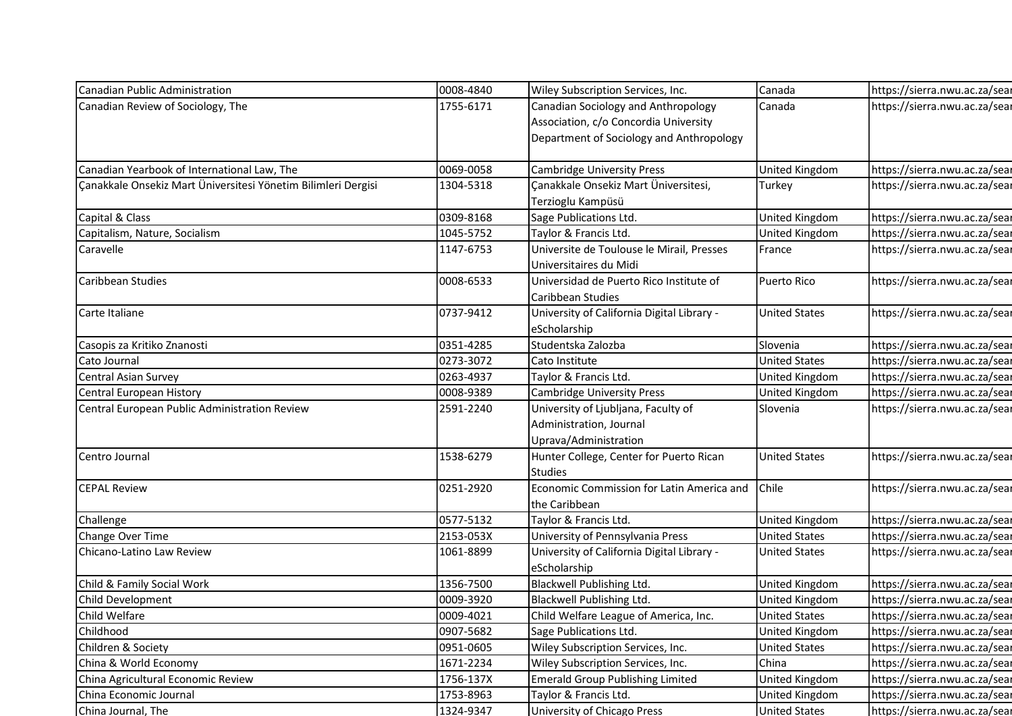| Canadian Public Administration                                | 0008-4840              | Wiley Subscription Services, Inc.                         | Canada                                 | https://sierra.nwu.ac.za/sear                                  |
|---------------------------------------------------------------|------------------------|-----------------------------------------------------------|----------------------------------------|----------------------------------------------------------------|
| Canadian Review of Sociology, The                             | 1755-6171              | Canadian Sociology and Anthropology                       | Canada                                 | https://sierra.nwu.ac.za/sear                                  |
|                                                               |                        | Association, c/o Concordia University                     |                                        |                                                                |
|                                                               |                        | Department of Sociology and Anthropology                  |                                        |                                                                |
| Canadian Yearbook of International Law, The                   | 0069-0058              | <b>Cambridge University Press</b>                         | United Kingdom                         | https://sierra.nwu.ac.za/sear                                  |
| Canakkale Onsekiz Mart Üniversitesi Yönetim Bilimleri Dergisi | 1304-5318              | Canakkale Onsekiz Mart Üniversitesi,                      | Turkey                                 | https://sierra.nwu.ac.za/sear                                  |
|                                                               |                        | Terzioglu Kampüsü                                         |                                        |                                                                |
| Capital & Class                                               | 0309-8168              | Sage Publications Ltd.                                    | United Kingdom                         | https://sierra.nwu.ac.za/sear                                  |
| Capitalism, Nature, Socialism                                 | 1045-5752              | Taylor & Francis Ltd.                                     | United Kingdom                         | https://sierra.nwu.ac.za/sear                                  |
| Caravelle                                                     | 1147-6753              | Universite de Toulouse le Mirail, Presses                 | France                                 | https://sierra.nwu.ac.za/sear                                  |
|                                                               |                        | Universitaires du Midi                                    |                                        |                                                                |
| Caribbean Studies                                             | 0008-6533              | Universidad de Puerto Rico Institute of                   | Puerto Rico                            | https://sierra.nwu.ac.za/sear                                  |
|                                                               |                        | Caribbean Studies                                         |                                        |                                                                |
| Carte Italiane                                                | 0737-9412              | University of California Digital Library -                | <b>United States</b>                   | https://sierra.nwu.ac.za/sear                                  |
|                                                               |                        | eScholarship                                              |                                        |                                                                |
| Casopis za Kritiko Znanosti                                   | 0351-4285              | Studentska Zalozba                                        | Slovenia                               | https://sierra.nwu.ac.za/sear                                  |
| Cato Journal                                                  | 0273-3072              | Cato Institute                                            | <b>United States</b>                   | https://sierra.nwu.ac.za/sear                                  |
| Central Asian Survey                                          | 0263-4937              | Taylor & Francis Ltd.                                     | United Kingdom                         | https://sierra.nwu.ac.za/sear                                  |
| Central European History                                      | 0008-9389              | Cambridge University Press                                | <b>United Kingdom</b>                  | https://sierra.nwu.ac.za/sear                                  |
| Central European Public Administration Review                 | 2591-2240              | University of Ljubljana, Faculty of                       | Slovenia                               | https://sierra.nwu.ac.za/sear                                  |
|                                                               |                        | Administration, Journal                                   |                                        |                                                                |
|                                                               |                        | Uprava/Administration                                     |                                        |                                                                |
| Centro Journal                                                | 1538-6279              | Hunter College, Center for Puerto Rican<br><b>Studies</b> | <b>United States</b>                   | https://sierra.nwu.ac.za/sear                                  |
| <b>CEPAL Review</b>                                           | 0251-2920              | Economic Commission for Latin America and                 | Chile                                  | https://sierra.nwu.ac.za/sear                                  |
|                                                               |                        | the Caribbean                                             |                                        |                                                                |
| Challenge                                                     | 0577-5132              | Taylor & Francis Ltd.                                     | United Kingdom                         | https://sierra.nwu.ac.za/sear                                  |
| Change Over Time                                              | 2153-053X              | University of Pennsylvania Press                          | <b>United States</b>                   | https://sierra.nwu.ac.za/sear                                  |
| Chicano-Latino Law Review                                     | 1061-8899              | University of California Digital Library -                | <b>United States</b>                   | https://sierra.nwu.ac.za/sear                                  |
|                                                               |                        | eScholarship                                              |                                        |                                                                |
| Child & Family Social Work                                    | 1356-7500              | <b>Blackwell Publishing Ltd.</b>                          | United Kingdom                         | https://sierra.nwu.ac.za/sear                                  |
| Child Development                                             | 0009-3920              | Blackwell Publishing Ltd.                                 | United Kingdom                         | https://sierra.nwu.ac.za/sear                                  |
| Child Welfare                                                 | 0009-4021              | Child Welfare League of America, Inc.                     | <b>United States</b>                   | https://sierra.nwu.ac.za/sear                                  |
| Childhood                                                     | 0907-5682              | Sage Publications Ltd.                                    | United Kingdom                         | https://sierra.nwu.ac.za/sear                                  |
| Children & Society                                            | 0951-0605              | Wiley Subscription Services, Inc.                         | <b>United States</b>                   | https://sierra.nwu.ac.za/sear                                  |
| China & World Economy                                         | 1671-2234              | Wiley Subscription Services, Inc.                         | China                                  | https://sierra.nwu.ac.za/sear                                  |
| China Agricultural Economic Review                            | 1756-137X              | <b>Emerald Group Publishing Limited</b>                   | United Kingdom                         | https://sierra.nwu.ac.za/sear                                  |
|                                                               |                        |                                                           |                                        |                                                                |
| China Economic Journal<br>China Journal, The                  | 1753-8963<br>1324-9347 | Taylor & Francis Ltd.<br>University of Chicago Press      | United Kingdom<br><b>United States</b> | https://sierra.nwu.ac.za/sear<br>https://sierra.nwu.ac.za/sear |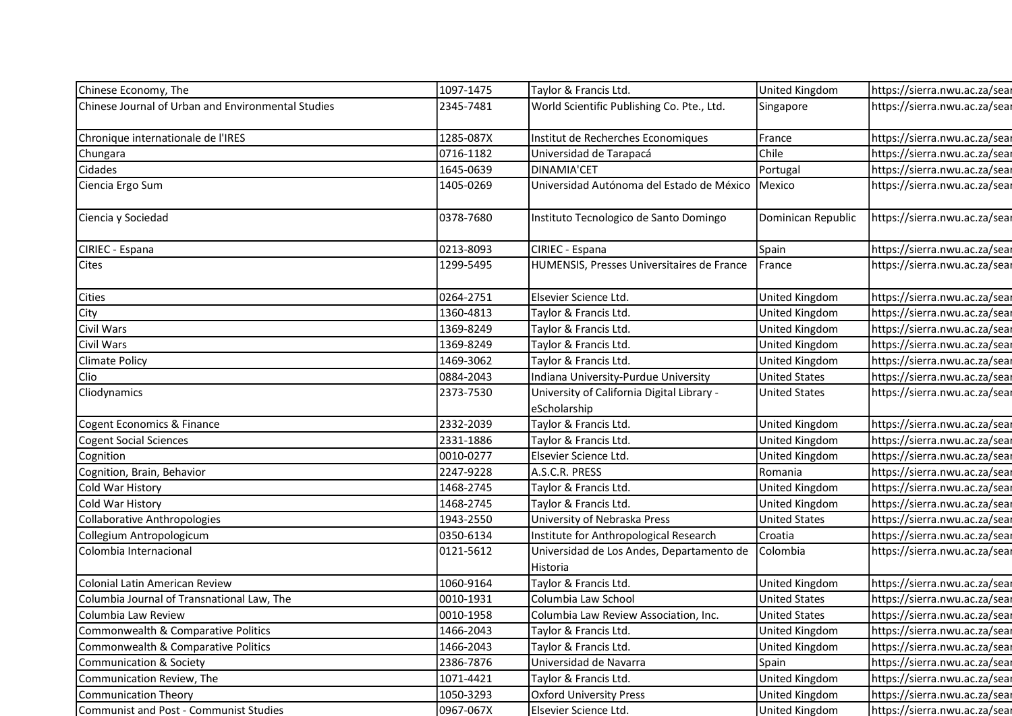| Chinese Economy, The                               | 1097-1475 | Taylor & Francis Ltd.                                      | United Kingdom        | https://sierra.nwu.ac.za/sear |
|----------------------------------------------------|-----------|------------------------------------------------------------|-----------------------|-------------------------------|
| Chinese Journal of Urban and Environmental Studies | 2345-7481 | World Scientific Publishing Co. Pte., Ltd.                 | Singapore             | https://sierra.nwu.ac.za/sear |
| Chronique internationale de l'IRES                 | 1285-087X | Institut de Recherches Economiques                         | France                | https://sierra.nwu.ac.za/sear |
| Chungara                                           | 0716-1182 | Universidad de Tarapacá                                    | Chile                 | https://sierra.nwu.ac.za/sear |
| Cidades                                            | 1645-0639 | <b>DINAMIA'CET</b>                                         | Portugal              | https://sierra.nwu.ac.za/sear |
| Ciencia Ergo Sum                                   | 1405-0269 | Universidad Autónoma del Estado de México                  | Mexico                | https://sierra.nwu.ac.za/sear |
|                                                    |           |                                                            |                       |                               |
| Ciencia y Sociedad                                 | 0378-7680 | Instituto Tecnologico de Santo Domingo                     | Dominican Republic    | https://sierra.nwu.ac.za/sear |
| CIRIEC - Espana                                    | 0213-8093 | CIRIEC - Espana                                            | Spain                 | https://sierra.nwu.ac.za/sear |
| <b>Cites</b>                                       | 1299-5495 | HUMENSIS, Presses Universitaires de France                 | France                | https://sierra.nwu.ac.za/sear |
| <b>Cities</b>                                      | 0264-2751 | Elsevier Science Ltd.                                      | United Kingdom        | https://sierra.nwu.ac.za/sear |
| City                                               | 1360-4813 | Taylor & Francis Ltd.                                      | United Kingdom        | https://sierra.nwu.ac.za/sear |
| Civil Wars                                         | 1369-8249 | Taylor & Francis Ltd.                                      | United Kingdom        | https://sierra.nwu.ac.za/sear |
| Civil Wars                                         | 1369-8249 | Taylor & Francis Ltd.                                      | United Kingdom        | https://sierra.nwu.ac.za/sear |
| <b>Climate Policy</b>                              | 1469-3062 | Taylor & Francis Ltd.                                      | United Kingdom        | https://sierra.nwu.ac.za/sear |
| Clio                                               | 0884-2043 | Indiana University-Purdue University                       | <b>United States</b>  | https://sierra.nwu.ac.za/sear |
| Cliodynamics                                       | 2373-7530 | University of California Digital Library -<br>eScholarship | <b>United States</b>  | https://sierra.nwu.ac.za/sear |
| Cogent Economics & Finance                         | 2332-2039 | Taylor & Francis Ltd.                                      | United Kingdom        | https://sierra.nwu.ac.za/sear |
| <b>Cogent Social Sciences</b>                      | 2331-1886 | Taylor & Francis Ltd.                                      | United Kingdom        | https://sierra.nwu.ac.za/sear |
| Cognition                                          | 0010-0277 | Elsevier Science Ltd.                                      | United Kingdom        | https://sierra.nwu.ac.za/sear |
| Cognition, Brain, Behavior                         | 2247-9228 | A.S.C.R. PRESS                                             | Romania               | https://sierra.nwu.ac.za/sear |
| Cold War History                                   | 1468-2745 | Taylor & Francis Ltd.                                      | United Kingdom        | https://sierra.nwu.ac.za/sear |
| Cold War History                                   | 1468-2745 | Taylor & Francis Ltd.                                      | United Kingdom        | https://sierra.nwu.ac.za/sear |
| Collaborative Anthropologies                       | 1943-2550 | University of Nebraska Press                               | <b>United States</b>  | https://sierra.nwu.ac.za/sear |
| Collegium Antropologicum                           | 0350-6134 | Institute for Anthropological Research                     | Croatia               | https://sierra.nwu.ac.za/sear |
| Colombia Internacional                             | 0121-5612 | Universidad de Los Andes, Departamento de<br>Historia      | Colombia              | https://sierra.nwu.ac.za/sear |
| Colonial Latin American Review                     | 1060-9164 | Taylor & Francis Ltd.                                      | United Kingdom        | https://sierra.nwu.ac.za/sear |
| Columbia Journal of Transnational Law, The         | 0010-1931 | Columbia Law School                                        | <b>United States</b>  | https://sierra.nwu.ac.za/sear |
| Columbia Law Review                                | 0010-1958 | Columbia Law Review Association, Inc.                      | <b>United States</b>  | https://sierra.nwu.ac.za/sear |
| Commonwealth & Comparative Politics                | 1466-2043 | Taylor & Francis Ltd.                                      | <b>United Kingdom</b> | https://sierra.nwu.ac.za/sear |
| Commonwealth & Comparative Politics                | 1466-2043 | Taylor & Francis Ltd.                                      | United Kingdom        | https://sierra.nwu.ac.za/sear |
| Communication & Society                            | 2386-7876 | Universidad de Navarra                                     | Spain                 | https://sierra.nwu.ac.za/sear |
| Communication Review, The                          | 1071-4421 | Taylor & Francis Ltd.                                      | United Kingdom        | https://sierra.nwu.ac.za/sear |
| Communication Theory                               | 1050-3293 | <b>Oxford University Press</b>                             | United Kingdom        | https://sierra.nwu.ac.za/sear |
| Communist and Post - Communist Studies             | 0967-067X | Elsevier Science Ltd.                                      | <b>United Kingdom</b> | https://sierra.nwu.ac.za/sear |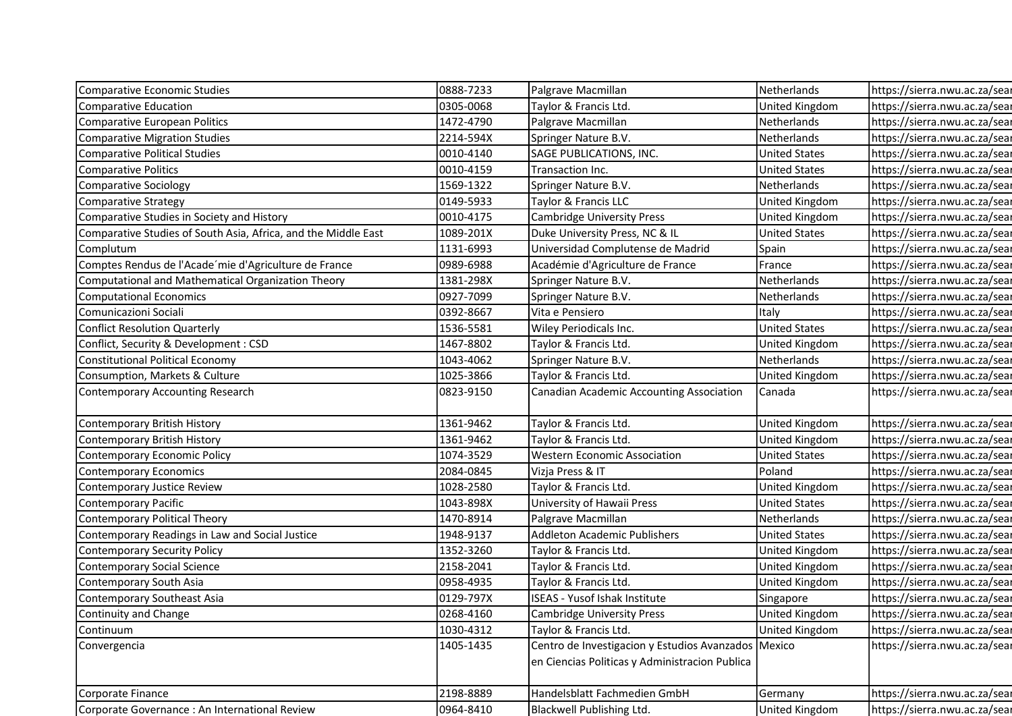| Comparative Economic Studies                                   | 0888-7233 | Palgrave Macmillan                                                                                    | Netherlands           | https://sierra.nwu.ac.za/sear |
|----------------------------------------------------------------|-----------|-------------------------------------------------------------------------------------------------------|-----------------------|-------------------------------|
| Comparative Education                                          | 0305-0068 | Taylor & Francis Ltd.                                                                                 | United Kingdom        | https://sierra.nwu.ac.za/sear |
| Comparative European Politics                                  | 1472-4790 | Palgrave Macmillan                                                                                    | Netherlands           | https://sierra.nwu.ac.za/sear |
| <b>Comparative Migration Studies</b>                           | 2214-594X | Springer Nature B.V.                                                                                  | Netherlands           | https://sierra.nwu.ac.za/sear |
| Comparative Political Studies                                  | 0010-4140 | SAGE PUBLICATIONS, INC.                                                                               | <b>United States</b>  | https://sierra.nwu.ac.za/sear |
| <b>Comparative Politics</b>                                    | 0010-4159 | Transaction Inc.                                                                                      | <b>United States</b>  | https://sierra.nwu.ac.za/sear |
| Comparative Sociology                                          | 1569-1322 | Springer Nature B.V.                                                                                  | Netherlands           | https://sierra.nwu.ac.za/sear |
| Comparative Strategy                                           | 0149-5933 | Taylor & Francis LLC                                                                                  | United Kingdom        | https://sierra.nwu.ac.za/sear |
| Comparative Studies in Society and History                     | 0010-4175 | <b>Cambridge University Press</b>                                                                     | United Kingdom        | https://sierra.nwu.ac.za/sear |
| Comparative Studies of South Asia, Africa, and the Middle East | 1089-201X | Duke University Press, NC & IL                                                                        | <b>United States</b>  | https://sierra.nwu.ac.za/sear |
| Complutum                                                      | 1131-6993 | Universidad Complutense de Madrid                                                                     | Spain                 | https://sierra.nwu.ac.za/sear |
| Comptes Rendus de l'Acade'mie d'Agriculture de France          | 0989-6988 | Académie d'Agriculture de France                                                                      | France                | https://sierra.nwu.ac.za/sear |
| Computational and Mathematical Organization Theory             | 1381-298X | Springer Nature B.V.                                                                                  | Netherlands           | https://sierra.nwu.ac.za/sear |
| <b>Computational Economics</b>                                 | 0927-7099 | Springer Nature B.V.                                                                                  | Netherlands           | https://sierra.nwu.ac.za/sear |
| Comunicazioni Sociali                                          | 0392-8667 | Vita e Pensiero                                                                                       | Italy                 | https://sierra.nwu.ac.za/sear |
| <b>Conflict Resolution Quarterly</b>                           | 1536-5581 | Wiley Periodicals Inc.                                                                                | <b>United States</b>  | https://sierra.nwu.ac.za/sear |
| Conflict, Security & Development : CSD                         | 1467-8802 | Taylor & Francis Ltd.                                                                                 | <b>United Kingdom</b> | https://sierra.nwu.ac.za/sear |
| Constitutional Political Economy                               | 1043-4062 | Springer Nature B.V.                                                                                  | Netherlands           | https://sierra.nwu.ac.za/sear |
| Consumption, Markets & Culture                                 | 1025-3866 | Taylor & Francis Ltd.                                                                                 | United Kingdom        | https://sierra.nwu.ac.za/sear |
| Contemporary Accounting Research                               | 0823-9150 | Canadian Academic Accounting Association                                                              | Canada                | https://sierra.nwu.ac.za/sear |
| Contemporary British History                                   | 1361-9462 | Taylor & Francis Ltd.                                                                                 | United Kingdom        | https://sierra.nwu.ac.za/sear |
| Contemporary British History                                   | 1361-9462 | Taylor & Francis Ltd.                                                                                 | <b>United Kingdom</b> | https://sierra.nwu.ac.za/sear |
| Contemporary Economic Policy                                   | 1074-3529 | <b>Western Economic Association</b>                                                                   | <b>United States</b>  | https://sierra.nwu.ac.za/sear |
| <b>Contemporary Economics</b>                                  | 2084-0845 | Vizja Press & IT                                                                                      | Poland                | https://sierra.nwu.ac.za/sear |
| Contemporary Justice Review                                    | 1028-2580 | Taylor & Francis Ltd.                                                                                 | <b>United Kingdom</b> | https://sierra.nwu.ac.za/sear |
| <b>Contemporary Pacific</b>                                    | 1043-898X | University of Hawaii Press                                                                            | <b>United States</b>  | https://sierra.nwu.ac.za/sear |
| Contemporary Political Theory                                  | 1470-8914 | Palgrave Macmillan                                                                                    | Netherlands           | https://sierra.nwu.ac.za/sear |
| Contemporary Readings in Law and Social Justice                | 1948-9137 | Addleton Academic Publishers                                                                          | <b>United States</b>  | https://sierra.nwu.ac.za/sear |
| Contemporary Security Policy                                   | 1352-3260 | Taylor & Francis Ltd.                                                                                 | United Kingdom        | https://sierra.nwu.ac.za/sear |
| Contemporary Social Science                                    | 2158-2041 | Taylor & Francis Ltd.                                                                                 | United Kingdom        | https://sierra.nwu.ac.za/sear |
| Contemporary South Asia                                        | 0958-4935 | Taylor & Francis Ltd.                                                                                 | <b>United Kingdom</b> | https://sierra.nwu.ac.za/sear |
| Contemporary Southeast Asia                                    | 0129-797X | <b>ISEAS - Yusof Ishak Institute</b>                                                                  | Singapore             | https://sierra.nwu.ac.za/sear |
| Continuity and Change                                          | 0268-4160 | <b>Cambridge University Press</b>                                                                     | <b>United Kingdom</b> | https://sierra.nwu.ac.za/sear |
| Continuum                                                      | 1030-4312 | Taylor & Francis Ltd.                                                                                 | United Kingdom        | https://sierra.nwu.ac.za/sear |
| Convergencia                                                   | 1405-1435 | Centro de Investigacion y Estudios Avanzados Mexico<br>en Ciencias Politicas y Administracion Publica |                       | https://sierra.nwu.ac.za/sear |
| Corporate Finance                                              | 2198-8889 | Handelsblatt Fachmedien GmbH                                                                          | Germany               | https://sierra.nwu.ac.za/sear |
| Corporate Governance : An International Review                 | 0964-8410 | Blackwell Publishing Ltd.                                                                             | United Kingdom        | https://sierra.nwu.ac.za/sear |
|                                                                |           |                                                                                                       |                       |                               |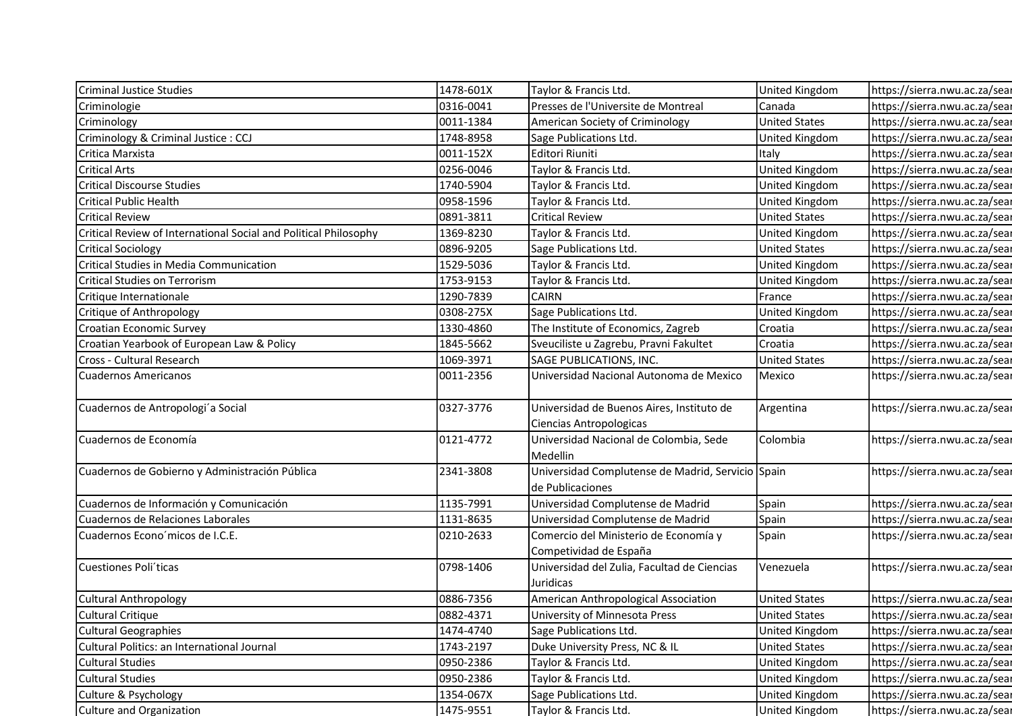| <b>Criminal Justice Studies</b>                                  | 1478-601X | Taylor & Francis Ltd.                             | United Kingdom        | https://sierra.nwu.ac.za/sear |
|------------------------------------------------------------------|-----------|---------------------------------------------------|-----------------------|-------------------------------|
| Criminologie                                                     | 0316-0041 | Presses de l'Universite de Montreal               | Canada                | https://sierra.nwu.ac.za/sear |
| Criminology                                                      | 0011-1384 | American Society of Criminology                   | <b>United States</b>  | https://sierra.nwu.ac.za/sear |
| Criminology & Criminal Justice : CCJ                             | 1748-8958 | Sage Publications Ltd.                            | United Kingdom        | https://sierra.nwu.ac.za/sear |
| Critica Marxista                                                 | 0011-152X | Editori Riuniti                                   | Italy                 | https://sierra.nwu.ac.za/sear |
| <b>Critical Arts</b>                                             | 0256-0046 | Taylor & Francis Ltd.                             | United Kingdom        | https://sierra.nwu.ac.za/sear |
| <b>Critical Discourse Studies</b>                                | 1740-5904 | Taylor & Francis Ltd.                             | United Kingdom        | https://sierra.nwu.ac.za/sear |
| <b>Critical Public Health</b>                                    | 0958-1596 | Taylor & Francis Ltd.                             | United Kingdom        | https://sierra.nwu.ac.za/sear |
| <b>Critical Review</b>                                           | 0891-3811 | <b>Critical Review</b>                            | <b>United States</b>  | https://sierra.nwu.ac.za/sear |
| Critical Review of International Social and Political Philosophy | 1369-8230 | Taylor & Francis Ltd.                             | United Kingdom        | https://sierra.nwu.ac.za/sear |
| <b>Critical Sociology</b>                                        | 0896-9205 | Sage Publications Ltd.                            | <b>United States</b>  | https://sierra.nwu.ac.za/sear |
| Critical Studies in Media Communication                          | 1529-5036 | Taylor & Francis Ltd.                             | United Kingdom        | https://sierra.nwu.ac.za/sear |
| <b>Critical Studies on Terrorism</b>                             | 1753-9153 | Taylor & Francis Ltd.                             | United Kingdom        | https://sierra.nwu.ac.za/sear |
| Critique Internationale                                          | 1290-7839 | <b>CAIRN</b>                                      | France                | https://sierra.nwu.ac.za/sear |
| Critique of Anthropology                                         | 0308-275X | Sage Publications Ltd.                            | United Kingdom        | https://sierra.nwu.ac.za/sear |
| Croatian Economic Survey                                         | 1330-4860 | The Institute of Economics, Zagreb                | Croatia               | https://sierra.nwu.ac.za/sear |
| Croatian Yearbook of European Law & Policy                       | 1845-5662 | Sveuciliste u Zagrebu, Pravni Fakultet            | Croatia               | https://sierra.nwu.ac.za/sear |
| Cross - Cultural Research                                        | 1069-3971 | SAGE PUBLICATIONS, INC.                           | <b>United States</b>  | https://sierra.nwu.ac.za/sear |
| Cuadernos Americanos                                             | 0011-2356 | Universidad Nacional Autonoma de Mexico           | Mexico                | https://sierra.nwu.ac.za/sear |
|                                                                  |           |                                                   |                       |                               |
| Cuadernos de Antropologi'a Social                                | 0327-3776 | Universidad de Buenos Aires, Instituto de         | Argentina             | https://sierra.nwu.ac.za/sear |
|                                                                  |           | Ciencias Antropologicas                           |                       |                               |
| Cuadernos de Economía                                            | 0121-4772 | Universidad Nacional de Colombia, Sede            | Colombia              | https://sierra.nwu.ac.za/sear |
|                                                                  |           | Medellin                                          |                       |                               |
| Cuadernos de Gobierno y Administración Pública                   | 2341-3808 | Universidad Complutense de Madrid, Servicio Spain |                       | https://sierra.nwu.ac.za/sear |
|                                                                  |           | de Publicaciones                                  |                       |                               |
| Cuadernos de Información y Comunicación                          | 1135-7991 | Universidad Complutense de Madrid                 | Spain                 | https://sierra.nwu.ac.za/sear |
| Cuadernos de Relaciones Laborales                                | 1131-8635 | Universidad Complutense de Madrid                 | Spain                 | https://sierra.nwu.ac.za/sear |
| Cuadernos Econo micos de I.C.E.                                  | 0210-2633 | Comercio del Ministerio de Economía y             | Spain                 | https://sierra.nwu.ac.za/sear |
|                                                                  |           | Competividad de España                            |                       |                               |
| Cuestiones Poli'ticas                                            | 0798-1406 | Universidad del Zulia, Facultad de Ciencias       | Venezuela             | https://sierra.nwu.ac.za/sear |
|                                                                  |           | Juridicas                                         |                       |                               |
| <b>Cultural Anthropology</b>                                     | 0886-7356 | American Anthropological Association              | <b>United States</b>  | https://sierra.nwu.ac.za/sear |
| Cultural Critique                                                | 0882-4371 | University of Minnesota Press                     | <b>United States</b>  | https://sierra.nwu.ac.za/sear |
| <b>Cultural Geographies</b>                                      | 1474-4740 | Sage Publications Ltd.                            | United Kingdom        | https://sierra.nwu.ac.za/sear |
| Cultural Politics: an International Journal                      | 1743-2197 | Duke University Press, NC & IL                    | <b>United States</b>  | https://sierra.nwu.ac.za/sear |
| <b>Cultural Studies</b>                                          | 0950-2386 | Taylor & Francis Ltd.                             | United Kingdom        | https://sierra.nwu.ac.za/sear |
| <b>Cultural Studies</b>                                          | 0950-2386 | Taylor & Francis Ltd.                             | United Kingdom        | https://sierra.nwu.ac.za/sear |
| Culture & Psychology                                             | 1354-067X | Sage Publications Ltd.                            | United Kingdom        | https://sierra.nwu.ac.za/sear |
| Culture and Organization                                         | 1475-9551 | Taylor & Francis Ltd.                             | <b>United Kingdom</b> | https://sierra.nwu.ac.za/sear |
|                                                                  |           |                                                   |                       |                               |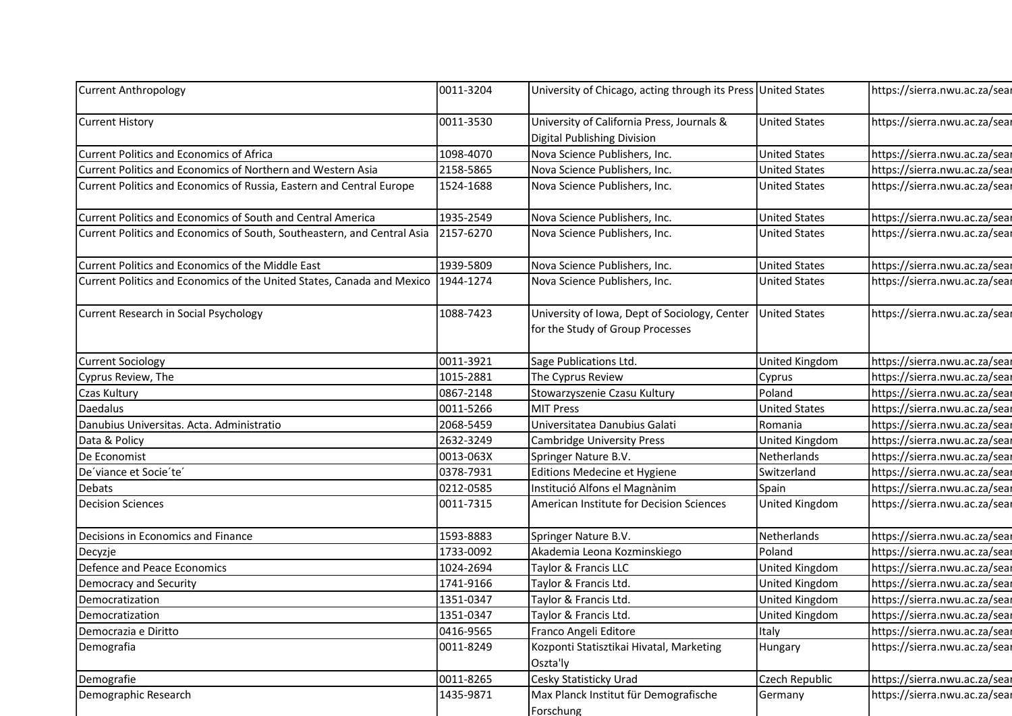| <b>Current Anthropology</b>                                                        | 0011-3204              | University of Chicago, acting through its Press United States                     |                                | https://sierra.nwu.ac.za/sear                                  |
|------------------------------------------------------------------------------------|------------------------|-----------------------------------------------------------------------------------|--------------------------------|----------------------------------------------------------------|
| <b>Current History</b>                                                             | 0011-3530              | University of California Press, Journals &<br>Digital Publishing Division         | <b>United States</b>           | https://sierra.nwu.ac.za/sear                                  |
| Current Politics and Economics of Africa                                           | 1098-4070              | Nova Science Publishers, Inc.                                                     | <b>United States</b>           | https://sierra.nwu.ac.za/sear                                  |
| Current Politics and Economics of Northern and Western Asia                        | 2158-5865              | Nova Science Publishers, Inc.                                                     | <b>United States</b>           | https://sierra.nwu.ac.za/sear                                  |
| Current Politics and Economics of Russia, Eastern and Central Europe               | 1524-1688              | Nova Science Publishers, Inc.                                                     | <b>United States</b>           | https://sierra.nwu.ac.za/sear                                  |
| Current Politics and Economics of South and Central America                        | 1935-2549              | Nova Science Publishers, Inc.                                                     | <b>United States</b>           | https://sierra.nwu.ac.za/sear                                  |
| Current Politics and Economics of South, Southeastern, and Central Asia            | 2157-6270              | Nova Science Publishers, Inc.                                                     | <b>United States</b>           | https://sierra.nwu.ac.za/sear                                  |
| Current Politics and Economics of the Middle East                                  | 1939-5809              | Nova Science Publishers, Inc.                                                     | <b>United States</b>           | https://sierra.nwu.ac.za/sear                                  |
| Current Politics and Economics of the United States, Canada and Mexico   1944-1274 |                        | Nova Science Publishers, Inc.                                                     | <b>United States</b>           | https://sierra.nwu.ac.za/sear                                  |
| Current Research in Social Psychology                                              | 1088-7423              | University of Iowa, Dept of Sociology, Center<br>for the Study of Group Processes | <b>United States</b>           | https://sierra.nwu.ac.za/sear                                  |
| <b>Current Sociology</b>                                                           | 0011-3921              | Sage Publications Ltd.                                                            | <b>United Kingdom</b>          | https://sierra.nwu.ac.za/sear                                  |
| Cyprus Review, The                                                                 | 1015-2881              | The Cyprus Review                                                                 | Cyprus                         | https://sierra.nwu.ac.za/sear                                  |
| Czas Kultury                                                                       | 0867-2148              | Stowarzyszenie Czasu Kultury                                                      | Poland                         | https://sierra.nwu.ac.za/sear                                  |
| Daedalus                                                                           | 0011-5266              | <b>MIT Press</b>                                                                  | <b>United States</b>           | https://sierra.nwu.ac.za/sear                                  |
| Danubius Universitas. Acta. Administratio                                          | 2068-5459              | Universitatea Danubius Galati                                                     | Romania                        | https://sierra.nwu.ac.za/sear                                  |
| Data & Policy                                                                      | 2632-3249              | <b>Cambridge University Press</b>                                                 | United Kingdom                 | https://sierra.nwu.ac.za/sear                                  |
| De Economist                                                                       | 0013-063X              | Springer Nature B.V.                                                              | Netherlands                    | https://sierra.nwu.ac.za/sear                                  |
| De'viance et Socie'te'                                                             | 0378-7931              | Editions Medecine et Hygiene                                                      | Switzerland                    | https://sierra.nwu.ac.za/sear                                  |
| Debats                                                                             | 0212-0585              | Institució Alfons el Magnànim                                                     | Spain                          | https://sierra.nwu.ac.za/sear                                  |
| <b>Decision Sciences</b>                                                           | 0011-7315              | American Institute for Decision Sciences                                          | <b>United Kingdom</b>          | https://sierra.nwu.ac.za/sear                                  |
| Decisions in Economics and Finance                                                 | 1593-8883              | Springer Nature B.V.                                                              | Netherlands                    | https://sierra.nwu.ac.za/sear                                  |
| Decyzje                                                                            | 1733-0092              | Akademia Leona Kozminskiego                                                       | Poland                         | https://sierra.nwu.ac.za/sear                                  |
| Defence and Peace Economics                                                        | 1024-2694              | Taylor & Francis LLC                                                              | United Kingdom                 | https://sierra.nwu.ac.za/sear                                  |
| Democracy and Security                                                             | 1741-9166              | Taylor & Francis Ltd.                                                             | United Kingdom                 | https://sierra.nwu.ac.za/sear                                  |
| Democratization                                                                    | 1351-0347              | Taylor & Francis Ltd.                                                             | United Kingdom                 | https://sierra.nwu.ac.za/sear                                  |
| Democratization<br>Democrazia e Diritto                                            | 1351-0347<br>0416-9565 | Taylor & Francis Ltd.<br>Franco Angeli Editore                                    | <b>United Kingdom</b><br>Italy | https://sierra.nwu.ac.za/sear                                  |
| Demografia                                                                         | 0011-8249              | Kozponti Statisztikai Hivatal, Marketing                                          | Hungary                        | https://sierra.nwu.ac.za/sear<br>https://sierra.nwu.ac.za/sear |
|                                                                                    | 0011-8265              | Oszta'ly<br>Cesky Statisticky Urad                                                | Czech Republic                 | https://sierra.nwu.ac.za/sear                                  |
|                                                                                    |                        |                                                                                   |                                |                                                                |
| Demografie<br>Demographic Research                                                 | 1435-9871              | Max Planck Institut für Demografische                                             | Germany                        | https://sierra.nwu.ac.za/sear                                  |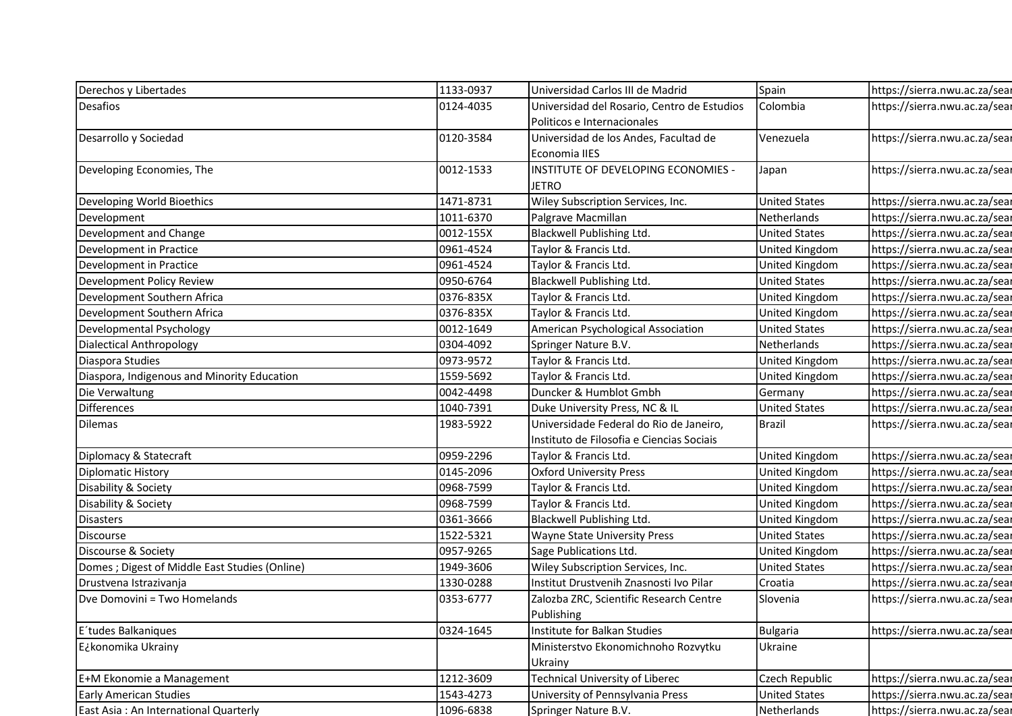| Derechos y Libertades                          | 1133-0937              | Universidad Carlos III de Madrid                       | Spain                                   | https://sierra.nwu.ac.za/sear                                  |
|------------------------------------------------|------------------------|--------------------------------------------------------|-----------------------------------------|----------------------------------------------------------------|
| Desafios                                       | 0124-4035              | Universidad del Rosario, Centro de Estudios            | Colombia                                | https://sierra.nwu.ac.za/sear                                  |
|                                                |                        | Politicos e Internacionales                            |                                         |                                                                |
| Desarrollo y Sociedad                          | 0120-3584              | Universidad de los Andes, Facultad de<br>Economia IIES | Venezuela                               | https://sierra.nwu.ac.za/sear                                  |
| Developing Economies, The                      | 0012-1533              | INSTITUTE OF DEVELOPING ECONOMIES -<br><b>JETRO</b>    | Japan                                   | https://sierra.nwu.ac.za/sear                                  |
| Developing World Bioethics                     | 1471-8731              | Wiley Subscription Services, Inc.                      | <b>United States</b>                    | https://sierra.nwu.ac.za/sear                                  |
| Development                                    | 1011-6370              | Palgrave Macmillan                                     | Netherlands                             | https://sierra.nwu.ac.za/sear                                  |
| Development and Change                         | 0012-155X              | Blackwell Publishing Ltd.                              | <b>United States</b>                    | https://sierra.nwu.ac.za/sear                                  |
| Development in Practice                        | 0961-4524              | Taylor & Francis Ltd.                                  | United Kingdom                          | https://sierra.nwu.ac.za/sear                                  |
| Development in Practice                        | 0961-4524              | Taylor & Francis Ltd.                                  | <b>United Kingdom</b>                   | https://sierra.nwu.ac.za/sear                                  |
| Development Policy Review                      | 0950-6764              | Blackwell Publishing Ltd.                              | <b>United States</b>                    | https://sierra.nwu.ac.za/sear                                  |
| Development Southern Africa                    | 0376-835X              | Taylor & Francis Ltd.                                  | United Kingdom                          | https://sierra.nwu.ac.za/sear                                  |
| Development Southern Africa                    | 0376-835X              | Taylor & Francis Ltd.                                  | United Kingdom                          | https://sierra.nwu.ac.za/sear                                  |
| Developmental Psychology                       | 0012-1649              | American Psychological Association                     | <b>United States</b>                    | https://sierra.nwu.ac.za/sear                                  |
| Dialectical Anthropology                       | 0304-4092              | Springer Nature B.V.                                   | Netherlands                             | https://sierra.nwu.ac.za/sear                                  |
| Diaspora Studies                               | 0973-9572              | Taylor & Francis Ltd.                                  | United Kingdom                          | https://sierra.nwu.ac.za/sear                                  |
| Diaspora, Indigenous and Minority Education    | 1559-5692              | Taylor & Francis Ltd.                                  | <b>United Kingdom</b>                   | https://sierra.nwu.ac.za/sear                                  |
| Die Verwaltung                                 | 0042-4498              | Duncker & Humblot Gmbh                                 | Germany                                 | https://sierra.nwu.ac.za/sear                                  |
| Differences                                    | 1040-7391              | Duke University Press, NC & IL                         | <b>United States</b>                    | https://sierra.nwu.ac.za/sear                                  |
| Dilemas                                        | 1983-5922              | Universidade Federal do Rio de Janeiro,                | <b>Brazil</b>                           | https://sierra.nwu.ac.za/sear                                  |
|                                                |                        | Instituto de Filosofia e Ciencias Sociais              |                                         |                                                                |
| Diplomacy & Statecraft                         | 0959-2296              | Taylor & Francis Ltd.                                  | United Kingdom                          | https://sierra.nwu.ac.za/sear                                  |
| <b>Diplomatic History</b>                      | 0145-2096              | <b>Oxford University Press</b>                         | <b>United Kingdom</b>                   | https://sierra.nwu.ac.za/sear                                  |
| Disability & Society                           | 0968-7599              | Taylor & Francis Ltd.                                  | United Kingdom                          | https://sierra.nwu.ac.za/sear                                  |
| Disability & Society<br><b>Disasters</b>       | 0968-7599<br>0361-3666 | Taylor & Francis Ltd.<br>Blackwell Publishing Ltd.     | <b>United Kingdom</b><br>United Kingdom | https://sierra.nwu.ac.za/sear<br>https://sierra.nwu.ac.za/sear |
| Discourse                                      | 1522-5321              | <b>Wayne State University Press</b>                    | <b>United States</b>                    | https://sierra.nwu.ac.za/sear                                  |
| Discourse & Society                            | 0957-9265              | Sage Publications Ltd.                                 | <b>United Kingdom</b>                   | https://sierra.nwu.ac.za/sear                                  |
| Domes ; Digest of Middle East Studies (Online) | 1949-3606              | Wiley Subscription Services, Inc.                      | <b>United States</b>                    | https://sierra.nwu.ac.za/sear                                  |
| Drustvena Istrazivanja                         | 1330-0288              | Institut Drustvenih Znasnosti Ivo Pilar                | Croatia                                 | https://sierra.nwu.ac.za/sear                                  |
| Dve Domovini = Two Homelands                   | 0353-6777              | Zalozba ZRC, Scientific Research Centre<br>Publishing  | Slovenia                                | https://sierra.nwu.ac.za/sear                                  |
| E'tudes Balkaniques                            | 0324-1645              | Institute for Balkan Studies                           | <b>Bulgaria</b>                         | https://sierra.nwu.ac.za/sear                                  |
| E¿konomika Ukrainy                             |                        | Ministerstvo Ekonomichnoho Rozvytku                    | Ukraine                                 |                                                                |
|                                                |                        | Ukrainy                                                |                                         |                                                                |
| E+M Ekonomie a Management                      | 1212-3609              | Technical University of Liberec                        | Czech Republic                          | https://sierra.nwu.ac.za/sear                                  |
| <b>Early American Studies</b>                  | 1543-4273              | University of Pennsylvania Press                       | <b>United States</b>                    | https://sierra.nwu.ac.za/sear                                  |
| East Asia: An International Quarterly          | 1096-6838              | Springer Nature B.V.                                   | Netherlands                             | https://sierra.nwu.ac.za/sear                                  |
|                                                |                        |                                                        |                                         |                                                                |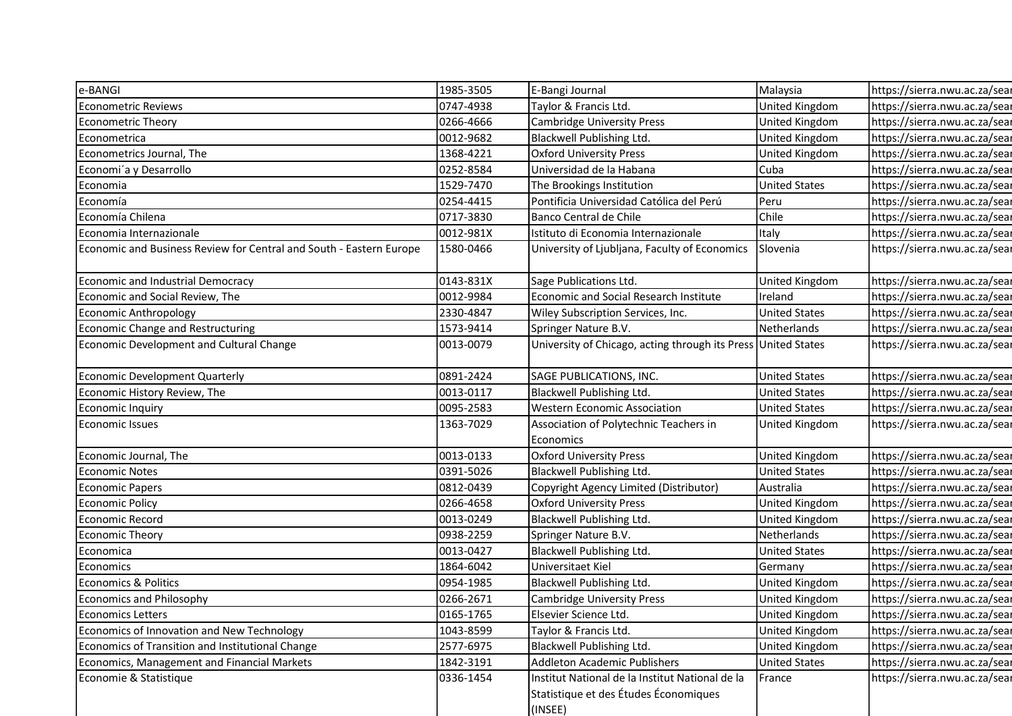| e-BANGI                                                             | 1985-3505 | E-Bangi Journal                                               | Malaysia             | https://sierra.nwu.ac.za/sear |
|---------------------------------------------------------------------|-----------|---------------------------------------------------------------|----------------------|-------------------------------|
| <b>Econometric Reviews</b>                                          | 0747-4938 | Taylor & Francis Ltd.                                         | United Kingdom       | https://sierra.nwu.ac.za/sear |
| <b>Econometric Theory</b>                                           | 0266-4666 | <b>Cambridge University Press</b>                             | United Kingdom       | https://sierra.nwu.ac.za/sear |
| Econometrica                                                        | 0012-9682 | Blackwell Publishing Ltd.                                     | United Kingdom       | https://sierra.nwu.ac.za/sear |
| Econometrics Journal, The                                           | 1368-4221 | <b>Oxford University Press</b>                                | United Kingdom       | https://sierra.nwu.ac.za/sear |
| Economi'a y Desarrollo                                              | 0252-8584 | Universidad de la Habana                                      | Cuba                 | https://sierra.nwu.ac.za/sear |
| Economia                                                            | 1529-7470 | The Brookings Institution                                     | <b>United States</b> | https://sierra.nwu.ac.za/sear |
| Economía                                                            | 0254-4415 | Pontificia Universidad Católica del Perú                      | Peru                 | https://sierra.nwu.ac.za/sear |
| Economía Chilena                                                    | 0717-3830 | Banco Central de Chile                                        | Chile                | https://sierra.nwu.ac.za/sear |
| Economia Internazionale                                             | 0012-981X | Istituto di Economia Internazionale                           | Italy                | https://sierra.nwu.ac.za/sear |
| Economic and Business Review for Central and South - Eastern Europe | 1580-0466 | University of Ljubljana, Faculty of Economics                 | Slovenia             | https://sierra.nwu.ac.za/sear |
|                                                                     |           |                                                               |                      |                               |
| Economic and Industrial Democracy                                   | 0143-831X | Sage Publications Ltd.                                        | United Kingdom       | https://sierra.nwu.ac.za/sear |
| Economic and Social Review, The                                     | 0012-9984 | Economic and Social Research Institute                        | Ireland              | https://sierra.nwu.ac.za/sear |
| Economic Anthropology                                               | 2330-4847 | Wiley Subscription Services, Inc.                             | <b>United States</b> | https://sierra.nwu.ac.za/sear |
| Economic Change and Restructuring                                   | 1573-9414 | Springer Nature B.V.                                          | Netherlands          | https://sierra.nwu.ac.za/sear |
| Economic Development and Cultural Change                            | 0013-0079 | University of Chicago, acting through its Press United States |                      | https://sierra.nwu.ac.za/sear |
|                                                                     |           |                                                               |                      |                               |
| Economic Development Quarterly                                      | 0891-2424 | SAGE PUBLICATIONS, INC.                                       | <b>United States</b> | https://sierra.nwu.ac.za/sear |
| Economic History Review, The                                        | 0013-0117 | Blackwell Publishing Ltd.                                     | <b>United States</b> | https://sierra.nwu.ac.za/sear |
| Economic Inquiry                                                    | 0095-2583 | <b>Western Economic Association</b>                           | <b>United States</b> | https://sierra.nwu.ac.za/sear |
| <b>Economic Issues</b>                                              | 1363-7029 | Association of Polytechnic Teachers in                        | United Kingdom       | https://sierra.nwu.ac.za/sear |
|                                                                     |           | Economics                                                     |                      |                               |
| Economic Journal, The                                               | 0013-0133 | <b>Oxford University Press</b>                                | United Kingdom       | https://sierra.nwu.ac.za/sear |
| <b>Economic Notes</b>                                               | 0391-5026 | Blackwell Publishing Ltd.                                     | <b>United States</b> | https://sierra.nwu.ac.za/sear |
| Economic Papers                                                     | 0812-0439 | Copyright Agency Limited (Distributor)                        | Australia            | https://sierra.nwu.ac.za/sear |
| Economic Policy                                                     | 0266-4658 | <b>Oxford University Press</b>                                | United Kingdom       | https://sierra.nwu.ac.za/sear |
| Economic Record                                                     | 0013-0249 | Blackwell Publishing Ltd.                                     | United Kingdom       | https://sierra.nwu.ac.za/sear |
| <b>Economic Theory</b>                                              | 0938-2259 | Springer Nature B.V.                                          | Netherlands          | https://sierra.nwu.ac.za/sear |
| Economica                                                           | 0013-0427 | Blackwell Publishing Ltd.                                     | <b>United States</b> | https://sierra.nwu.ac.za/sear |
| Economics                                                           | 1864-6042 | Universitaet Kiel                                             | Germany              | https://sierra.nwu.ac.za/sear |
| <b>Economics &amp; Politics</b>                                     | 0954-1985 | Blackwell Publishing Ltd.                                     | United Kingdom       | https://sierra.nwu.ac.za/sear |
| <b>Economics and Philosophy</b>                                     | 0266-2671 | <b>Cambridge University Press</b>                             | United Kingdom       | https://sierra.nwu.ac.za/sear |
| Economics Letters                                                   | 0165-1765 | Elsevier Science Ltd.                                         | United Kingdom       | https://sierra.nwu.ac.za/sear |
| Economics of Innovation and New Technology                          | 1043-8599 | Taylor & Francis Ltd.                                         | United Kingdom       | https://sierra.nwu.ac.za/sear |
| Economics of Transition and Institutional Change                    | 2577-6975 | Blackwell Publishing Ltd.                                     | United Kingdom       | https://sierra.nwu.ac.za/sear |
| Economics, Management and Financial Markets                         | 1842-3191 | Addleton Academic Publishers                                  | <b>United States</b> | https://sierra.nwu.ac.za/sear |
| Economie & Statistique                                              | 0336-1454 | Institut National de la Institut National de la               | France               | https://sierra.nwu.ac.za/sear |
|                                                                     |           | Statistique et des Études Économiques                         |                      |                               |
|                                                                     |           | (INSEE)                                                       |                      |                               |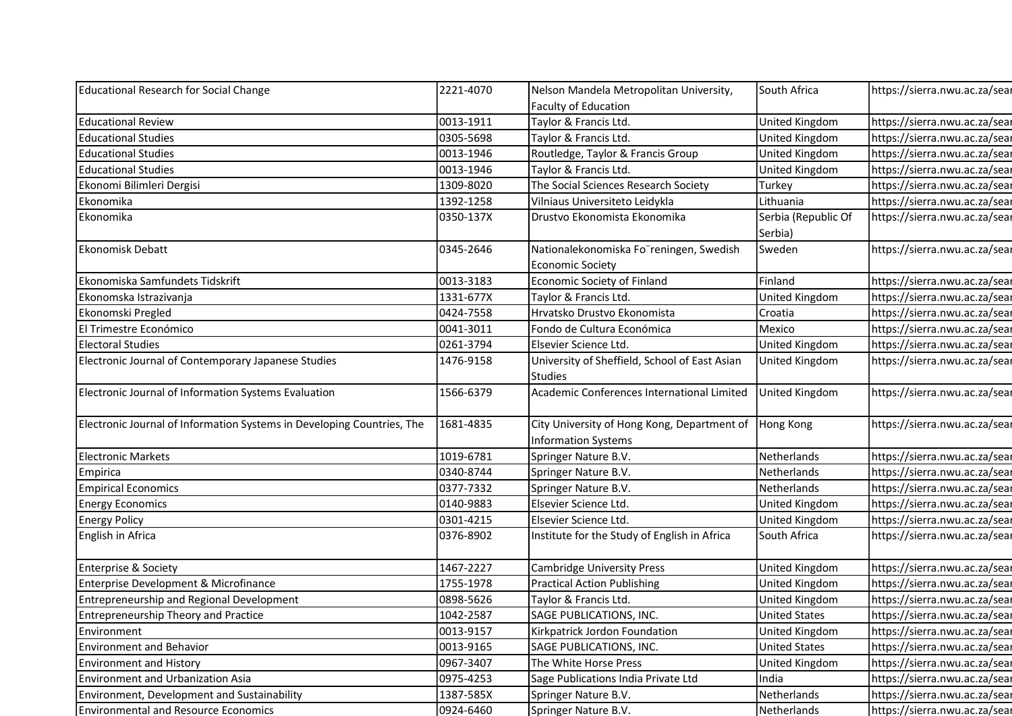| 2221-4070<br>Educational Research for Social Change<br>Nelson Mandela Metropolitan University,<br>South Africa<br>https://sierra.nwu.ac.za/sear                                                                |
|----------------------------------------------------------------------------------------------------------------------------------------------------------------------------------------------------------------|
| Faculty of Education                                                                                                                                                                                           |
| 0013-1911<br><b>Educational Review</b><br>Taylor & Francis Ltd.<br>United Kingdom<br>https://sierra.nwu.ac.za/sear                                                                                             |
| 0305-5698<br>Taylor & Francis Ltd.<br>United Kingdom<br>https://sierra.nwu.ac.za/sear<br><b>Educational Studies</b>                                                                                            |
| 0013-1946<br><b>Educational Studies</b><br>Routledge, Taylor & Francis Group<br>United Kingdom<br>https://sierra.nwu.ac.za/sear                                                                                |
| 0013-1946<br><b>Educational Studies</b><br>Taylor & Francis Ltd.<br>United Kingdom<br>https://sierra.nwu.ac.za/sear                                                                                            |
| 1309-8020<br>The Social Sciences Research Society<br>https://sierra.nwu.ac.za/sear<br>Ekonomi Bilimleri Dergisi<br>Turkey                                                                                      |
| Ekonomika<br>1392-1258<br>Vilniaus Universiteto Leidykla<br>Lithuania<br>https://sierra.nwu.ac.za/sear                                                                                                         |
| Ekonomika<br>0350-137X<br>Drustvo Ekonomista Ekonomika<br>Serbia (Republic Of<br>https://sierra.nwu.ac.za/sear<br>Serbia)                                                                                      |
| <b>Ekonomisk Debatt</b><br>https://sierra.nwu.ac.za/sear<br>0345-2646<br>Nationalekonomiska Fo"reningen, Swedish<br>Sweden                                                                                     |
| <b>Economic Society</b>                                                                                                                                                                                        |
| Finland<br>Ekonomiska Samfundets Tidskrift<br>0013-3183<br>https://sierra.nwu.ac.za/sear<br>Economic Society of Finland                                                                                        |
| Taylor & Francis Ltd.<br>https://sierra.nwu.ac.za/sear<br>Ekonomska Istrazivanja<br>1331-677X<br>United Kingdom                                                                                                |
| Ekonomski Pregled<br>0424-7558<br>Hrvatsko Drustvo Ekonomista<br>https://sierra.nwu.ac.za/sear<br>Croatia                                                                                                      |
| El Trimestre Económico<br>Mexico<br>0041-3011<br>https://sierra.nwu.ac.za/sear<br>Fondo de Cultura Económica                                                                                                   |
| <b>Electoral Studies</b><br>0261-3794<br>https://sierra.nwu.ac.za/sear<br>Elsevier Science Ltd.<br>United Kingdom                                                                                              |
| Electronic Journal of Contemporary Japanese Studies<br>University of Sheffield, School of East Asian<br>https://sierra.nwu.ac.za/sear<br>1476-9158<br><b>United Kingdom</b><br><b>Studies</b>                  |
| 1566-6379<br>Electronic Journal of Information Systems Evaluation<br>Academic Conferences International Limited<br>https://sierra.nwu.ac.za/sear<br><b>United Kingdom</b>                                      |
| Electronic Journal of Information Systems in Developing Countries, The<br>1681-4835<br>https://sierra.nwu.ac.za/sear<br>City University of Hong Kong, Department of<br>Hong Kong<br><b>Information Systems</b> |
| 1019-6781<br><b>Electronic Markets</b><br>Netherlands<br>Springer Nature B.V.<br>https://sierra.nwu.ac.za/sear                                                                                                 |
| 0340-8744<br>https://sierra.nwu.ac.za/sear<br>Netherlands<br>Springer Nature B.V.<br>Empirica                                                                                                                  |
| 0377-7332<br>https://sierra.nwu.ac.za/sear<br><b>Empirical Economics</b><br>Springer Nature B.V.<br>Netherlands                                                                                                |
| https://sierra.nwu.ac.za/sear<br>0140-9883<br>Elsevier Science Ltd.<br><b>Energy Economics</b><br>United Kingdom                                                                                               |
| https://sierra.nwu.ac.za/sear<br>0301-4215<br>Elsevier Science Ltd.<br><b>Energy Policy</b><br>United Kingdom                                                                                                  |
|                                                                                                                                                                                                                |
| Institute for the Study of English in Africa<br>English in Africa<br>0376-8902<br>South Africa<br>https://sierra.nwu.ac.za/sear                                                                                |
| 1467-2227<br>Enterprise & Society<br><b>Cambridge University Press</b><br>United Kingdom<br>https://sierra.nwu.ac.za/sear                                                                                      |
| Enterprise Development & Microfinance<br>1755-1978<br><b>Practical Action Publishing</b><br>https://sierra.nwu.ac.za/sear<br>United Kingdom                                                                    |
| Entrepreneurship and Regional Development<br>0898-5626<br>Taylor & Francis Ltd.<br>United Kingdom<br>https://sierra.nwu.ac.za/sear                                                                             |
| 1042-2587<br>SAGE PUBLICATIONS, INC.<br>https://sierra.nwu.ac.za/sear<br><b>Entrepreneurship Theory and Practice</b><br><b>United States</b>                                                                   |
| 0013-9157<br>https://sierra.nwu.ac.za/sear<br>Kirkpatrick Jordon Foundation<br>United Kingdom<br>Environment                                                                                                   |
| <b>Environment and Behavior</b><br>0013-9165<br>SAGE PUBLICATIONS, INC.<br><b>United States</b><br>https://sierra.nwu.ac.za/sear                                                                               |
| https://sierra.nwu.ac.za/sear<br><b>Environment and History</b><br>0967-3407<br>The White Horse Press<br>United Kingdom                                                                                        |
| https://sierra.nwu.ac.za/sear<br><b>Environment and Urbanization Asia</b><br>0975-4253<br>Sage Publications India Private Ltd<br>India                                                                         |
| Environment, Development and Sustainability<br>1387-585X<br>Netherlands<br>https://sierra.nwu.ac.za/sear<br>Springer Nature B.V.                                                                               |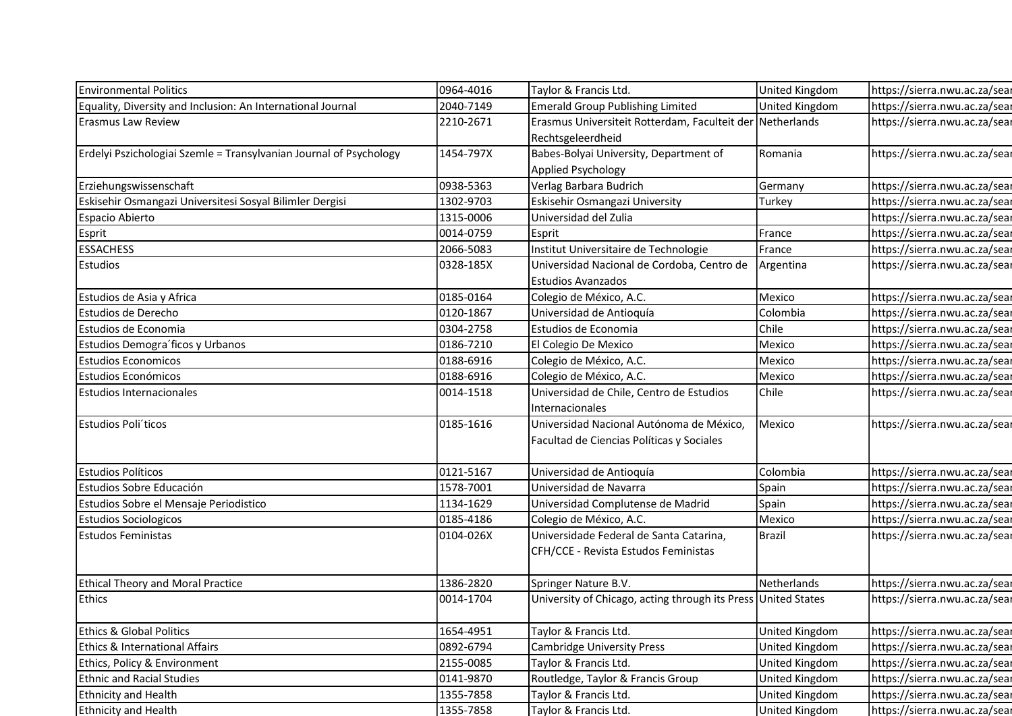| <b>Environmental Politics</b>                                      | 0964-4016              | Taylor & Francis Ltd.                                                                 | United Kingdom        | https://sierra.nwu.ac.za/sear                                  |
|--------------------------------------------------------------------|------------------------|---------------------------------------------------------------------------------------|-----------------------|----------------------------------------------------------------|
| Equality, Diversity and Inclusion: An International Journal        | 2040-7149              | <b>Emerald Group Publishing Limited</b>                                               | United Kingdom        | https://sierra.nwu.ac.za/sear                                  |
| <b>Erasmus Law Review</b>                                          | 2210-2671              | Erasmus Universiteit Rotterdam, Faculteit der Netherlands                             |                       | https://sierra.nwu.ac.za/sear                                  |
|                                                                    |                        | Rechtsgeleerdheid                                                                     |                       |                                                                |
| Erdelyi Pszichologiai Szemle = Transylvanian Journal of Psychology | 1454-797X              | Babes-Bolyai University, Department of                                                | Romania               | https://sierra.nwu.ac.za/sear                                  |
|                                                                    |                        | Applied Psychology                                                                    |                       |                                                                |
| Erziehungswissenschaft                                             | 0938-5363              | Verlag Barbara Budrich                                                                | Germany               | https://sierra.nwu.ac.za/sear                                  |
| Eskisehir Osmangazi Universitesi Sosyal Bilimler Dergisi           | 1302-9703              | Eskisehir Osmangazi University                                                        | Turkey                | https://sierra.nwu.ac.za/sear                                  |
| Espacio Abierto                                                    | 1315-0006              | Universidad del Zulia                                                                 |                       | https://sierra.nwu.ac.za/sear                                  |
| Esprit                                                             | 0014-0759              | Esprit                                                                                | France                | https://sierra.nwu.ac.za/sear                                  |
| <b>ESSACHESS</b>                                                   | 2066-5083              | Institut Universitaire de Technologie                                                 | France                | https://sierra.nwu.ac.za/sear                                  |
| Estudios                                                           | 0328-185X              | Universidad Nacional de Cordoba, Centro de                                            | Argentina             | https://sierra.nwu.ac.za/sear                                  |
|                                                                    |                        | <b>Estudios Avanzados</b>                                                             |                       |                                                                |
| Estudios de Asia y Africa<br>Estudios de Derecho                   | 0185-0164<br>0120-1867 | Colegio de México, A.C.                                                               | Mexico                | https://sierra.nwu.ac.za/sear                                  |
| Estudios de Economia                                               | 0304-2758              | Universidad de Antioquía<br>Estudios de Economia                                      | Colombia<br>Chile     | https://sierra.nwu.ac.za/sear<br>https://sierra.nwu.ac.za/sear |
| Estudios Demogra ficos y Urbanos                                   | 0186-7210              | El Colegio De Mexico                                                                  | Mexico                | https://sierra.nwu.ac.za/sear                                  |
| Estudios Economicos                                                | 0188-6916              | Colegio de México, A.C.                                                               | Mexico                | https://sierra.nwu.ac.za/sear                                  |
| Estudios Económicos                                                | 0188-6916              | Colegio de México, A.C.                                                               | Mexico                | https://sierra.nwu.ac.za/sear                                  |
| <b>Estudios Internacionales</b>                                    | 0014-1518              | Universidad de Chile, Centro de Estudios                                              | Chile                 | https://sierra.nwu.ac.za/sear                                  |
|                                                                    |                        | Internacionales                                                                       |                       |                                                                |
| Estudios Poli'ticos                                                | 0185-1616              | Universidad Nacional Autónoma de México,                                              | Mexico                | https://sierra.nwu.ac.za/sear                                  |
|                                                                    |                        | Facultad de Ciencias Políticas y Sociales                                             |                       |                                                                |
|                                                                    |                        |                                                                                       |                       |                                                                |
| <b>Estudios Políticos</b>                                          | 0121-5167              | Universidad de Antioquía                                                              | Colombia              | https://sierra.nwu.ac.za/sear                                  |
| Estudios Sobre Educación                                           | 1578-7001              | Universidad de Navarra                                                                | Spain                 | https://sierra.nwu.ac.za/sear                                  |
| Estudios Sobre el Mensaje Periodistico                             | 1134-1629              | Universidad Complutense de Madrid                                                     | Spain                 | https://sierra.nwu.ac.za/sear                                  |
| <b>Estudios Sociologicos</b>                                       | 0185-4186              | Colegio de México, A.C.                                                               | Mexico                | https://sierra.nwu.ac.za/sear                                  |
| <b>Estudos Feministas</b>                                          | 0104-026X              | Universidade Federal de Santa Catarina,                                               | <b>Brazil</b>         | https://sierra.nwu.ac.za/sear                                  |
|                                                                    |                        | CFH/CCE - Revista Estudos Feministas                                                  |                       |                                                                |
|                                                                    |                        |                                                                                       |                       |                                                                |
| <b>Ethical Theory and Moral Practice</b><br>Ethics                 | 1386-2820<br>0014-1704 | Springer Nature B.V.<br>University of Chicago, acting through its Press United States | Netherlands           | https://sierra.nwu.ac.za/sear<br>https://sierra.nwu.ac.za/sear |
|                                                                    |                        |                                                                                       |                       |                                                                |
| <b>Ethics &amp; Global Politics</b>                                | 1654-4951              | Taylor & Francis Ltd.                                                                 | United Kingdom        | https://sierra.nwu.ac.za/sear                                  |
| <b>Ethics &amp; International Affairs</b>                          | 0892-6794              | Cambridge University Press                                                            | United Kingdom        | https://sierra.nwu.ac.za/sear                                  |
| Ethics, Policy & Environment                                       | 2155-0085              | Taylor & Francis Ltd.                                                                 | United Kingdom        | https://sierra.nwu.ac.za/sear                                  |
| <b>Ethnic and Racial Studies</b>                                   | 0141-9870              | Routledge, Taylor & Francis Group                                                     | United Kingdom        | https://sierra.nwu.ac.za/sear                                  |
|                                                                    | 1355-7858              | Taylor & Francis Ltd.                                                                 | United Kingdom        | https://sierra.nwu.ac.za/sear                                  |
| Ethnicity and Health<br><b>Ethnicity and Health</b>                | 1355-7858              | Taylor & Francis Ltd.                                                                 | <b>United Kingdom</b> | https://sierra.nwu.ac.za/sear                                  |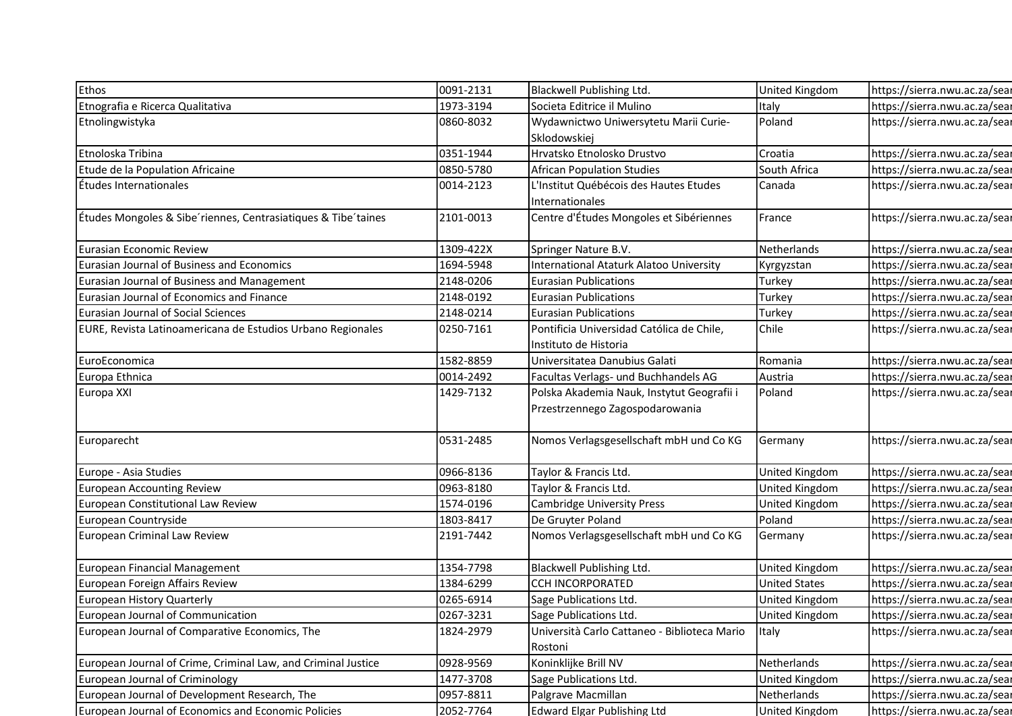| Ethos                                                                   | 0091-2131              | Blackwell Publishing Ltd.                                 | United Kingdom                   | https://sierra.nwu.ac.za/sear                                  |
|-------------------------------------------------------------------------|------------------------|-----------------------------------------------------------|----------------------------------|----------------------------------------------------------------|
| Etnografia e Ricerca Qualitativa                                        | 1973-3194              | Societa Editrice il Mulino                                | Italy                            | https://sierra.nwu.ac.za/sear                                  |
| Etnolingwistyka                                                         | 0860-8032              | Wydawnictwo Uniwersytetu Marii Curie-                     | Poland                           | https://sierra.nwu.ac.za/sear                                  |
|                                                                         |                        | Sklodowskiej                                              |                                  |                                                                |
| Etnoloska Tribina                                                       | 0351-1944              | Hrvatsko Etnolosko Drustvo                                | Croatia                          | https://sierra.nwu.ac.za/sear                                  |
| Etude de la Population Africaine                                        | 0850-5780              | <b>African Population Studies</b>                         | South Africa                     | https://sierra.nwu.ac.za/sear                                  |
| Études Internationales                                                  | 0014-2123              | L'Institut Québécois des Hautes Etudes<br>Internationales | Canada                           | https://sierra.nwu.ac.za/sear                                  |
| Etudes Mongoles & Sibe riennes, Centrasiatiques & Tibe taines           | 2101-0013              | Centre d'Études Mongoles et Sibériennes                   | France                           | https://sierra.nwu.ac.za/sear                                  |
|                                                                         |                        |                                                           |                                  |                                                                |
| Eurasian Economic Review                                                | 1309-422X              | Springer Nature B.V.                                      | Netherlands                      | https://sierra.nwu.ac.za/sear                                  |
| Eurasian Journal of Business and Economics                              | 1694-5948              | <b>International Ataturk Alatoo University</b>            | Kyrgyzstan                       | https://sierra.nwu.ac.za/sear                                  |
| Eurasian Journal of Business and Management                             | 2148-0206              | <b>Eurasian Publications</b>                              | Turkey                           | https://sierra.nwu.ac.za/sear                                  |
| Eurasian Journal of Economics and Finance                               | 2148-0192              | <b>Eurasian Publications</b>                              | Turkey                           | https://sierra.nwu.ac.za/sear                                  |
| Eurasian Journal of Social Sciences                                     | 2148-0214              | <b>Eurasian Publications</b>                              | Turkey                           | https://sierra.nwu.ac.za/sear                                  |
| EURE, Revista Latinoamericana de Estudios Urbano Regionales             | 0250-7161              | Pontificia Universidad Católica de Chile,                 | Chile                            | https://sierra.nwu.ac.za/sear                                  |
|                                                                         |                        | Instituto de Historia                                     |                                  |                                                                |
| EuroEconomica                                                           | 1582-8859              | Universitatea Danubius Galati                             | Romania                          | https://sierra.nwu.ac.za/sear                                  |
| Europa Ethnica                                                          | 0014-2492              | Facultas Verlags- und Buchhandels AG                      | Austria                          | https://sierra.nwu.ac.za/sear                                  |
| Europa XXI                                                              | 1429-7132              | Polska Akademia Nauk, Instytut Geografii i                | Poland                           | https://sierra.nwu.ac.za/sear                                  |
|                                                                         |                        | Przestrzennego Zagospodarowania                           |                                  |                                                                |
|                                                                         |                        |                                                           |                                  |                                                                |
| Europarecht                                                             | 0531-2485              | Nomos Verlagsgesellschaft mbH und Co KG                   | Germany                          | https://sierra.nwu.ac.za/sear                                  |
|                                                                         |                        |                                                           |                                  |                                                                |
| Europe - Asia Studies                                                   | 0966-8136              | Taylor & Francis Ltd.                                     | United Kingdom                   | https://sierra.nwu.ac.za/sear                                  |
| <b>European Accounting Review</b><br>European Constitutional Law Review | 0963-8180<br>1574-0196 | Taylor & Francis Ltd.                                     | United Kingdom<br>United Kingdom | https://sierra.nwu.ac.za/sear                                  |
| European Countryside                                                    | 1803-8417              | <b>Cambridge University Press</b><br>De Gruyter Poland    | Poland                           | https://sierra.nwu.ac.za/sear<br>https://sierra.nwu.ac.za/sear |
| European Criminal Law Review                                            | 2191-7442              | Nomos Verlagsgesellschaft mbH und Co KG                   | Germany                          | https://sierra.nwu.ac.za/sear                                  |
|                                                                         |                        |                                                           |                                  |                                                                |
| European Financial Management                                           | 1354-7798              | Blackwell Publishing Ltd.                                 | United Kingdom                   | https://sierra.nwu.ac.za/sear                                  |
| European Foreign Affairs Review                                         | 1384-6299              | <b>CCH INCORPORATED</b>                                   | United States                    | https://sierra.nwu.ac.za/sear                                  |
| European History Quarterly                                              | 0265-6914              | Sage Publications Ltd.                                    | United Kingdom                   | https://sierra.nwu.ac.za/sear                                  |
| European Journal of Communication                                       | 0267-3231              | Sage Publications Ltd.                                    | United Kingdom                   | https://sierra.nwu.ac.za/sear                                  |
| European Journal of Comparative Economics, The                          | 1824-2979              | Università Carlo Cattaneo - Biblioteca Mario<br>Rostoni   | Italy                            | https://sierra.nwu.ac.za/sear                                  |
| European Journal of Crime, Criminal Law, and Criminal Justice           | 0928-9569              | Koninklijke Brill NV                                      | Netherlands                      | https://sierra.nwu.ac.za/sear                                  |
| European Journal of Criminology                                         | 1477-3708              | Sage Publications Ltd.                                    | United Kingdom                   | https://sierra.nwu.ac.za/sear                                  |
| European Journal of Development Research, The                           | 0957-8811              | Palgrave Macmillan                                        | Netherlands                      | https://sierra.nwu.ac.za/sear                                  |
| European Journal of Economics and Economic Policies                     | 2052-7764              | <b>Edward Elgar Publishing Ltd</b>                        | United Kingdom                   | https://sierra.nwu.ac.za/sear                                  |
|                                                                         |                        |                                                           |                                  |                                                                |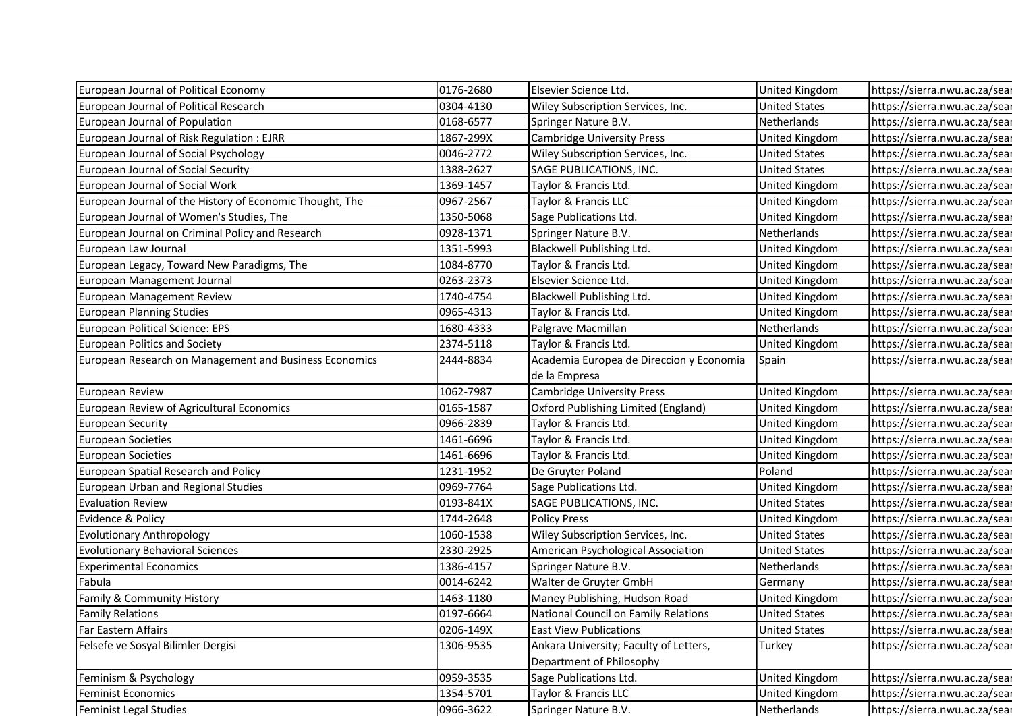| European Journal of Political Economy                    | 0176-2680 | Elsevier Science Ltd.                    | United Kingdom        | https://sierra.nwu.ac.za/sear |
|----------------------------------------------------------|-----------|------------------------------------------|-----------------------|-------------------------------|
| European Journal of Political Research                   | 0304-4130 | Wiley Subscription Services, Inc.        | <b>United States</b>  | https://sierra.nwu.ac.za/sear |
| European Journal of Population                           | 0168-6577 | Springer Nature B.V.                     | Netherlands           | https://sierra.nwu.ac.za/sear |
| European Journal of Risk Regulation: EJRR                | 1867-299X | <b>Cambridge University Press</b>        | United Kingdom        | https://sierra.nwu.ac.za/sear |
| European Journal of Social Psychology                    | 0046-2772 | Wiley Subscription Services, Inc.        | <b>United States</b>  | https://sierra.nwu.ac.za/sear |
| European Journal of Social Security                      | 1388-2627 | SAGE PUBLICATIONS, INC.                  | <b>United States</b>  | https://sierra.nwu.ac.za/sear |
| European Journal of Social Work                          | 1369-1457 | Taylor & Francis Ltd.                    | United Kingdom        | https://sierra.nwu.ac.za/sear |
| European Journal of the History of Economic Thought, The | 0967-2567 | Taylor & Francis LLC                     | United Kingdom        | https://sierra.nwu.ac.za/sear |
| European Journal of Women's Studies, The                 | 1350-5068 | Sage Publications Ltd.                   | United Kingdom        | https://sierra.nwu.ac.za/sear |
| European Journal on Criminal Policy and Research         | 0928-1371 | Springer Nature B.V.                     | Netherlands           | https://sierra.nwu.ac.za/sear |
| European Law Journal                                     | 1351-5993 | Blackwell Publishing Ltd.                | United Kingdom        | https://sierra.nwu.ac.za/sear |
| European Legacy, Toward New Paradigms, The               | 1084-8770 | Taylor & Francis Ltd.                    | United Kingdom        | https://sierra.nwu.ac.za/sear |
| European Management Journal                              | 0263-2373 | Elsevier Science Ltd.                    | United Kingdom        | https://sierra.nwu.ac.za/sear |
| European Management Review                               | 1740-4754 | Blackwell Publishing Ltd.                | United Kingdom        | https://sierra.nwu.ac.za/sear |
| <b>European Planning Studies</b>                         | 0965-4313 | Taylor & Francis Ltd.                    | United Kingdom        | https://sierra.nwu.ac.za/sear |
| European Political Science: EPS                          | 1680-4333 | Palgrave Macmillan                       | Netherlands           | https://sierra.nwu.ac.za/sear |
| <b>European Politics and Society</b>                     | 2374-5118 | Taylor & Francis Ltd.                    | <b>United Kingdom</b> | https://sierra.nwu.ac.za/sear |
| European Research on Management and Business Economics   | 2444-8834 | Academia Europea de Direccion y Economia | Spain                 | https://sierra.nwu.ac.za/sear |
|                                                          |           | de la Empresa                            |                       |                               |
| European Review                                          | 1062-7987 | <b>Cambridge University Press</b>        | United Kingdom        | https://sierra.nwu.ac.za/sear |
| European Review of Agricultural Economics                | 0165-1587 | Oxford Publishing Limited (England)      | United Kingdom        | https://sierra.nwu.ac.za/sear |
| <b>European Security</b>                                 | 0966-2839 | Taylor & Francis Ltd.                    | United Kingdom        | https://sierra.nwu.ac.za/sear |
| <b>European Societies</b>                                | 1461-6696 | Taylor & Francis Ltd.                    | United Kingdom        | https://sierra.nwu.ac.za/sear |
| <b>European Societies</b>                                | 1461-6696 | Taylor & Francis Ltd.                    | United Kingdom        | https://sierra.nwu.ac.za/sear |
| <b>European Spatial Research and Policy</b>              | 1231-1952 | De Gruyter Poland                        | Poland                | https://sierra.nwu.ac.za/sear |
| European Urban and Regional Studies                      | 0969-7764 | Sage Publications Ltd.                   | United Kingdom        | https://sierra.nwu.ac.za/sear |
| <b>Evaluation Review</b>                                 | 0193-841X | SAGE PUBLICATIONS, INC.                  | <b>United States</b>  | https://sierra.nwu.ac.za/sear |
| Evidence & Policy                                        | 1744-2648 | <b>Policy Press</b>                      | United Kingdom        | https://sierra.nwu.ac.za/sear |
| <b>Evolutionary Anthropology</b>                         | 1060-1538 | Wiley Subscription Services, Inc.        | <b>United States</b>  | https://sierra.nwu.ac.za/sear |
| <b>Evolutionary Behavioral Sciences</b>                  | 2330-2925 | American Psychological Association       | <b>United States</b>  | https://sierra.nwu.ac.za/sear |
| <b>Experimental Economics</b>                            | 1386-4157 | Springer Nature B.V.                     | Netherlands           | https://sierra.nwu.ac.za/sear |
| Fabula                                                   | 0014-6242 | Walter de Gruyter GmbH                   | Germany               | https://sierra.nwu.ac.za/sear |
| Family & Community History                               | 1463-1180 | Maney Publishing, Hudson Road            | United Kingdom        | https://sierra.nwu.ac.za/sear |
| <b>Family Relations</b>                                  | 0197-6664 | National Council on Family Relations     | <b>United States</b>  | https://sierra.nwu.ac.za/sear |
| Far Eastern Affairs                                      | 0206-149X | <b>East View Publications</b>            | <b>United States</b>  | https://sierra.nwu.ac.za/sear |
| Felsefe ve Sosyal Bilimler Dergisi                       | 1306-9535 | Ankara University; Faculty of Letters,   | Turkey                | https://sierra.nwu.ac.za/sear |
|                                                          |           | Department of Philosophy                 |                       |                               |
| Feminism & Psychology                                    | 0959-3535 | Sage Publications Ltd.                   | United Kingdom        | https://sierra.nwu.ac.za/sear |
|                                                          |           |                                          |                       |                               |
| <b>Feminist Economics</b>                                | 1354-5701 | Taylor & Francis LLC                     | United Kingdom        | https://sierra.nwu.ac.za/sear |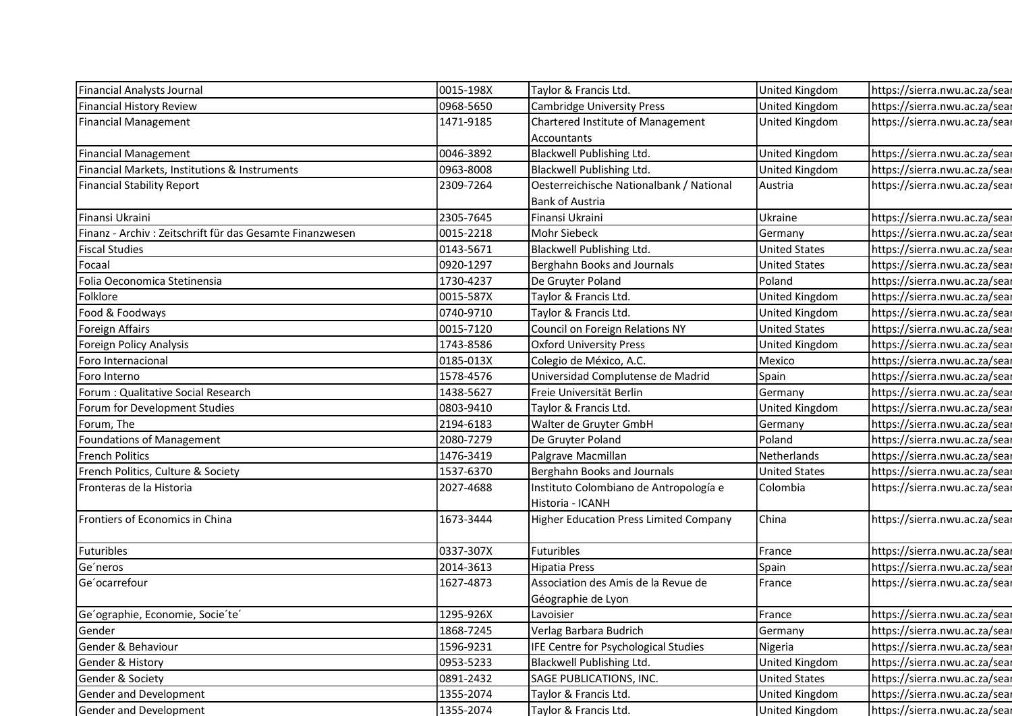| <b>Financial Analysts Journal</b>                         | 0015-198X | Taylor & Francis Ltd.                                     | United Kingdom        | https://sierra.nwu.ac.za/sear |
|-----------------------------------------------------------|-----------|-----------------------------------------------------------|-----------------------|-------------------------------|
| Financial History Review                                  | 0968-5650 | <b>Cambridge University Press</b>                         | United Kingdom        | https://sierra.nwu.ac.za/sear |
| <b>Financial Management</b>                               | 1471-9185 | Chartered Institute of Management                         | <b>United Kingdom</b> | https://sierra.nwu.ac.za/sear |
| <b>Financial Management</b>                               | 0046-3892 | Accountants<br>Blackwell Publishing Ltd.                  | United Kingdom        | https://sierra.nwu.ac.za/sear |
| Financial Markets, Institutions & Instruments             | 0963-8008 | Blackwell Publishing Ltd.                                 | <b>United Kingdom</b> | https://sierra.nwu.ac.za/sear |
| <b>Financial Stability Report</b>                         | 2309-7264 | Oesterreichische Nationalbank / National                  | Austria               | https://sierra.nwu.ac.za/sear |
|                                                           |           | <b>Bank of Austria</b>                                    |                       |                               |
| Finansi Ukraini                                           | 2305-7645 | Finansi Ukraini                                           | Ukraine               | https://sierra.nwu.ac.za/sear |
| Finanz - Archiv : Zeitschrift für das Gesamte Finanzwesen | 0015-2218 | Mohr Siebeck                                              | Germany               | https://sierra.nwu.ac.za/sear |
| <b>Fiscal Studies</b>                                     | 0143-5671 | Blackwell Publishing Ltd.                                 | <b>United States</b>  | https://sierra.nwu.ac.za/sear |
| Focaal                                                    | 0920-1297 | Berghahn Books and Journals                               | <b>United States</b>  | https://sierra.nwu.ac.za/sear |
| Folia Oeconomica Stetinensia                              | 1730-4237 | De Gruyter Poland                                         | Poland                | https://sierra.nwu.ac.za/sear |
| Folklore                                                  | 0015-587X | Taylor & Francis Ltd.                                     | United Kingdom        | https://sierra.nwu.ac.za/sear |
| Food & Foodways                                           | 0740-9710 | Taylor & Francis Ltd.                                     | United Kingdom        | https://sierra.nwu.ac.za/sear |
| <b>Foreign Affairs</b>                                    | 0015-7120 | Council on Foreign Relations NY                           | <b>United States</b>  | https://sierra.nwu.ac.za/sear |
| Foreign Policy Analysis                                   | 1743-8586 | <b>Oxford University Press</b>                            | <b>United Kingdom</b> | https://sierra.nwu.ac.za/sear |
| Foro Internacional                                        | 0185-013X | Colegio de México, A.C.                                   | Mexico                | https://sierra.nwu.ac.za/sear |
| Foro Interno                                              | 1578-4576 | Universidad Complutense de Madrid                         | Spain                 | https://sierra.nwu.ac.za/sear |
| Forum : Qualitative Social Research                       | 1438-5627 | Freie Universität Berlin                                  | Germany               | https://sierra.nwu.ac.za/sear |
| Forum for Development Studies                             | 0803-9410 | Taylor & Francis Ltd.                                     | United Kingdom        | https://sierra.nwu.ac.za/sear |
| Forum, The                                                | 2194-6183 | Walter de Gruyter GmbH                                    | Germany               | https://sierra.nwu.ac.za/sear |
| Foundations of Management                                 | 2080-7279 | De Gruyter Poland                                         | Poland                | https://sierra.nwu.ac.za/sear |
| <b>French Politics</b>                                    | 1476-3419 | Palgrave Macmillan                                        | Netherlands           | https://sierra.nwu.ac.za/sear |
| French Politics, Culture & Society                        | 1537-6370 | Berghahn Books and Journals                               | <b>United States</b>  | https://sierra.nwu.ac.za/sear |
| Fronteras de la Historia                                  | 2027-4688 | Instituto Colombiano de Antropología e                    | Colombia              | https://sierra.nwu.ac.za/sear |
|                                                           |           | Historia - ICANH                                          |                       |                               |
| Frontiers of Economics in China                           | 1673-3444 | <b>Higher Education Press Limited Company</b>             | China                 | https://sierra.nwu.ac.za/sear |
| Futuribles                                                | 0337-307X | Futuribles                                                | France                | https://sierra.nwu.ac.za/sear |
| Ge'neros                                                  | 2014-3613 | <b>Hipatia Press</b>                                      | Spain                 | https://sierra.nwu.ac.za/sear |
| Ge'ocarrefour                                             | 1627-4873 | Association des Amis de la Revue de<br>Géographie de Lyon | France                | https://sierra.nwu.ac.za/sear |
| Ge'ographie, Economie, Socie'te'                          | 1295-926X | Lavoisier                                                 | France                | https://sierra.nwu.ac.za/sear |
| Gender                                                    | 1868-7245 | Verlag Barbara Budrich                                    | Germany               | https://sierra.nwu.ac.za/sear |
| Gender & Behaviour                                        | 1596-9231 | IFE Centre for Psychological Studies                      | Nigeria               | https://sierra.nwu.ac.za/sear |
| Gender & History                                          | 0953-5233 | Blackwell Publishing Ltd.                                 | United Kingdom        | https://sierra.nwu.ac.za/sear |
| Gender & Society                                          | 0891-2432 | SAGE PUBLICATIONS, INC.                                   | <b>United States</b>  | https://sierra.nwu.ac.za/sear |
| Gender and Development                                    | 1355-2074 | Taylor & Francis Ltd.                                     | <b>United Kingdom</b> | https://sierra.nwu.ac.za/sear |
|                                                           |           |                                                           | <b>United Kingdom</b> | https://sierra.nwu.ac.za/sear |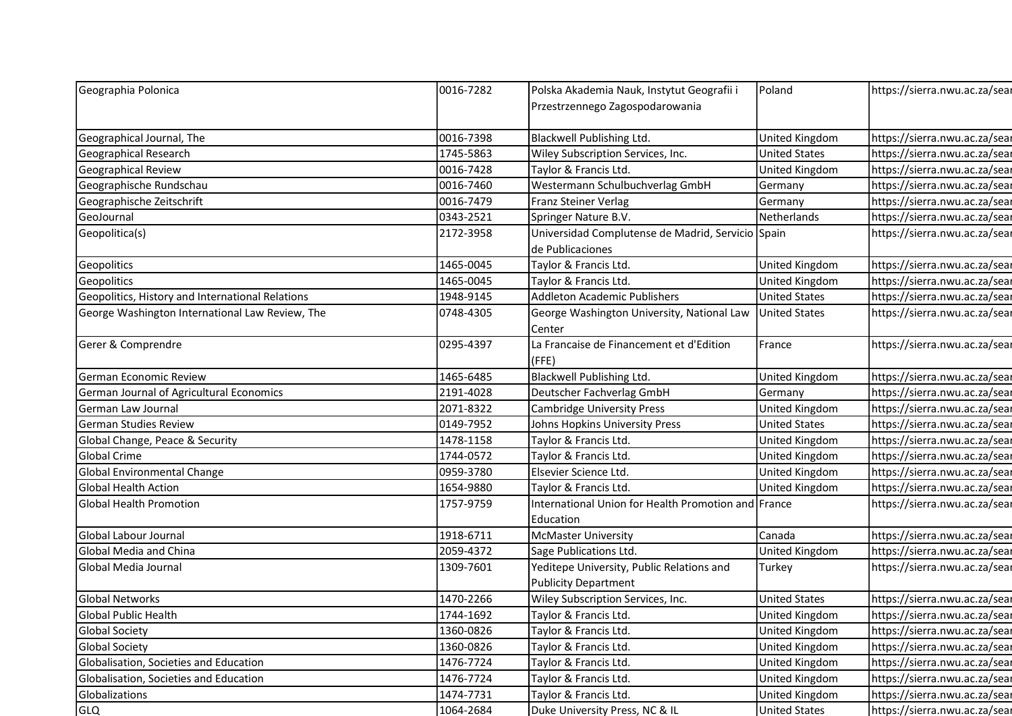| Geographia Polonica                              | 0016-7282              | Polska Akademia Nauk, Instytut Geografii i                       | Poland                                        | https://sierra.nwu.ac.za/sear                                  |
|--------------------------------------------------|------------------------|------------------------------------------------------------------|-----------------------------------------------|----------------------------------------------------------------|
|                                                  |                        | Przestrzennego Zagospodarowania                                  |                                               |                                                                |
|                                                  |                        |                                                                  |                                               |                                                                |
| Geographical Journal, The                        | 0016-7398              | Blackwell Publishing Ltd.                                        | United Kingdom                                | https://sierra.nwu.ac.za/sear                                  |
| Geographical Research<br>Geographical Review     | 1745-5863<br>0016-7428 | Wiley Subscription Services, Inc.<br>Taylor & Francis Ltd.       | <b>United States</b><br><b>United Kingdom</b> | https://sierra.nwu.ac.za/sear<br>https://sierra.nwu.ac.za/sear |
| Geographische Rundschau                          | 0016-7460              | Westermann Schulbuchverlag GmbH                                  |                                               | https://sierra.nwu.ac.za/sear                                  |
| Geographische Zeitschrift                        | 0016-7479              | Franz Steiner Verlag                                             | Germany<br>Germany                            | https://sierra.nwu.ac.za/sear                                  |
| GeoJournal                                       | 0343-2521              | Springer Nature B.V.                                             | Netherlands                                   | https://sierra.nwu.ac.za/sear                                  |
| Geopolitica(s)                                   | 2172-3958              | Universidad Complutense de Madrid, Servicio Spain                |                                               | https://sierra.nwu.ac.za/sear                                  |
|                                                  |                        | de Publicaciones                                                 |                                               |                                                                |
| Geopolitics                                      | 1465-0045              | Taylor & Francis Ltd.                                            | United Kingdom                                | https://sierra.nwu.ac.za/sear                                  |
| Geopolitics                                      | 1465-0045              | Taylor & Francis Ltd.                                            | United Kingdom                                | https://sierra.nwu.ac.za/sear                                  |
| Geopolitics, History and International Relations | 1948-9145              | Addleton Academic Publishers                                     | <b>United States</b>                          | https://sierra.nwu.ac.za/sear                                  |
| George Washington International Law Review, The  | 0748-4305              | George Washington University, National Law<br>Center             | <b>United States</b>                          | https://sierra.nwu.ac.za/sear                                  |
| Gerer & Comprendre                               | 0295-4397              | La Francaise de Financement et d'Edition<br>(FFE)                | France                                        | https://sierra.nwu.ac.za/sear                                  |
| German Economic Review                           | 1465-6485              | Blackwell Publishing Ltd.                                        | United Kingdom                                | https://sierra.nwu.ac.za/sear                                  |
| German Journal of Agricultural Economics         | 2191-4028              | Deutscher Fachverlag GmbH                                        | Germany                                       | https://sierra.nwu.ac.za/sear                                  |
| German Law Journal                               | 2071-8322              | <b>Cambridge University Press</b>                                | United Kingdom                                | https://sierra.nwu.ac.za/sear                                  |
| <b>German Studies Review</b>                     | 0149-7952              | Johns Hopkins University Press                                   | <b>United States</b>                          | https://sierra.nwu.ac.za/sear                                  |
| Global Change, Peace & Security                  | 1478-1158              | Taylor & Francis Ltd.                                            | <b>United Kingdom</b>                         | https://sierra.nwu.ac.za/sear                                  |
| Global Crime                                     | 1744-0572              | Taylor & Francis Ltd.                                            | United Kingdom                                | https://sierra.nwu.ac.za/sear                                  |
| Global Environmental Change                      | 0959-3780              | Elsevier Science Ltd.                                            | United Kingdom                                | https://sierra.nwu.ac.za/sear                                  |
| Global Health Action                             | 1654-9880              | Taylor & Francis Ltd.                                            | <b>United Kingdom</b>                         | https://sierra.nwu.ac.za/sear                                  |
| <b>Global Health Promotion</b>                   | 1757-9759              | International Union for Health Promotion and France<br>Education |                                               | https://sierra.nwu.ac.za/sear                                  |
| Global Labour Journal                            | 1918-6711              | McMaster University                                              | Canada                                        | https://sierra.nwu.ac.za/sear                                  |
| Global Media and China                           | 2059-4372              | Sage Publications Ltd.                                           | United Kingdom                                | https://sierra.nwu.ac.za/sear                                  |
| Global Media Journal                             | 1309-7601              | Yeditepe University, Public Relations and                        | Turkey                                        | https://sierra.nwu.ac.za/sear                                  |
| <b>Global Networks</b>                           | 1470-2266              | <b>Publicity Department</b><br>Wiley Subscription Services, Inc. | <b>United States</b>                          | https://sierra.nwu.ac.za/sear                                  |
| Global Public Health                             | 1744-1692              | Taylor & Francis Ltd.                                            | <b>United Kingdom</b>                         | https://sierra.nwu.ac.za/sear                                  |
| <b>Global Society</b>                            | 1360-0826              | Taylor & Francis Ltd.                                            | United Kingdom                                | https://sierra.nwu.ac.za/sear                                  |
| <b>Global Society</b>                            | 1360-0826              | Taylor & Francis Ltd.                                            | United Kingdom                                | https://sierra.nwu.ac.za/sear                                  |
|                                                  | 1476-7724              | Taylor & Francis Ltd.                                            | <b>United Kingdom</b>                         | https://sierra.nwu.ac.za/sear                                  |
| Globalisation, Societies and Education           |                        |                                                                  |                                               |                                                                |
| Globalisation, Societies and Education           | 1476-7724              | Taylor & Francis Ltd.                                            | United Kingdom                                | https://sierra.nwu.ac.za/sear                                  |
| Globalizations                                   | 1474-7731              | Taylor & Francis Ltd.                                            | United Kingdom                                | https://sierra.nwu.ac.za/sear                                  |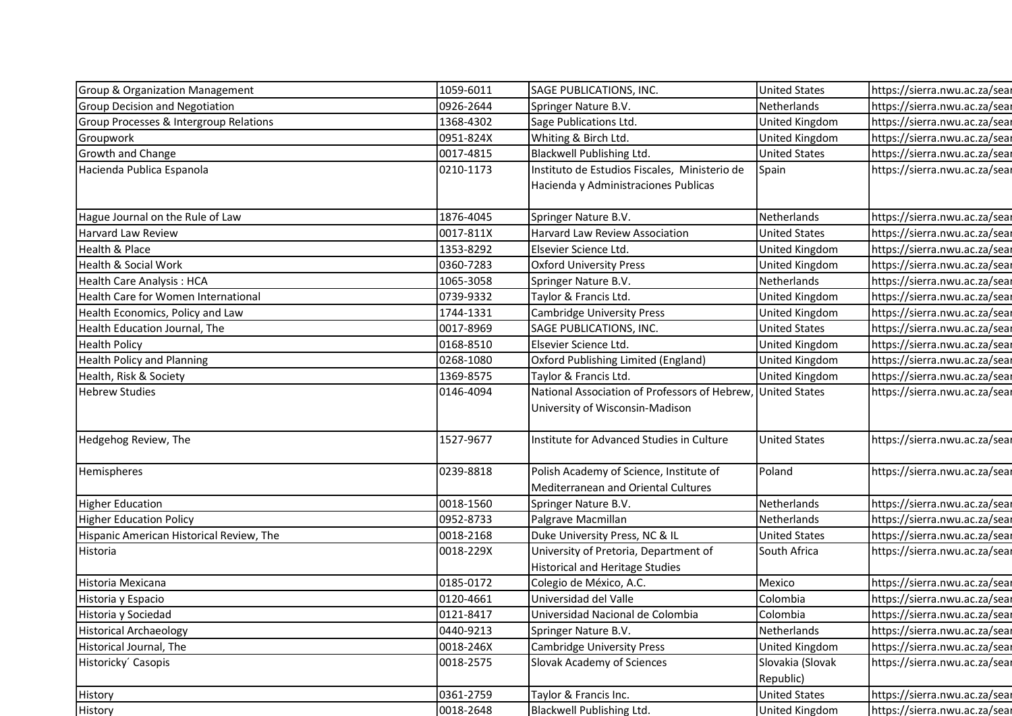| <b>Group &amp; Organization Management</b> | 1059-6011 | SAGE PUBLICATIONS, INC.                                                                        | <b>United States</b>  | https://sierra.nwu.ac.za/sear |
|--------------------------------------------|-----------|------------------------------------------------------------------------------------------------|-----------------------|-------------------------------|
| Group Decision and Negotiation             | 0926-2644 | Springer Nature B.V.                                                                           | Netherlands           | https://sierra.nwu.ac.za/sear |
| Group Processes & Intergroup Relations     | 1368-4302 | Sage Publications Ltd.                                                                         | United Kingdom        | https://sierra.nwu.ac.za/sear |
| Groupwork                                  | 0951-824X | Whiting & Birch Ltd.                                                                           | <b>United Kingdom</b> | https://sierra.nwu.ac.za/sear |
| Growth and Change                          | 0017-4815 | Blackwell Publishing Ltd.                                                                      | <b>United States</b>  | https://sierra.nwu.ac.za/sear |
| Hacienda Publica Espanola                  | 0210-1173 | Instituto de Estudios Fiscales, Ministerio de                                                  | Spain                 | https://sierra.nwu.ac.za/sear |
|                                            |           | Hacienda y Administraciones Publicas                                                           |                       |                               |
|                                            |           |                                                                                                |                       |                               |
| Hague Journal on the Rule of Law           | 1876-4045 | Springer Nature B.V.                                                                           | Netherlands           | https://sierra.nwu.ac.za/sear |
| Harvard Law Review                         | 0017-811X | Harvard Law Review Association                                                                 | <b>United States</b>  | https://sierra.nwu.ac.za/sear |
| Health & Place                             | 1353-8292 | Elsevier Science Ltd.                                                                          | United Kingdom        | https://sierra.nwu.ac.za/sear |
| Health & Social Work                       | 0360-7283 | <b>Oxford University Press</b>                                                                 | United Kingdom        | https://sierra.nwu.ac.za/sear |
| Health Care Analysis: HCA                  | 1065-3058 | Springer Nature B.V.                                                                           | Netherlands           | https://sierra.nwu.ac.za/sear |
| Health Care for Women International        | 0739-9332 | Taylor & Francis Ltd.                                                                          | United Kingdom        | https://sierra.nwu.ac.za/sear |
| Health Economics, Policy and Law           | 1744-1331 | <b>Cambridge University Press</b>                                                              | United Kingdom        | https://sierra.nwu.ac.za/sear |
| Health Education Journal, The              | 0017-8969 | SAGE PUBLICATIONS, INC.                                                                        | <b>United States</b>  | https://sierra.nwu.ac.za/sear |
| <b>Health Policy</b>                       | 0168-8510 | Elsevier Science Ltd.                                                                          | United Kingdom        | https://sierra.nwu.ac.za/sear |
| Health Policy and Planning                 | 0268-1080 | Oxford Publishing Limited (England)                                                            | United Kingdom        | https://sierra.nwu.ac.za/sear |
| Health, Risk & Society                     | 1369-8575 | Taylor & Francis Ltd.                                                                          | <b>United Kingdom</b> | https://sierra.nwu.ac.za/sear |
| <b>Hebrew Studies</b>                      | 0146-4094 | National Association of Professors of Hebrew, United States<br>University of Wisconsin-Madison |                       | https://sierra.nwu.ac.za/sear |
|                                            |           |                                                                                                |                       |                               |
| Hedgehog Review, The                       | 1527-9677 | Institute for Advanced Studies in Culture                                                      | <b>United States</b>  | https://sierra.nwu.ac.za/sear |
| Hemispheres                                | 0239-8818 | Polish Academy of Science, Institute of                                                        | Poland                | https://sierra.nwu.ac.za/sear |
|                                            |           | Mediterranean and Oriental Cultures                                                            |                       |                               |
| <b>Higher Education</b>                    | 0018-1560 | Springer Nature B.V.                                                                           | Netherlands           | https://sierra.nwu.ac.za/sear |
| <b>Higher Education Policy</b>             | 0952-8733 | Palgrave Macmillan                                                                             | Netherlands           | https://sierra.nwu.ac.za/sear |
| Hispanic American Historical Review, The   | 0018-2168 | Duke University Press, NC & IL                                                                 | <b>United States</b>  | https://sierra.nwu.ac.za/sear |
| Historia                                   | 0018-229X | University of Pretoria, Department of                                                          | South Africa          |                               |
|                                            |           | <b>Historical and Heritage Studies</b>                                                         |                       | https://sierra.nwu.ac.za/sear |
| Historia Mexicana                          | 0185-0172 | Colegio de México, A.C.                                                                        | Mexico                | https://sierra.nwu.ac.za/sear |
| Historia y Espacio                         | 0120-4661 | Universidad del Valle                                                                          | Colombia              | https://sierra.nwu.ac.za/sear |
| Historia y Sociedad                        | 0121-8417 | Universidad Nacional de Colombia                                                               | Colombia              | https://sierra.nwu.ac.za/sear |
| <b>Historical Archaeology</b>              | 0440-9213 | Springer Nature B.V.                                                                           | Netherlands           | https://sierra.nwu.ac.za/sear |
| Historical Journal, The                    | 0018-246X | <b>Cambridge University Press</b>                                                              | United Kingdom        | https://sierra.nwu.ac.za/sear |
| Historicky Casopis                         | 0018-2575 | Slovak Academy of Sciences                                                                     | Slovakia (Slovak      | https://sierra.nwu.ac.za/sear |
|                                            |           |                                                                                                | Republic)             |                               |
| History                                    | 0361-2759 | Taylor & Francis Inc.                                                                          | <b>United States</b>  | https://sierra.nwu.ac.za/sear |
| History                                    | 0018-2648 | <b>Blackwell Publishing Ltd.</b>                                                               | <b>United Kingdom</b> | https://sierra.nwu.ac.za/sear |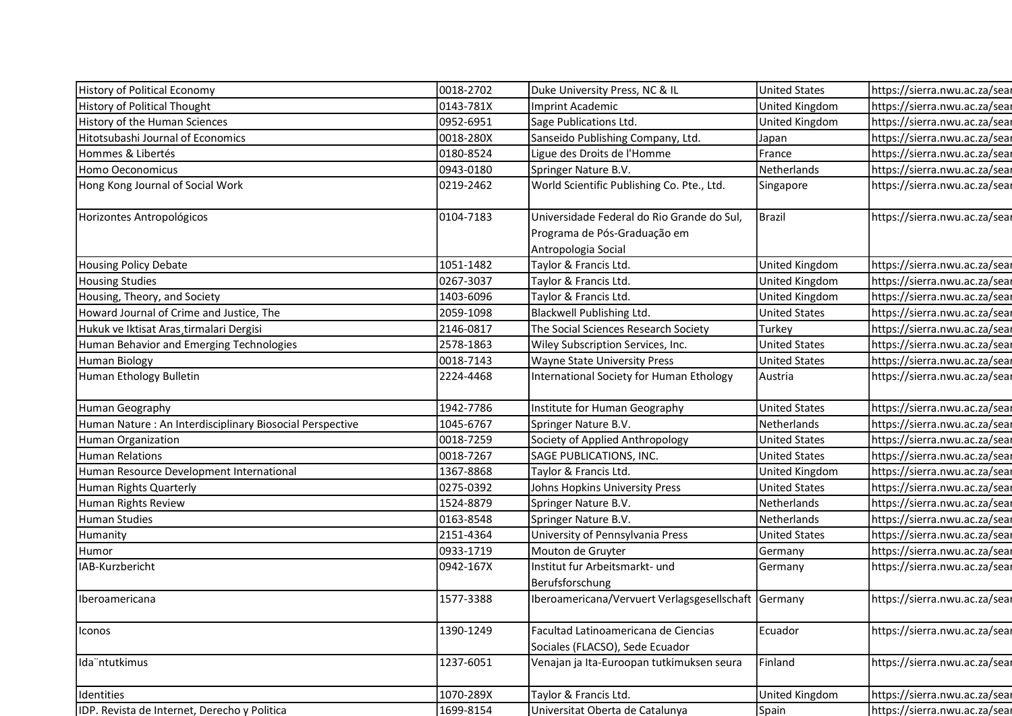| <b>History of Political Economy</b>                      | 0018-2702 | Duke University Press, NC & IL                                          | <b>United States</b> | https://sierra.nwu.ac.za/sear |
|----------------------------------------------------------|-----------|-------------------------------------------------------------------------|----------------------|-------------------------------|
| History of Political Thought                             | 0143-781X | Imprint Academic                                                        | United Kingdom       | https://sierra.nwu.ac.za/sear |
| History of the Human Sciences                            | 0952-6951 | Sage Publications Ltd.                                                  | United Kingdom       | https://sierra.nwu.ac.za/sear |
| Hitotsubashi Journal of Economics                        | 0018-280X | Sanseido Publishing Company, Ltd.                                       | Japan                | https://sierra.nwu.ac.za/sear |
| Hommes & Libertés                                        | 0180-8524 | Ligue des Droits de l'Homme                                             | France               | https://sierra.nwu.ac.za/sear |
| Homo Oeconomicus                                         | 0943-0180 | Springer Nature B.V.                                                    | Netherlands          | https://sierra.nwu.ac.za/sear |
| Hong Kong Journal of Social Work                         | 0219-2462 | World Scientific Publishing Co. Pte., Ltd.                              | Singapore            | https://sierra.nwu.ac.za/sear |
| Horizontes Antropológicos                                | 0104-7183 | Universidade Federal do Rio Grande do Sul,                              | Brazil               | https://sierra.nwu.ac.za/sear |
|                                                          |           | Programa de Pós-Graduação em                                            |                      |                               |
|                                                          |           | Antropologia Social                                                     |                      |                               |
| Housing Policy Debate                                    | 1051-1482 | Taylor & Francis Ltd.                                                   | United Kingdom       | https://sierra.nwu.ac.za/sear |
| <b>Housing Studies</b>                                   | 0267-3037 | Taylor & Francis Ltd.                                                   | United Kingdom       | https://sierra.nwu.ac.za/sear |
| Housing, Theory, and Society                             | 1403-6096 | Taylor & Francis Ltd.                                                   | United Kingdom       | https://sierra.nwu.ac.za/sear |
| Howard Journal of Crime and Justice, The                 | 2059-1098 | Blackwell Publishing Ltd.                                               | <b>United States</b> | https://sierra.nwu.ac.za/sear |
| Hukuk ve Iktisat Aras tirmalari Dergisi                  | 2146-0817 | The Social Sciences Research Society                                    | Turkey               | https://sierra.nwu.ac.za/sear |
| Human Behavior and Emerging Technologies                 | 2578-1863 | Wiley Subscription Services, Inc.                                       | <b>United States</b> | https://sierra.nwu.ac.za/sear |
| <b>Human Biology</b>                                     | 0018-7143 | <b>Wayne State University Press</b>                                     | <b>United States</b> | https://sierra.nwu.ac.za/sear |
| Human Ethology Bulletin                                  | 2224-4468 | International Society for Human Ethology                                | Austria              | https://sierra.nwu.ac.za/sear |
| Human Geography                                          | 1942-7786 | Institute for Human Geography                                           | <b>United States</b> | https://sierra.nwu.ac.za/sear |
| Human Nature: An Interdisciplinary Biosocial Perspective | 1045-6767 | Springer Nature B.V.                                                    | Netherlands          | https://sierra.nwu.ac.za/sear |
| Human Organization                                       | 0018-7259 | Society of Applied Anthropology                                         | <b>United States</b> | https://sierra.nwu.ac.za/sear |
| <b>Human Relations</b>                                   | 0018-7267 | SAGE PUBLICATIONS, INC.                                                 | <b>United States</b> | https://sierra.nwu.ac.za/sear |
| Human Resource Development International                 | 1367-8868 | Taylor & Francis Ltd.                                                   | United Kingdom       | https://sierra.nwu.ac.za/sear |
| Human Rights Quarterly                                   | 0275-0392 | Johns Hopkins University Press                                          | <b>United States</b> | https://sierra.nwu.ac.za/sear |
| Human Rights Review                                      | 1524-8879 | Springer Nature B.V.                                                    | Netherlands          | https://sierra.nwu.ac.za/sear |
| <b>Human Studies</b>                                     | 0163-8548 | Springer Nature B.V.                                                    | Netherlands          | https://sierra.nwu.ac.za/sear |
| Humanity                                                 | 2151-4364 | University of Pennsylvania Press                                        | <b>United States</b> | https://sierra.nwu.ac.za/sear |
| Humor                                                    | 0933-1719 | Mouton de Gruyter                                                       | Germany              | https://sierra.nwu.ac.za/sear |
| IAB-Kurzbericht                                          | 0942-167X | Institut fur Arbeitsmarkt- und<br>Berufsforschung                       | Germany              | https://sierra.nwu.ac.za/sear |
| Iberoamericana                                           | 1577-3388 | Iberoamericana/Vervuert Verlagsgesellschaft Germany                     |                      | https://sierra.nwu.ac.za/sear |
| Iconos                                                   | 1390-1249 | Facultad Latinoamericana de Ciencias<br>Sociales (FLACSO), Sede Ecuador | Ecuador              | https://sierra.nwu.ac.za/sear |
| Ida ntutkimus                                            | 1237-6051 | Venajan ja Ita-Euroopan tutkimuksen seura                               | Finland              | https://sierra.nwu.ac.za/sear |
| Identities                                               | 1070-289X | Taylor & Francis Ltd.                                                   | United Kingdom       | https://sierra.nwu.ac.za/sear |
| IDP. Revista de Internet, Derecho y Politica             | 1699-8154 | Universitat Oberta de Catalunya                                         | Spain                | https://sierra.nwu.ac.za/sear |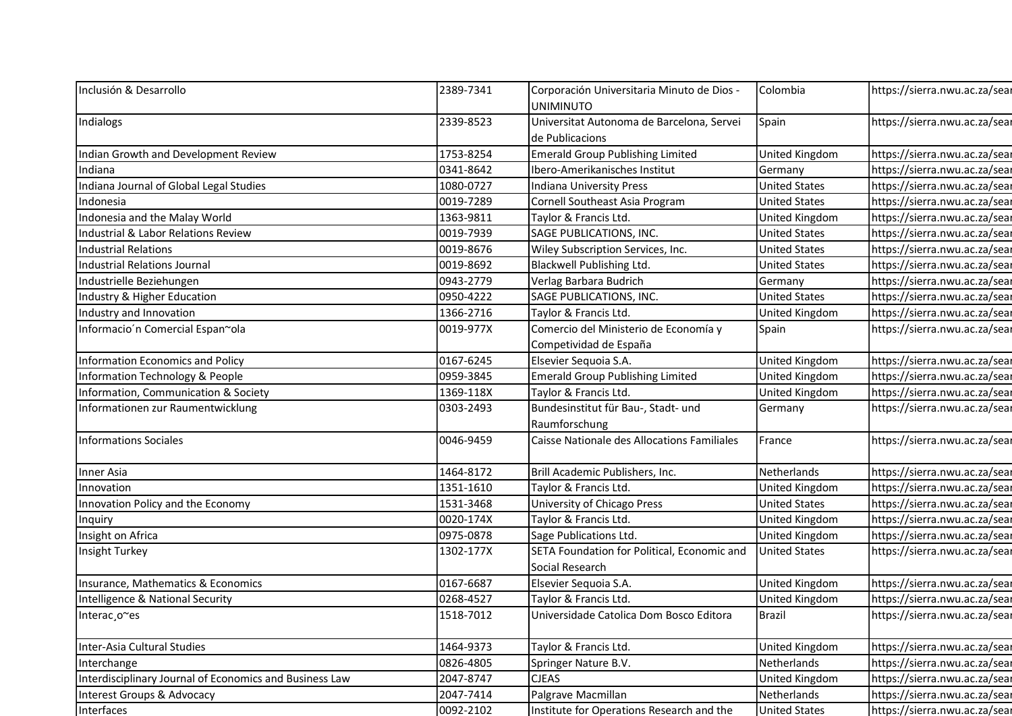| Inclusión & Desarrollo                                  | 2389-7341              | Corporación Universitaria Minuto de Dios -                      | Colombia                        | https://sierra.nwu.ac.za/sear                                  |
|---------------------------------------------------------|------------------------|-----------------------------------------------------------------|---------------------------------|----------------------------------------------------------------|
|                                                         |                        | <b>UNIMINUTO</b>                                                |                                 |                                                                |
| Indialogs                                               | 2339-8523              | Universitat Autonoma de Barcelona, Servei                       | Spain                           | https://sierra.nwu.ac.za/sear                                  |
| Indian Growth and Development Review                    | 1753-8254              | de Publicacions<br><b>Emerald Group Publishing Limited</b>      | United Kingdom                  | https://sierra.nwu.ac.za/sear                                  |
| Indiana                                                 | 0341-8642              | Ibero-Amerikanisches Institut                                   | Germany                         | https://sierra.nwu.ac.za/sear                                  |
| Indiana Journal of Global Legal Studies                 | 1080-0727              | Indiana University Press                                        | <b>United States</b>            | https://sierra.nwu.ac.za/sear                                  |
| Indonesia                                               | 0019-7289              | Cornell Southeast Asia Program                                  | <b>United States</b>            | https://sierra.nwu.ac.za/sear                                  |
| Indonesia and the Malay World                           | 1363-9811              | Taylor & Francis Ltd.                                           | United Kingdom                  | https://sierra.nwu.ac.za/sear                                  |
| Industrial & Labor Relations Review                     | 0019-7939              | SAGE PUBLICATIONS, INC.                                         | <b>United States</b>            | https://sierra.nwu.ac.za/sear                                  |
| <b>Industrial Relations</b>                             | 0019-8676              |                                                                 | <b>United States</b>            | https://sierra.nwu.ac.za/sear                                  |
| Industrial Relations Journal                            | 0019-8692              | Wiley Subscription Services, Inc.<br>Blackwell Publishing Ltd.  | <b>United States</b>            | https://sierra.nwu.ac.za/sear                                  |
|                                                         |                        |                                                                 |                                 |                                                                |
| Industrielle Beziehungen                                | 0943-2779              | Verlag Barbara Budrich<br>SAGE PUBLICATIONS, INC.               | Germany<br><b>United States</b> | https://sierra.nwu.ac.za/sear<br>https://sierra.nwu.ac.za/sear |
| Industry & Higher Education                             | 0950-4222              |                                                                 |                                 |                                                                |
| Industry and Innovation                                 | 1366-2716<br>0019-977X | Taylor & Francis Ltd.                                           | <b>United Kingdom</b>           | https://sierra.nwu.ac.za/sear                                  |
| Informacio'n Comercial Espan~ola                        |                        | Comercio del Ministerio de Economía y<br>Competividad de España | Spain                           | https://sierra.nwu.ac.za/sear                                  |
| Information Economics and Policy                        | 0167-6245              | Elsevier Sequoia S.A.                                           | United Kingdom                  | https://sierra.nwu.ac.za/sear                                  |
| Information Technology & People                         | 0959-3845              | <b>Emerald Group Publishing Limited</b>                         | United Kingdom                  | https://sierra.nwu.ac.za/sear                                  |
| Information, Communication & Society                    | 1369-118X              | Taylor & Francis Ltd.                                           | United Kingdom                  | https://sierra.nwu.ac.za/sear                                  |
| Informationen zur Raumentwicklung                       | 0303-2493              | Bundesinstitut für Bau-, Stadt- und                             | Germany                         | https://sierra.nwu.ac.za/sear                                  |
|                                                         |                        | Raumforschung                                                   |                                 |                                                                |
| <b>Informations Sociales</b>                            | 0046-9459              | Caisse Nationale des Allocations Familiales                     | France                          | https://sierra.nwu.ac.za/sear                                  |
| Inner Asia                                              | 1464-8172              | Brill Academic Publishers, Inc.                                 | Netherlands                     | https://sierra.nwu.ac.za/sear                                  |
| Innovation                                              | 1351-1610              | Taylor & Francis Ltd.                                           | United Kingdom                  | https://sierra.nwu.ac.za/sear                                  |
| Innovation Policy and the Economy                       | 1531-3468              | University of Chicago Press                                     | <b>United States</b>            | https://sierra.nwu.ac.za/sear                                  |
| Inquiry                                                 | 0020-174X              | Taylor & Francis Ltd.                                           | United Kingdom                  | https://sierra.nwu.ac.za/sear                                  |
| Insight on Africa                                       | 0975-0878              | Sage Publications Ltd.                                          | <b>United Kingdom</b>           | https://sierra.nwu.ac.za/sear                                  |
| <b>Insight Turkey</b>                                   | 1302-177X              | SETA Foundation for Political, Economic and<br>Social Research  | <b>United States</b>            | https://sierra.nwu.ac.za/sear                                  |
| Insurance, Mathematics & Economics                      | 0167-6687              | Elsevier Sequoia S.A.                                           | United Kingdom                  | https://sierra.nwu.ac.za/sear                                  |
| Intelligence & National Security                        | 0268-4527              | Taylor & Francis Ltd.                                           | United Kingdom                  | https://sierra.nwu.ac.za/sear                                  |
| Interac, o~es                                           | 1518-7012              | Universidade Catolica Dom Bosco Editora                         | Brazil                          | https://sierra.nwu.ac.za/sear                                  |
|                                                         |                        |                                                                 |                                 |                                                                |
| Inter-Asia Cultural Studies                             | 1464-9373              | Taylor & Francis Ltd.                                           | United Kingdom                  | https://sierra.nwu.ac.za/sear                                  |
| Interchange                                             | 0826-4805              | Springer Nature B.V.                                            | Netherlands                     | https://sierra.nwu.ac.za/sear                                  |
| Interdisciplinary Journal of Economics and Business Law | 2047-8747              | <b>CJEAS</b>                                                    | United Kingdom                  | https://sierra.nwu.ac.za/sear                                  |
| Interest Groups & Advocacy                              | 2047-7414              | Palgrave Macmillan                                              | Netherlands                     | https://sierra.nwu.ac.za/sear                                  |
| Interfaces                                              | 0092-2102              | Institute for Operations Research and the                       | <b>United States</b>            | https://sierra.nwu.ac.za/sear                                  |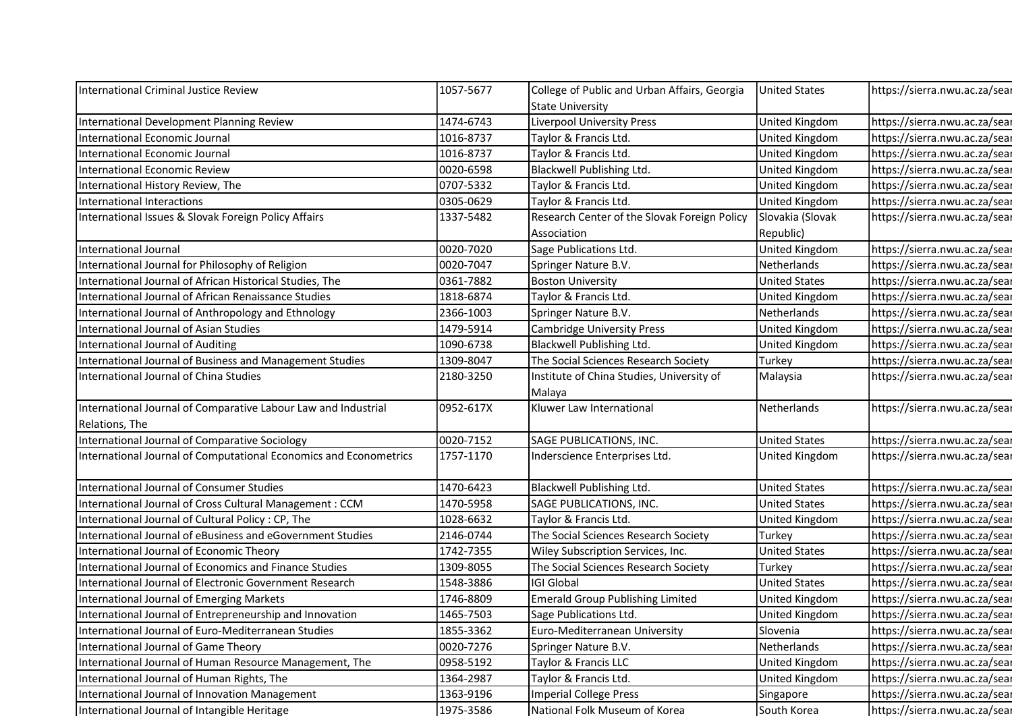| International Criminal Justice Review                                                                               | 1057-5677              | College of Public and Urban Affairs, Georgia                   | <b>United States</b>     | https://sierra.nwu.ac.za/sear                                  |
|---------------------------------------------------------------------------------------------------------------------|------------------------|----------------------------------------------------------------|--------------------------|----------------------------------------------------------------|
|                                                                                                                     |                        | <b>State University</b>                                        |                          |                                                                |
| International Development Planning Review                                                                           | 1474-6743              | Liverpool University Press                                     | United Kingdom           | https://sierra.nwu.ac.za/sear                                  |
| International Economic Journal                                                                                      | 1016-8737              | Taylor & Francis Ltd.                                          | United Kingdom           | https://sierra.nwu.ac.za/sear                                  |
| International Economic Journal                                                                                      | 1016-8737              | Taylor & Francis Ltd.                                          | United Kingdom           | https://sierra.nwu.ac.za/sear                                  |
| International Economic Review                                                                                       | 0020-6598              | Blackwell Publishing Ltd.                                      | United Kingdom           | https://sierra.nwu.ac.za/sear                                  |
| International History Review, The                                                                                   | 0707-5332              | Taylor & Francis Ltd.                                          | United Kingdom           | https://sierra.nwu.ac.za/sear                                  |
| International Interactions                                                                                          | 0305-0629              | Taylor & Francis Ltd.                                          | United Kingdom           | https://sierra.nwu.ac.za/sear                                  |
| International Issues & Slovak Foreign Policy Affairs                                                                | 1337-5482              | Research Center of the Slovak Foreign Policy                   | Slovakia (Slovak         | https://sierra.nwu.ac.za/sear                                  |
|                                                                                                                     |                        | Association                                                    | Republic)                |                                                                |
| International Journal                                                                                               | 0020-7020              | Sage Publications Ltd.                                         | United Kingdom           | https://sierra.nwu.ac.za/sear                                  |
| International Journal for Philosophy of Religion                                                                    | 0020-7047              | Springer Nature B.V.                                           | Netherlands              | https://sierra.nwu.ac.za/sear                                  |
| International Journal of African Historical Studies, The                                                            | 0361-7882              | <b>Boston University</b>                                       | <b>United States</b>     | https://sierra.nwu.ac.za/sear                                  |
| International Journal of African Renaissance Studies                                                                | 1818-6874              | Taylor & Francis Ltd.                                          | United Kingdom           | https://sierra.nwu.ac.za/sear                                  |
| International Journal of Anthropology and Ethnology                                                                 | 2366-1003              | Springer Nature B.V.                                           | Netherlands              | https://sierra.nwu.ac.za/sear                                  |
| International Journal of Asian Studies                                                                              | 1479-5914              | <b>Cambridge University Press</b>                              | United Kingdom           | https://sierra.nwu.ac.za/sear                                  |
| International Journal of Auditing                                                                                   | 1090-6738              | Blackwell Publishing Ltd.                                      | United Kingdom           | https://sierra.nwu.ac.za/sear                                  |
| International Journal of Business and Management Studies                                                            | 1309-8047              | The Social Sciences Research Society                           | Turkey                   | https://sierra.nwu.ac.za/sear                                  |
| International Journal of China Studies                                                                              | 2180-3250              | Institute of China Studies, University of<br>Malaya            | Malaysia                 | https://sierra.nwu.ac.za/sear                                  |
| International Journal of Comparative Labour Law and Industrial                                                      | 0952-617X              | Kluwer Law International                                       | Netherlands              | https://sierra.nwu.ac.za/sear                                  |
| Relations, The                                                                                                      |                        |                                                                |                          |                                                                |
| International Journal of Comparative Sociology<br>International Journal of Computational Economics and Econometrics | 0020-7152              | SAGE PUBLICATIONS, INC.                                        | <b>United States</b>     | https://sierra.nwu.ac.za/sear<br>https://sierra.nwu.ac.za/sear |
|                                                                                                                     | 1757-1170              | Inderscience Enterprises Ltd.                                  | United Kingdom           |                                                                |
| International Journal of Consumer Studies                                                                           | 1470-6423              | Blackwell Publishing Ltd.                                      | <b>United States</b>     | https://sierra.nwu.ac.za/sear                                  |
| International Journal of Cross Cultural Management : CCM                                                            | 1470-5958              | SAGE PUBLICATIONS, INC.                                        | <b>United States</b>     | https://sierra.nwu.ac.za/sear                                  |
| International Journal of Cultural Policy : CP, The                                                                  | 1028-6632              | Taylor & Francis Ltd.                                          | <b>United Kingdom</b>    | https://sierra.nwu.ac.za/sear                                  |
| International Journal of eBusiness and eGovernment Studies                                                          | 2146-0744              | The Social Sciences Research Society                           | Turkey                   | https://sierra.nwu.ac.za/sear                                  |
| International Journal of Economic Theory                                                                            | 1742-7355              | Wiley Subscription Services, Inc.                              | <b>United States</b>     | https://sierra.nwu.ac.za/sear                                  |
| International Journal of Economics and Finance Studies                                                              | 1309-8055              | The Social Sciences Research Society                           | Turkey                   | https://sierra.nwu.ac.za/sear                                  |
| International Journal of Electronic Government Research                                                             | 1548-3886              | <b>IGI Global</b>                                              | <b>United States</b>     | https://sierra.nwu.ac.za/sear                                  |
| International Journal of Emerging Markets                                                                           | 1746-8809              | <b>Emerald Group Publishing Limited</b>                        | United Kingdom           | https://sierra.nwu.ac.za/sear                                  |
| International Journal of Entrepreneurship and Innovation                                                            | 1465-7503              | Sage Publications Ltd.                                         | United Kingdom           | https://sierra.nwu.ac.za/sear                                  |
| International Journal of Euro-Mediterranean Studies                                                                 | 1855-3362              | Euro-Mediterranean University                                  | Slovenia                 | https://sierra.nwu.ac.za/sear                                  |
| International Journal of Game Theory                                                                                | 0020-7276              | Springer Nature B.V.                                           | Netherlands              | https://sierra.nwu.ac.za/sear                                  |
| International Journal of Human Resource Management, The                                                             | 0958-5192              | Taylor & Francis LLC                                           | <b>United Kingdom</b>    | https://sierra.nwu.ac.za/sear                                  |
| International Journal of Human Rights, The                                                                          | 1364-2987              | Taylor & Francis Ltd.                                          | <b>United Kingdom</b>    | https://sierra.nwu.ac.za/sear                                  |
| International Journal of Innovation Management                                                                      | 1363-9196<br>1975-3586 | <b>Imperial College Press</b><br>National Folk Museum of Korea | Singapore<br>South Korea | https://sierra.nwu.ac.za/sear<br>https://sierra.nwu.ac.za/sear |
| International Journal of Intangible Heritage                                                                        |                        |                                                                |                          |                                                                |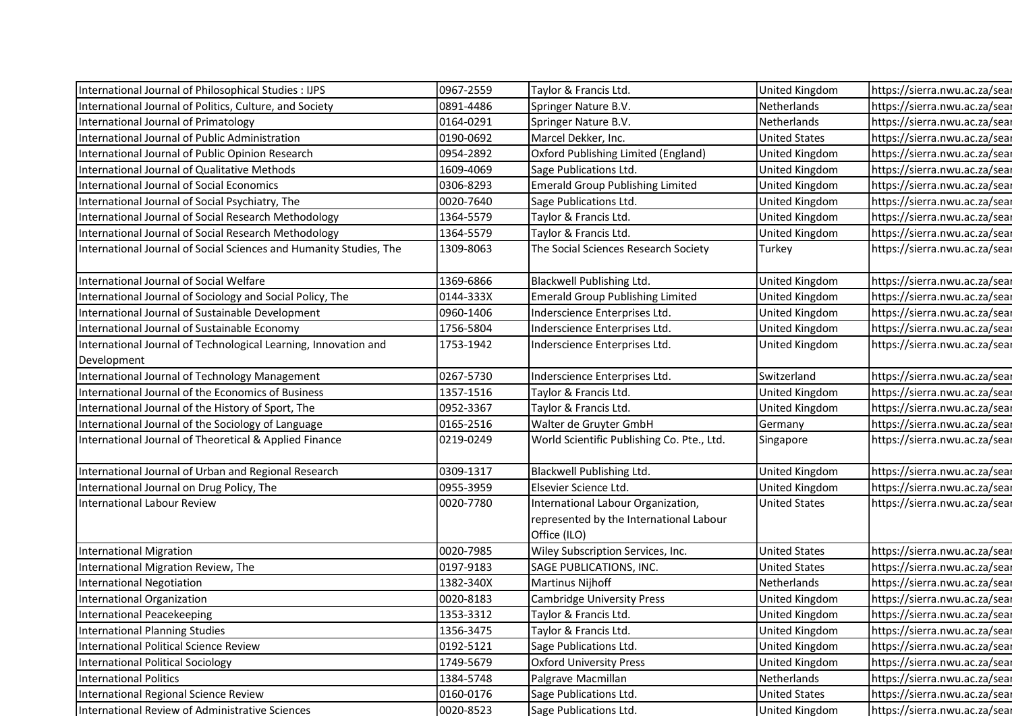| International Journal of Philosophical Studies : IJPS              | 0967-2559 | Taylor & Francis Ltd.                      | United Kingdom        | https://sierra.nwu.ac.za/sear |
|--------------------------------------------------------------------|-----------|--------------------------------------------|-----------------------|-------------------------------|
| International Journal of Politics, Culture, and Society            | 0891-4486 | Springer Nature B.V.                       | Netherlands           | https://sierra.nwu.ac.za/sear |
| International Journal of Primatology                               | 0164-0291 | Springer Nature B.V.                       | Netherlands           | https://sierra.nwu.ac.za/sear |
| International Journal of Public Administration                     | 0190-0692 | Marcel Dekker, Inc.                        | <b>United States</b>  | https://sierra.nwu.ac.za/sear |
| International Journal of Public Opinion Research                   | 0954-2892 | Oxford Publishing Limited (England)        | <b>United Kingdom</b> | https://sierra.nwu.ac.za/sear |
| International Journal of Qualitative Methods                       | 1609-4069 | Sage Publications Ltd.                     | United Kingdom        | https://sierra.nwu.ac.za/sear |
| <b>International Journal of Social Economics</b>                   | 0306-8293 | <b>Emerald Group Publishing Limited</b>    | United Kingdom        | https://sierra.nwu.ac.za/sear |
| International Journal of Social Psychiatry, The                    | 0020-7640 | Sage Publications Ltd.                     | United Kingdom        | https://sierra.nwu.ac.za/sear |
| International Journal of Social Research Methodology               | 1364-5579 | Taylor & Francis Ltd.                      | United Kingdom        | https://sierra.nwu.ac.za/sear |
| International Journal of Social Research Methodology               | 1364-5579 | Taylor & Francis Ltd.                      | United Kingdom        | https://sierra.nwu.ac.za/sear |
| International Journal of Social Sciences and Humanity Studies, The | 1309-8063 | The Social Sciences Research Society       | Turkey                | https://sierra.nwu.ac.za/sear |
|                                                                    |           |                                            |                       |                               |
| International Journal of Social Welfare                            | 1369-6866 | Blackwell Publishing Ltd.                  | <b>United Kingdom</b> | https://sierra.nwu.ac.za/sear |
| International Journal of Sociology and Social Policy, The          | 0144-333X | <b>Emerald Group Publishing Limited</b>    | United Kingdom        | https://sierra.nwu.ac.za/sear |
| International Journal of Sustainable Development                   | 0960-1406 | Inderscience Enterprises Ltd.              | United Kingdom        | https://sierra.nwu.ac.za/sear |
| International Journal of Sustainable Economy                       | 1756-5804 | Inderscience Enterprises Ltd.              | United Kingdom        | https://sierra.nwu.ac.za/sear |
| International Journal of Technological Learning, Innovation and    | 1753-1942 | Inderscience Enterprises Ltd.              | <b>United Kingdom</b> | https://sierra.nwu.ac.za/sear |
| Development                                                        |           |                                            |                       |                               |
| International Journal of Technology Management                     | 0267-5730 | Inderscience Enterprises Ltd.              | Switzerland           | https://sierra.nwu.ac.za/sear |
| International Journal of the Economics of Business                 | 1357-1516 | Taylor & Francis Ltd.                      | United Kingdom        | https://sierra.nwu.ac.za/sear |
| International Journal of the History of Sport, The                 | 0952-3367 | Taylor & Francis Ltd.                      | <b>United Kingdom</b> | https://sierra.nwu.ac.za/sear |
| International Journal of the Sociology of Language                 | 0165-2516 | Walter de Gruyter GmbH                     | Germany               | https://sierra.nwu.ac.za/sear |
| International Journal of Theoretical & Applied Finance             | 0219-0249 | World Scientific Publishing Co. Pte., Ltd. | Singapore             | https://sierra.nwu.ac.za/sear |
| International Journal of Urban and Regional Research               | 0309-1317 | Blackwell Publishing Ltd.                  | <b>United Kingdom</b> | https://sierra.nwu.ac.za/sear |
| International Journal on Drug Policy, The                          | 0955-3959 | Elsevier Science Ltd.                      | United Kingdom        | https://sierra.nwu.ac.za/sear |
| International Labour Review                                        | 0020-7780 | International Labour Organization,         | <b>United States</b>  | https://sierra.nwu.ac.za/sear |
|                                                                    |           | represented by the International Labour    |                       |                               |
|                                                                    |           | Office (ILO)                               |                       |                               |
| <b>International Migration</b>                                     | 0020-7985 | Wiley Subscription Services, Inc.          | <b>United States</b>  | https://sierra.nwu.ac.za/sear |
| International Migration Review, The                                | 0197-9183 | SAGE PUBLICATIONS, INC.                    | <b>United States</b>  | https://sierra.nwu.ac.za/sear |
| International Negotiation                                          | 1382-340X | Martinus Nijhoff                           | Netherlands           | https://sierra.nwu.ac.za/sear |
| International Organization                                         | 0020-8183 | Cambridge University Press                 | United Kingdom        | https://sierra.nwu.ac.za/sear |
| <b>International Peacekeeping</b>                                  | 1353-3312 | Taylor & Francis Ltd.                      | United Kingdom        | https://sierra.nwu.ac.za/sear |
| International Planning Studies                                     | 1356-3475 | Taylor & Francis Ltd.                      | United Kingdom        | https://sierra.nwu.ac.za/sear |
| <b>International Political Science Review</b>                      | 0192-5121 | Sage Publications Ltd.                     | United Kingdom        | https://sierra.nwu.ac.za/sear |
| <b>International Political Sociology</b>                           | 1749-5679 | <b>Oxford University Press</b>             | <b>United Kingdom</b> | https://sierra.nwu.ac.za/sear |
| <b>International Politics</b>                                      | 1384-5748 | Palgrave Macmillan                         | Netherlands           | https://sierra.nwu.ac.za/sear |
| International Regional Science Review                              | 0160-0176 | Sage Publications Ltd.                     | <b>United States</b>  | https://sierra.nwu.ac.za/sear |
| International Review of Administrative Sciences                    | 0020-8523 | Sage Publications Ltd.                     | <b>United Kingdom</b> | https://sierra.nwu.ac.za/sear |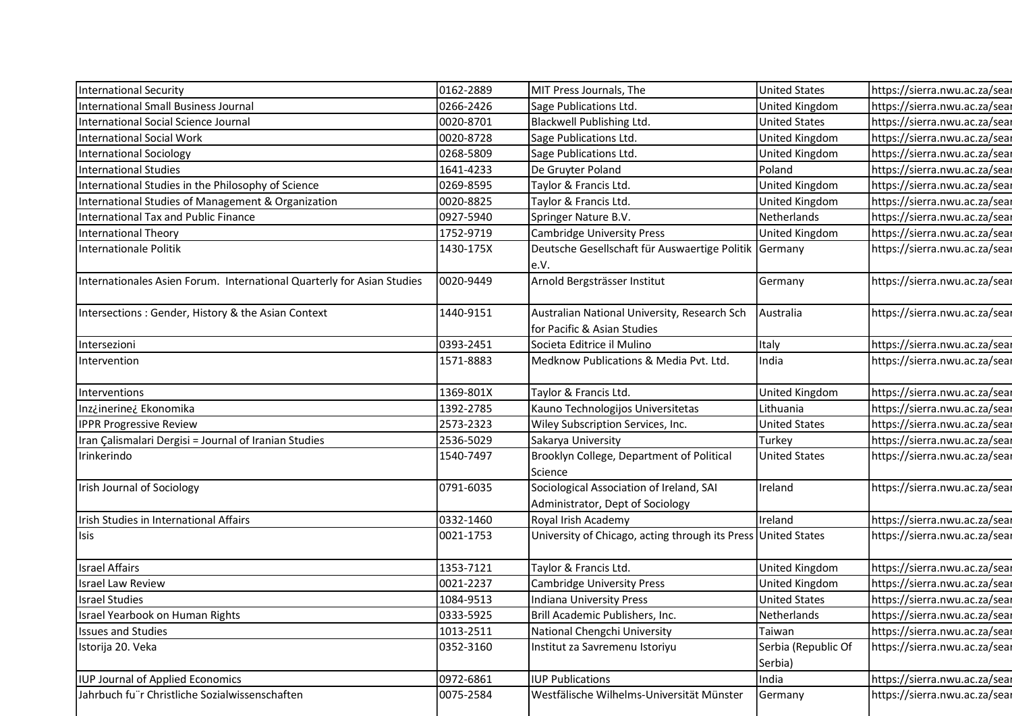| <b>International Security</b>                                          | 0162-2889 | MIT Press Journals, The                                                      | <b>United States</b>           | https://sierra.nwu.ac.za/sear |
|------------------------------------------------------------------------|-----------|------------------------------------------------------------------------------|--------------------------------|-------------------------------|
| International Small Business Journal                                   | 0266-2426 | Sage Publications Ltd.                                                       | United Kingdom                 | https://sierra.nwu.ac.za/sear |
| International Social Science Journal                                   | 0020-8701 | Blackwell Publishing Ltd.                                                    | <b>United States</b>           | https://sierra.nwu.ac.za/sear |
| International Social Work                                              | 0020-8728 | Sage Publications Ltd.                                                       | United Kingdom                 | https://sierra.nwu.ac.za/sear |
| <b>International Sociology</b>                                         | 0268-5809 | Sage Publications Ltd.                                                       | <b>United Kingdom</b>          | https://sierra.nwu.ac.za/sear |
| <b>International Studies</b>                                           | 1641-4233 | De Gruyter Poland                                                            | Poland                         | https://sierra.nwu.ac.za/sear |
| International Studies in the Philosophy of Science                     | 0269-8595 | Taylor & Francis Ltd.                                                        | United Kingdom                 | https://sierra.nwu.ac.za/sear |
| International Studies of Management & Organization                     | 0020-8825 | Taylor & Francis Ltd.                                                        | United Kingdom                 | https://sierra.nwu.ac.za/sear |
| International Tax and Public Finance                                   | 0927-5940 | Springer Nature B.V.                                                         | Netherlands                    | https://sierra.nwu.ac.za/sear |
| International Theory                                                   | 1752-9719 | <b>Cambridge University Press</b>                                            | United Kingdom                 | https://sierra.nwu.ac.za/sear |
| Internationale Politik                                                 | 1430-175X | Deutsche Gesellschaft für Auswaertige Politik Germany<br>e.V.                |                                | https://sierra.nwu.ac.za/sear |
| Internationales Asien Forum. International Quarterly for Asian Studies | 0020-9449 | Arnold Bergsträsser Institut                                                 | Germany                        | https://sierra.nwu.ac.za/sear |
| Intersections: Gender, History & the Asian Context                     | 1440-9151 | Australian National University, Research Sch<br>for Pacific & Asian Studies  | Australia                      | https://sierra.nwu.ac.za/sear |
| Intersezioni                                                           | 0393-2451 | Societa Editrice il Mulino                                                   | Italy                          | https://sierra.nwu.ac.za/sear |
| Intervention                                                           | 1571-8883 | Medknow Publications & Media Pvt. Ltd.                                       | India                          | https://sierra.nwu.ac.za/sear |
| Interventions                                                          | 1369-801X | Taylor & Francis Ltd.                                                        | United Kingdom                 | https://sierra.nwu.ac.za/sear |
| Inz¿inerine¿ Ekonomika                                                 | 1392-2785 | Kauno Technologijos Universitetas                                            | Lithuania                      | https://sierra.nwu.ac.za/sear |
| <b>IPPR Progressive Review</b>                                         | 2573-2323 | Wiley Subscription Services, Inc.                                            | <b>United States</b>           | https://sierra.nwu.ac.za/sear |
| Iran Çalismalari Dergisi = Journal of Iranian Studies                  | 2536-5029 | Sakarya University                                                           | Turkey                         | https://sierra.nwu.ac.za/sear |
| Irinkerindo                                                            | 1540-7497 | Brooklyn College, Department of Political<br>Science                         | <b>United States</b>           | https://sierra.nwu.ac.za/sear |
| <b>Irish Journal of Sociology</b>                                      | 0791-6035 | Sociological Association of Ireland, SAI<br>Administrator, Dept of Sociology | Ireland                        | https://sierra.nwu.ac.za/sear |
| Irish Studies in International Affairs                                 | 0332-1460 | Royal Irish Academy                                                          | Ireland                        | https://sierra.nwu.ac.za/sear |
| <b>Isis</b>                                                            | 0021-1753 | University of Chicago, acting through its Press United States                |                                | https://sierra.nwu.ac.za/sear |
| <b>Israel Affairs</b>                                                  | 1353-7121 | Taylor & Francis Ltd.                                                        | United Kingdom                 | https://sierra.nwu.ac.za/sear |
| <b>Israel Law Review</b>                                               | 0021-2237 | <b>Cambridge University Press</b>                                            | United Kingdom                 | https://sierra.nwu.ac.za/sear |
| <b>Israel Studies</b>                                                  | 1084-9513 | Indiana University Press                                                     | <b>United States</b>           | https://sierra.nwu.ac.za/sear |
| Israel Yearbook on Human Rights                                        | 0333-5925 | Brill Academic Publishers, Inc.                                              | Netherlands                    | https://sierra.nwu.ac.za/sear |
| <b>Issues and Studies</b>                                              | 1013-2511 | National Chengchi University                                                 | Taiwan                         | https://sierra.nwu.ac.za/sear |
| Istorija 20. Veka                                                      | 0352-3160 | Institut za Savremenu Istoriyu                                               | Serbia (Republic Of<br>Serbia) | https://sierra.nwu.ac.za/sear |
| IUP Journal of Applied Economics                                       | 0972-6861 | <b>IUP Publications</b>                                                      | India                          | https://sierra.nwu.ac.za/sear |
| Jahrbuch fu"r Christliche Sozialwissenschaften                         | 0075-2584 | Westfälische Wilhelms-Universität Münster                                    | Germany                        | https://sierra.nwu.ac.za/sear |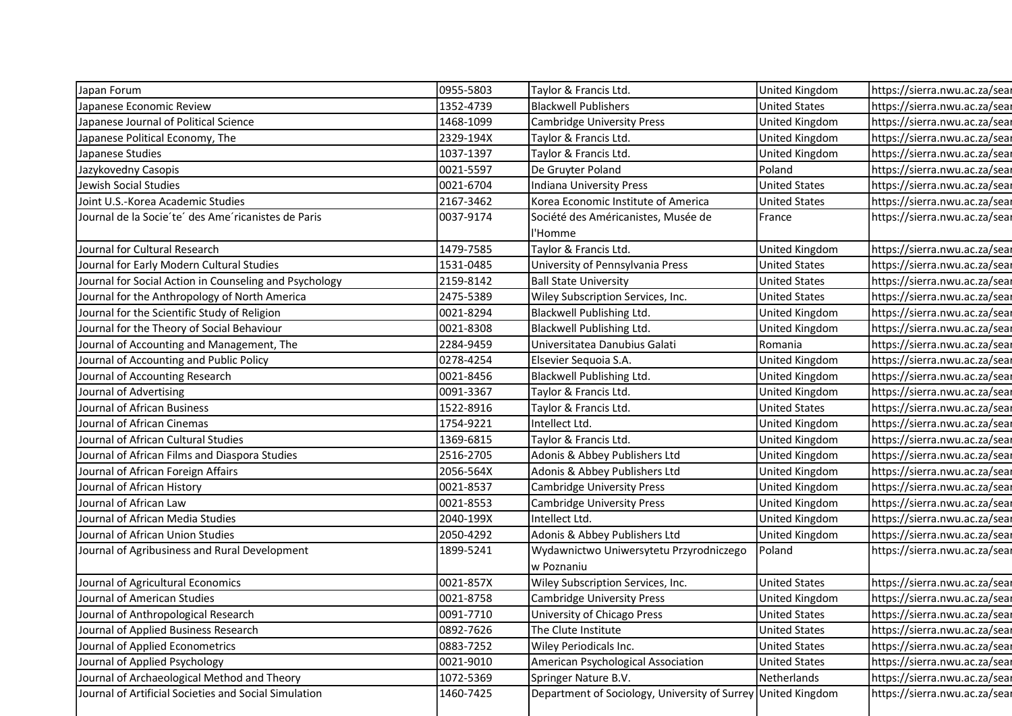| Japan Forum<br>0955-5803<br>Taylor & Francis Ltd.<br>https://sierra.nwu.ac.za/sear<br>United Kingdom<br>Japanese Economic Review<br>1352-4739<br><b>Blackwell Publishers</b><br><b>United States</b><br>https://sierra.nwu.ac.za/sear<br>1468-1099<br>Japanese Journal of Political Science<br><b>Cambridge University Press</b><br>United Kingdom<br>https://sierra.nwu.ac.za/sear<br>2329-194X<br>Japanese Political Economy, The<br>Taylor & Francis Ltd.<br>United Kingdom<br>https://sierra.nwu.ac.za/sear<br>1037-1397<br>https://sierra.nwu.ac.za/sear<br>Japanese Studies<br>Taylor & Francis Ltd.<br>United Kingdom<br>0021-5597<br>Poland<br>https://sierra.nwu.ac.za/sear<br>Jazykovedny Casopis<br>De Gruyter Poland<br>Jewish Social Studies<br>0021-6704<br><b>United States</b><br>https://sierra.nwu.ac.za/sear<br>Indiana University Press<br>2167-3462<br><b>United States</b><br>https://sierra.nwu.ac.za/sear<br>Joint U.S.-Korea Academic Studies<br>Korea Economic Institute of America<br>Journal de la Socie'te' des Ame'ricanistes de Paris<br>0037-9174<br>Société des Américanistes, Musée de<br>https://sierra.nwu.ac.za/sear<br>France<br>l'Homme<br>1479-7585<br>Taylor & Francis Ltd.<br>Journal for Cultural Research<br>https://sierra.nwu.ac.za/sear<br>United Kingdom<br>Journal for Early Modern Cultural Studies<br>1531-0485<br>University of Pennsylvania Press<br>https://sierra.nwu.ac.za/sear<br><b>United States</b><br>2159-8142<br><b>United States</b><br>https://sierra.nwu.ac.za/sear<br>Journal for Social Action in Counseling and Psychology<br><b>Ball State University</b><br>2475-5389<br>Journal for the Anthropology of North America<br>Wiley Subscription Services, Inc.<br><b>United States</b><br>https://sierra.nwu.ac.za/sear<br>Journal for the Scientific Study of Religion<br>0021-8294<br>Blackwell Publishing Ltd.<br>https://sierra.nwu.ac.za/sear<br><b>United Kingdom</b><br>Journal for the Theory of Social Behaviour<br>0021-8308<br>Blackwell Publishing Ltd.<br>https://sierra.nwu.ac.za/sear<br>United Kingdom<br>2284-9459<br>https://sierra.nwu.ac.za/sear<br>Journal of Accounting and Management, The<br>Universitatea Danubius Galati<br>Romania<br>0278-4254<br>Journal of Accounting and Public Policy<br>Elsevier Sequoia S.A.<br>https://sierra.nwu.ac.za/sear<br>United Kingdom<br>0021-8456<br>Journal of Accounting Research<br>Blackwell Publishing Ltd.<br>https://sierra.nwu.ac.za/sear<br>United Kingdom<br>0091-3367<br>https://sierra.nwu.ac.za/sear<br>Journal of Advertising<br>Taylor & Francis Ltd.<br>United Kingdom<br>Journal of African Business<br>1522-8916<br>Taylor & Francis Ltd.<br><b>United States</b><br>https://sierra.nwu.ac.za/sear<br>1754-9221<br>https://sierra.nwu.ac.za/sear<br>Journal of African Cinemas<br>Intellect Ltd.<br>United Kingdom<br>1369-6815<br>Taylor & Francis Ltd.<br>https://sierra.nwu.ac.za/sear<br>Journal of African Cultural Studies<br><b>United Kingdom</b><br>Journal of African Films and Diaspora Studies<br>2516-2705<br>Adonis & Abbey Publishers Ltd<br>United Kingdom<br>https://sierra.nwu.ac.za/sear<br>2056-564X<br>Adonis & Abbey Publishers Ltd<br>https://sierra.nwu.ac.za/sear<br>Journal of African Foreign Affairs<br><b>United Kingdom</b><br>Journal of African History<br>0021-8537<br>https://sierra.nwu.ac.za/sear<br><b>Cambridge University Press</b><br>United Kingdom<br>Journal of African Law<br>0021-8553<br>https://sierra.nwu.ac.za/sear<br>United Kingdom<br><b>Cambridge University Press</b><br>2040-199X<br>Intellect Ltd.<br>United Kingdom<br>https://sierra.nwu.ac.za/sear<br>Journal of African Media Studies<br>Journal of African Union Studies<br>2050-4292<br>Adonis & Abbey Publishers Ltd<br><b>United Kingdom</b><br>https://sierra.nwu.ac.za/sear<br>Journal of Agribusiness and Rural Development<br>https://sierra.nwu.ac.za/sear<br>1899-5241<br>Wydawnictwo Uniwersytetu Przyrodniczego<br>Poland<br>w Poznaniu<br>Journal of Agricultural Economics<br>0021-857X<br><b>United States</b><br>https://sierra.nwu.ac.za/sear<br>Wiley Subscription Services, Inc.<br>nttps://sierra.nwu.ac.za/sear<br>Journal of American Studies<br>0021-8758<br><b>Cambridge University Press</b><br>United Kingdom<br>Journal of Anthropological Research<br>0091-7710<br>University of Chicago Press<br><b>United States</b><br>https://sierra.nwu.ac.za/sear<br>0892-7626<br>Journal of Applied Business Research<br>The Clute Institute<br>https://sierra.nwu.ac.za/sear<br><b>United States</b><br>0883-7252<br>Journal of Applied Econometrics<br>Wiley Periodicals Inc.<br><b>United States</b><br>https://sierra.nwu.ac.za/sear |                               |           |                                    |                      |                               |
|----------------------------------------------------------------------------------------------------------------------------------------------------------------------------------------------------------------------------------------------------------------------------------------------------------------------------------------------------------------------------------------------------------------------------------------------------------------------------------------------------------------------------------------------------------------------------------------------------------------------------------------------------------------------------------------------------------------------------------------------------------------------------------------------------------------------------------------------------------------------------------------------------------------------------------------------------------------------------------------------------------------------------------------------------------------------------------------------------------------------------------------------------------------------------------------------------------------------------------------------------------------------------------------------------------------------------------------------------------------------------------------------------------------------------------------------------------------------------------------------------------------------------------------------------------------------------------------------------------------------------------------------------------------------------------------------------------------------------------------------------------------------------------------------------------------------------------------------------------------------------------------------------------------------------------------------------------------------------------------------------------------------------------------------------------------------------------------------------------------------------------------------------------------------------------------------------------------------------------------------------------------------------------------------------------------------------------------------------------------------------------------------------------------------------------------------------------------------------------------------------------------------------------------------------------------------------------------------------------------------------------------------------------------------------------------------------------------------------------------------------------------------------------------------------------------------------------------------------------------------------------------------------------------------------------------------------------------------------------------------------------------------------------------------------------------------------------------------------------------------------------------------------------------------------------------------------------------------------------------------------------------------------------------------------------------------------------------------------------------------------------------------------------------------------------------------------------------------------------------------------------------------------------------------------------------------------------------------------------------------------------------------------------------------------------------------------------------------------------------------------------------------------------------------------------------------------------------------------------------------------------------------------------------------------------------------------------------------------------------------------------------------------------------------------------------------------------------------------------------------------------------------------------------------------------------------------------------------------------------------------------------------------------------------------------------------------------------------------------------------------------------------------------------------------------------------------------------------------------------------------------------------------------------------------------------------------------------------------------------------------------------------------------------------------------------------------------------------------|-------------------------------|-----------|------------------------------------|----------------------|-------------------------------|
|                                                                                                                                                                                                                                                                                                                                                                                                                                                                                                                                                                                                                                                                                                                                                                                                                                                                                                                                                                                                                                                                                                                                                                                                                                                                                                                                                                                                                                                                                                                                                                                                                                                                                                                                                                                                                                                                                                                                                                                                                                                                                                                                                                                                                                                                                                                                                                                                                                                                                                                                                                                                                                                                                                                                                                                                                                                                                                                                                                                                                                                                                                                                                                                                                                                                                                                                                                                                                                                                                                                                                                                                                                                                                                                                                                                                                                                                                                                                                                                                                                                                                                                                                                                                                                                                                                                                                                                                                                                                                                                                                                                                                                                                                                                            |                               |           |                                    |                      |                               |
|                                                                                                                                                                                                                                                                                                                                                                                                                                                                                                                                                                                                                                                                                                                                                                                                                                                                                                                                                                                                                                                                                                                                                                                                                                                                                                                                                                                                                                                                                                                                                                                                                                                                                                                                                                                                                                                                                                                                                                                                                                                                                                                                                                                                                                                                                                                                                                                                                                                                                                                                                                                                                                                                                                                                                                                                                                                                                                                                                                                                                                                                                                                                                                                                                                                                                                                                                                                                                                                                                                                                                                                                                                                                                                                                                                                                                                                                                                                                                                                                                                                                                                                                                                                                                                                                                                                                                                                                                                                                                                                                                                                                                                                                                                                            |                               |           |                                    |                      |                               |
|                                                                                                                                                                                                                                                                                                                                                                                                                                                                                                                                                                                                                                                                                                                                                                                                                                                                                                                                                                                                                                                                                                                                                                                                                                                                                                                                                                                                                                                                                                                                                                                                                                                                                                                                                                                                                                                                                                                                                                                                                                                                                                                                                                                                                                                                                                                                                                                                                                                                                                                                                                                                                                                                                                                                                                                                                                                                                                                                                                                                                                                                                                                                                                                                                                                                                                                                                                                                                                                                                                                                                                                                                                                                                                                                                                                                                                                                                                                                                                                                                                                                                                                                                                                                                                                                                                                                                                                                                                                                                                                                                                                                                                                                                                                            |                               |           |                                    |                      |                               |
|                                                                                                                                                                                                                                                                                                                                                                                                                                                                                                                                                                                                                                                                                                                                                                                                                                                                                                                                                                                                                                                                                                                                                                                                                                                                                                                                                                                                                                                                                                                                                                                                                                                                                                                                                                                                                                                                                                                                                                                                                                                                                                                                                                                                                                                                                                                                                                                                                                                                                                                                                                                                                                                                                                                                                                                                                                                                                                                                                                                                                                                                                                                                                                                                                                                                                                                                                                                                                                                                                                                                                                                                                                                                                                                                                                                                                                                                                                                                                                                                                                                                                                                                                                                                                                                                                                                                                                                                                                                                                                                                                                                                                                                                                                                            |                               |           |                                    |                      |                               |
|                                                                                                                                                                                                                                                                                                                                                                                                                                                                                                                                                                                                                                                                                                                                                                                                                                                                                                                                                                                                                                                                                                                                                                                                                                                                                                                                                                                                                                                                                                                                                                                                                                                                                                                                                                                                                                                                                                                                                                                                                                                                                                                                                                                                                                                                                                                                                                                                                                                                                                                                                                                                                                                                                                                                                                                                                                                                                                                                                                                                                                                                                                                                                                                                                                                                                                                                                                                                                                                                                                                                                                                                                                                                                                                                                                                                                                                                                                                                                                                                                                                                                                                                                                                                                                                                                                                                                                                                                                                                                                                                                                                                                                                                                                                            |                               |           |                                    |                      |                               |
|                                                                                                                                                                                                                                                                                                                                                                                                                                                                                                                                                                                                                                                                                                                                                                                                                                                                                                                                                                                                                                                                                                                                                                                                                                                                                                                                                                                                                                                                                                                                                                                                                                                                                                                                                                                                                                                                                                                                                                                                                                                                                                                                                                                                                                                                                                                                                                                                                                                                                                                                                                                                                                                                                                                                                                                                                                                                                                                                                                                                                                                                                                                                                                                                                                                                                                                                                                                                                                                                                                                                                                                                                                                                                                                                                                                                                                                                                                                                                                                                                                                                                                                                                                                                                                                                                                                                                                                                                                                                                                                                                                                                                                                                                                                            |                               |           |                                    |                      |                               |
|                                                                                                                                                                                                                                                                                                                                                                                                                                                                                                                                                                                                                                                                                                                                                                                                                                                                                                                                                                                                                                                                                                                                                                                                                                                                                                                                                                                                                                                                                                                                                                                                                                                                                                                                                                                                                                                                                                                                                                                                                                                                                                                                                                                                                                                                                                                                                                                                                                                                                                                                                                                                                                                                                                                                                                                                                                                                                                                                                                                                                                                                                                                                                                                                                                                                                                                                                                                                                                                                                                                                                                                                                                                                                                                                                                                                                                                                                                                                                                                                                                                                                                                                                                                                                                                                                                                                                                                                                                                                                                                                                                                                                                                                                                                            |                               |           |                                    |                      |                               |
|                                                                                                                                                                                                                                                                                                                                                                                                                                                                                                                                                                                                                                                                                                                                                                                                                                                                                                                                                                                                                                                                                                                                                                                                                                                                                                                                                                                                                                                                                                                                                                                                                                                                                                                                                                                                                                                                                                                                                                                                                                                                                                                                                                                                                                                                                                                                                                                                                                                                                                                                                                                                                                                                                                                                                                                                                                                                                                                                                                                                                                                                                                                                                                                                                                                                                                                                                                                                                                                                                                                                                                                                                                                                                                                                                                                                                                                                                                                                                                                                                                                                                                                                                                                                                                                                                                                                                                                                                                                                                                                                                                                                                                                                                                                            |                               |           |                                    |                      |                               |
|                                                                                                                                                                                                                                                                                                                                                                                                                                                                                                                                                                                                                                                                                                                                                                                                                                                                                                                                                                                                                                                                                                                                                                                                                                                                                                                                                                                                                                                                                                                                                                                                                                                                                                                                                                                                                                                                                                                                                                                                                                                                                                                                                                                                                                                                                                                                                                                                                                                                                                                                                                                                                                                                                                                                                                                                                                                                                                                                                                                                                                                                                                                                                                                                                                                                                                                                                                                                                                                                                                                                                                                                                                                                                                                                                                                                                                                                                                                                                                                                                                                                                                                                                                                                                                                                                                                                                                                                                                                                                                                                                                                                                                                                                                                            |                               |           |                                    |                      |                               |
|                                                                                                                                                                                                                                                                                                                                                                                                                                                                                                                                                                                                                                                                                                                                                                                                                                                                                                                                                                                                                                                                                                                                                                                                                                                                                                                                                                                                                                                                                                                                                                                                                                                                                                                                                                                                                                                                                                                                                                                                                                                                                                                                                                                                                                                                                                                                                                                                                                                                                                                                                                                                                                                                                                                                                                                                                                                                                                                                                                                                                                                                                                                                                                                                                                                                                                                                                                                                                                                                                                                                                                                                                                                                                                                                                                                                                                                                                                                                                                                                                                                                                                                                                                                                                                                                                                                                                                                                                                                                                                                                                                                                                                                                                                                            |                               |           |                                    |                      |                               |
|                                                                                                                                                                                                                                                                                                                                                                                                                                                                                                                                                                                                                                                                                                                                                                                                                                                                                                                                                                                                                                                                                                                                                                                                                                                                                                                                                                                                                                                                                                                                                                                                                                                                                                                                                                                                                                                                                                                                                                                                                                                                                                                                                                                                                                                                                                                                                                                                                                                                                                                                                                                                                                                                                                                                                                                                                                                                                                                                                                                                                                                                                                                                                                                                                                                                                                                                                                                                                                                                                                                                                                                                                                                                                                                                                                                                                                                                                                                                                                                                                                                                                                                                                                                                                                                                                                                                                                                                                                                                                                                                                                                                                                                                                                                            |                               |           |                                    |                      |                               |
|                                                                                                                                                                                                                                                                                                                                                                                                                                                                                                                                                                                                                                                                                                                                                                                                                                                                                                                                                                                                                                                                                                                                                                                                                                                                                                                                                                                                                                                                                                                                                                                                                                                                                                                                                                                                                                                                                                                                                                                                                                                                                                                                                                                                                                                                                                                                                                                                                                                                                                                                                                                                                                                                                                                                                                                                                                                                                                                                                                                                                                                                                                                                                                                                                                                                                                                                                                                                                                                                                                                                                                                                                                                                                                                                                                                                                                                                                                                                                                                                                                                                                                                                                                                                                                                                                                                                                                                                                                                                                                                                                                                                                                                                                                                            |                               |           |                                    |                      |                               |
|                                                                                                                                                                                                                                                                                                                                                                                                                                                                                                                                                                                                                                                                                                                                                                                                                                                                                                                                                                                                                                                                                                                                                                                                                                                                                                                                                                                                                                                                                                                                                                                                                                                                                                                                                                                                                                                                                                                                                                                                                                                                                                                                                                                                                                                                                                                                                                                                                                                                                                                                                                                                                                                                                                                                                                                                                                                                                                                                                                                                                                                                                                                                                                                                                                                                                                                                                                                                                                                                                                                                                                                                                                                                                                                                                                                                                                                                                                                                                                                                                                                                                                                                                                                                                                                                                                                                                                                                                                                                                                                                                                                                                                                                                                                            |                               |           |                                    |                      |                               |
|                                                                                                                                                                                                                                                                                                                                                                                                                                                                                                                                                                                                                                                                                                                                                                                                                                                                                                                                                                                                                                                                                                                                                                                                                                                                                                                                                                                                                                                                                                                                                                                                                                                                                                                                                                                                                                                                                                                                                                                                                                                                                                                                                                                                                                                                                                                                                                                                                                                                                                                                                                                                                                                                                                                                                                                                                                                                                                                                                                                                                                                                                                                                                                                                                                                                                                                                                                                                                                                                                                                                                                                                                                                                                                                                                                                                                                                                                                                                                                                                                                                                                                                                                                                                                                                                                                                                                                                                                                                                                                                                                                                                                                                                                                                            |                               |           |                                    |                      |                               |
|                                                                                                                                                                                                                                                                                                                                                                                                                                                                                                                                                                                                                                                                                                                                                                                                                                                                                                                                                                                                                                                                                                                                                                                                                                                                                                                                                                                                                                                                                                                                                                                                                                                                                                                                                                                                                                                                                                                                                                                                                                                                                                                                                                                                                                                                                                                                                                                                                                                                                                                                                                                                                                                                                                                                                                                                                                                                                                                                                                                                                                                                                                                                                                                                                                                                                                                                                                                                                                                                                                                                                                                                                                                                                                                                                                                                                                                                                                                                                                                                                                                                                                                                                                                                                                                                                                                                                                                                                                                                                                                                                                                                                                                                                                                            |                               |           |                                    |                      |                               |
|                                                                                                                                                                                                                                                                                                                                                                                                                                                                                                                                                                                                                                                                                                                                                                                                                                                                                                                                                                                                                                                                                                                                                                                                                                                                                                                                                                                                                                                                                                                                                                                                                                                                                                                                                                                                                                                                                                                                                                                                                                                                                                                                                                                                                                                                                                                                                                                                                                                                                                                                                                                                                                                                                                                                                                                                                                                                                                                                                                                                                                                                                                                                                                                                                                                                                                                                                                                                                                                                                                                                                                                                                                                                                                                                                                                                                                                                                                                                                                                                                                                                                                                                                                                                                                                                                                                                                                                                                                                                                                                                                                                                                                                                                                                            |                               |           |                                    |                      |                               |
|                                                                                                                                                                                                                                                                                                                                                                                                                                                                                                                                                                                                                                                                                                                                                                                                                                                                                                                                                                                                                                                                                                                                                                                                                                                                                                                                                                                                                                                                                                                                                                                                                                                                                                                                                                                                                                                                                                                                                                                                                                                                                                                                                                                                                                                                                                                                                                                                                                                                                                                                                                                                                                                                                                                                                                                                                                                                                                                                                                                                                                                                                                                                                                                                                                                                                                                                                                                                                                                                                                                                                                                                                                                                                                                                                                                                                                                                                                                                                                                                                                                                                                                                                                                                                                                                                                                                                                                                                                                                                                                                                                                                                                                                                                                            |                               |           |                                    |                      |                               |
|                                                                                                                                                                                                                                                                                                                                                                                                                                                                                                                                                                                                                                                                                                                                                                                                                                                                                                                                                                                                                                                                                                                                                                                                                                                                                                                                                                                                                                                                                                                                                                                                                                                                                                                                                                                                                                                                                                                                                                                                                                                                                                                                                                                                                                                                                                                                                                                                                                                                                                                                                                                                                                                                                                                                                                                                                                                                                                                                                                                                                                                                                                                                                                                                                                                                                                                                                                                                                                                                                                                                                                                                                                                                                                                                                                                                                                                                                                                                                                                                                                                                                                                                                                                                                                                                                                                                                                                                                                                                                                                                                                                                                                                                                                                            |                               |           |                                    |                      |                               |
|                                                                                                                                                                                                                                                                                                                                                                                                                                                                                                                                                                                                                                                                                                                                                                                                                                                                                                                                                                                                                                                                                                                                                                                                                                                                                                                                                                                                                                                                                                                                                                                                                                                                                                                                                                                                                                                                                                                                                                                                                                                                                                                                                                                                                                                                                                                                                                                                                                                                                                                                                                                                                                                                                                                                                                                                                                                                                                                                                                                                                                                                                                                                                                                                                                                                                                                                                                                                                                                                                                                                                                                                                                                                                                                                                                                                                                                                                                                                                                                                                                                                                                                                                                                                                                                                                                                                                                                                                                                                                                                                                                                                                                                                                                                            |                               |           |                                    |                      |                               |
|                                                                                                                                                                                                                                                                                                                                                                                                                                                                                                                                                                                                                                                                                                                                                                                                                                                                                                                                                                                                                                                                                                                                                                                                                                                                                                                                                                                                                                                                                                                                                                                                                                                                                                                                                                                                                                                                                                                                                                                                                                                                                                                                                                                                                                                                                                                                                                                                                                                                                                                                                                                                                                                                                                                                                                                                                                                                                                                                                                                                                                                                                                                                                                                                                                                                                                                                                                                                                                                                                                                                                                                                                                                                                                                                                                                                                                                                                                                                                                                                                                                                                                                                                                                                                                                                                                                                                                                                                                                                                                                                                                                                                                                                                                                            |                               |           |                                    |                      |                               |
|                                                                                                                                                                                                                                                                                                                                                                                                                                                                                                                                                                                                                                                                                                                                                                                                                                                                                                                                                                                                                                                                                                                                                                                                                                                                                                                                                                                                                                                                                                                                                                                                                                                                                                                                                                                                                                                                                                                                                                                                                                                                                                                                                                                                                                                                                                                                                                                                                                                                                                                                                                                                                                                                                                                                                                                                                                                                                                                                                                                                                                                                                                                                                                                                                                                                                                                                                                                                                                                                                                                                                                                                                                                                                                                                                                                                                                                                                                                                                                                                                                                                                                                                                                                                                                                                                                                                                                                                                                                                                                                                                                                                                                                                                                                            |                               |           |                                    |                      |                               |
|                                                                                                                                                                                                                                                                                                                                                                                                                                                                                                                                                                                                                                                                                                                                                                                                                                                                                                                                                                                                                                                                                                                                                                                                                                                                                                                                                                                                                                                                                                                                                                                                                                                                                                                                                                                                                                                                                                                                                                                                                                                                                                                                                                                                                                                                                                                                                                                                                                                                                                                                                                                                                                                                                                                                                                                                                                                                                                                                                                                                                                                                                                                                                                                                                                                                                                                                                                                                                                                                                                                                                                                                                                                                                                                                                                                                                                                                                                                                                                                                                                                                                                                                                                                                                                                                                                                                                                                                                                                                                                                                                                                                                                                                                                                            |                               |           |                                    |                      |                               |
|                                                                                                                                                                                                                                                                                                                                                                                                                                                                                                                                                                                                                                                                                                                                                                                                                                                                                                                                                                                                                                                                                                                                                                                                                                                                                                                                                                                                                                                                                                                                                                                                                                                                                                                                                                                                                                                                                                                                                                                                                                                                                                                                                                                                                                                                                                                                                                                                                                                                                                                                                                                                                                                                                                                                                                                                                                                                                                                                                                                                                                                                                                                                                                                                                                                                                                                                                                                                                                                                                                                                                                                                                                                                                                                                                                                                                                                                                                                                                                                                                                                                                                                                                                                                                                                                                                                                                                                                                                                                                                                                                                                                                                                                                                                            |                               |           |                                    |                      |                               |
|                                                                                                                                                                                                                                                                                                                                                                                                                                                                                                                                                                                                                                                                                                                                                                                                                                                                                                                                                                                                                                                                                                                                                                                                                                                                                                                                                                                                                                                                                                                                                                                                                                                                                                                                                                                                                                                                                                                                                                                                                                                                                                                                                                                                                                                                                                                                                                                                                                                                                                                                                                                                                                                                                                                                                                                                                                                                                                                                                                                                                                                                                                                                                                                                                                                                                                                                                                                                                                                                                                                                                                                                                                                                                                                                                                                                                                                                                                                                                                                                                                                                                                                                                                                                                                                                                                                                                                                                                                                                                                                                                                                                                                                                                                                            |                               |           |                                    |                      |                               |
|                                                                                                                                                                                                                                                                                                                                                                                                                                                                                                                                                                                                                                                                                                                                                                                                                                                                                                                                                                                                                                                                                                                                                                                                                                                                                                                                                                                                                                                                                                                                                                                                                                                                                                                                                                                                                                                                                                                                                                                                                                                                                                                                                                                                                                                                                                                                                                                                                                                                                                                                                                                                                                                                                                                                                                                                                                                                                                                                                                                                                                                                                                                                                                                                                                                                                                                                                                                                                                                                                                                                                                                                                                                                                                                                                                                                                                                                                                                                                                                                                                                                                                                                                                                                                                                                                                                                                                                                                                                                                                                                                                                                                                                                                                                            |                               |           |                                    |                      |                               |
|                                                                                                                                                                                                                                                                                                                                                                                                                                                                                                                                                                                                                                                                                                                                                                                                                                                                                                                                                                                                                                                                                                                                                                                                                                                                                                                                                                                                                                                                                                                                                                                                                                                                                                                                                                                                                                                                                                                                                                                                                                                                                                                                                                                                                                                                                                                                                                                                                                                                                                                                                                                                                                                                                                                                                                                                                                                                                                                                                                                                                                                                                                                                                                                                                                                                                                                                                                                                                                                                                                                                                                                                                                                                                                                                                                                                                                                                                                                                                                                                                                                                                                                                                                                                                                                                                                                                                                                                                                                                                                                                                                                                                                                                                                                            |                               |           |                                    |                      |                               |
|                                                                                                                                                                                                                                                                                                                                                                                                                                                                                                                                                                                                                                                                                                                                                                                                                                                                                                                                                                                                                                                                                                                                                                                                                                                                                                                                                                                                                                                                                                                                                                                                                                                                                                                                                                                                                                                                                                                                                                                                                                                                                                                                                                                                                                                                                                                                                                                                                                                                                                                                                                                                                                                                                                                                                                                                                                                                                                                                                                                                                                                                                                                                                                                                                                                                                                                                                                                                                                                                                                                                                                                                                                                                                                                                                                                                                                                                                                                                                                                                                                                                                                                                                                                                                                                                                                                                                                                                                                                                                                                                                                                                                                                                                                                            |                               |           |                                    |                      |                               |
|                                                                                                                                                                                                                                                                                                                                                                                                                                                                                                                                                                                                                                                                                                                                                                                                                                                                                                                                                                                                                                                                                                                                                                                                                                                                                                                                                                                                                                                                                                                                                                                                                                                                                                                                                                                                                                                                                                                                                                                                                                                                                                                                                                                                                                                                                                                                                                                                                                                                                                                                                                                                                                                                                                                                                                                                                                                                                                                                                                                                                                                                                                                                                                                                                                                                                                                                                                                                                                                                                                                                                                                                                                                                                                                                                                                                                                                                                                                                                                                                                                                                                                                                                                                                                                                                                                                                                                                                                                                                                                                                                                                                                                                                                                                            |                               |           |                                    |                      |                               |
|                                                                                                                                                                                                                                                                                                                                                                                                                                                                                                                                                                                                                                                                                                                                                                                                                                                                                                                                                                                                                                                                                                                                                                                                                                                                                                                                                                                                                                                                                                                                                                                                                                                                                                                                                                                                                                                                                                                                                                                                                                                                                                                                                                                                                                                                                                                                                                                                                                                                                                                                                                                                                                                                                                                                                                                                                                                                                                                                                                                                                                                                                                                                                                                                                                                                                                                                                                                                                                                                                                                                                                                                                                                                                                                                                                                                                                                                                                                                                                                                                                                                                                                                                                                                                                                                                                                                                                                                                                                                                                                                                                                                                                                                                                                            |                               |           |                                    |                      |                               |
|                                                                                                                                                                                                                                                                                                                                                                                                                                                                                                                                                                                                                                                                                                                                                                                                                                                                                                                                                                                                                                                                                                                                                                                                                                                                                                                                                                                                                                                                                                                                                                                                                                                                                                                                                                                                                                                                                                                                                                                                                                                                                                                                                                                                                                                                                                                                                                                                                                                                                                                                                                                                                                                                                                                                                                                                                                                                                                                                                                                                                                                                                                                                                                                                                                                                                                                                                                                                                                                                                                                                                                                                                                                                                                                                                                                                                                                                                                                                                                                                                                                                                                                                                                                                                                                                                                                                                                                                                                                                                                                                                                                                                                                                                                                            |                               |           |                                    |                      |                               |
|                                                                                                                                                                                                                                                                                                                                                                                                                                                                                                                                                                                                                                                                                                                                                                                                                                                                                                                                                                                                                                                                                                                                                                                                                                                                                                                                                                                                                                                                                                                                                                                                                                                                                                                                                                                                                                                                                                                                                                                                                                                                                                                                                                                                                                                                                                                                                                                                                                                                                                                                                                                                                                                                                                                                                                                                                                                                                                                                                                                                                                                                                                                                                                                                                                                                                                                                                                                                                                                                                                                                                                                                                                                                                                                                                                                                                                                                                                                                                                                                                                                                                                                                                                                                                                                                                                                                                                                                                                                                                                                                                                                                                                                                                                                            |                               |           |                                    |                      |                               |
|                                                                                                                                                                                                                                                                                                                                                                                                                                                                                                                                                                                                                                                                                                                                                                                                                                                                                                                                                                                                                                                                                                                                                                                                                                                                                                                                                                                                                                                                                                                                                                                                                                                                                                                                                                                                                                                                                                                                                                                                                                                                                                                                                                                                                                                                                                                                                                                                                                                                                                                                                                                                                                                                                                                                                                                                                                                                                                                                                                                                                                                                                                                                                                                                                                                                                                                                                                                                                                                                                                                                                                                                                                                                                                                                                                                                                                                                                                                                                                                                                                                                                                                                                                                                                                                                                                                                                                                                                                                                                                                                                                                                                                                                                                                            |                               |           |                                    |                      |                               |
|                                                                                                                                                                                                                                                                                                                                                                                                                                                                                                                                                                                                                                                                                                                                                                                                                                                                                                                                                                                                                                                                                                                                                                                                                                                                                                                                                                                                                                                                                                                                                                                                                                                                                                                                                                                                                                                                                                                                                                                                                                                                                                                                                                                                                                                                                                                                                                                                                                                                                                                                                                                                                                                                                                                                                                                                                                                                                                                                                                                                                                                                                                                                                                                                                                                                                                                                                                                                                                                                                                                                                                                                                                                                                                                                                                                                                                                                                                                                                                                                                                                                                                                                                                                                                                                                                                                                                                                                                                                                                                                                                                                                                                                                                                                            |                               |           |                                    |                      |                               |
|                                                                                                                                                                                                                                                                                                                                                                                                                                                                                                                                                                                                                                                                                                                                                                                                                                                                                                                                                                                                                                                                                                                                                                                                                                                                                                                                                                                                                                                                                                                                                                                                                                                                                                                                                                                                                                                                                                                                                                                                                                                                                                                                                                                                                                                                                                                                                                                                                                                                                                                                                                                                                                                                                                                                                                                                                                                                                                                                                                                                                                                                                                                                                                                                                                                                                                                                                                                                                                                                                                                                                                                                                                                                                                                                                                                                                                                                                                                                                                                                                                                                                                                                                                                                                                                                                                                                                                                                                                                                                                                                                                                                                                                                                                                            |                               |           |                                    |                      |                               |
|                                                                                                                                                                                                                                                                                                                                                                                                                                                                                                                                                                                                                                                                                                                                                                                                                                                                                                                                                                                                                                                                                                                                                                                                                                                                                                                                                                                                                                                                                                                                                                                                                                                                                                                                                                                                                                                                                                                                                                                                                                                                                                                                                                                                                                                                                                                                                                                                                                                                                                                                                                                                                                                                                                                                                                                                                                                                                                                                                                                                                                                                                                                                                                                                                                                                                                                                                                                                                                                                                                                                                                                                                                                                                                                                                                                                                                                                                                                                                                                                                                                                                                                                                                                                                                                                                                                                                                                                                                                                                                                                                                                                                                                                                                                            |                               |           |                                    |                      |                               |
|                                                                                                                                                                                                                                                                                                                                                                                                                                                                                                                                                                                                                                                                                                                                                                                                                                                                                                                                                                                                                                                                                                                                                                                                                                                                                                                                                                                                                                                                                                                                                                                                                                                                                                                                                                                                                                                                                                                                                                                                                                                                                                                                                                                                                                                                                                                                                                                                                                                                                                                                                                                                                                                                                                                                                                                                                                                                                                                                                                                                                                                                                                                                                                                                                                                                                                                                                                                                                                                                                                                                                                                                                                                                                                                                                                                                                                                                                                                                                                                                                                                                                                                                                                                                                                                                                                                                                                                                                                                                                                                                                                                                                                                                                                                            |                               |           |                                    |                      |                               |
|                                                                                                                                                                                                                                                                                                                                                                                                                                                                                                                                                                                                                                                                                                                                                                                                                                                                                                                                                                                                                                                                                                                                                                                                                                                                                                                                                                                                                                                                                                                                                                                                                                                                                                                                                                                                                                                                                                                                                                                                                                                                                                                                                                                                                                                                                                                                                                                                                                                                                                                                                                                                                                                                                                                                                                                                                                                                                                                                                                                                                                                                                                                                                                                                                                                                                                                                                                                                                                                                                                                                                                                                                                                                                                                                                                                                                                                                                                                                                                                                                                                                                                                                                                                                                                                                                                                                                                                                                                                                                                                                                                                                                                                                                                                            | Journal of Applied Psychology | 0021-9010 | American Psychological Association | <b>United States</b> | https://sierra.nwu.ac.za/sear |
| Journal of Archaeological Method and Theory<br>1072-5369<br>Netherlands<br>https://sierra.nwu.ac.za/sear<br>Springer Nature B.V.                                                                                                                                                                                                                                                                                                                                                                                                                                                                                                                                                                                                                                                                                                                                                                                                                                                                                                                                                                                                                                                                                                                                                                                                                                                                                                                                                                                                                                                                                                                                                                                                                                                                                                                                                                                                                                                                                                                                                                                                                                                                                                                                                                                                                                                                                                                                                                                                                                                                                                                                                                                                                                                                                                                                                                                                                                                                                                                                                                                                                                                                                                                                                                                                                                                                                                                                                                                                                                                                                                                                                                                                                                                                                                                                                                                                                                                                                                                                                                                                                                                                                                                                                                                                                                                                                                                                                                                                                                                                                                                                                                                           |                               |           |                                    |                      |                               |
| Journal of Artificial Societies and Social Simulation<br>1460-7425<br>Department of Sociology, University of Surrey United Kingdom<br>https://sierra.nwu.ac.za/sear                                                                                                                                                                                                                                                                                                                                                                                                                                                                                                                                                                                                                                                                                                                                                                                                                                                                                                                                                                                                                                                                                                                                                                                                                                                                                                                                                                                                                                                                                                                                                                                                                                                                                                                                                                                                                                                                                                                                                                                                                                                                                                                                                                                                                                                                                                                                                                                                                                                                                                                                                                                                                                                                                                                                                                                                                                                                                                                                                                                                                                                                                                                                                                                                                                                                                                                                                                                                                                                                                                                                                                                                                                                                                                                                                                                                                                                                                                                                                                                                                                                                                                                                                                                                                                                                                                                                                                                                                                                                                                                                                        |                               |           |                                    |                      |                               |
|                                                                                                                                                                                                                                                                                                                                                                                                                                                                                                                                                                                                                                                                                                                                                                                                                                                                                                                                                                                                                                                                                                                                                                                                                                                                                                                                                                                                                                                                                                                                                                                                                                                                                                                                                                                                                                                                                                                                                                                                                                                                                                                                                                                                                                                                                                                                                                                                                                                                                                                                                                                                                                                                                                                                                                                                                                                                                                                                                                                                                                                                                                                                                                                                                                                                                                                                                                                                                                                                                                                                                                                                                                                                                                                                                                                                                                                                                                                                                                                                                                                                                                                                                                                                                                                                                                                                                                                                                                                                                                                                                                                                                                                                                                                            |                               |           |                                    |                      |                               |
|                                                                                                                                                                                                                                                                                                                                                                                                                                                                                                                                                                                                                                                                                                                                                                                                                                                                                                                                                                                                                                                                                                                                                                                                                                                                                                                                                                                                                                                                                                                                                                                                                                                                                                                                                                                                                                                                                                                                                                                                                                                                                                                                                                                                                                                                                                                                                                                                                                                                                                                                                                                                                                                                                                                                                                                                                                                                                                                                                                                                                                                                                                                                                                                                                                                                                                                                                                                                                                                                                                                                                                                                                                                                                                                                                                                                                                                                                                                                                                                                                                                                                                                                                                                                                                                                                                                                                                                                                                                                                                                                                                                                                                                                                                                            |                               |           |                                    |                      |                               |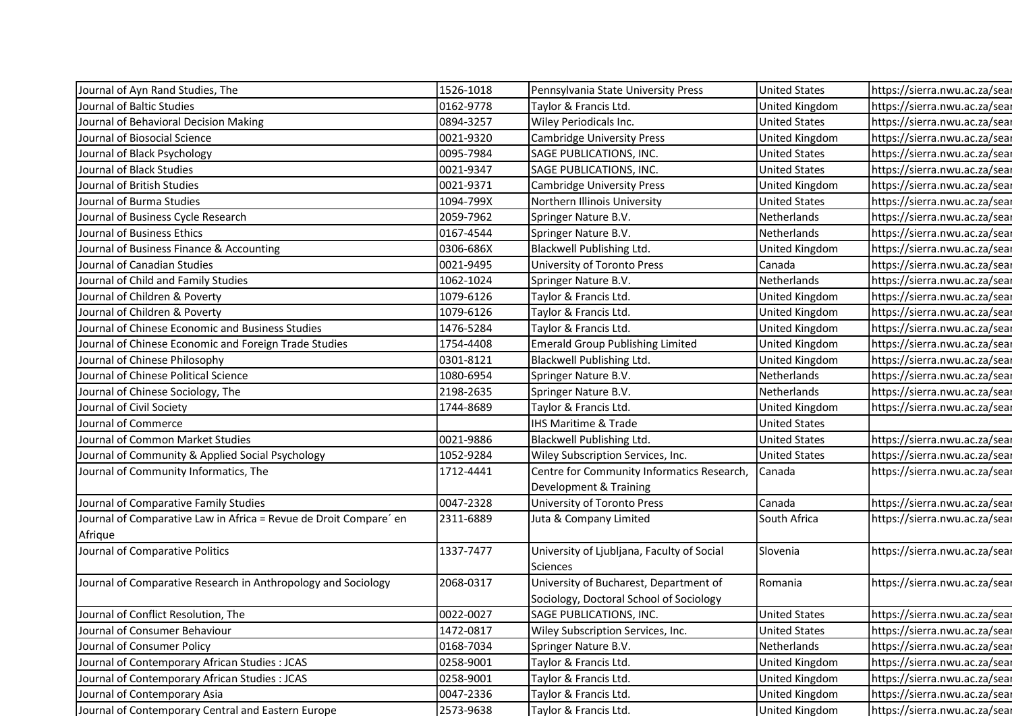| Journal of Ayn Rand Studies, The                                  | 1526-1018 | Pennsylvania State University Press                                               | <b>United States</b>  | https://sierra.nwu.ac.za/sear |
|-------------------------------------------------------------------|-----------|-----------------------------------------------------------------------------------|-----------------------|-------------------------------|
| Journal of Baltic Studies                                         | 0162-9778 | Taylor & Francis Ltd.                                                             | United Kingdom        | https://sierra.nwu.ac.za/sear |
| Journal of Behavioral Decision Making                             | 0894-3257 | Wiley Periodicals Inc.                                                            | <b>United States</b>  | https://sierra.nwu.ac.za/sear |
| Journal of Biosocial Science                                      | 0021-9320 | <b>Cambridge University Press</b>                                                 | United Kingdom        | https://sierra.nwu.ac.za/sear |
| Journal of Black Psychology                                       | 0095-7984 | SAGE PUBLICATIONS, INC.                                                           | <b>United States</b>  | https://sierra.nwu.ac.za/sear |
| Journal of Black Studies                                          | 0021-9347 | SAGE PUBLICATIONS, INC.                                                           | <b>United States</b>  | https://sierra.nwu.ac.za/sear |
| Journal of British Studies                                        | 0021-9371 | <b>Cambridge University Press</b>                                                 | United Kingdom        | https://sierra.nwu.ac.za/sear |
| Journal of Burma Studies                                          | 1094-799X | Northern Illinois University                                                      | <b>United States</b>  | https://sierra.nwu.ac.za/sear |
| Journal of Business Cycle Research                                | 2059-7962 | Springer Nature B.V.                                                              | Netherlands           | https://sierra.nwu.ac.za/sear |
| Journal of Business Ethics                                        | 0167-4544 | Springer Nature B.V.                                                              | Netherlands           | https://sierra.nwu.ac.za/sear |
| Journal of Business Finance & Accounting                          | 0306-686X | Blackwell Publishing Ltd.                                                         | United Kingdom        | https://sierra.nwu.ac.za/sear |
| Journal of Canadian Studies                                       | 0021-9495 | University of Toronto Press                                                       | Canada                | https://sierra.nwu.ac.za/sear |
| Journal of Child and Family Studies                               | 1062-1024 | Springer Nature B.V.                                                              | Netherlands           | https://sierra.nwu.ac.za/sear |
| Journal of Children & Poverty                                     | 1079-6126 | Taylor & Francis Ltd.                                                             | United Kingdom        | https://sierra.nwu.ac.za/sear |
| Journal of Children & Poverty                                     | 1079-6126 | Taylor & Francis Ltd.                                                             | United Kingdom        | https://sierra.nwu.ac.za/sear |
| Journal of Chinese Economic and Business Studies                  | 1476-5284 | Taylor & Francis Ltd.                                                             | <b>United Kingdom</b> | https://sierra.nwu.ac.za/sear |
| Journal of Chinese Economic and Foreign Trade Studies             | 1754-4408 | <b>Emerald Group Publishing Limited</b>                                           | <b>United Kingdom</b> | https://sierra.nwu.ac.za/sear |
| Journal of Chinese Philosophy                                     | 0301-8121 | Blackwell Publishing Ltd.                                                         | <b>United Kingdom</b> | https://sierra.nwu.ac.za/sear |
| Journal of Chinese Political Science                              | 1080-6954 | Springer Nature B.V.                                                              | Netherlands           | https://sierra.nwu.ac.za/sear |
| Journal of Chinese Sociology, The                                 | 2198-2635 | Springer Nature B.V.                                                              | Netherlands           | https://sierra.nwu.ac.za/sear |
| Journal of Civil Society                                          | 1744-8689 | Taylor & Francis Ltd.                                                             | United Kingdom        | https://sierra.nwu.ac.za/sear |
| Journal of Commerce                                               |           | <b>IHS Maritime &amp; Trade</b>                                                   | <b>United States</b>  |                               |
| Journal of Common Market Studies                                  | 0021-9886 | <b>Blackwell Publishing Ltd.</b>                                                  | <b>United States</b>  | https://sierra.nwu.ac.za/sear |
| Journal of Community & Applied Social Psychology                  | 1052-9284 | Wiley Subscription Services, Inc.                                                 | <b>United States</b>  | https://sierra.nwu.ac.za/sear |
| Journal of Community Informatics, The                             | 1712-4441 | Centre for Community Informatics Research,<br>Development & Training              | Canada                | https://sierra.nwu.ac.za/sear |
| Journal of Comparative Family Studies                             | 0047-2328 | University of Toronto Press                                                       | Canada                | https://sierra.nwu.ac.za/sear |
| Journal of Comparative Law in Africa = Revue de Droit Compare' en | 2311-6889 | Juta & Company Limited                                                            | South Africa          | https://sierra.nwu.ac.za/sear |
| Afrique                                                           |           |                                                                                   |                       |                               |
| Journal of Comparative Politics                                   | 1337-7477 | University of Ljubljana, Faculty of Social<br>Sciences                            | Slovenia              | https://sierra.nwu.ac.za/sear |
| Journal of Comparative Research in Anthropology and Sociology     | 2068-0317 | University of Bucharest, Department of<br>Sociology, Doctoral School of Sociology | Romania               | https://sierra.nwu.ac.za/sear |
| Journal of Conflict Resolution, The                               | 0022-0027 | SAGE PUBLICATIONS, INC.                                                           | <b>United States</b>  | https://sierra.nwu.ac.za/sear |
| Journal of Consumer Behaviour                                     | 1472-0817 | Wiley Subscription Services, Inc.                                                 | <b>United States</b>  | https://sierra.nwu.ac.za/sear |
| Journal of Consumer Policy                                        | 0168-7034 | Springer Nature B.V.                                                              | Netherlands           | https://sierra.nwu.ac.za/sear |
| Journal of Contemporary African Studies : JCAS                    | 0258-9001 | Taylor & Francis Ltd.                                                             | United Kingdom        | https://sierra.nwu.ac.za/sear |
| Journal of Contemporary African Studies : JCAS                    | 0258-9001 | Taylor & Francis Ltd.                                                             | United Kingdom        | https://sierra.nwu.ac.za/sear |
| Journal of Contemporary Asia                                      | 0047-2336 | Taylor & Francis Ltd.                                                             | United Kingdom        | https://sierra.nwu.ac.za/sear |
| Journal of Contemporary Central and Eastern Europe                | 2573-9638 | Taylor & Francis Ltd.                                                             | United Kingdom        | https://sierra.nwu.ac.za/sear |
|                                                                   |           |                                                                                   |                       |                               |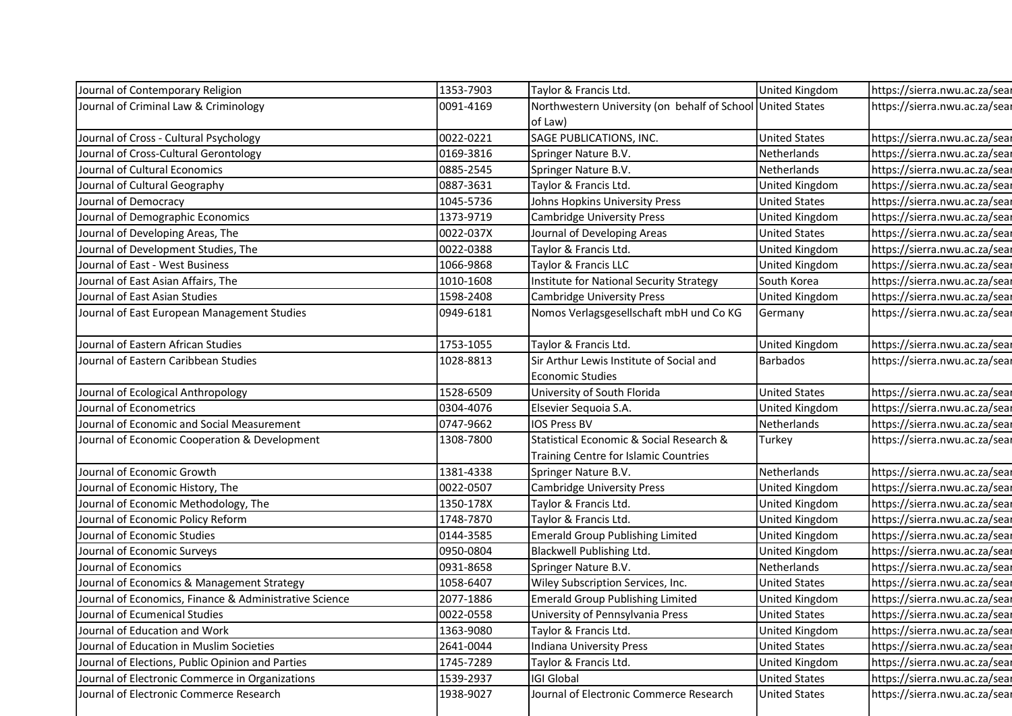| Journal of Contemporary Religion                                                           | 1353-7903 | Taylor & Francis Ltd.                                      | United Kingdom        | https://sierra.nwu.ac.za/sear |
|--------------------------------------------------------------------------------------------|-----------|------------------------------------------------------------|-----------------------|-------------------------------|
| Journal of Criminal Law & Criminology                                                      | 0091-4169 | Northwestern University (on behalf of School United States |                       | https://sierra.nwu.ac.za/sear |
|                                                                                            |           | of Law)                                                    |                       |                               |
| Journal of Cross - Cultural Psychology                                                     | 0022-0221 | SAGE PUBLICATIONS, INC.                                    | <b>United States</b>  | https://sierra.nwu.ac.za/sear |
| Journal of Cross-Cultural Gerontology                                                      | 0169-3816 | Springer Nature B.V.                                       | Netherlands           | https://sierra.nwu.ac.za/sear |
| Journal of Cultural Economics                                                              | 0885-2545 | Springer Nature B.V.                                       | Netherlands           | https://sierra.nwu.ac.za/sear |
| Journal of Cultural Geography                                                              | 0887-3631 | Taylor & Francis Ltd.                                      | United Kingdom        | https://sierra.nwu.ac.za/sear |
| Journal of Democracy                                                                       | 1045-5736 | Johns Hopkins University Press                             | <b>United States</b>  | https://sierra.nwu.ac.za/sear |
| Journal of Demographic Economics                                                           | 1373-9719 | Cambridge University Press                                 | United Kingdom        | https://sierra.nwu.ac.za/sear |
| Journal of Developing Areas, The                                                           | 0022-037X | Journal of Developing Areas                                | <b>United States</b>  | https://sierra.nwu.ac.za/sear |
| Journal of Development Studies, The                                                        | 0022-0388 | Taylor & Francis Ltd.                                      | United Kingdom        | https://sierra.nwu.ac.za/sear |
| Journal of East - West Business                                                            | 1066-9868 | Taylor & Francis LLC                                       | United Kingdom        | https://sierra.nwu.ac.za/sear |
| Journal of East Asian Affairs, The                                                         | 1010-1608 | Institute for National Security Strategy                   | South Korea           | https://sierra.nwu.ac.za/sear |
| Journal of East Asian Studies                                                              | 1598-2408 | <b>Cambridge University Press</b>                          | <b>United Kingdom</b> | https://sierra.nwu.ac.za/sear |
| Journal of East European Management Studies                                                | 0949-6181 | Nomos Verlagsgesellschaft mbH und Co KG                    | Germany               | https://sierra.nwu.ac.za/sear |
| Journal of Eastern African Studies                                                         | 1753-1055 | Taylor & Francis Ltd.                                      | United Kingdom        | https://sierra.nwu.ac.za/sear |
| Journal of Eastern Caribbean Studies                                                       | 1028-8813 | Sir Arthur Lewis Institute of Social and                   | Barbados              | https://sierra.nwu.ac.za/sear |
|                                                                                            |           | <b>Economic Studies</b>                                    |                       |                               |
| Journal of Ecological Anthropology                                                         | 1528-6509 | University of South Florida                                | <b>United States</b>  | https://sierra.nwu.ac.za/sear |
| Journal of Econometrics                                                                    | 0304-4076 | Elsevier Sequoia S.A.                                      | United Kingdom        | https://sierra.nwu.ac.za/sear |
| Journal of Economic and Social Measurement                                                 | 0747-9662 | <b>IOS Press BV</b>                                        | Netherlands           | https://sierra.nwu.ac.za/sear |
| Journal of Economic Cooperation & Development                                              | 1308-7800 | Statistical Economic & Social Research &                   | Turkey                | https://sierra.nwu.ac.za/sear |
|                                                                                            |           | Training Centre for Islamic Countries                      |                       |                               |
| Journal of Economic Growth                                                                 | 1381-4338 | Springer Nature B.V.                                       | Netherlands           | https://sierra.nwu.ac.za/sear |
| Journal of Economic History, The                                                           | 0022-0507 | <b>Cambridge University Press</b>                          | United Kingdom        | https://sierra.nwu.ac.za/sear |
| Journal of Economic Methodology, The                                                       | 1350-178X | Taylor & Francis Ltd.                                      | <b>United Kingdom</b> | https://sierra.nwu.ac.za/sear |
| Journal of Economic Policy Reform                                                          | 1748-7870 | Taylor & Francis Ltd.                                      | United Kingdom        | https://sierra.nwu.ac.za/sear |
| Journal of Economic Studies                                                                | 0144-3585 | <b>Emerald Group Publishing Limited</b>                    | <b>United Kingdom</b> | https://sierra.nwu.ac.za/sear |
| Journal of Economic Surveys                                                                | 0950-0804 | Blackwell Publishing Ltd.                                  | United Kingdom        | https://sierra.nwu.ac.za/sear |
| Journal of Economics                                                                       | 0931-8658 | Springer Nature B.V.                                       | Netherlands           | https://sierra.nwu.ac.za/sear |
| Journal of Economics & Management Strategy                                                 | 1058-6407 | Wiley Subscription Services, Inc.                          | <b>United States</b>  | https://sierra.nwu.ac.za/sear |
| Journal of Economics, Finance & Administrative Science                                     | 2077-1886 | <b>Emerald Group Publishing Limited</b>                    | United Kingdom        | https://sierra.nwu.ac.za/sear |
| Journal of Ecumenical Studies                                                              | 0022-0558 | University of Pennsylvania Press                           | <b>United States</b>  | https://sierra.nwu.ac.za/sear |
| Journal of Education and Work                                                              | 1363-9080 | Taylor & Francis Ltd.                                      | United Kingdom        | https://sierra.nwu.ac.za/sear |
| Journal of Education in Muslim Societies                                                   | 2641-0044 | Indiana University Press                                   | <b>United States</b>  | https://sierra.nwu.ac.za/sear |
| Journal of Elections, Public Opinion and Parties                                           | 1745-7289 | Taylor & Francis Ltd.                                      | United Kingdom        | https://sierra.nwu.ac.za/sear |
| Journal of Electronic Commerce in Organizations<br>Journal of Electronic Commerce Research | 1539-2937 | <b>IGI Global</b>                                          | <b>United States</b>  | https://sierra.nwu.ac.za/sear |
|                                                                                            | 1938-9027 | Journal of Electronic Commerce Research                    | <b>United States</b>  | https://sierra.nwu.ac.za/sear |
|                                                                                            |           |                                                            |                       |                               |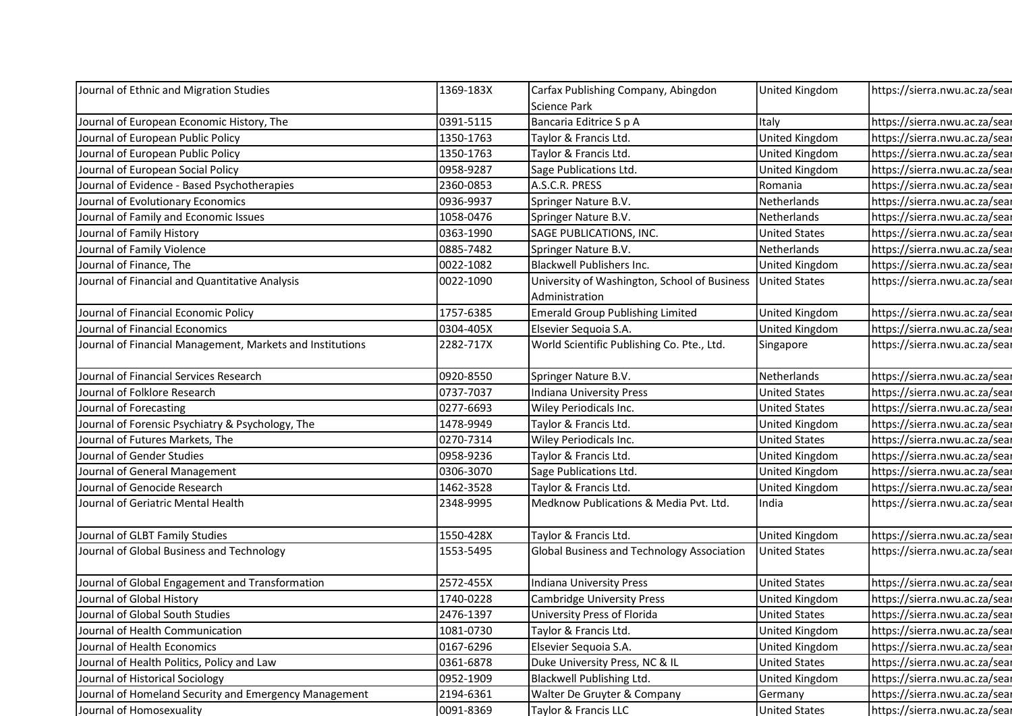| Journal of Ethnic and Migration Studies                   | 1369-183X | Carfax Publishing Company, Abingdon          | United Kingdom        | https://sierra.nwu.ac.za/sear |
|-----------------------------------------------------------|-----------|----------------------------------------------|-----------------------|-------------------------------|
|                                                           |           | Science Park                                 |                       |                               |
| Journal of European Economic History, The                 | 0391-5115 | Bancaria Editrice S p A                      | Italy                 | https://sierra.nwu.ac.za/sear |
| Journal of European Public Policy                         | 1350-1763 | Taylor & Francis Ltd.                        | United Kingdom        | https://sierra.nwu.ac.za/sear |
| Journal of European Public Policy                         | 1350-1763 | Taylor & Francis Ltd.                        | United Kingdom        | https://sierra.nwu.ac.za/sear |
| Journal of European Social Policy                         | 0958-9287 | Sage Publications Ltd.                       | United Kingdom        | https://sierra.nwu.ac.za/sear |
| Journal of Evidence - Based Psychotherapies               | 2360-0853 | A.S.C.R. PRESS                               | Romania               | https://sierra.nwu.ac.za/sear |
| Journal of Evolutionary Economics                         | 0936-9937 | Springer Nature B.V.                         | Netherlands           | https://sierra.nwu.ac.za/sear |
| Journal of Family and Economic Issues                     | 1058-0476 | Springer Nature B.V.                         | Netherlands           | https://sierra.nwu.ac.za/sear |
| Journal of Family History                                 | 0363-1990 | SAGE PUBLICATIONS, INC.                      | <b>United States</b>  | https://sierra.nwu.ac.za/sear |
| Journal of Family Violence                                | 0885-7482 | Springer Nature B.V.                         | Netherlands           | https://sierra.nwu.ac.za/sear |
| Journal of Finance, The                                   | 0022-1082 | Blackwell Publishers Inc.                    | <b>United Kingdom</b> | https://sierra.nwu.ac.za/sear |
| Journal of Financial and Quantitative Analysis            | 0022-1090 | University of Washington, School of Business | <b>United States</b>  | https://sierra.nwu.ac.za/sear |
|                                                           |           | Administration                               |                       |                               |
| Journal of Financial Economic Policy                      | 1757-6385 | <b>Emerald Group Publishing Limited</b>      | <b>United Kingdom</b> | https://sierra.nwu.ac.za/sear |
| Journal of Financial Economics                            | 0304-405X | Elsevier Sequoia S.A.                        | United Kingdom        | https://sierra.nwu.ac.za/sear |
| Journal of Financial Management, Markets and Institutions | 2282-717X | World Scientific Publishing Co. Pte., Ltd.   | Singapore             | https://sierra.nwu.ac.za/sear |
| Journal of Financial Services Research                    | 0920-8550 | Springer Nature B.V.                         | Netherlands           | https://sierra.nwu.ac.za/sear |
| Journal of Folklore Research                              | 0737-7037 | Indiana University Press                     | <b>United States</b>  | https://sierra.nwu.ac.za/sear |
| Journal of Forecasting                                    | 0277-6693 | Wiley Periodicals Inc.                       | <b>United States</b>  | https://sierra.nwu.ac.za/sear |
| Journal of Forensic Psychiatry & Psychology, The          | 1478-9949 | Taylor & Francis Ltd.                        | United Kingdom        | https://sierra.nwu.ac.za/sear |
| Journal of Futures Markets, The                           | 0270-7314 | Wiley Periodicals Inc.                       | <b>United States</b>  | https://sierra.nwu.ac.za/sear |
| Journal of Gender Studies                                 | 0958-9236 | Taylor & Francis Ltd.                        | United Kingdom        | https://sierra.nwu.ac.za/sear |
| Journal of General Management                             | 0306-3070 | Sage Publications Ltd.                       | United Kingdom        | https://sierra.nwu.ac.za/sear |
| Journal of Genocide Research                              | 1462-3528 | Taylor & Francis Ltd.                        | United Kingdom        | https://sierra.nwu.ac.za/sear |
| Journal of Geriatric Mental Health                        | 2348-9995 | Medknow Publications & Media Pvt. Ltd.       | India                 | https://sierra.nwu.ac.za/sear |
| Journal of GLBT Family Studies                            | 1550-428X | Taylor & Francis Ltd.                        | United Kingdom        | https://sierra.nwu.ac.za/sear |
| Journal of Global Business and Technology                 | 1553-5495 | Global Business and Technology Association   | <b>United States</b>  | https://sierra.nwu.ac.za/sear |
| Journal of Global Engagement and Transformation           | 2572-455X | Indiana University Press                     | <b>United States</b>  | https://sierra.nwu.ac.za/sear |
| Journal of Global History                                 | 1740-0228 | <b>Cambridge University Press</b>            | United Kingdom        | https://sierra.nwu.ac.za/sear |
| Journal of Global South Studies                           | 2476-1397 | University Press of Florida                  | <b>United States</b>  | https://sierra.nwu.ac.za/sear |
| Journal of Health Communication                           | 1081-0730 | Taylor & Francis Ltd.                        | United Kingdom        | https://sierra.nwu.ac.za/sear |
| Journal of Health Economics                               | 0167-6296 | Elsevier Sequoia S.A.                        | United Kingdom        | https://sierra.nwu.ac.za/sear |
| Journal of Health Politics, Policy and Law                | 0361-6878 | Duke University Press, NC & IL               | <b>United States</b>  | https://sierra.nwu.ac.za/sear |
| Journal of Historical Sociology                           | 0952-1909 | Blackwell Publishing Ltd.                    | <b>United Kingdom</b> | https://sierra.nwu.ac.za/sear |
|                                                           |           | Walter De Gruyter & Company                  | Germany               | https://sierra.nwu.ac.za/sear |
| Journal of Homeland Security and Emergency Management     | 2194-6361 |                                              |                       |                               |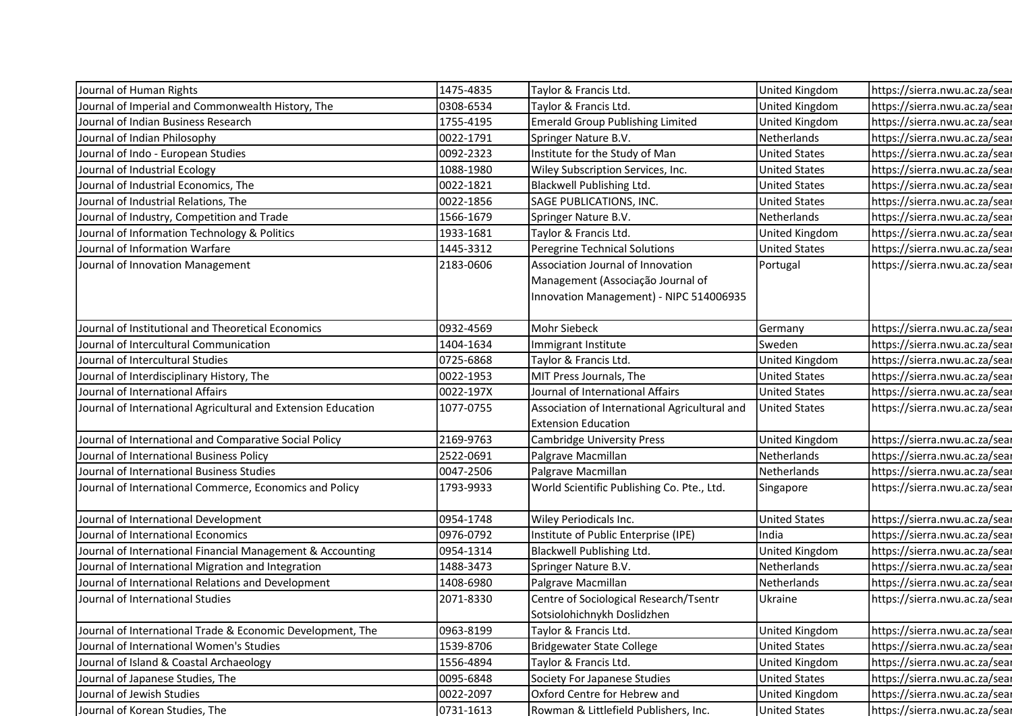| Journal of Human Rights                                       | 1475-4835 | Taylor & Francis Ltd.                         | <b>United Kingdom</b> | https://sierra.nwu.ac.za/sear |
|---------------------------------------------------------------|-----------|-----------------------------------------------|-----------------------|-------------------------------|
| Journal of Imperial and Commonwealth History, The             | 0308-6534 | Taylor & Francis Ltd.                         | United Kingdom        | https://sierra.nwu.ac.za/sear |
| Journal of Indian Business Research                           | 1755-4195 | <b>Emerald Group Publishing Limited</b>       | United Kingdom        | https://sierra.nwu.ac.za/sear |
| Journal of Indian Philosophy                                  | 0022-1791 | Springer Nature B.V.                          | Netherlands           | https://sierra.nwu.ac.za/sear |
| Journal of Indo - European Studies                            | 0092-2323 | Institute for the Study of Man                | <b>United States</b>  | https://sierra.nwu.ac.za/sear |
| Journal of Industrial Ecology                                 | 1088-1980 | Wiley Subscription Services, Inc.             | <b>United States</b>  | https://sierra.nwu.ac.za/sear |
| Journal of Industrial Economics, The                          | 0022-1821 | Blackwell Publishing Ltd.                     | <b>United States</b>  | https://sierra.nwu.ac.za/sear |
| Journal of Industrial Relations, The                          | 0022-1856 | SAGE PUBLICATIONS, INC.                       | <b>United States</b>  | https://sierra.nwu.ac.za/sear |
| Journal of Industry, Competition and Trade                    | 1566-1679 | Springer Nature B.V.                          | Netherlands           | https://sierra.nwu.ac.za/sear |
| Journal of Information Technology & Politics                  | 1933-1681 | Taylor & Francis Ltd.                         | United Kingdom        | https://sierra.nwu.ac.za/sear |
| Journal of Information Warfare                                | 1445-3312 | Peregrine Technical Solutions                 | <b>United States</b>  | https://sierra.nwu.ac.za/sear |
| Journal of Innovation Management                              | 2183-0606 | Association Journal of Innovation             | Portugal              | https://sierra.nwu.ac.za/sear |
|                                                               |           | Management (Associação Journal of             |                       |                               |
|                                                               |           | Innovation Management) - NIPC 514006935       |                       |                               |
|                                                               |           |                                               |                       |                               |
| Journal of Institutional and Theoretical Economics            | 0932-4569 | <b>Mohr Siebeck</b>                           | Germany               | https://sierra.nwu.ac.za/sear |
| Journal of Intercultural Communication                        | 1404-1634 | Immigrant Institute                           | Sweden                | https://sierra.nwu.ac.za/sear |
| Journal of Intercultural Studies                              | 0725-6868 | Taylor & Francis Ltd.                         | <b>United Kingdom</b> | https://sierra.nwu.ac.za/sear |
| Journal of Interdisciplinary History, The                     | 0022-1953 | MIT Press Journals, The                       | <b>United States</b>  | https://sierra.nwu.ac.za/sear |
| Journal of International Affairs                              | 0022-197X | Journal of International Affairs              | <b>United States</b>  | https://sierra.nwu.ac.za/sear |
| Journal of International Agricultural and Extension Education | 1077-0755 | Association of International Agricultural and | <b>United States</b>  | https://sierra.nwu.ac.za/sear |
|                                                               |           | <b>Extension Education</b>                    |                       |                               |
| Journal of International and Comparative Social Policy        | 2169-9763 | <b>Cambridge University Press</b>             | United Kingdom        | https://sierra.nwu.ac.za/sear |
| Journal of International Business Policy                      | 2522-0691 | Palgrave Macmillan                            | Netherlands           | https://sierra.nwu.ac.za/sear |
| Journal of International Business Studies                     | 0047-2506 | Palgrave Macmillan                            | Netherlands           | https://sierra.nwu.ac.za/sear |
| Journal of International Commerce, Economics and Policy       | 1793-9933 | World Scientific Publishing Co. Pte., Ltd.    | Singapore             | https://sierra.nwu.ac.za/sear |
| Journal of International Development                          | 0954-1748 | Wiley Periodicals Inc.                        | <b>United States</b>  | https://sierra.nwu.ac.za/sear |
| Journal of International Economics                            | 0976-0792 | Institute of Public Enterprise (IPE)          | India                 | https://sierra.nwu.ac.za/sear |
| Journal of International Financial Management & Accounting    | 0954-1314 | Blackwell Publishing Ltd.                     | <b>United Kingdom</b> | https://sierra.nwu.ac.za/sear |
| Journal of International Migration and Integration            | 1488-3473 | Springer Nature B.V.                          | Netherlands           | https://sierra.nwu.ac.za/sear |
| Journal of International Relations and Development            | 1408-6980 | Palgrave Macmillan                            | Netherlands           | https://sierra.nwu.ac.za/sear |
| Journal of International Studies                              | 2071-8330 | Centre of Sociological Research/Tsentr        | Ukraine               | https://sierra.nwu.ac.za/sear |
|                                                               |           | Sotsiolohichnykh Doslidzhen                   |                       |                               |
| Journal of International Trade & Economic Development, The    | 0963-8199 | Taylor & Francis Ltd.                         | United Kingdom        | https://sierra.nwu.ac.za/sear |
| Journal of International Women's Studies                      | 1539-8706 | <b>Bridgewater State College</b>              | <b>United States</b>  | https://sierra.nwu.ac.za/sear |
| Journal of Island & Coastal Archaeology                       | 1556-4894 | Taylor & Francis Ltd.                         | United Kingdom        | https://sierra.nwu.ac.za/sear |
| Journal of Japanese Studies, The                              | 0095-6848 | Society For Japanese Studies                  | <b>United States</b>  | https://sierra.nwu.ac.za/sear |
| Journal of Jewish Studies                                     | 0022-2097 | Oxford Centre for Hebrew and                  | United Kingdom        | https://sierra.nwu.ac.za/sear |
| Journal of Korean Studies, The                                | 0731-1613 | Rowman & Littlefield Publishers, Inc.         | <b>United States</b>  | https://sierra.nwu.ac.za/sear |
|                                                               |           |                                               |                       |                               |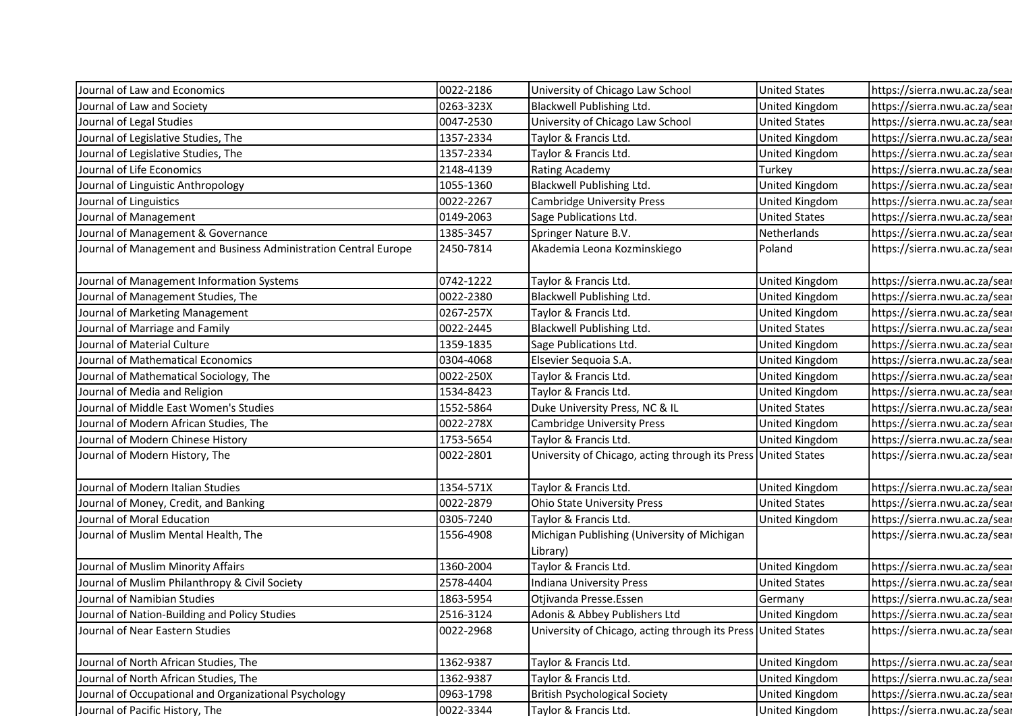| Journal of Law and Economics                                     | 0022-2186 | University of Chicago Law School                              | <b>United States</b>  | https://sierra.nwu.ac.za/sear                                  |
|------------------------------------------------------------------|-----------|---------------------------------------------------------------|-----------------------|----------------------------------------------------------------|
| Journal of Law and Society                                       | 0263-323X | Blackwell Publishing Ltd.                                     | <b>United Kingdom</b> | https://sierra.nwu.ac.za/sear                                  |
| Journal of Legal Studies                                         | 0047-2530 | University of Chicago Law School                              | <b>United States</b>  | https://sierra.nwu.ac.za/sear                                  |
| Journal of Legislative Studies, The                              | 1357-2334 | Taylor & Francis Ltd.                                         | United Kingdom        | https://sierra.nwu.ac.za/sear                                  |
| Journal of Legislative Studies, The                              | 1357-2334 | Taylor & Francis Ltd.                                         | United Kingdom        | https://sierra.nwu.ac.za/sear                                  |
| Journal of Life Economics                                        | 2148-4139 | <b>Rating Academy</b>                                         | Turkey                | https://sierra.nwu.ac.za/sear                                  |
| Journal of Linguistic Anthropology                               | 1055-1360 | Blackwell Publishing Ltd.                                     | United Kingdom        | https://sierra.nwu.ac.za/sear                                  |
| Journal of Linguistics                                           | 0022-2267 | <b>Cambridge University Press</b>                             | United Kingdom        | https://sierra.nwu.ac.za/sear                                  |
| Journal of Management                                            | 0149-2063 | Sage Publications Ltd.                                        | <b>United States</b>  | https://sierra.nwu.ac.za/sear                                  |
| Journal of Management & Governance                               | 1385-3457 | Springer Nature B.V.                                          | Netherlands           | https://sierra.nwu.ac.za/sear                                  |
| Journal of Management and Business Administration Central Europe | 2450-7814 | Akademia Leona Kozminskiego                                   | Poland                | https://sierra.nwu.ac.za/sear                                  |
| Journal of Management Information Systems                        | 0742-1222 | Taylor & Francis Ltd.                                         | United Kingdom        | https://sierra.nwu.ac.za/sear                                  |
| Journal of Management Studies, The                               | 0022-2380 | Blackwell Publishing Ltd.                                     | United Kingdom        | https://sierra.nwu.ac.za/sear                                  |
| Journal of Marketing Management                                  | 0267-257X | Taylor & Francis Ltd.                                         | United Kingdom        | https://sierra.nwu.ac.za/sear                                  |
| Journal of Marriage and Family                                   | 0022-2445 | <b>Blackwell Publishing Ltd.</b>                              | <b>United States</b>  | https://sierra.nwu.ac.za/sear                                  |
| Journal of Material Culture                                      | 1359-1835 | Sage Publications Ltd.                                        | United Kingdom        | https://sierra.nwu.ac.za/sear                                  |
| Journal of Mathematical Economics                                | 0304-4068 | Elsevier Sequoia S.A.                                         | United Kingdom        | https://sierra.nwu.ac.za/sear                                  |
| Journal of Mathematical Sociology, The                           | 0022-250X | Taylor & Francis Ltd.                                         | United Kingdom        | https://sierra.nwu.ac.za/sear                                  |
| Journal of Media and Religion                                    | 1534-8423 | Taylor & Francis Ltd.                                         | <b>United Kingdom</b> | https://sierra.nwu.ac.za/sear                                  |
| Journal of Middle East Women's Studies                           | 1552-5864 | Duke University Press, NC & IL                                | <b>United States</b>  | https://sierra.nwu.ac.za/sear                                  |
| Journal of Modern African Studies, The                           | 0022-278X | <b>Cambridge University Press</b>                             | United Kingdom        | https://sierra.nwu.ac.za/sear                                  |
| Journal of Modern Chinese History                                | 1753-5654 | Taylor & Francis Ltd.                                         | <b>United Kingdom</b> | https://sierra.nwu.ac.za/sear                                  |
| Journal of Modern History, The                                   | 0022-2801 | University of Chicago, acting through its Press               | <b>United States</b>  | https://sierra.nwu.ac.za/sear                                  |
|                                                                  |           |                                                               |                       |                                                                |
| Journal of Modern Italian Studies                                | 1354-571X | Taylor & Francis Ltd.                                         | United Kingdom        | https://sierra.nwu.ac.za/sear                                  |
| Journal of Money, Credit, and Banking                            | 0022-2879 | <b>Ohio State University Press</b>                            | <b>United States</b>  | https://sierra.nwu.ac.za/sear                                  |
| Journal of Moral Education                                       | 0305-7240 | Taylor & Francis Ltd.                                         | <b>United Kingdom</b> | https://sierra.nwu.ac.za/sear                                  |
| Journal of Muslim Mental Health, The                             | 1556-4908 | Michigan Publishing (University of Michigan<br>Library)       |                       | https://sierra.nwu.ac.za/sear                                  |
| Journal of Muslim Minority Affairs                               | 1360-2004 | Taylor & Francis Ltd.                                         | United Kingdom        | https://sierra.nwu.ac.za/sear                                  |
| Journal of Muslim Philanthropy & Civil Society                   | 2578-4404 | Indiana University Press                                      | <b>United States</b>  | https://sierra.nwu.ac.za/sear                                  |
| Journal of Namibian Studies                                      | 1863-5954 | Otjivanda Presse.Essen                                        | Germany               | https://sierra.nwu.ac.za/sear                                  |
| Journal of Nation-Building and Policy Studies                    | 2516-3124 | Adonis & Abbey Publishers Ltd                                 | United Kingdom        | https://sierra.nwu.ac.za/sear                                  |
| Journal of Near Eastern Studies                                  | 0022-2968 | University of Chicago, acting through its Press United States |                       | https://sierra.nwu.ac.za/sear                                  |
| Journal of North African Studies, The                            | 1362-9387 | Taylor & Francis Ltd.                                         | United Kingdom        |                                                                |
| Journal of North African Studies, The                            | 1362-9387 | Taylor & Francis Ltd.                                         | <b>United Kingdom</b> | https://sierra.nwu.ac.za/sear<br>https://sierra.nwu.ac.za/sear |
| Journal of Occupational and Organizational Psychology            | 0963-1798 | <b>British Psychological Society</b>                          | United Kingdom        | https://sierra.nwu.ac.za/sear                                  |
|                                                                  |           |                                                               |                       |                                                                |
| Journal of Pacific History, The                                  | 0022-3344 | Taylor & Francis Ltd.                                         | <b>United Kingdom</b> | https://sierra.nwu.ac.za/sear                                  |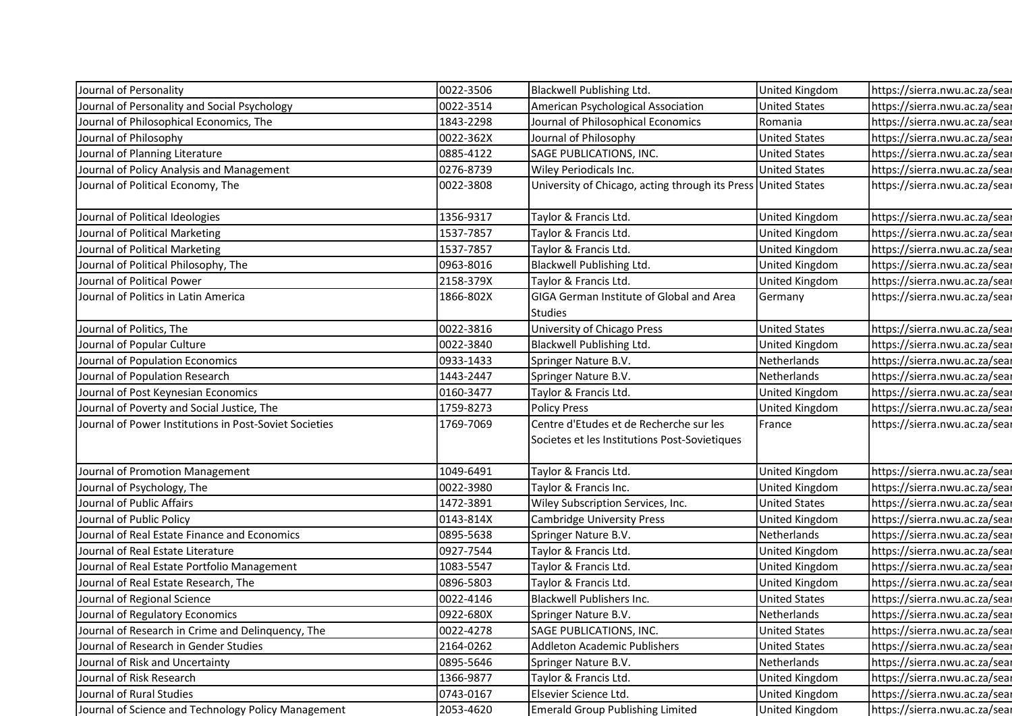| Journal of Personality                                 | 0022-3506 | Blackwell Publishing Ltd.                                     | <b>United Kingdom</b>         | https://sierra.nwu.ac.za/sear                                  |
|--------------------------------------------------------|-----------|---------------------------------------------------------------|-------------------------------|----------------------------------------------------------------|
| Journal of Personality and Social Psychology           | 0022-3514 | American Psychological Association                            | <b>United States</b>          | https://sierra.nwu.ac.za/sear                                  |
| Journal of Philosophical Economics, The                | 1843-2298 | Journal of Philosophical Economics                            | Romania                       | https://sierra.nwu.ac.za/sear                                  |
| Journal of Philosophy                                  | 0022-362X | Journal of Philosophy                                         | <b>United States</b>          | https://sierra.nwu.ac.za/sear                                  |
| Journal of Planning Literature                         | 0885-4122 | SAGE PUBLICATIONS, INC.                                       | <b>United States</b>          | https://sierra.nwu.ac.za/sear                                  |
| Journal of Policy Analysis and Management              | 0276-8739 | Wiley Periodicals Inc.                                        | <b>United States</b>          | https://sierra.nwu.ac.za/sear                                  |
| Journal of Political Economy, The                      | 0022-3808 | University of Chicago, acting through its Press United States |                               | https://sierra.nwu.ac.za/sear                                  |
| Journal of Political Ideologies                        | 1356-9317 | Taylor & Francis Ltd.                                         | United Kingdom                | https://sierra.nwu.ac.za/sear                                  |
| Journal of Political Marketing                         | 1537-7857 | Taylor & Francis Ltd.                                         | United Kingdom                | https://sierra.nwu.ac.za/sear                                  |
| Journal of Political Marketing                         | 1537-7857 | Taylor & Francis Ltd.                                         | <b>United Kingdom</b>         | https://sierra.nwu.ac.za/sear                                  |
| Journal of Political Philosophy, The                   | 0963-8016 | Blackwell Publishing Ltd.                                     | <b>United Kingdom</b>         | https://sierra.nwu.ac.za/sear                                  |
| Journal of Political Power                             | 2158-379X | Taylor & Francis Ltd.                                         | <b>United Kingdom</b>         | https://sierra.nwu.ac.za/sear                                  |
| Journal of Politics in Latin America                   | 1866-802X | GIGA German Institute of Global and Area                      | Germany                       | https://sierra.nwu.ac.za/sear                                  |
| Journal of Politics, The                               | 0022-3816 | <b>Studies</b>                                                | <b>United States</b>          |                                                                |
| Journal of Popular Culture                             | 0022-3840 | University of Chicago Press                                   |                               | https://sierra.nwu.ac.za/sear<br>https://sierra.nwu.ac.za/sear |
| Journal of Population Economics                        | 0933-1433 | Blackwell Publishing Ltd.                                     | United Kingdom<br>Netherlands | https://sierra.nwu.ac.za/sear                                  |
| Journal of Population Research                         | 1443-2447 | Springer Nature B.V.<br>Springer Nature B.V.                  | Netherlands                   | https://sierra.nwu.ac.za/sear                                  |
| Journal of Post Keynesian Economics                    | 0160-3477 | Taylor & Francis Ltd.                                         | United Kingdom                | https://sierra.nwu.ac.za/sear                                  |
| Journal of Poverty and Social Justice, The             | 1759-8273 | <b>Policy Press</b>                                           | <b>United Kingdom</b>         | https://sierra.nwu.ac.za/sear                                  |
| Journal of Power Institutions in Post-Soviet Societies | 1769-7069 | Centre d'Etudes et de Recherche sur les                       | France                        | https://sierra.nwu.ac.za/sear                                  |
|                                                        |           | Societes et les Institutions Post-Sovietiques                 |                               |                                                                |
|                                                        |           |                                                               |                               |                                                                |
| Journal of Promotion Management                        | 1049-6491 | Taylor & Francis Ltd.                                         | United Kingdom                | https://sierra.nwu.ac.za/sear                                  |
| Journal of Psychology, The                             | 0022-3980 | Taylor & Francis Inc.                                         | United Kingdom                | https://sierra.nwu.ac.za/sear                                  |
| Journal of Public Affairs                              | 1472-3891 | Wiley Subscription Services, Inc.                             | <b>United States</b>          | https://sierra.nwu.ac.za/sear                                  |
| Journal of Public Policy                               | 0143-814X | <b>Cambridge University Press</b>                             | United Kingdom                | https://sierra.nwu.ac.za/sear                                  |
| Journal of Real Estate Finance and Economics           | 0895-5638 | Springer Nature B.V.                                          | Netherlands                   | https://sierra.nwu.ac.za/sear                                  |
| Journal of Real Estate Literature                      | 0927-7544 | Taylor & Francis Ltd.                                         | United Kingdom                | https://sierra.nwu.ac.za/sear                                  |
| Journal of Real Estate Portfolio Management            | 1083-5547 | Taylor & Francis Ltd.                                         | United Kingdom                | https://sierra.nwu.ac.za/sear                                  |
| Journal of Real Estate Research, The                   | 0896-5803 | Taylor & Francis Ltd.                                         | United Kingdom                | https://sierra.nwu.ac.za/sear                                  |
| Journal of Regional Science                            | 0022-4146 | Blackwell Publishers Inc.                                     | <b>United States</b>          | https://sierra.nwu.ac.za/sear                                  |
| Journal of Regulatory Economics                        | 0922-680X | Springer Nature B.V.                                          | Netherlands                   | https://sierra.nwu.ac.za/sear                                  |
| Journal of Research in Crime and Delinquency, The      | 0022-4278 | SAGE PUBLICATIONS, INC.                                       | <b>United States</b>          | https://sierra.nwu.ac.za/sear                                  |
| Journal of Research in Gender Studies                  | 2164-0262 | Addleton Academic Publishers                                  | <b>United States</b>          | https://sierra.nwu.ac.za/sear                                  |
| Journal of Risk and Uncertainty                        | 0895-5646 | Springer Nature B.V.                                          | Netherlands                   | https://sierra.nwu.ac.za/sear                                  |
| Journal of Risk Research                               | 1366-9877 | Taylor & Francis Ltd.                                         | United Kingdom                | https://sierra.nwu.ac.za/sear                                  |
| Journal of Rural Studies                               | 0743-0167 | Elsevier Science Ltd.                                         | United Kingdom                | https://sierra.nwu.ac.za/sear<br>https://sierra.nwu.ac.za/sear |
| Journal of Science and Technology Policy Management    | 2053-4620 | <b>Emerald Group Publishing Limited</b>                       | United Kingdom                |                                                                |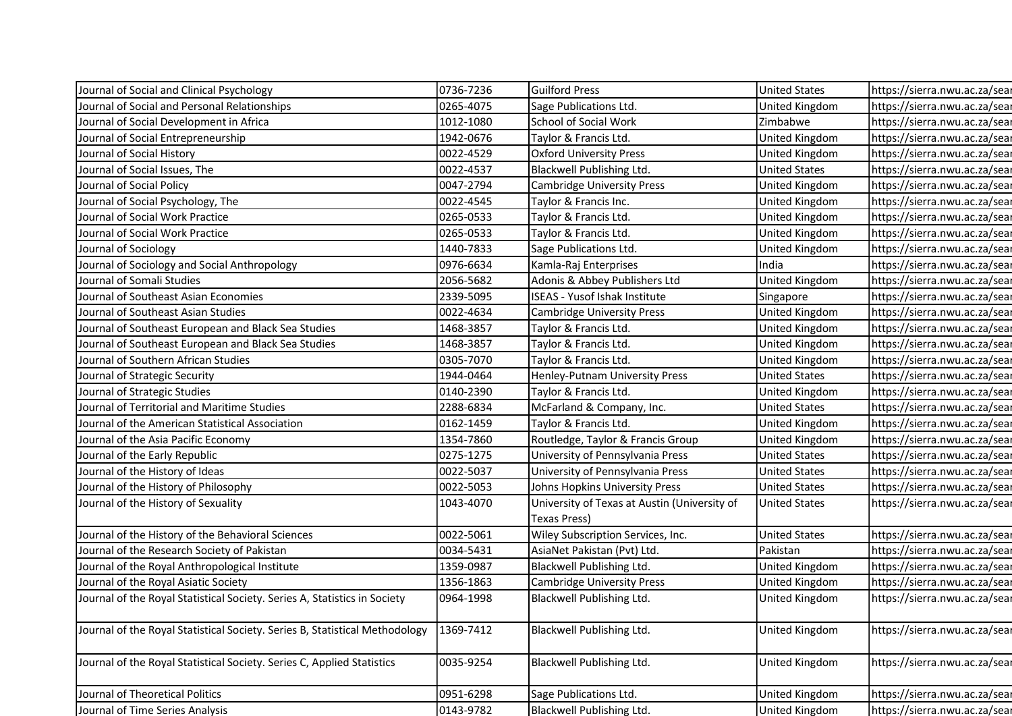| Journal of Social and Clinical Psychology                                   | 0736-7236 | <b>Guilford Press</b>                                               | <b>United States</b>  | https://sierra.nwu.ac.za/sear |
|-----------------------------------------------------------------------------|-----------|---------------------------------------------------------------------|-----------------------|-------------------------------|
| Journal of Social and Personal Relationships                                | 0265-4075 | Sage Publications Ltd.                                              | <b>United Kingdom</b> | https://sierra.nwu.ac.za/sear |
| Journal of Social Development in Africa                                     | 1012-1080 | School of Social Work                                               | Zimbabwe              | https://sierra.nwu.ac.za/sear |
| Journal of Social Entrepreneurship                                          | 1942-0676 | Taylor & Francis Ltd.                                               | United Kingdom        | https://sierra.nwu.ac.za/sear |
| Journal of Social History                                                   | 0022-4529 | <b>Oxford University Press</b>                                      | United Kingdom        | https://sierra.nwu.ac.za/sear |
| Journal of Social Issues, The                                               | 0022-4537 | Blackwell Publishing Ltd.                                           | <b>United States</b>  | https://sierra.nwu.ac.za/sear |
| Journal of Social Policy                                                    | 0047-2794 | <b>Cambridge University Press</b>                                   | United Kingdom        | https://sierra.nwu.ac.za/sear |
| Journal of Social Psychology, The                                           | 0022-4545 | Taylor & Francis Inc.                                               | United Kingdom        | https://sierra.nwu.ac.za/sear |
| Journal of Social Work Practice                                             | 0265-0533 | Taylor & Francis Ltd.                                               | United Kingdom        | https://sierra.nwu.ac.za/sear |
| Journal of Social Work Practice                                             | 0265-0533 | Taylor & Francis Ltd.                                               | United Kingdom        | https://sierra.nwu.ac.za/sear |
| Journal of Sociology                                                        | 1440-7833 | Sage Publications Ltd.                                              | United Kingdom        | https://sierra.nwu.ac.za/sear |
| Journal of Sociology and Social Anthropology                                | 0976-6634 | Kamla-Raj Enterprises                                               | India                 | https://sierra.nwu.ac.za/sear |
| Journal of Somali Studies                                                   | 2056-5682 | Adonis & Abbey Publishers Ltd                                       | United Kingdom        | https://sierra.nwu.ac.za/sear |
| Journal of Southeast Asian Economies                                        | 2339-5095 | <b>ISEAS - Yusof Ishak Institute</b>                                | Singapore             | https://sierra.nwu.ac.za/sear |
| Journal of Southeast Asian Studies                                          | 0022-4634 | Cambridge University Press                                          | United Kingdom        | https://sierra.nwu.ac.za/sear |
| Journal of Southeast European and Black Sea Studies                         | 1468-3857 | Taylor & Francis Ltd.                                               | United Kingdom        | https://sierra.nwu.ac.za/sear |
| Journal of Southeast European and Black Sea Studies                         | 1468-3857 | Taylor & Francis Ltd.                                               | <b>United Kingdom</b> | https://sierra.nwu.ac.za/sear |
| Journal of Southern African Studies                                         | 0305-7070 | Taylor & Francis Ltd.                                               | United Kingdom        | https://sierra.nwu.ac.za/sear |
| Journal of Strategic Security                                               | 1944-0464 | Henley-Putnam University Press                                      | <b>United States</b>  | https://sierra.nwu.ac.za/sear |
| Journal of Strategic Studies                                                | 0140-2390 | Taylor & Francis Ltd.                                               | United Kingdom        | https://sierra.nwu.ac.za/sear |
| Journal of Territorial and Maritime Studies                                 | 2288-6834 | McFarland & Company, Inc.                                           | <b>United States</b>  | https://sierra.nwu.ac.za/sear |
| Journal of the American Statistical Association                             | 0162-1459 | Taylor & Francis Ltd.                                               | United Kingdom        | https://sierra.nwu.ac.za/sear |
| Journal of the Asia Pacific Economy                                         | 1354-7860 | Routledge, Taylor & Francis Group                                   | United Kingdom        | https://sierra.nwu.ac.za/sear |
| Journal of the Early Republic                                               | 0275-1275 | University of Pennsylvania Press                                    | <b>United States</b>  | https://sierra.nwu.ac.za/sear |
| Journal of the History of Ideas                                             | 0022-5037 | University of Pennsylvania Press                                    | <b>United States</b>  | https://sierra.nwu.ac.za/sear |
| Journal of the History of Philosophy                                        | 0022-5053 | Johns Hopkins University Press                                      | <b>United States</b>  | https://sierra.nwu.ac.za/sear |
| Journal of the History of Sexuality                                         | 1043-4070 | University of Texas at Austin (University of<br><b>Texas Press)</b> | <b>United States</b>  | https://sierra.nwu.ac.za/sear |
| Journal of the History of the Behavioral Sciences                           | 0022-5061 | Wiley Subscription Services, Inc.                                   | <b>United States</b>  | https://sierra.nwu.ac.za/sear |
| Journal of the Research Society of Pakistan                                 | 0034-5431 | AsiaNet Pakistan (Pvt) Ltd.                                         | Pakistan              | https://sierra.nwu.ac.za/sear |
| Journal of the Royal Anthropological Institute                              | 1359-0987 | Blackwell Publishing Ltd.                                           | <b>United Kingdom</b> | https://sierra.nwu.ac.za/sear |
| Journal of the Royal Asiatic Society                                        | 1356-1863 | <b>Cambridge University Press</b>                                   | <b>United Kingdom</b> | https://sierra.nwu.ac.za/sear |
| Journal of the Royal Statistical Society. Series A, Statistics in Society   | 0964-1998 | Blackwell Publishing Ltd.                                           | United Kingdom        | https://sierra.nwu.ac.za/sear |
| Journal of the Royal Statistical Society. Series B, Statistical Methodology | 1369-7412 | Blackwell Publishing Ltd.                                           | United Kingdom        | https://sierra.nwu.ac.za/sear |
| Journal of the Royal Statistical Society. Series C, Applied Statistics      | 0035-9254 | Blackwell Publishing Ltd.                                           | United Kingdom        | https://sierra.nwu.ac.za/sear |
| Journal of Theoretical Politics                                             | 0951-6298 | Sage Publications Ltd.                                              | United Kingdom        | https://sierra.nwu.ac.za/sear |
| Journal of Time Series Analysis                                             | 0143-9782 | Blackwell Publishing Ltd.                                           | <b>United Kingdom</b> | https://sierra.nwu.ac.za/sear |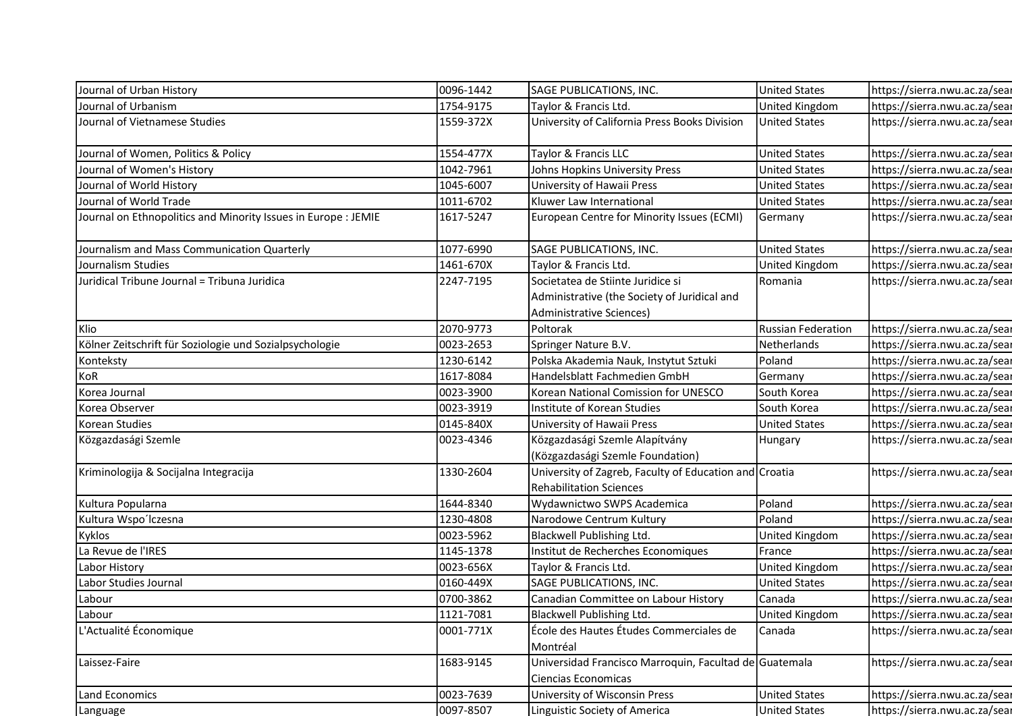| Journal of Urban History                                       | 0096-1442 | SAGE PUBLICATIONS, INC.                                                                  | <b>United States</b>      | https://sierra.nwu.ac.za/sear |
|----------------------------------------------------------------|-----------|------------------------------------------------------------------------------------------|---------------------------|-------------------------------|
| Journal of Urbanism                                            | 1754-9175 | Taylor & Francis Ltd.                                                                    | <b>United Kingdom</b>     | https://sierra.nwu.ac.za/sear |
| Journal of Vietnamese Studies                                  | 1559-372X | University of California Press Books Division                                            | <b>United States</b>      | https://sierra.nwu.ac.za/sear |
|                                                                |           |                                                                                          |                           |                               |
| Journal of Women, Politics & Policy                            | 1554-477X | Taylor & Francis LLC                                                                     | <b>United States</b>      | https://sierra.nwu.ac.za/sear |
| Journal of Women's History                                     | 1042-7961 | Johns Hopkins University Press                                                           | <b>United States</b>      | https://sierra.nwu.ac.za/sear |
| Journal of World History                                       | 1045-6007 | University of Hawaii Press                                                               | <b>United States</b>      | https://sierra.nwu.ac.za/sear |
| Journal of World Trade                                         | 1011-6702 | Kluwer Law International                                                                 | <b>United States</b>      | https://sierra.nwu.ac.za/sear |
| Journal on Ethnopolitics and Minority Issues in Europe : JEMIE | 1617-5247 | European Centre for Minority Issues (ECMI)                                               | Germany                   | https://sierra.nwu.ac.za/sear |
| Journalism and Mass Communication Quarterly                    | 1077-6990 | SAGE PUBLICATIONS, INC.                                                                  | <b>United States</b>      | https://sierra.nwu.ac.za/sear |
| Journalism Studies                                             | 1461-670X | Taylor & Francis Ltd.                                                                    | United Kingdom            | https://sierra.nwu.ac.za/sear |
| Juridical Tribune Journal = Tribuna Juridica                   | 2247-7195 | Societatea de Stiinte Juridice si                                                        | Romania                   | https://sierra.nwu.ac.za/sear |
|                                                                |           | Administrative (the Society of Juridical and                                             |                           |                               |
|                                                                |           | Administrative Sciences)                                                                 |                           |                               |
| Klio                                                           | 2070-9773 | Poltorak                                                                                 | <b>Russian Federation</b> | https://sierra.nwu.ac.za/sear |
| Kölner Zeitschrift für Soziologie und Sozialpsychologie        | 0023-2653 | Springer Nature B.V.                                                                     | Netherlands               | https://sierra.nwu.ac.za/sear |
| Konteksty                                                      | 1230-6142 | Polska Akademia Nauk, Instytut Sztuki                                                    | Poland                    | https://sierra.nwu.ac.za/sear |
| KoR                                                            | 1617-8084 | Handelsblatt Fachmedien GmbH                                                             | Germany                   | https://sierra.nwu.ac.za/sear |
| Korea Journal                                                  | 0023-3900 | Korean National Comission for UNESCO                                                     | South Korea               | https://sierra.nwu.ac.za/sear |
| Korea Observer                                                 | 0023-3919 | Institute of Korean Studies                                                              | South Korea               | https://sierra.nwu.ac.za/sear |
| Korean Studies                                                 | 0145-840X | University of Hawaii Press                                                               | <b>United States</b>      | https://sierra.nwu.ac.za/sear |
| Közgazdasági Szemle                                            | 0023-4346 | Közgazdasági Szemle Alapítvány                                                           | Hungary                   | https://sierra.nwu.ac.za/sear |
|                                                                |           | (Közgazdasági Szemle Foundation)                                                         |                           |                               |
| Kriminologija & Socijalna Integracija                          | 1330-2604 | University of Zagreb, Faculty of Education and Croatia<br><b>Rehabilitation Sciences</b> |                           | https://sierra.nwu.ac.za/sear |
| Kultura Popularna                                              | 1644-8340 | Wydawnictwo SWPS Academica                                                               | Poland                    | https://sierra.nwu.ac.za/sear |
| Kultura Wspo'lczesna                                           | 1230-4808 | Narodowe Centrum Kultury                                                                 | Poland                    | https://sierra.nwu.ac.za/sear |
| Kyklos                                                         | 0023-5962 | Blackwell Publishing Ltd.                                                                | United Kingdom            | https://sierra.nwu.ac.za/sear |
| La Revue de l'IRES                                             | 1145-1378 | Institut de Recherches Economiques                                                       | France                    | https://sierra.nwu.ac.za/sear |
| Labor History                                                  | 0023-656X | Taylor & Francis Ltd.                                                                    | United Kingdom            | https://sierra.nwu.ac.za/sear |
| Labor Studies Journal                                          | 0160-449X | SAGE PUBLICATIONS, INC.                                                                  | <b>United States</b>      | https://sierra.nwu.ac.za/sear |
| Labour                                                         | 0700-3862 | Canadian Committee on Labour History                                                     | Canada                    | https://sierra.nwu.ac.za/sear |
| Labour                                                         | 1121-7081 | Blackwell Publishing Ltd.                                                                | United Kingdom            | https://sierra.nwu.ac.za/sear |
| L'Actualité Économique                                         | 0001-771X | École des Hautes Études Commerciales de<br>Montréal                                      | Canada                    | https://sierra.nwu.ac.za/sear |
| Laissez-Faire                                                  | 1683-9145 | Universidad Francisco Marroquin, Facultad de Guatemala<br>Ciencias Economicas            |                           | https://sierra.nwu.ac.za/sear |
|                                                                | 0023-7639 | University of Wisconsin Press                                                            |                           |                               |
| Land Economics                                                 |           |                                                                                          | <b>United States</b>      | https://sierra.nwu.ac.za/sear |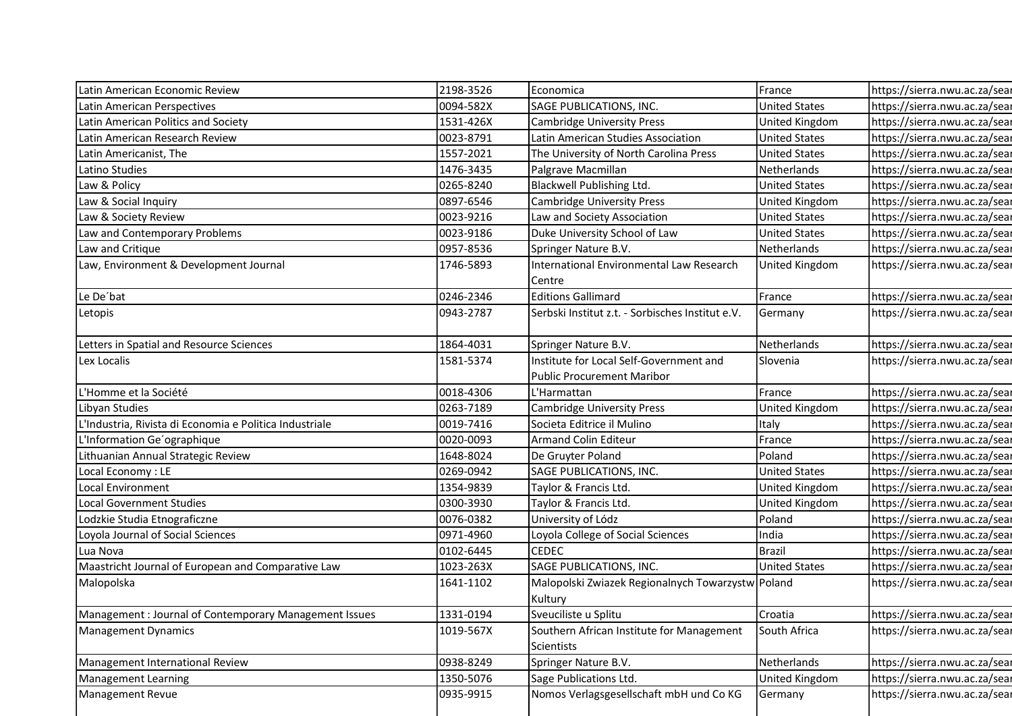| Latin American Economic Review                          | 2198-3526 | Economica                                         | France                | https://sierra.nwu.ac.za/sear |
|---------------------------------------------------------|-----------|---------------------------------------------------|-----------------------|-------------------------------|
| Latin American Perspectives                             | 0094-582X | SAGE PUBLICATIONS, INC.                           | <b>United States</b>  | https://sierra.nwu.ac.za/sear |
| Latin American Politics and Society                     | 1531-426X | <b>Cambridge University Press</b>                 | United Kingdom        | https://sierra.nwu.ac.za/sear |
| Latin American Research Review                          | 0023-8791 | Latin American Studies Association                | <b>United States</b>  | https://sierra.nwu.ac.za/sear |
| Latin Americanist, The                                  | 1557-2021 | The University of North Carolina Press            | <b>United States</b>  | https://sierra.nwu.ac.za/sear |
| Latino Studies                                          | 1476-3435 | Palgrave Macmillan                                | Netherlands           | https://sierra.nwu.ac.za/sear |
| Law & Policy                                            | 0265-8240 | Blackwell Publishing Ltd.                         | <b>United States</b>  | https://sierra.nwu.ac.za/sear |
| Law & Social Inquiry                                    | 0897-6546 | <b>Cambridge University Press</b>                 | United Kingdom        | https://sierra.nwu.ac.za/sear |
| Law & Society Review                                    | 0023-9216 | Law and Society Association                       | <b>United States</b>  | https://sierra.nwu.ac.za/sear |
| Law and Contemporary Problems                           | 0023-9186 | Duke University School of Law                     | <b>United States</b>  | https://sierra.nwu.ac.za/sear |
| Law and Critique                                        | 0957-8536 | Springer Nature B.V.                              | Netherlands           | https://sierra.nwu.ac.za/sear |
| Law, Environment & Development Journal                  | 1746-5893 | International Environmental Law Research          | United Kingdom        | https://sierra.nwu.ac.za/sear |
|                                                         |           | Centre                                            |                       |                               |
| Le De'bat                                               | 0246-2346 | <b>Editions Gallimard</b>                         | France                | https://sierra.nwu.ac.za/sear |
| Letopis                                                 | 0943-2787 | Serbski Institut z.t. - Sorbisches Institut e.V.  | Germany               | https://sierra.nwu.ac.za/sear |
| Letters in Spatial and Resource Sciences                | 1864-4031 | Springer Nature B.V.                              | Netherlands           | https://sierra.nwu.ac.za/sear |
| Lex Localis                                             | 1581-5374 | Institute for Local Self-Government and           | Slovenia              | https://sierra.nwu.ac.za/sear |
|                                                         |           | <b>Public Procurement Maribor</b>                 |                       |                               |
| L'Homme et la Société                                   | 0018-4306 | L'Harmattan                                       | France                | https://sierra.nwu.ac.za/sear |
| Libyan Studies                                          | 0263-7189 | <b>Cambridge University Press</b>                 | United Kingdom        | https://sierra.nwu.ac.za/sear |
| L'Industria, Rivista di Economia e Politica Industriale | 0019-7416 | Societa Editrice il Mulino                        | Italy                 | https://sierra.nwu.ac.za/sear |
| L'Information Ge'ographique                             | 0020-0093 | <b>Armand Colin Editeur</b>                       | France                | https://sierra.nwu.ac.za/sear |
| Lithuanian Annual Strategic Review                      | 1648-8024 | De Gruyter Poland                                 | Poland                | https://sierra.nwu.ac.za/sear |
| Local Economy: LE                                       | 0269-0942 | SAGE PUBLICATIONS, INC.                           | <b>United States</b>  | https://sierra.nwu.ac.za/sear |
| Local Environment                                       | 1354-9839 | Taylor & Francis Ltd.                             | United Kingdom        | https://sierra.nwu.ac.za/sear |
| <b>Local Government Studies</b>                         | 0300-3930 | Taylor & Francis Ltd.                             | <b>United Kingdom</b> | https://sierra.nwu.ac.za/sear |
| Lodzkie Studia Etnograficzne                            | 0076-0382 | University of Lódz                                | Poland                | https://sierra.nwu.ac.za/sear |
| Loyola Journal of Social Sciences                       | 0971-4960 | Loyola College of Social Sciences                 | India                 | https://sierra.nwu.ac.za/sear |
| Lua Nova                                                | 0102-6445 | <b>CEDEC</b>                                      | <b>Brazil</b>         | https://sierra.nwu.ac.za/sear |
| Maastricht Journal of European and Comparative Law      | 1023-263X | SAGE PUBLICATIONS, INC.                           | <b>United States</b>  | https://sierra.nwu.ac.za/sear |
| Malopolska                                              | 1641-1102 | Malopolski Zwiazek Regionalnych Towarzystw Poland |                       | https://sierra.nwu.ac.za/sear |
| Management : Journal of Contemporary Management Issues  | 1331-0194 | Kultury<br>Sveuciliste u Splitu                   | Croatia               | https://sierra.nwu.ac.za/sear |
| Management Dynamics                                     | 1019-567X | Southern African Institute for Management         | South Africa          | https://sierra.nwu.ac.za/sear |
|                                                         |           | Scientists                                        |                       |                               |
| Management International Review                         | 0938-8249 | Springer Nature B.V.                              | Netherlands           | https://sierra.nwu.ac.za/sear |
| Management Learning                                     | 1350-5076 | Sage Publications Ltd.                            | United Kingdom        | https://sierra.nwu.ac.za/sear |
| Management Revue                                        | 0935-9915 | Nomos Verlagsgesellschaft mbH und Co KG           | Germany               | https://sierra.nwu.ac.za/sear |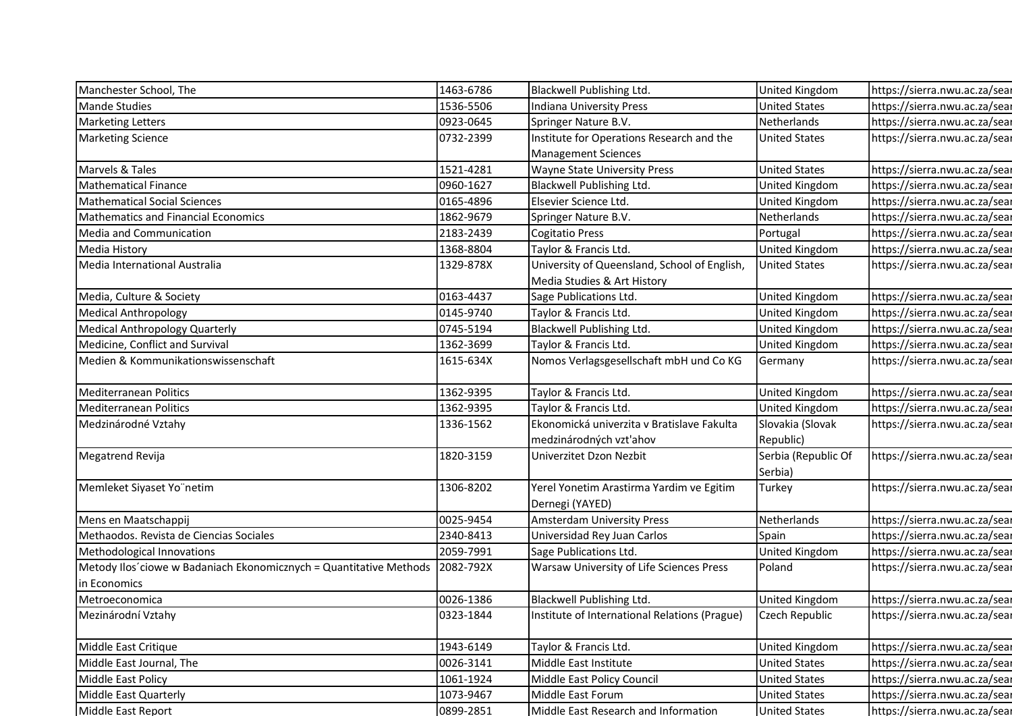| Manchester School, The                                             | 1463-6786 | Blackwell Publishing Ltd.                                                   | United Kingdom                 | https://sierra.nwu.ac.za/sear |
|--------------------------------------------------------------------|-----------|-----------------------------------------------------------------------------|--------------------------------|-------------------------------|
| <b>Mande Studies</b>                                               | 1536-5506 | Indiana University Press                                                    | <b>United States</b>           | https://sierra.nwu.ac.za/sear |
| <b>Marketing Letters</b>                                           | 0923-0645 | Springer Nature B.V.                                                        | Netherlands                    | https://sierra.nwu.ac.za/sear |
| <b>Marketing Science</b>                                           | 0732-2399 | Institute for Operations Research and the                                   | <b>United States</b>           | https://sierra.nwu.ac.za/sear |
|                                                                    |           | <b>Management Sciences</b>                                                  |                                |                               |
| Marvels & Tales                                                    | 1521-4281 | Wayne State University Press                                                | <b>United States</b>           | https://sierra.nwu.ac.za/sear |
| <b>Mathematical Finance</b>                                        | 0960-1627 | Blackwell Publishing Ltd.                                                   | United Kingdom                 | https://sierra.nwu.ac.za/sear |
| <b>Mathematical Social Sciences</b>                                | 0165-4896 | Elsevier Science Ltd.                                                       | United Kingdom                 | https://sierra.nwu.ac.za/sear |
| <b>Mathematics and Financial Economics</b>                         | 1862-9679 | Springer Nature B.V.                                                        | Netherlands                    | https://sierra.nwu.ac.za/sear |
| Media and Communication                                            | 2183-2439 | <b>Cogitatio Press</b>                                                      | Portugal                       | https://sierra.nwu.ac.za/sear |
| Media History                                                      | 1368-8804 | Taylor & Francis Ltd.                                                       | United Kingdom                 | https://sierra.nwu.ac.za/sear |
| Media International Australia                                      | 1329-878X | University of Queensland, School of English,<br>Media Studies & Art History | <b>United States</b>           | https://sierra.nwu.ac.za/sear |
| Media, Culture & Society                                           | 0163-4437 | Sage Publications Ltd.                                                      | United Kingdom                 | https://sierra.nwu.ac.za/sear |
| <b>Medical Anthropology</b>                                        | 0145-9740 | Taylor & Francis Ltd.                                                       | United Kingdom                 | https://sierra.nwu.ac.za/sear |
| <b>Medical Anthropology Quarterly</b>                              | 0745-5194 | Blackwell Publishing Ltd.                                                   | United Kingdom                 | https://sierra.nwu.ac.za/sear |
| Medicine, Conflict and Survival                                    | 1362-3699 | Taylor & Francis Ltd.                                                       | United Kingdom                 | https://sierra.nwu.ac.za/sear |
| Medien & Kommunikationswissenschaft                                | 1615-634X | Nomos Verlagsgesellschaft mbH und Co KG                                     | Germany                        | https://sierra.nwu.ac.za/sear |
| <b>Mediterranean Politics</b>                                      | 1362-9395 | Taylor & Francis Ltd.                                                       | United Kingdom                 | https://sierra.nwu.ac.za/sear |
| <b>Mediterranean Politics</b>                                      | 1362-9395 | Taylor & Francis Ltd.                                                       | United Kingdom                 | https://sierra.nwu.ac.za/sear |
| Medzinárodné Vztahy                                                | 1336-1562 | Ekonomická univerzita v Bratislave Fakulta                                  | Slovakia (Slovak               | https://sierra.nwu.ac.za/sear |
|                                                                    |           | medzinárodných vzťahov                                                      | Republic)                      |                               |
| Megatrend Revija                                                   | 1820-3159 | Univerzitet Dzon Nezbit                                                     | Serbia (Republic Of<br>Serbia) | https://sierra.nwu.ac.za/sear |
| Memleket Siyaset Yo"netim                                          | 1306-8202 | Yerel Yonetim Arastirma Yardim ve Egitim                                    | Turkey                         | https://sierra.nwu.ac.za/sear |
|                                                                    |           | Dernegi (YAYED)                                                             |                                |                               |
| Mens en Maatschappij                                               | 0025-9454 | <b>Amsterdam University Press</b>                                           | Netherlands                    | https://sierra.nwu.ac.za/sear |
| Methaodos. Revista de Ciencias Sociales                            | 2340-8413 | Universidad Rey Juan Carlos                                                 | Spain                          | https://sierra.nwu.ac.za/sear |
| Methodological Innovations                                         | 2059-7991 | Sage Publications Ltd.                                                      | United Kingdom                 | https://sierra.nwu.ac.za/sear |
| Metody Ilos'ciowe w Badaniach Ekonomicznych = Quantitative Methods | 2082-792X | Warsaw University of Life Sciences Press                                    | Poland                         | https://sierra.nwu.ac.za/sear |
| in Economics                                                       |           |                                                                             |                                |                               |
| Metroeconomica                                                     | 0026-1386 | Blackwell Publishing Ltd.                                                   | United Kingdom                 | https://sierra.nwu.ac.za/sear |
| Mezinárodní Vztahy                                                 | 0323-1844 | Institute of International Relations (Prague)                               | Czech Republic                 | https://sierra.nwu.ac.za/sear |
| Middle East Critique                                               | 1943-6149 | Taylor & Francis Ltd.                                                       | United Kingdom                 | https://sierra.nwu.ac.za/sear |
| Middle East Journal, The                                           | 0026-3141 | Middle East Institute                                                       | United States                  | https://sierra.nwu.ac.za/sear |
| Middle East Policy                                                 | 1061-1924 | Middle East Policy Council                                                  | <b>United States</b>           | https://sierra.nwu.ac.za/sear |
| Middle East Quarterly                                              | 1073-9467 | Middle East Forum                                                           | <b>United States</b>           | https://sierra.nwu.ac.za/sear |
| Middle East Report                                                 | 0899-2851 | Middle East Research and Information                                        | <b>United States</b>           | https://sierra.nwu.ac.za/sea  |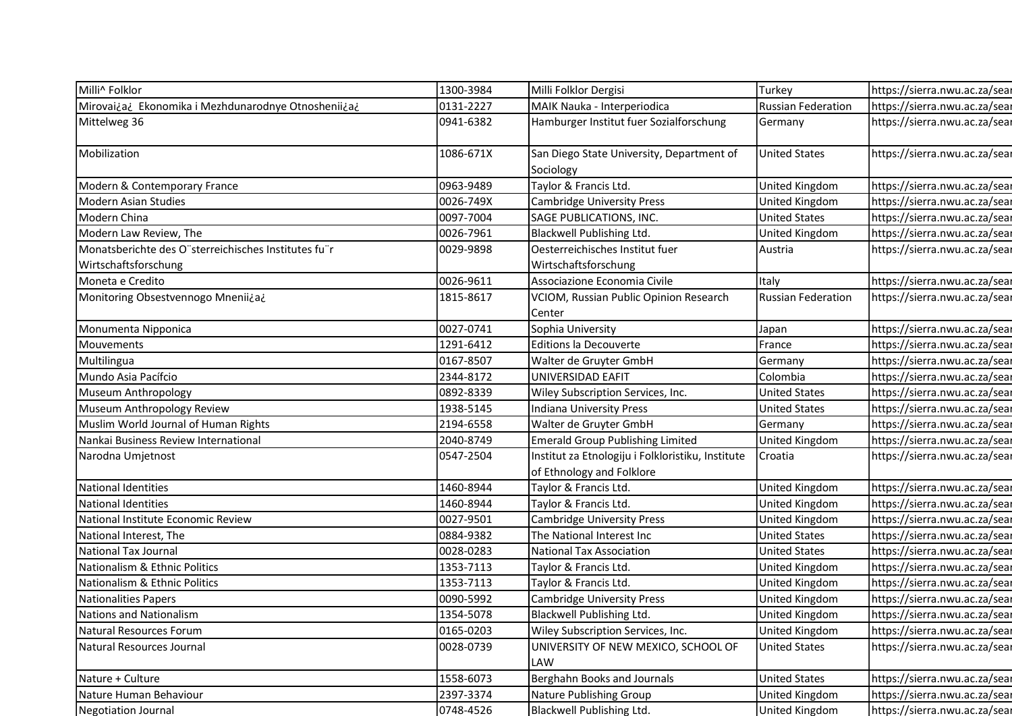| Milli^ Folklor                                       | 1300-3984 | Milli Folklor Dergisi                             | Turkey                    | https://sierra.nwu.ac.za/sear |
|------------------------------------------------------|-----------|---------------------------------------------------|---------------------------|-------------------------------|
| Mirovai¿a¿ Ekonomika i Mezhdunarodnye Otnoshenii¿a¿  | 0131-2227 | MAIK Nauka - Interperiodica                       | <b>Russian Federation</b> | https://sierra.nwu.ac.za/sear |
| Mittelweg 36                                         | 0941-6382 | Hamburger Institut fuer Sozialforschung           | Germany                   | https://sierra.nwu.ac.za/sear |
|                                                      |           |                                                   |                           |                               |
| Mobilization                                         | 1086-671X | San Diego State University, Department of         | <b>United States</b>      | https://sierra.nwu.ac.za/sear |
|                                                      |           | Sociology                                         |                           |                               |
| Modern & Contemporary France                         | 0963-9489 | Taylor & Francis Ltd.                             | United Kingdom            | https://sierra.nwu.ac.za/sear |
| Modern Asian Studies                                 | 0026-749X | <b>Cambridge University Press</b>                 | United Kingdom            | https://sierra.nwu.ac.za/sear |
| Modern China                                         | 0097-7004 | SAGE PUBLICATIONS, INC.                           | <b>United States</b>      | https://sierra.nwu.ac.za/sear |
| Modern Law Review, The                               | 0026-7961 | Blackwell Publishing Ltd.                         | United Kingdom            | https://sierra.nwu.ac.za/sear |
| Monatsberichte des O"sterreichisches Institutes fu"r | 0029-9898 | Oesterreichisches Institut fuer                   | Austria                   | https://sierra.nwu.ac.za/sear |
| Wirtschaftsforschung                                 |           | Wirtschaftsforschung                              |                           |                               |
| Moneta e Credito                                     | 0026-9611 | Associazione Economia Civile                      | Italy                     | https://sierra.nwu.ac.za/sear |
| Monitoring Obsestvennogo Mnenii¿a¿                   | 1815-8617 | VCIOM, Russian Public Opinion Research            | Russian Federation        | https://sierra.nwu.ac.za/sear |
| Monumenta Nipponica                                  | 0027-0741 | Center<br>Sophia University                       |                           | https://sierra.nwu.ac.za/sear |
| Mouvements                                           | 1291-6412 | Editions la Decouverte                            | Japan<br>France           | https://sierra.nwu.ac.za/sear |
| Multilingua                                          | 0167-8507 | Walter de Gruyter GmbH                            | Germany                   | https://sierra.nwu.ac.za/sear |
| Mundo Asia Pacífcio                                  | 2344-8172 | UNIVERSIDAD EAFIT                                 | Colombia                  | https://sierra.nwu.ac.za/sear |
| Museum Anthropology                                  | 0892-8339 | Wiley Subscription Services, Inc.                 | United States             | https://sierra.nwu.ac.za/sear |
| Museum Anthropology Review                           | 1938-5145 | Indiana University Press                          | <b>United States</b>      | https://sierra.nwu.ac.za/sear |
| Muslim World Journal of Human Rights                 | 2194-6558 | Walter de Gruyter GmbH                            | Germany                   | https://sierra.nwu.ac.za/sear |
| Nankai Business Review International                 | 2040-8749 | <b>Emerald Group Publishing Limited</b>           | United Kingdom            | https://sierra.nwu.ac.za/sear |
| Narodna Umjetnost                                    | 0547-2504 | Institut za Etnologiju i Folkloristiku, Institute | Croatia                   | https://sierra.nwu.ac.za/sear |
|                                                      |           | of Ethnology and Folklore                         |                           |                               |
| National Identities                                  | 1460-8944 | Taylor & Francis Ltd.                             | United Kingdom            | https://sierra.nwu.ac.za/sear |
| National Identities                                  | 1460-8944 | Taylor & Francis Ltd.                             | United Kingdom            | https://sierra.nwu.ac.za/sear |
| National Institute Economic Review                   | 0027-9501 | <b>Cambridge University Press</b>                 | United Kingdom            | https://sierra.nwu.ac.za/sear |
| National Interest, The                               | 0884-9382 | The National Interest Inc                         | United States             | https://sierra.nwu.ac.za/sear |
| National Tax Journal                                 | 0028-0283 | <b>National Tax Association</b>                   | <b>United States</b>      | https://sierra.nwu.ac.za/sear |
| Nationalism & Ethnic Politics                        | 1353-7113 | Taylor & Francis Ltd.                             | United Kingdom            | https://sierra.nwu.ac.za/sear |
| Nationalism & Ethnic Politics                        | 1353-7113 | Taylor & Francis Ltd.                             | United Kingdom            | https://sierra.nwu.ac.za/sear |
| Nationalities Papers                                 | 0090-5992 | <b>Cambridge University Press</b>                 | United Kingdom            | https://sierra.nwu.ac.za/sear |
| Nations and Nationalism                              | 1354-5078 | Blackwell Publishing Ltd.                         | United Kingdom            | https://sierra.nwu.ac.za/sear |
| Natural Resources Forum                              | 0165-0203 | Wiley Subscription Services, Inc.                 | United Kingdom            | https://sierra.nwu.ac.za/sear |
| Natural Resources Journal                            | 0028-0739 | UNIVERSITY OF NEW MEXICO, SCHOOL OF<br><b>LAW</b> | <b>United States</b>      | https://sierra.nwu.ac.za/sear |
| Nature + Culture                                     | 1558-6073 | Berghahn Books and Journals                       | <b>United States</b>      | https://sierra.nwu.ac.za/sear |
|                                                      | 2397-3374 |                                                   |                           |                               |
| Nature Human Behaviour                               |           | Nature Publishing Group                           | United Kingdom            | https://sierra.nwu.ac.za/sear |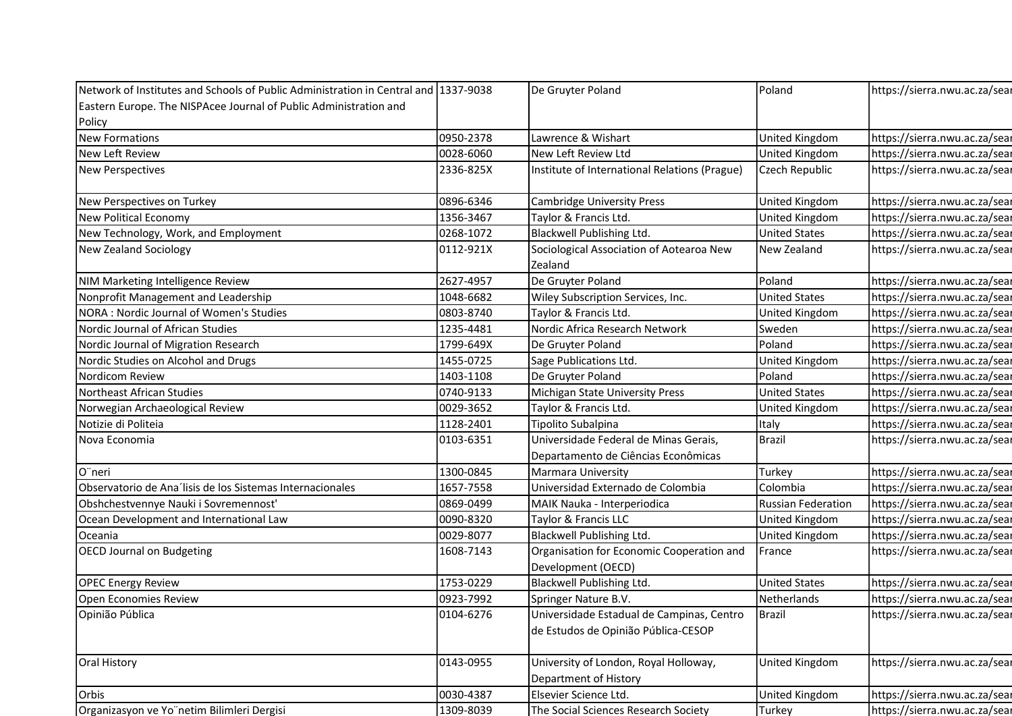| Network of Institutes and Schools of Public Administration in Central and 1337-9038 |           | De Gruyter Poland                                               | Poland                          | https://sierra.nwu.ac.za/sear |
|-------------------------------------------------------------------------------------|-----------|-----------------------------------------------------------------|---------------------------------|-------------------------------|
| Eastern Europe. The NISPAcee Journal of Public Administration and                   |           |                                                                 |                                 |                               |
| Policy                                                                              |           |                                                                 |                                 |                               |
| <b>New Formations</b>                                                               | 0950-2378 | Lawrence & Wishart                                              | United Kingdom                  | https://sierra.nwu.ac.za/sear |
| New Left Review                                                                     | 0028-6060 | New Left Review Ltd                                             | United Kingdom                  | https://sierra.nwu.ac.za/sear |
| <b>New Perspectives</b>                                                             | 2336-825X | Institute of International Relations (Prague)                   | Czech Republic                  | https://sierra.nwu.ac.za/sear |
| New Perspectives on Turkey                                                          | 0896-6346 | Cambridge University Press                                      | United Kingdom                  | https://sierra.nwu.ac.za/sear |
| New Political Economy                                                               | 1356-3467 | Taylor & Francis Ltd.                                           | United Kingdom                  | https://sierra.nwu.ac.za/sear |
| New Technology, Work, and Employment                                                | 0268-1072 | Blackwell Publishing Ltd.                                       | <b>United States</b>            | https://sierra.nwu.ac.za/sear |
| New Zealand Sociology                                                               | 0112-921X | Sociological Association of Aotearoa New                        | New Zealand                     | https://sierra.nwu.ac.za/sear |
|                                                                                     |           | Zealand                                                         |                                 |                               |
| NIM Marketing Intelligence Review                                                   | 2627-4957 | De Gruyter Poland                                               | Poland                          | https://sierra.nwu.ac.za/sear |
| Nonprofit Management and Leadership                                                 | 1048-6682 | Wiley Subscription Services, Inc.                               | <b>United States</b>            | https://sierra.nwu.ac.za/sear |
| NORA : Nordic Journal of Women's Studies                                            | 0803-8740 | Taylor & Francis Ltd.                                           | <b>United Kingdom</b>           | https://sierra.nwu.ac.za/sear |
| Nordic Journal of African Studies                                                   | 1235-4481 | Nordic Africa Research Network                                  | Sweden                          | https://sierra.nwu.ac.za/sear |
| Nordic Journal of Migration Research                                                | 1799-649X | De Gruyter Poland                                               | Poland                          | https://sierra.nwu.ac.za/sear |
| Nordic Studies on Alcohol and Drugs                                                 | 1455-0725 | Sage Publications Ltd.                                          | United Kingdom                  | https://sierra.nwu.ac.za/sear |
| Nordicom Review                                                                     | 1403-1108 | De Gruyter Poland                                               | Poland                          | https://sierra.nwu.ac.za/sear |
| Northeast African Studies                                                           | 0740-9133 | Michigan State University Press                                 | <b>United States</b>            | https://sierra.nwu.ac.za/sear |
| Norwegian Archaeological Review                                                     | 0029-3652 | Taylor & Francis Ltd.                                           | United Kingdom                  | https://sierra.nwu.ac.za/sear |
| Notizie di Politeia                                                                 | 1128-2401 | Tipolito Subalpina                                              | Italy                           | https://sierra.nwu.ac.za/sear |
| Nova Economia                                                                       | 0103-6351 | Universidade Federal de Minas Gerais,                           | <b>Brazil</b>                   | https://sierra.nwu.ac.za/sear |
|                                                                                     |           | Departamento de Ciências Econômicas                             |                                 |                               |
| O"neri                                                                              | 1300-0845 | <b>Marmara University</b>                                       | Turkey                          | https://sierra.nwu.ac.za/sear |
| Observatorio de Ana'lisis de los Sistemas Internacionales                           | 1657-7558 | Universidad Externado de Colombia                               | Colombia                        | https://sierra.nwu.ac.za/sear |
| Obshchestvennye Nauki i Sovremennost'                                               | 0869-0499 | MAIK Nauka - Interperiodica                                     | <b>Russian Federation</b>       | https://sierra.nwu.ac.za/sear |
| Ocean Development and International Law                                             | 0090-8320 | Taylor & Francis LLC                                            | United Kingdom                  | https://sierra.nwu.ac.za/sear |
| Oceania                                                                             | 0029-8077 | Blackwell Publishing Ltd.                                       | United Kingdom                  | https://sierra.nwu.ac.za/sear |
| <b>OECD Journal on Budgeting</b>                                                    | 1608-7143 | Organisation for Economic Cooperation and<br>Development (OECD) | France                          | https://sierra.nwu.ac.za/sear |
| <b>OPEC Energy Review</b>                                                           | 1753-0229 | <b>Blackwell Publishing Ltd.</b>                                | <b>United States</b>            | https://sierra.nwu.ac.za/sear |
| Open Economies Review                                                               | 0923-7992 | Springer Nature B.V.                                            | Netherlands                     | https://sierra.nwu.ac.za/sear |
| Opinião Pública                                                                     | 0104-6276 | Universidade Estadual de Campinas, Centro                       | <b>Brazil</b>                   | https://sierra.nwu.ac.za/sear |
|                                                                                     |           | de Estudos de Opinião Pública-CESOP                             |                                 |                               |
|                                                                                     | 0143-0955 | University of London, Royal Holloway,                           | United Kingdom                  | https://sierra.nwu.ac.za/sear |
| <b>Oral History</b>                                                                 |           |                                                                 |                                 |                               |
|                                                                                     |           | Department of History                                           |                                 |                               |
| Orbis                                                                               | 0030-4387 | Elsevier Science Ltd.                                           |                                 | https://sierra.nwu.ac.za/sear |
| Organizasyon ve Yo"netim Bilimleri Dergisi                                          | 1309-8039 | The Social Sciences Research Society                            | <b>United Kingdom</b><br>Turkey | https://sierra.nwu.ac.za/sear |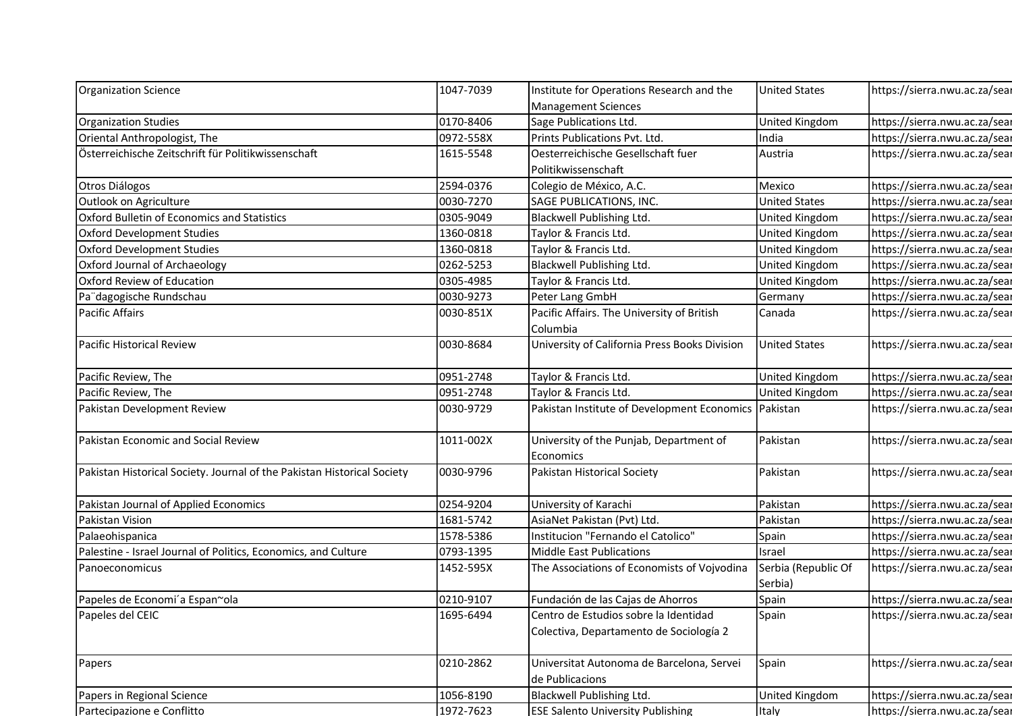| Organization Science                                                    | 1047-7039              | Institute for Operations Research and the                             | <b>United States</b>           | https://sierra.nwu.ac.za/sear                                  |
|-------------------------------------------------------------------------|------------------------|-----------------------------------------------------------------------|--------------------------------|----------------------------------------------------------------|
|                                                                         |                        | <b>Management Sciences</b>                                            |                                |                                                                |
| <b>Organization Studies</b>                                             | 0170-8406              | Sage Publications Ltd.                                                | United Kingdom                 | https://sierra.nwu.ac.za/sear                                  |
| Oriental Anthropologist, The                                            | 0972-558X              | Prints Publications Pvt. Ltd.                                         | India                          | https://sierra.nwu.ac.za/sear                                  |
| Österreichische Zeitschrift für Politikwissenschaft                     | 1615-5548              | Oesterreichische Gesellschaft fuer                                    | Austria                        | https://sierra.nwu.ac.za/sear                                  |
|                                                                         |                        | Politikwissenschaft                                                   |                                |                                                                |
| Otros Diálogos                                                          | 2594-0376              | Colegio de México, A.C.                                               | Mexico                         | https://sierra.nwu.ac.za/sear                                  |
| Outlook on Agriculture                                                  | 0030-7270              | SAGE PUBLICATIONS, INC.                                               | <b>United States</b>           | https://sierra.nwu.ac.za/sear                                  |
| Oxford Bulletin of Economics and Statistics                             | 0305-9049              | Blackwell Publishing Ltd.                                             | United Kingdom                 | https://sierra.nwu.ac.za/sear                                  |
| Oxford Development Studies                                              | 1360-0818              | Taylor & Francis Ltd.                                                 | United Kingdom                 | https://sierra.nwu.ac.za/sear                                  |
| Oxford Development Studies                                              | 1360-0818              | Taylor & Francis Ltd.                                                 | United Kingdom                 | https://sierra.nwu.ac.za/sear                                  |
| Oxford Journal of Archaeology                                           | 0262-5253              | Blackwell Publishing Ltd.                                             | United Kingdom                 | https://sierra.nwu.ac.za/sear                                  |
| Oxford Review of Education                                              | 0305-4985              | Taylor & Francis Ltd.                                                 | United Kingdom                 | https://sierra.nwu.ac.za/sear                                  |
| Pa"dagogische Rundschau                                                 | 0030-9273              | Peter Lang GmbH                                                       | Germany                        | https://sierra.nwu.ac.za/sear                                  |
| Pacific Affairs                                                         | 0030-851X              | Pacific Affairs. The University of British                            | Canada                         | https://sierra.nwu.ac.za/sear                                  |
|                                                                         |                        | Columbia                                                              |                                |                                                                |
| Pacific Historical Review                                               | 0030-8684              | University of California Press Books Division                         | <b>United States</b>           | https://sierra.nwu.ac.za/sear                                  |
|                                                                         |                        |                                                                       |                                |                                                                |
| Pacific Review, The                                                     | 0951-2748              | Taylor & Francis Ltd.                                                 | United Kingdom                 | https://sierra.nwu.ac.za/sear                                  |
| Pacific Review, The                                                     | 0951-2748              | Taylor & Francis Ltd.                                                 | United Kingdom                 | https://sierra.nwu.ac.za/sear                                  |
| Pakistan Development Review                                             | 0030-9729              | Pakistan Institute of Development Economics Pakistan                  |                                | https://sierra.nwu.ac.za/sear                                  |
| Pakistan Economic and Social Review                                     | 1011-002X              | University of the Punjab, Department of                               | Pakistan                       | https://sierra.nwu.ac.za/sear                                  |
|                                                                         |                        | Economics                                                             |                                |                                                                |
| Pakistan Historical Society. Journal of the Pakistan Historical Society | 0030-9796              | Pakistan Historical Society                                           | Pakistan                       | https://sierra.nwu.ac.za/sear                                  |
|                                                                         |                        |                                                                       |                                |                                                                |
| Pakistan Journal of Applied Economics                                   | 0254-9204              | University of Karachi                                                 | Pakistan                       | https://sierra.nwu.ac.za/sear                                  |
| Pakistan Vision                                                         | 1681-5742              | AsiaNet Pakistan (Pvt) Ltd.                                           | Pakistan                       | https://sierra.nwu.ac.za/sear                                  |
| Palaeohispanica                                                         | 1578-5386              | Institucion "Fernando el Catolico"                                    | Spain                          | https://sierra.nwu.ac.za/sear                                  |
| Palestine - Israel Journal of Politics, Economics, and Culture          | 0793-1395              | Middle East Publications                                              | Israel                         | https://sierra.nwu.ac.za/sear                                  |
| Panoeconomicus                                                          | 1452-595X              | The Associations of Economists of Vojvodina                           | Serbia (Republic Of            | https://sierra.nwu.ac.za/sear                                  |
|                                                                         |                        |                                                                       | Serbia)                        |                                                                |
| Papeles de Economi'a Espan~ola                                          | 0210-9107              | Fundación de las Cajas de Ahorros                                     | Spain                          | https://sierra.nwu.ac.za/sear                                  |
| Papeles del CEIC                                                        | 1695-6494              | Centro de Estudios sobre la Identidad                                 | Spain                          | https://sierra.nwu.ac.za/sear                                  |
|                                                                         |                        | Colectiva, Departamento de Sociología 2                               |                                |                                                                |
| Papers                                                                  | 0210-2862              | Universitat Autonoma de Barcelona, Servei                             | Spain                          | https://sierra.nwu.ac.za/sear                                  |
|                                                                         |                        | de Publicacions                                                       |                                |                                                                |
|                                                                         |                        |                                                                       |                                |                                                                |
|                                                                         |                        |                                                                       |                                |                                                                |
| Papers in Regional Science<br>Partecipazione e Conflitto                | 1056-8190<br>1972-7623 | Blackwell Publishing Ltd.<br><b>ESE Salento University Publishing</b> | <b>United Kingdom</b><br>Italy | https://sierra.nwu.ac.za/sear<br>https://sierra.nwu.ac.za/sear |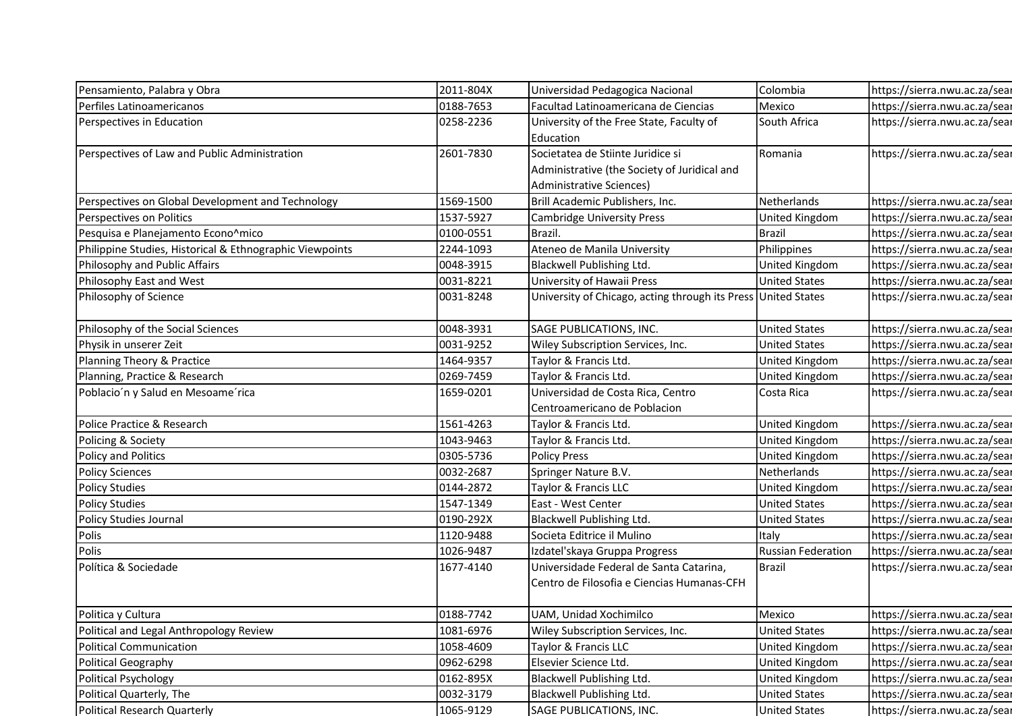| Pensamiento, Palabra y Obra                              | 2011-804X | Universidad Pedagogica Nacional                               | Colombia                  | https://sierra.nwu.ac.za/sear |
|----------------------------------------------------------|-----------|---------------------------------------------------------------|---------------------------|-------------------------------|
| Perfiles Latinoamericanos                                | 0188-7653 | Facultad Latinoamericana de Ciencias                          | Mexico                    | https://sierra.nwu.ac.za/sear |
| Perspectives in Education                                | 0258-2236 | University of the Free State, Faculty of                      | South Africa              | https://sierra.nwu.ac.za/sear |
|                                                          |           | Education                                                     |                           |                               |
| Perspectives of Law and Public Administration            | 2601-7830 | Societatea de Stiinte Juridice si                             | Romania                   | https://sierra.nwu.ac.za/sear |
|                                                          |           | Administrative (the Society of Juridical and                  |                           |                               |
|                                                          |           | Administrative Sciences)                                      |                           |                               |
| Perspectives on Global Development and Technology        | 1569-1500 | Brill Academic Publishers, Inc.                               | Netherlands               | https://sierra.nwu.ac.za/sear |
| Perspectives on Politics                                 | 1537-5927 | <b>Cambridge University Press</b>                             | United Kingdom            | https://sierra.nwu.ac.za/sear |
| Pesquisa e Planejamento Econo^mico                       | 0100-0551 | Brazil.                                                       | Brazil                    | https://sierra.nwu.ac.za/sear |
| Philippine Studies, Historical & Ethnographic Viewpoints | 2244-1093 | Ateneo de Manila University                                   | Philippines               | https://sierra.nwu.ac.za/sear |
| Philosophy and Public Affairs                            | 0048-3915 | Blackwell Publishing Ltd.                                     | United Kingdom            | https://sierra.nwu.ac.za/sear |
| Philosophy East and West                                 | 0031-8221 | University of Hawaii Press                                    | <b>United States</b>      | https://sierra.nwu.ac.za/sear |
| Philosophy of Science                                    | 0031-8248 | University of Chicago, acting through its Press United States |                           | https://sierra.nwu.ac.za/sear |
| Philosophy of the Social Sciences                        | 0048-3931 | SAGE PUBLICATIONS, INC.                                       | <b>United States</b>      | https://sierra.nwu.ac.za/sear |
| Physik in unserer Zeit                                   | 0031-9252 | Wiley Subscription Services, Inc.                             | <b>United States</b>      | https://sierra.nwu.ac.za/sear |
| Planning Theory & Practice                               | 1464-9357 | Taylor & Francis Ltd.                                         | United Kingdom            | https://sierra.nwu.ac.za/sear |
| Planning, Practice & Research                            | 0269-7459 | Taylor & Francis Ltd.                                         | <b>United Kingdom</b>     | https://sierra.nwu.ac.za/sear |
| Poblacio'n y Salud en Mesoame'rica                       | 1659-0201 | Universidad de Costa Rica, Centro                             | Costa Rica                | https://sierra.nwu.ac.za/sear |
|                                                          |           | Centroamericano de Poblacion                                  |                           |                               |
| Police Practice & Research                               | 1561-4263 | Taylor & Francis Ltd.                                         | United Kingdom            | https://sierra.nwu.ac.za/sear |
| Policing & Society                                       | 1043-9463 | Taylor & Francis Ltd.                                         | United Kingdom            | https://sierra.nwu.ac.za/sear |
| Policy and Politics                                      | 0305-5736 | <b>Policy Press</b>                                           | United Kingdom            | https://sierra.nwu.ac.za/sear |
| <b>Policy Sciences</b>                                   | 0032-2687 | Springer Nature B.V.                                          | Netherlands               | https://sierra.nwu.ac.za/sear |
| <b>Policy Studies</b>                                    | 0144-2872 | Taylor & Francis LLC                                          | United Kingdom            | https://sierra.nwu.ac.za/sear |
| <b>Policy Studies</b>                                    | 1547-1349 | East - West Center                                            | <b>United States</b>      | https://sierra.nwu.ac.za/sear |
| Policy Studies Journal                                   | 0190-292X | <b>Blackwell Publishing Ltd.</b>                              | <b>United States</b>      | https://sierra.nwu.ac.za/sear |
| Polis                                                    | 1120-9488 | Societa Editrice il Mulino                                    | Italy                     | https://sierra.nwu.ac.za/sear |
| Polis                                                    | 1026-9487 | Izdateľskaya Gruppa Progress                                  | <b>Russian Federation</b> | https://sierra.nwu.ac.za/sear |
| Política & Sociedade                                     | 1677-4140 | Universidade Federal de Santa Catarina,                       | <b>Brazil</b>             | https://sierra.nwu.ac.za/sear |
|                                                          |           | Centro de Filosofia e Ciencias Humanas-CFH                    |                           |                               |
| Politica y Cultura                                       | 0188-7742 | UAM, Unidad Xochimilco                                        | Mexico                    | https://sierra.nwu.ac.za/sear |
| Political and Legal Anthropology Review                  | 1081-6976 | Wiley Subscription Services, Inc.                             | <b>United States</b>      | https://sierra.nwu.ac.za/sear |
| <b>Political Communication</b>                           | 1058-4609 | Taylor & Francis LLC                                          | United Kingdom            | https://sierra.nwu.ac.za/sear |
| Political Geography                                      | 0962-6298 | Elsevier Science Ltd.                                         | United Kingdom            | https://sierra.nwu.ac.za/sear |
| <b>Political Psychology</b>                              | 0162-895X | <b>Blackwell Publishing Ltd.</b>                              | United Kingdom            | https://sierra.nwu.ac.za/sear |
|                                                          |           |                                                               | <b>United States</b>      | https://sierra.nwu.ac.za/sear |
| Political Quarterly, The                                 | 0032-3179 | <b>Blackwell Publishing Ltd.</b>                              |                           |                               |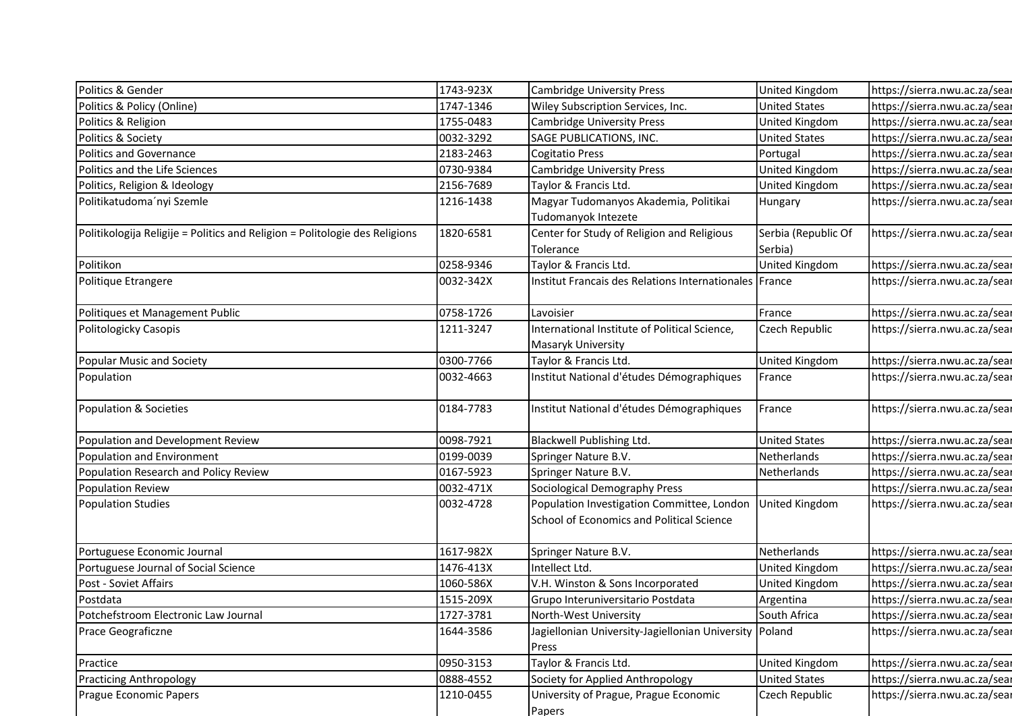| Politics & Gender                                                           | 1743-923X |                                                                        |                                        | https://sierra.nwu.ac.za/sear |
|-----------------------------------------------------------------------------|-----------|------------------------------------------------------------------------|----------------------------------------|-------------------------------|
| Politics & Policy (Online)                                                  | 1747-1346 | <b>Cambridge University Press</b><br>Wiley Subscription Services, Inc. | United Kingdom<br><b>United States</b> | https://sierra.nwu.ac.za/sear |
| Politics & Religion                                                         | 1755-0483 | <b>Cambridge University Press</b>                                      | United Kingdom                         | https://sierra.nwu.ac.za/sear |
| Politics & Society                                                          | 0032-3292 | SAGE PUBLICATIONS, INC.                                                | <b>United States</b>                   | https://sierra.nwu.ac.za/sear |
| Politics and Governance                                                     | 2183-2463 | Cogitatio Press                                                        | Portugal                               | https://sierra.nwu.ac.za/sear |
| Politics and the Life Sciences                                              | 0730-9384 | <b>Cambridge University Press</b>                                      | United Kingdom                         | https://sierra.nwu.ac.za/sear |
| Politics, Religion & Ideology                                               | 2156-7689 | Taylor & Francis Ltd.                                                  | United Kingdom                         | https://sierra.nwu.ac.za/sear |
| Politikatudoma'nyi Szemle                                                   | 1216-1438 | Magyar Tudomanyos Akademia, Politikai                                  | Hungary                                | https://sierra.nwu.ac.za/sear |
|                                                                             |           | Tudomanyok Intezete                                                    |                                        |                               |
| Politikologija Religije = Politics and Religion = Politologie des Religions | 1820-6581 | Center for Study of Religion and Religious                             | Serbia (Republic Of                    | https://sierra.nwu.ac.za/sear |
|                                                                             |           | Tolerance                                                              | Serbia)                                |                               |
| Politikon                                                                   | 0258-9346 | Taylor & Francis Ltd.                                                  | United Kingdom                         | https://sierra.nwu.ac.za/sear |
| Politique Etrangere                                                         | 0032-342X | Institut Francais des Relations Internationales   France               |                                        | https://sierra.nwu.ac.za/sear |
| Politiques et Management Public                                             | 0758-1726 | Lavoisier                                                              | France                                 | https://sierra.nwu.ac.za/sear |
| Politologicky Casopis                                                       | 1211-3247 | International Institute of Political Science,                          | Czech Republic                         | https://sierra.nwu.ac.za/sear |
|                                                                             |           | Masaryk University                                                     |                                        |                               |
| Popular Music and Society                                                   | 0300-7766 | Taylor & Francis Ltd.                                                  | United Kingdom                         | https://sierra.nwu.ac.za/sear |
| Population                                                                  | 0032-4663 | Institut National d'études Démographiques                              | France                                 | https://sierra.nwu.ac.za/sear |
|                                                                             |           |                                                                        |                                        |                               |
| Population & Societies                                                      | 0184-7783 | Institut National d'études Démographiques                              | France                                 | https://sierra.nwu.ac.za/sear |
| Population and Development Review                                           | 0098-7921 | Blackwell Publishing Ltd.                                              | <b>United States</b>                   | https://sierra.nwu.ac.za/sear |
| Population and Environment                                                  | 0199-0039 | Springer Nature B.V.                                                   | Netherlands                            | https://sierra.nwu.ac.za/sear |
| Population Research and Policy Review                                       | 0167-5923 | Springer Nature B.V.                                                   | Netherlands                            | https://sierra.nwu.ac.za/sear |
| <b>Population Review</b>                                                    | 0032-471X | Sociological Demography Press                                          |                                        | https://sierra.nwu.ac.za/sear |
| <b>Population Studies</b>                                                   | 0032-4728 | Population Investigation Committee, London                             | <b>United Kingdom</b>                  | https://sierra.nwu.ac.za/sear |
|                                                                             |           | School of Economics and Political Science                              |                                        |                               |
|                                                                             |           |                                                                        |                                        |                               |
| Portuguese Economic Journal                                                 | 1617-982X | Springer Nature B.V.                                                   | Netherlands                            | https://sierra.nwu.ac.za/sear |
| Portuguese Journal of Social Science                                        | 1476-413X | Intellect Ltd.                                                         | United Kingdom                         | https://sierra.nwu.ac.za/sear |
| Post - Soviet Affairs                                                       | 1060-586X | V.H. Winston & Sons Incorporated                                       | United Kingdom                         | https://sierra.nwu.ac.za/sear |
| Postdata                                                                    | 1515-209X | Grupo Interuniversitario Postdata                                      | Argentina                              | https://sierra.nwu.ac.za/sear |
| Potchefstroom Electronic Law Journal                                        | 1727-3781 | North-West University                                                  | South Africa                           | https://sierra.nwu.ac.za/sear |
| Prace Geograficzne                                                          | 1644-3586 | Jagiellonian University-Jagiellonian University Poland                 |                                        | https://sierra.nwu.ac.za/sear |
|                                                                             |           | Press                                                                  |                                        |                               |
| Practice                                                                    | 0950-3153 | Taylor & Francis Ltd.                                                  | United Kingdom                         | https://sierra.nwu.ac.za/sear |
| <b>Practicing Anthropology</b>                                              | 0888-4552 | Society for Applied Anthropology                                       | United States                          | https://sierra.nwu.ac.za/sear |
| Prague Economic Papers                                                      | 1210-0455 | University of Prague, Prague Economic<br>Papers                        | Czech Republic                         | https://sierra.nwu.ac.za/sear |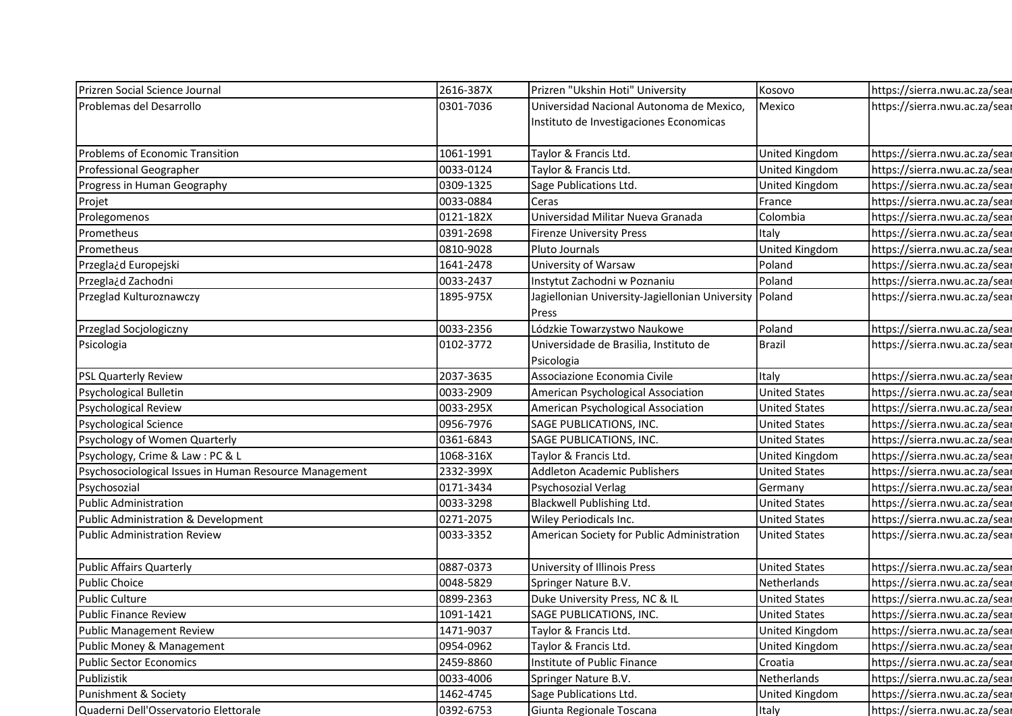| Prizren Social Science Journal                         | 2616-387X | Prizren "Ukshin Hoti" University                | Kosovo                | https://sierra.nwu.ac.za/sear |
|--------------------------------------------------------|-----------|-------------------------------------------------|-----------------------|-------------------------------|
| Problemas del Desarrollo                               | 0301-7036 | Universidad Nacional Autonoma de Mexico,        | Mexico                | https://sierra.nwu.ac.za/sear |
|                                                        |           | Instituto de Investigaciones Economicas         |                       |                               |
|                                                        |           |                                                 |                       |                               |
| Problems of Economic Transition                        | 1061-1991 | Taylor & Francis Ltd.                           | United Kingdom        | https://sierra.nwu.ac.za/sear |
| Professional Geographer                                | 0033-0124 | Taylor & Francis Ltd.                           | United Kingdom        | https://sierra.nwu.ac.za/sear |
| Progress in Human Geography                            | 0309-1325 | Sage Publications Ltd.                          | United Kingdom        | https://sierra.nwu.ac.za/sear |
| Projet                                                 | 0033-0884 | Ceras                                           | France                | https://sierra.nwu.ac.za/sear |
| Prolegomenos                                           | 0121-182X | Universidad Militar Nueva Granada               | Colombia              | https://sierra.nwu.ac.za/sear |
| Prometheus                                             | 0391-2698 | <b>Firenze University Press</b>                 | Italy                 | https://sierra.nwu.ac.za/sear |
| Prometheus                                             | 0810-9028 | Pluto Journals                                  | United Kingdom        | https://sierra.nwu.ac.za/sear |
| Przegla¿d Europejski                                   | 1641-2478 | University of Warsaw                            | Poland                | https://sierra.nwu.ac.za/sear |
| Przegla¿d Zachodni                                     | 0033-2437 | Instytut Zachodni w Poznaniu                    | Poland                | https://sierra.nwu.ac.za/sear |
| Przeglad Kulturoznawczy                                | 1895-975X | Jagiellonian University-Jagiellonian University | Poland                | https://sierra.nwu.ac.za/sear |
|                                                        |           | Press                                           |                       |                               |
| Przeglad Socjologiczny                                 | 0033-2356 | Lódzkie Towarzystwo Naukowe                     | Poland                | https://sierra.nwu.ac.za/sear |
| Psicologia                                             | 0102-3772 | Universidade de Brasilia, Instituto de          | <b>Brazil</b>         | https://sierra.nwu.ac.za/sear |
|                                                        |           | Psicologia                                      |                       |                               |
| <b>PSL Quarterly Review</b>                            | 2037-3635 | Associazione Economia Civile                    | Italy                 | https://sierra.nwu.ac.za/sear |
| Psychological Bulletin                                 | 0033-2909 | American Psychological Association              | <b>United States</b>  | https://sierra.nwu.ac.za/sear |
| Psychological Review                                   | 0033-295X | American Psychological Association              | <b>United States</b>  | https://sierra.nwu.ac.za/sear |
| Psychological Science                                  | 0956-7976 | SAGE PUBLICATIONS, INC.                         | <b>United States</b>  | https://sierra.nwu.ac.za/sear |
| Psychology of Women Quarterly                          | 0361-6843 | SAGE PUBLICATIONS, INC.                         | <b>United States</b>  | https://sierra.nwu.ac.za/sear |
| Psychology, Crime & Law: PC & L                        | 1068-316X | Taylor & Francis Ltd.                           | United Kingdom        | https://sierra.nwu.ac.za/sear |
| Psychosociological Issues in Human Resource Management | 2332-399X | Addleton Academic Publishers                    | <b>United States</b>  | https://sierra.nwu.ac.za/sear |
| Psychosozial                                           | 0171-3434 | Psychosozial Verlag                             | Germany               | https://sierra.nwu.ac.za/sear |
| <b>Public Administration</b>                           | 0033-3298 | <b>Blackwell Publishing Ltd.</b>                | <b>United States</b>  | https://sierra.nwu.ac.za/sear |
| Public Administration & Development                    | 0271-2075 | Wiley Periodicals Inc.                          | <b>United States</b>  | https://sierra.nwu.ac.za/sear |
| <b>Public Administration Review</b>                    | 0033-3352 | American Society for Public Administration      | <b>United States</b>  | https://sierra.nwu.ac.za/sear |
| Public Affairs Quarterly                               | 0887-0373 | University of Illinois Press                    | <b>United States</b>  | https://sierra.nwu.ac.za/sear |
| <b>Public Choice</b>                                   | 0048-5829 | Springer Nature B.V.                            | Netherlands           | https://sierra.nwu.ac.za/sear |
| <b>Public Culture</b>                                  | 0899-2363 | Duke University Press, NC & IL                  | <b>United States</b>  | https://sierra.nwu.ac.za/sear |
| Public Finance Review                                  | 1091-1421 | SAGE PUBLICATIONS, INC.                         | <b>United States</b>  | https://sierra.nwu.ac.za/sear |
| Public Management Review                               | 1471-9037 | Taylor & Francis Ltd.                           | <b>United Kingdom</b> | https://sierra.nwu.ac.za/sear |
| Public Money & Management                              | 0954-0962 | Taylor & Francis Ltd.                           | United Kingdom        | https://sierra.nwu.ac.za/sear |
|                                                        | 2459-8860 | Institute of Public Finance                     | Croatia               | https://sierra.nwu.ac.za/sear |
| <b>Public Sector Economics</b>                         |           |                                                 |                       |                               |
| Publizistik                                            | 0033-4006 | Springer Nature B.V.                            | Netherlands           | https://sierra.nwu.ac.za/sear |
| Punishment & Society                                   | 1462-4745 | Sage Publications Ltd.                          | United Kingdom        | https://sierra.nwu.ac.za/sear |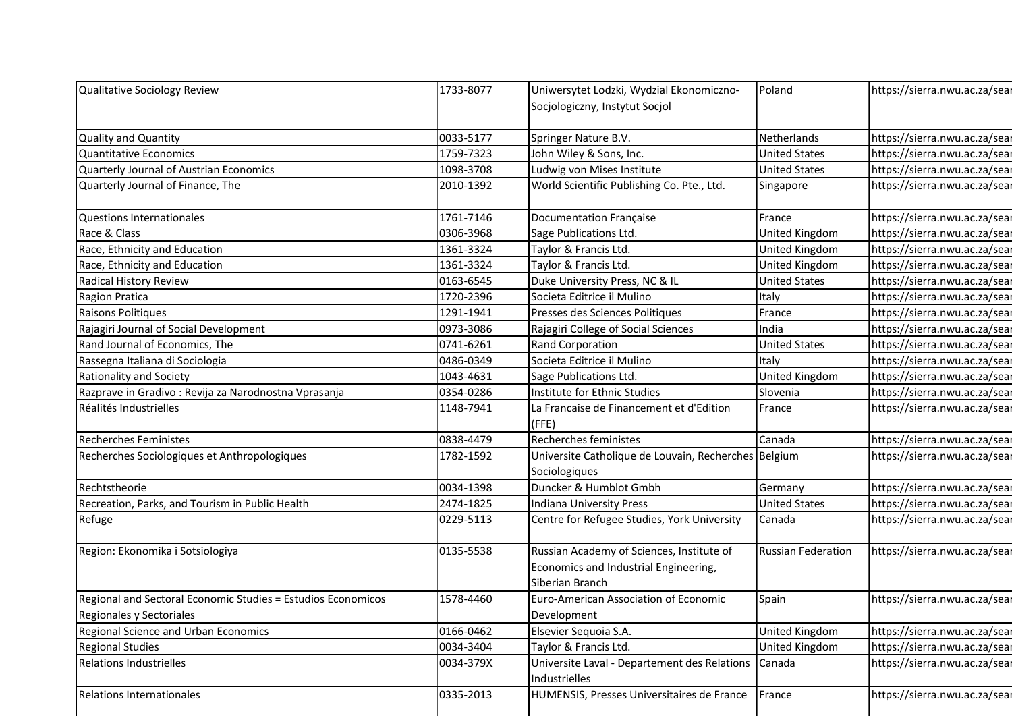|           |                                                                                                                                                                                    |                                                                                                                                                                                                                                                                                                                                                                                                                                                                                                                                                                                                                                                                                                                                                                                                                                                          | https://sierra.nwu.ac.za/sear                                                                                                                                                                                                                                             |
|-----------|------------------------------------------------------------------------------------------------------------------------------------------------------------------------------------|----------------------------------------------------------------------------------------------------------------------------------------------------------------------------------------------------------------------------------------------------------------------------------------------------------------------------------------------------------------------------------------------------------------------------------------------------------------------------------------------------------------------------------------------------------------------------------------------------------------------------------------------------------------------------------------------------------------------------------------------------------------------------------------------------------------------------------------------------------|---------------------------------------------------------------------------------------------------------------------------------------------------------------------------------------------------------------------------------------------------------------------------|
|           |                                                                                                                                                                                    |                                                                                                                                                                                                                                                                                                                                                                                                                                                                                                                                                                                                                                                                                                                                                                                                                                                          |                                                                                                                                                                                                                                                                           |
|           |                                                                                                                                                                                    |                                                                                                                                                                                                                                                                                                                                                                                                                                                                                                                                                                                                                                                                                                                                                                                                                                                          | https://sierra.nwu.ac.za/sear                                                                                                                                                                                                                                             |
|           |                                                                                                                                                                                    |                                                                                                                                                                                                                                                                                                                                                                                                                                                                                                                                                                                                                                                                                                                                                                                                                                                          | https://sierra.nwu.ac.za/sear                                                                                                                                                                                                                                             |
|           |                                                                                                                                                                                    |                                                                                                                                                                                                                                                                                                                                                                                                                                                                                                                                                                                                                                                                                                                                                                                                                                                          | https://sierra.nwu.ac.za/sear                                                                                                                                                                                                                                             |
|           |                                                                                                                                                                                    |                                                                                                                                                                                                                                                                                                                                                                                                                                                                                                                                                                                                                                                                                                                                                                                                                                                          | https://sierra.nwu.ac.za/sear                                                                                                                                                                                                                                             |
|           |                                                                                                                                                                                    |                                                                                                                                                                                                                                                                                                                                                                                                                                                                                                                                                                                                                                                                                                                                                                                                                                                          |                                                                                                                                                                                                                                                                           |
| 1761-7146 |                                                                                                                                                                                    | France                                                                                                                                                                                                                                                                                                                                                                                                                                                                                                                                                                                                                                                                                                                                                                                                                                                   | https://sierra.nwu.ac.za/sear                                                                                                                                                                                                                                             |
| 0306-3968 |                                                                                                                                                                                    | United Kingdom                                                                                                                                                                                                                                                                                                                                                                                                                                                                                                                                                                                                                                                                                                                                                                                                                                           | https://sierra.nwu.ac.za/sear                                                                                                                                                                                                                                             |
| 1361-3324 | Taylor & Francis Ltd.                                                                                                                                                              | United Kingdom                                                                                                                                                                                                                                                                                                                                                                                                                                                                                                                                                                                                                                                                                                                                                                                                                                           | https://sierra.nwu.ac.za/sear                                                                                                                                                                                                                                             |
| 1361-3324 | Taylor & Francis Ltd.                                                                                                                                                              | United Kingdom                                                                                                                                                                                                                                                                                                                                                                                                                                                                                                                                                                                                                                                                                                                                                                                                                                           | https://sierra.nwu.ac.za/sear                                                                                                                                                                                                                                             |
| 0163-6545 |                                                                                                                                                                                    | <b>United States</b>                                                                                                                                                                                                                                                                                                                                                                                                                                                                                                                                                                                                                                                                                                                                                                                                                                     | https://sierra.nwu.ac.za/sear                                                                                                                                                                                                                                             |
| 1720-2396 | Societa Editrice il Mulino                                                                                                                                                         | Italy                                                                                                                                                                                                                                                                                                                                                                                                                                                                                                                                                                                                                                                                                                                                                                                                                                                    | https://sierra.nwu.ac.za/sear                                                                                                                                                                                                                                             |
| 1291-1941 |                                                                                                                                                                                    | France                                                                                                                                                                                                                                                                                                                                                                                                                                                                                                                                                                                                                                                                                                                                                                                                                                                   | https://sierra.nwu.ac.za/sear                                                                                                                                                                                                                                             |
|           |                                                                                                                                                                                    |                                                                                                                                                                                                                                                                                                                                                                                                                                                                                                                                                                                                                                                                                                                                                                                                                                                          | https://sierra.nwu.ac.za/sear                                                                                                                                                                                                                                             |
|           |                                                                                                                                                                                    |                                                                                                                                                                                                                                                                                                                                                                                                                                                                                                                                                                                                                                                                                                                                                                                                                                                          | https://sierra.nwu.ac.za/sear                                                                                                                                                                                                                                             |
|           |                                                                                                                                                                                    |                                                                                                                                                                                                                                                                                                                                                                                                                                                                                                                                                                                                                                                                                                                                                                                                                                                          | https://sierra.nwu.ac.za/sear                                                                                                                                                                                                                                             |
|           |                                                                                                                                                                                    |                                                                                                                                                                                                                                                                                                                                                                                                                                                                                                                                                                                                                                                                                                                                                                                                                                                          | https://sierra.nwu.ac.za/sear                                                                                                                                                                                                                                             |
|           |                                                                                                                                                                                    |                                                                                                                                                                                                                                                                                                                                                                                                                                                                                                                                                                                                                                                                                                                                                                                                                                                          | https://sierra.nwu.ac.za/sear                                                                                                                                                                                                                                             |
|           |                                                                                                                                                                                    |                                                                                                                                                                                                                                                                                                                                                                                                                                                                                                                                                                                                                                                                                                                                                                                                                                                          | https://sierra.nwu.ac.za/sear                                                                                                                                                                                                                                             |
| 0838-4479 | Recherches feministes                                                                                                                                                              | Canada                                                                                                                                                                                                                                                                                                                                                                                                                                                                                                                                                                                                                                                                                                                                                                                                                                                   | https://sierra.nwu.ac.za/sear                                                                                                                                                                                                                                             |
| 1782-1592 |                                                                                                                                                                                    |                                                                                                                                                                                                                                                                                                                                                                                                                                                                                                                                                                                                                                                                                                                                                                                                                                                          | https://sierra.nwu.ac.za/sear                                                                                                                                                                                                                                             |
|           |                                                                                                                                                                                    |                                                                                                                                                                                                                                                                                                                                                                                                                                                                                                                                                                                                                                                                                                                                                                                                                                                          |                                                                                                                                                                                                                                                                           |
| 0034-1398 |                                                                                                                                                                                    | Germany                                                                                                                                                                                                                                                                                                                                                                                                                                                                                                                                                                                                                                                                                                                                                                                                                                                  | https://sierra.nwu.ac.za/sear                                                                                                                                                                                                                                             |
| 2474-1825 | Indiana University Press                                                                                                                                                           | <b>United States</b>                                                                                                                                                                                                                                                                                                                                                                                                                                                                                                                                                                                                                                                                                                                                                                                                                                     | https://sierra.nwu.ac.za/sear                                                                                                                                                                                                                                             |
| 0229-5113 |                                                                                                                                                                                    | Canada                                                                                                                                                                                                                                                                                                                                                                                                                                                                                                                                                                                                                                                                                                                                                                                                                                                   | https://sierra.nwu.ac.za/sear                                                                                                                                                                                                                                             |
| 0135-5538 |                                                                                                                                                                                    | <b>Russian Federation</b>                                                                                                                                                                                                                                                                                                                                                                                                                                                                                                                                                                                                                                                                                                                                                                                                                                | https://sierra.nwu.ac.za/sear                                                                                                                                                                                                                                             |
|           |                                                                                                                                                                                    |                                                                                                                                                                                                                                                                                                                                                                                                                                                                                                                                                                                                                                                                                                                                                                                                                                                          |                                                                                                                                                                                                                                                                           |
|           |                                                                                                                                                                                    |                                                                                                                                                                                                                                                                                                                                                                                                                                                                                                                                                                                                                                                                                                                                                                                                                                                          |                                                                                                                                                                                                                                                                           |
|           |                                                                                                                                                                                    |                                                                                                                                                                                                                                                                                                                                                                                                                                                                                                                                                                                                                                                                                                                                                                                                                                                          | https://sierra.nwu.ac.za/sear                                                                                                                                                                                                                                             |
|           |                                                                                                                                                                                    |                                                                                                                                                                                                                                                                                                                                                                                                                                                                                                                                                                                                                                                                                                                                                                                                                                                          |                                                                                                                                                                                                                                                                           |
|           |                                                                                                                                                                                    |                                                                                                                                                                                                                                                                                                                                                                                                                                                                                                                                                                                                                                                                                                                                                                                                                                                          | https://sierra.nwu.ac.za/sear                                                                                                                                                                                                                                             |
|           |                                                                                                                                                                                    |                                                                                                                                                                                                                                                                                                                                                                                                                                                                                                                                                                                                                                                                                                                                                                                                                                                          | https://sierra.nwu.ac.za/sear                                                                                                                                                                                                                                             |
| 0034-379X | Universite Laval - Departement des Relations                                                                                                                                       | Canada                                                                                                                                                                                                                                                                                                                                                                                                                                                                                                                                                                                                                                                                                                                                                                                                                                                   | https://sierra.nwu.ac.za/sear                                                                                                                                                                                                                                             |
|           | Industrielles                                                                                                                                                                      |                                                                                                                                                                                                                                                                                                                                                                                                                                                                                                                                                                                                                                                                                                                                                                                                                                                          |                                                                                                                                                                                                                                                                           |
| 0335-2013 | HUMENSIS, Presses Universitaires de France                                                                                                                                         | France                                                                                                                                                                                                                                                                                                                                                                                                                                                                                                                                                                                                                                                                                                                                                                                                                                                   | https://sierra.nwu.ac.za/sear                                                                                                                                                                                                                                             |
|           | 1733-8077<br>0033-5177<br>1759-7323<br>1098-3708<br>2010-1392<br>0973-3086<br>0741-6261<br>0486-0349<br>1043-4631<br>0354-0286<br>1148-7941<br>1578-4460<br>0166-0462<br>0034-3404 | Uniwersytet Lodzki, Wydzial Ekonomiczno-<br>Socjologiczny, Instytut Socjol<br>Springer Nature B.V.<br>John Wiley & Sons, Inc.<br>Ludwig von Mises Institute<br>World Scientific Publishing Co. Pte., Ltd.<br>Documentation Française<br>Sage Publications Ltd.<br>Duke University Press, NC & IL<br>Presses des Sciences Politiques<br>Rajagiri College of Social Sciences<br>Rand Corporation<br>Societa Editrice il Mulino<br>Sage Publications Ltd.<br>Institute for Ethnic Studies<br>La Francaise de Financement et d'Edition<br>(FFE)<br>Sociologiques<br>Duncker & Humblot Gmbh<br>Centre for Refugee Studies, York University<br>Russian Academy of Sciences, Institute of<br>Economics and Industrial Engineering,<br>Siberian Branch<br>Euro-American Association of Economic<br>Development<br>Elsevier Sequoia S.A.<br>Taylor & Francis Ltd. | Poland<br>Netherlands<br><b>United States</b><br><b>United States</b><br>Singapore<br>India<br><b>United States</b><br>Italy<br>United Kingdom<br>Slovenia<br>France<br>Universite Catholique de Louvain, Recherches Belgium<br>Spain<br>United Kingdom<br>United Kingdom |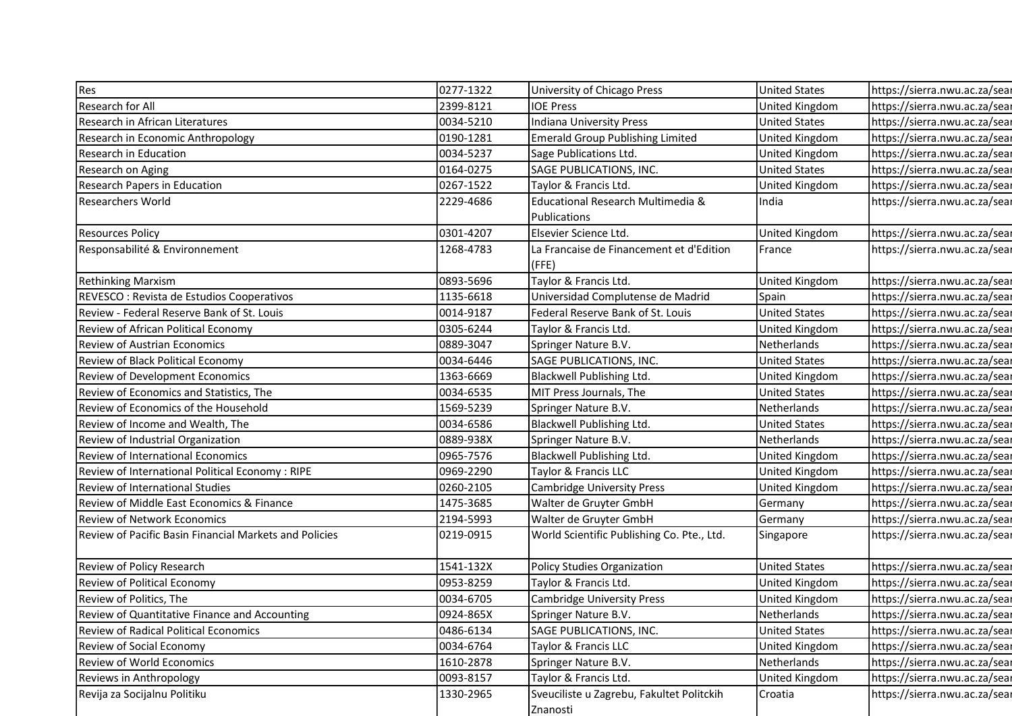| Res                                                    | 0277-1322 | University of Chicago Press                       | <b>United States</b> | https://sierra.nwu.ac.za/sear |
|--------------------------------------------------------|-----------|---------------------------------------------------|----------------------|-------------------------------|
| Research for All                                       | 2399-8121 | <b>IOE Press</b>                                  | United Kingdom       | https://sierra.nwu.ac.za/sear |
| Research in African Literatures                        | 0034-5210 | Indiana University Press                          | <b>United States</b> | https://sierra.nwu.ac.za/sear |
| Research in Economic Anthropology                      | 0190-1281 | <b>Emerald Group Publishing Limited</b>           | United Kingdom       | https://sierra.nwu.ac.za/sear |
| Research in Education                                  | 0034-5237 | Sage Publications Ltd.                            | United Kingdom       | https://sierra.nwu.ac.za/sear |
| Research on Aging                                      | 0164-0275 | SAGE PUBLICATIONS, INC.                           | <b>United States</b> | https://sierra.nwu.ac.za/sear |
| <b>Research Papers in Education</b>                    | 0267-1522 | Taylor & Francis Ltd.                             | United Kingdom       | https://sierra.nwu.ac.za/sear |
| <b>Researchers World</b>                               | 2229-4686 | Educational Research Multimedia &                 | India                | https://sierra.nwu.ac.za/sear |
|                                                        |           | Publications                                      |                      |                               |
| <b>Resources Policy</b>                                | 0301-4207 | Elsevier Science Ltd.                             | United Kingdom       | https://sierra.nwu.ac.za/sear |
| Responsabilité & Environnement                         | 1268-4783 | La Francaise de Financement et d'Edition<br>(FFE) | France               | https://sierra.nwu.ac.za/sear |
| <b>Rethinking Marxism</b>                              | 0893-5696 | Taylor & Francis Ltd.                             | United Kingdom       | https://sierra.nwu.ac.za/sear |
| REVESCO : Revista de Estudios Cooperativos             | 1135-6618 | Universidad Complutense de Madrid                 | Spain                | https://sierra.nwu.ac.za/sear |
| Review - Federal Reserve Bank of St. Louis             | 0014-9187 | Federal Reserve Bank of St. Louis                 | <b>United States</b> | https://sierra.nwu.ac.za/sear |
| Review of African Political Economy                    | 0305-6244 | Taylor & Francis Ltd.                             | United Kingdom       | https://sierra.nwu.ac.za/sear |
| Review of Austrian Economics                           | 0889-3047 | Springer Nature B.V.                              | Netherlands          | https://sierra.nwu.ac.za/sear |
| Review of Black Political Economy                      | 0034-6446 | SAGE PUBLICATIONS, INC.                           | <b>United States</b> | https://sierra.nwu.ac.za/sear |
| Review of Development Economics                        | 1363-6669 | Blackwell Publishing Ltd.                         | United Kingdom       | https://sierra.nwu.ac.za/sear |
| Review of Economics and Statistics, The                | 0034-6535 | MIT Press Journals, The                           | <b>United States</b> | https://sierra.nwu.ac.za/sear |
| Review of Economics of the Household                   | 1569-5239 | Springer Nature B.V.                              | Netherlands          | https://sierra.nwu.ac.za/sear |
| Review of Income and Wealth, The                       | 0034-6586 | Blackwell Publishing Ltd.                         | <b>United States</b> | https://sierra.nwu.ac.za/sear |
| Review of Industrial Organization                      | 0889-938X | Springer Nature B.V.                              | Netherlands          | https://sierra.nwu.ac.za/sear |
| Review of International Economics                      | 0965-7576 | Blackwell Publishing Ltd.                         | United Kingdom       | https://sierra.nwu.ac.za/sear |
| Review of International Political Economy: RIPE        | 0969-2290 | Taylor & Francis LLC                              | United Kingdom       | https://sierra.nwu.ac.za/sear |
| Review of International Studies                        | 0260-2105 | <b>Cambridge University Press</b>                 | United Kingdom       | https://sierra.nwu.ac.za/sear |
| Review of Middle East Economics & Finance              | 1475-3685 | Walter de Gruyter GmbH                            | Germany              | https://sierra.nwu.ac.za/sear |
| <b>Review of Network Economics</b>                     | 2194-5993 | Walter de Gruyter GmbH                            | Germany              | https://sierra.nwu.ac.za/sear |
| Review of Pacific Basin Financial Markets and Policies | 0219-0915 | World Scientific Publishing Co. Pte., Ltd.        | Singapore            | https://sierra.nwu.ac.za/sear |
|                                                        |           |                                                   |                      |                               |
| Review of Policy Research                              | 1541-132X | <b>Policy Studies Organization</b>                | <b>United States</b> | https://sierra.nwu.ac.za/sear |
| Review of Political Economy                            | 0953-8259 | Taylor & Francis Ltd.                             | United Kingdom       | https://sierra.nwu.ac.za/sear |
| Review of Politics, The                                | 0034-6705 | <b>Cambridge University Press</b>                 | United Kingdom       | https://sierra.nwu.ac.za/sear |
| Review of Quantitative Finance and Accounting          | 0924-865X | Springer Nature B.V.                              | Netherlands          | https://sierra.nwu.ac.za/sear |
| Review of Radical Political Economics                  | 0486-6134 | SAGE PUBLICATIONS, INC.                           | <b>United States</b> | https://sierra.nwu.ac.za/sear |
| Review of Social Economy                               | 0034-6764 | Taylor & Francis LLC                              | United Kingdom       | https://sierra.nwu.ac.za/sear |
| Review of World Economics                              | 1610-2878 | Springer Nature B.V.                              | Netherlands          | https://sierra.nwu.ac.za/sear |
| Reviews in Anthropology                                | 0093-8157 | Taylor & Francis Ltd.                             | United Kingdom       | https://sierra.nwu.ac.za/sear |
| Revija za Socijalnu Politiku                           | 1330-2965 | Sveuciliste u Zagrebu, Fakultet Politckih         | Croatia              | https://sierra.nwu.ac.za/sear |
|                                                        |           | Znanosti                                          |                      |                               |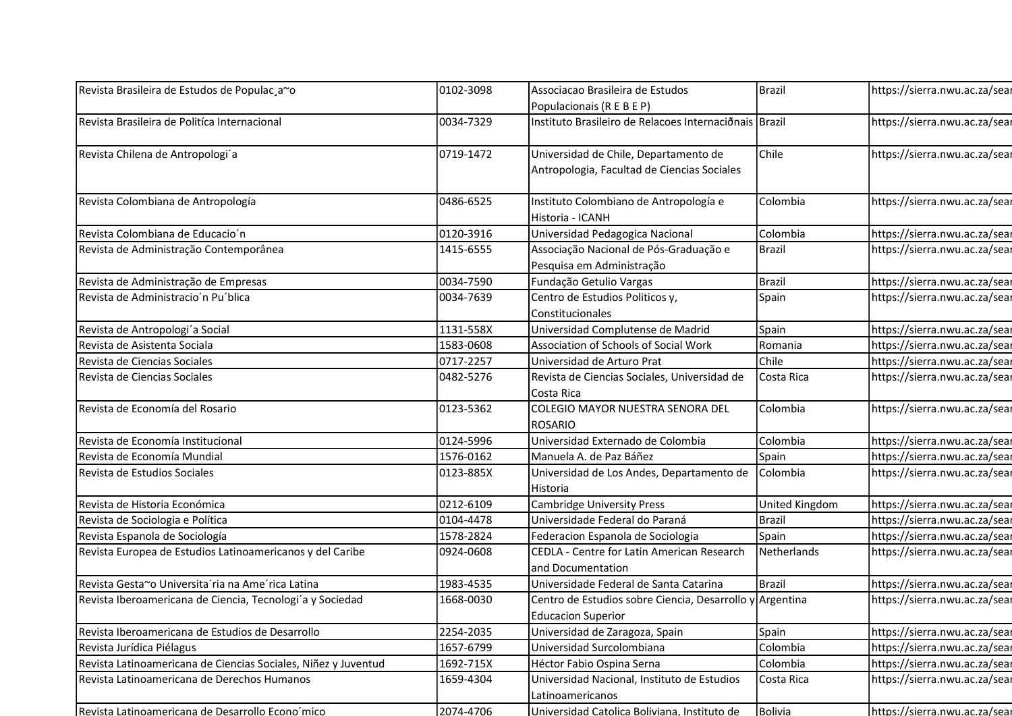| Revista Brasileira de Estudos de Populac, a~o                  | 0102-3098 | Associacao Brasileira de Estudos                                | <b>Brazil</b>  | https://sierra.nwu.ac.za/sear |
|----------------------------------------------------------------|-----------|-----------------------------------------------------------------|----------------|-------------------------------|
|                                                                |           | Populacionais (R E B E P)                                       |                |                               |
| Revista Brasileira de Politíca Internacional                   | 0034-7329 | Instituto Brasileiro de Relacoes Internaciõnais Brazil          |                | https://sierra.nwu.ac.za/sear |
|                                                                |           |                                                                 |                |                               |
| Revista Chilena de Antropologi'a                               | 0719-1472 | Universidad de Chile, Departamento de                           | Chile          | https://sierra.nwu.ac.za/sear |
|                                                                |           | Antropologia, Facultad de Ciencias Sociales                     |                |                               |
|                                                                |           |                                                                 |                |                               |
| Revista Colombiana de Antropología                             | 0486-6525 | Instituto Colombiano de Antropología e                          | Colombia       | https://sierra.nwu.ac.za/sear |
|                                                                |           | Historia - ICANH                                                |                |                               |
| Revista Colombiana de Educacio'n                               | 0120-3916 | Universidad Pedagogica Nacional                                 | Colombia       | https://sierra.nwu.ac.za/sear |
| Revista de Administração Contemporânea                         | 1415-6555 | Associação Nacional de Pós-Graduação e                          | <b>Brazil</b>  | https://sierra.nwu.ac.za/sear |
|                                                                |           | Pesquisa em Administração                                       |                |                               |
| Revista de Administração de Empresas                           | 0034-7590 | Fundação Getulio Vargas                                         | <b>Brazil</b>  | https://sierra.nwu.ac.za/sear |
| Revista de Administracio'n Pu'blica                            | 0034-7639 | Centro de Estudios Politicos y,                                 | Spain          | https://sierra.nwu.ac.za/sear |
|                                                                |           | Constitucionales                                                |                |                               |
| Revista de Antropologi´a Social                                | 1131-558X | Universidad Complutense de Madrid                               | Spain          | https://sierra.nwu.ac.za/sear |
| Revista de Asistenta Sociala                                   | 1583-0608 | Association of Schools of Social Work                           | Romania        | https://sierra.nwu.ac.za/sear |
| Revista de Ciencias Sociales                                   | 0717-2257 | Universidad de Arturo Prat                                      | Chile          | https://sierra.nwu.ac.za/sear |
| Revista de Ciencias Sociales                                   | 0482-5276 | Revista de Ciencias Sociales, Universidad de<br>Costa Rica      | Costa Rica     | https://sierra.nwu.ac.za/sear |
| Revista de Economía del Rosario                                | 0123-5362 | COLEGIO MAYOR NUESTRA SENORA DEL<br>ROSARIO                     | Colombia       | https://sierra.nwu.ac.za/sear |
| Revista de Economía Institucional                              | 0124-5996 | Universidad Externado de Colombia                               | Colombia       | https://sierra.nwu.ac.za/sear |
| Revista de Economía Mundial                                    | 1576-0162 | Manuela A. de Paz Báñez                                         | Spain          | https://sierra.nwu.ac.za/sear |
| Revista de Estudios Sociales                                   | 0123-885X | Universidad de Los Andes, Departamento de                       | Colombia       | https://sierra.nwu.ac.za/sear |
|                                                                |           | Historia                                                        |                |                               |
| Revista de Historia Económica                                  | 0212-6109 | <b>Cambridge University Press</b>                               | United Kingdom | https://sierra.nwu.ac.za/sear |
| Revista de Sociologia e Política                               | 0104-4478 | Universidade Federal do Paraná                                  | <b>Brazil</b>  | https://sierra.nwu.ac.za/sear |
| Revista Espanola de Sociología                                 | 1578-2824 | Federacion Espanola de Sociologia                               | Spain          | https://sierra.nwu.ac.za/sear |
| Revista Europea de Estudios Latinoamericanos y del Caribe      | 0924-0608 | CEDLA - Centre for Latin American Research<br>and Documentation | Netherlands    | https://sierra.nwu.ac.za/sear |
| Revista Gesta~o Universita'ria na Ame'rica Latina              | 1983-4535 | Universidade Federal de Santa Catarina                          | <b>Brazil</b>  | https://sierra.nwu.ac.za/sear |
| Revista Iberoamericana de Ciencia, Tecnologi'a y Sociedad      | 1668-0030 | Centro de Estudios sobre Ciencia, Desarrollo y Argentina        |                | https://sierra.nwu.ac.za/sear |
|                                                                |           | <b>Educacion Superior</b>                                       |                |                               |
| Revista Iberoamericana de Estudios de Desarrollo               | 2254-2035 | Universidad de Zaragoza, Spain                                  | Spain          | https://sierra.nwu.ac.za/sear |
| Revista Jurídica Piélagus                                      | 1657-6799 | Universidad Surcolombiana                                       | Colombia       | https://sierra.nwu.ac.za/sear |
| Revista Latinoamericana de Ciencias Sociales, Niñez y Juventud | 1692-715X | Héctor Fabio Ospina Serna                                       | Colombia       | https://sierra.nwu.ac.za/sear |
| Revista Latinoamericana de Derechos Humanos                    | 1659-4304 | Universidad Nacional, Instituto de Estudios<br>Latinoamericanos | Costa Rica     | https://sierra.nwu.ac.za/sear |
| Revista Latinoamericana de Desarrollo Econo mico               | 2074-4706 | Universidad Catolica Boliviana, Instituto de                    | Bolivia        | https://sierra.nwu.ac.za/sear |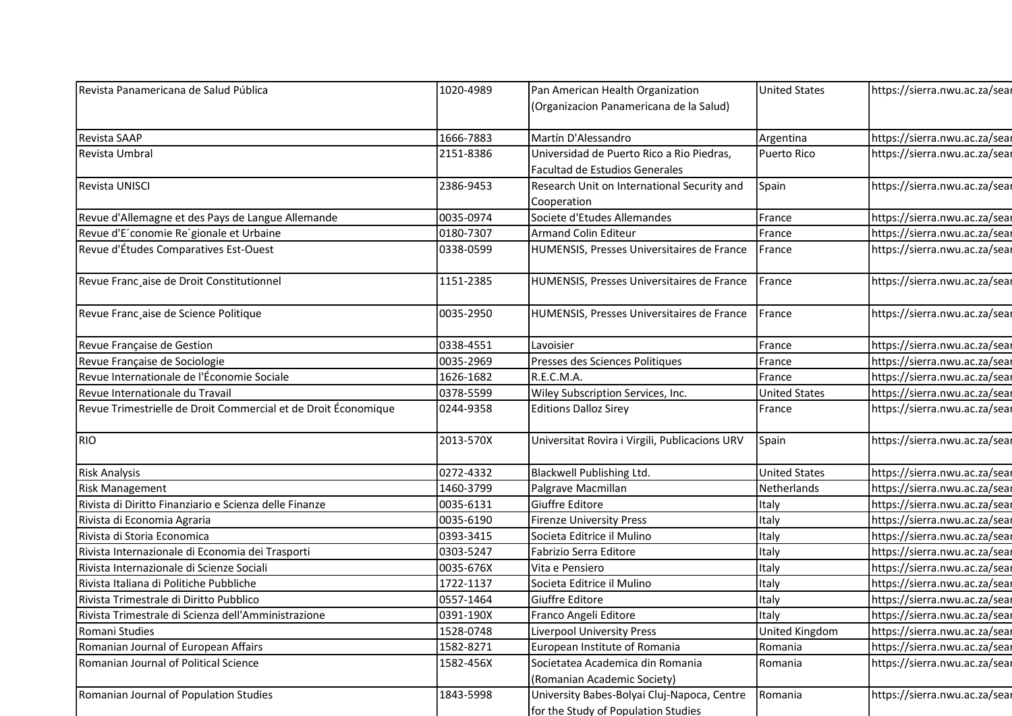| Revista Panamericana de Salud Pública                                                          | 1020-4989              | Pan American Health Organization                                            | <b>United States</b> | https://sierra.nwu.ac.za/sear                                  |
|------------------------------------------------------------------------------------------------|------------------------|-----------------------------------------------------------------------------|----------------------|----------------------------------------------------------------|
|                                                                                                |                        | (Organizacion Panamericana de la Salud)                                     |                      |                                                                |
| Revista SAAP                                                                                   | 1666-7883              | Martín D'Alessandro                                                         | Argentina            | https://sierra.nwu.ac.za/sear                                  |
| Revista Umbral                                                                                 | 2151-8386              | Universidad de Puerto Rico a Rio Piedras,<br>Facultad de Estudios Generales | Puerto Rico          | https://sierra.nwu.ac.za/sear                                  |
| Revista UNISCI                                                                                 | 2386-9453              | Research Unit on International Security and<br>Cooperation                  | Spain                | https://sierra.nwu.ac.za/sear                                  |
| Revue d'Allemagne et des Pays de Langue Allemande                                              | 0035-0974              | Societe d'Etudes Allemandes                                                 | France               | https://sierra.nwu.ac.za/sear                                  |
| Revue d'E'conomie Re'gionale et Urbaine                                                        | 0180-7307              | <b>Armand Colin Editeur</b>                                                 | France               | https://sierra.nwu.ac.za/sear                                  |
| Revue d'Études Comparatives Est-Ouest                                                          | 0338-0599              | HUMENSIS, Presses Universitaires de France                                  | France               | https://sierra.nwu.ac.za/sear                                  |
| Revue Franc, aise de Droit Constitutionnel                                                     | 1151-2385              | HUMENSIS, Presses Universitaires de France                                  | France               | https://sierra.nwu.ac.za/sear                                  |
| Revue Franc, aise de Science Politique                                                         | 0035-2950              | HUMENSIS, Presses Universitaires de France                                  | France               | https://sierra.nwu.ac.za/sear                                  |
| Revue Française de Gestion                                                                     | 0338-4551              | Lavoisier                                                                   | France               | https://sierra.nwu.ac.za/sear                                  |
| Revue Française de Sociologie                                                                  | 0035-2969              | Presses des Sciences Politiques                                             | France               | https://sierra.nwu.ac.za/sear                                  |
| Revue Internationale de l'Économie Sociale                                                     | 1626-1682              | R.E.C.M.A.                                                                  | France               | https://sierra.nwu.ac.za/sear                                  |
| Revue Internationale du Travail                                                                | 0378-5599              | Wiley Subscription Services, Inc.                                           | <b>United States</b> | https://sierra.nwu.ac.za/sear                                  |
| Revue Trimestrielle de Droit Commercial et de Droit Économique                                 | 0244-9358              | <b>Editions Dalloz Sirey</b>                                                | France               | https://sierra.nwu.ac.za/sear                                  |
| <b>RIO</b>                                                                                     | 2013-570X              | Universitat Rovira i Virgili, Publicacions URV                              | Spain                | https://sierra.nwu.ac.za/sear                                  |
| <b>Risk Analysis</b>                                                                           | 0272-4332              | Blackwell Publishing Ltd.                                                   | <b>United States</b> | https://sierra.nwu.ac.za/sear                                  |
| <b>Risk Management</b>                                                                         | 1460-3799              | Palgrave Macmillan                                                          | Netherlands          | https://sierra.nwu.ac.za/sear                                  |
| Rivista di Diritto Finanziario e Scienza delle Finanze                                         | 0035-6131              | Giuffre Editore                                                             | Italy                | https://sierra.nwu.ac.za/sear                                  |
| Rivista di Economia Agraria                                                                    | 0035-6190              | <b>Firenze University Press</b>                                             | Italy                | https://sierra.nwu.ac.za/sear                                  |
| Rivista di Storia Economica                                                                    | 0393-3415              | Societa Editrice il Mulino                                                  | Italy                | https://sierra.nwu.ac.za/sear                                  |
| Rivista Internazionale di Economia dei Trasporti                                               | 0303-5247              | Fabrizio Serra Editore                                                      | Italy                | https://sierra.nwu.ac.za/sear                                  |
| Rivista Internazionale di Scienze Sociali                                                      | 0035-676X              | Vita e Pensiero                                                             | Italy                | https://sierra.nwu.ac.za/sear                                  |
| Rivista Italiana di Politiche Pubbliche                                                        | 1722-1137              | Societa Editrice il Mulino                                                  | Italy                | https://sierra.nwu.ac.za/sear                                  |
| Rivista Trimestrale di Diritto Pubblico<br>Rivista Trimestrale di Scienza dell'Amministrazione | 0557-1464<br>0391-190X | Giuffre Editore<br>Franco Angeli Editore                                    | Italy<br>Italy       | https://sierra.nwu.ac.za/sear<br>https://sierra.nwu.ac.za/sear |
| Romani Studies                                                                                 | 1528-0748              | Liverpool University Press                                                  | United Kingdom       | https://sierra.nwu.ac.za/sear                                  |
| Romanian Journal of European Affairs                                                           | 1582-8271              | European Institute of Romania                                               | Romania              | https://sierra.nwu.ac.za/sear                                  |
| Romanian Journal of Political Science                                                          | 1582-456X              | Societatea Academica din Romania                                            | Romania              | https://sierra.nwu.ac.za/sear                                  |
|                                                                                                |                        | (Romanian Academic Society)                                                 |                      |                                                                |
|                                                                                                |                        |                                                                             |                      |                                                                |
| Romanian Journal of Population Studies                                                         | 1843-5998              | University Babes-Bolyai Cluj-Napoca, Centre                                 | Romania              | https://sierra.nwu.ac.za/sear                                  |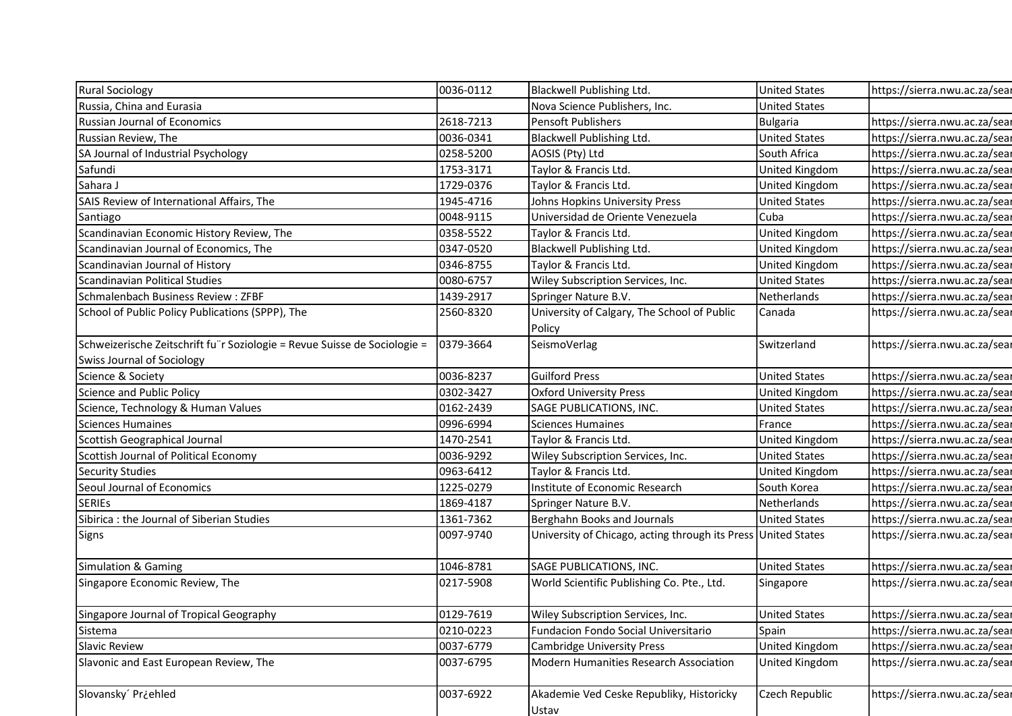| <b>Rural Sociology</b>                                                    | 0036-0112 |                                                                   | <b>United States</b>                    | https://sierra.nwu.ac.za/sear                                  |  |
|---------------------------------------------------------------------------|-----------|-------------------------------------------------------------------|-----------------------------------------|----------------------------------------------------------------|--|
| Russia, China and Eurasia                                                 |           | <b>Blackwell Publishing Ltd.</b><br>Nova Science Publishers, Inc. | <b>United States</b>                    |                                                                |  |
| Russian Journal of Economics                                              | 2618-7213 | Pensoft Publishers                                                | <b>Bulgaria</b>                         |                                                                |  |
| Russian Review, The                                                       | 0036-0341 | Blackwell Publishing Ltd.                                         | <b>United States</b>                    | https://sierra.nwu.ac.za/sear<br>https://sierra.nwu.ac.za/sear |  |
| SA Journal of Industrial Psychology                                       | 0258-5200 |                                                                   | South Africa                            |                                                                |  |
|                                                                           | 1753-3171 | AOSIS (Pty) Ltd                                                   |                                         | https://sierra.nwu.ac.za/sear<br>https://sierra.nwu.ac.za/sear |  |
| Safundi<br>Sahara J                                                       | 1729-0376 | Taylor & Francis Ltd.<br>Taylor & Francis Ltd.                    | United Kingdom                          |                                                                |  |
| SAIS Review of International Affairs, The                                 | 1945-4716 | Johns Hopkins University Press                                    | United Kingdom<br><b>United States</b>  | https://sierra.nwu.ac.za/sear                                  |  |
|                                                                           | 0048-9115 | Universidad de Oriente Venezuela                                  | Cuba                                    | https://sierra.nwu.ac.za/sear<br>https://sierra.nwu.ac.za/sear |  |
| Santiago<br>Scandinavian Economic History Review, The                     | 0358-5522 | Taylor & Francis Ltd.                                             |                                         |                                                                |  |
| Scandinavian Journal of Economics, The                                    | 0347-0520 | <b>Blackwell Publishing Ltd.</b>                                  | United Kingdom<br><b>United Kingdom</b> | https://sierra.nwu.ac.za/sear<br>https://sierra.nwu.ac.za/sear |  |
| Scandinavian Journal of History                                           | 0346-8755 | Taylor & Francis Ltd.                                             | United Kingdom                          | https://sierra.nwu.ac.za/sear                                  |  |
| Scandinavian Political Studies                                            | 0080-6757 | Wiley Subscription Services, Inc.                                 | <b>United States</b>                    | https://sierra.nwu.ac.za/sear                                  |  |
| Schmalenbach Business Review: ZFBF                                        | 1439-2917 | Springer Nature B.V.                                              | Netherlands                             | https://sierra.nwu.ac.za/sear                                  |  |
| School of Public Policy Publications (SPPP), The                          | 2560-8320 | University of Calgary, The School of Public                       | Canada                                  | https://sierra.nwu.ac.za/sear                                  |  |
|                                                                           |           | Policy                                                            |                                         |                                                                |  |
| Schweizerische Zeitschrift fu r Soziologie = Revue Suisse de Sociologie = | 0379-3664 | SeismoVerlag                                                      | Switzerland                             | https://sierra.nwu.ac.za/sear                                  |  |
| <b>Swiss Journal of Sociology</b>                                         |           |                                                                   |                                         |                                                                |  |
| Science & Society                                                         | 0036-8237 | <b>Guilford Press</b>                                             | <b>United States</b>                    | https://sierra.nwu.ac.za/sear                                  |  |
| Science and Public Policy                                                 | 0302-3427 | <b>Oxford University Press</b>                                    | <b>United Kingdom</b>                   | https://sierra.nwu.ac.za/sear                                  |  |
| Science, Technology & Human Values                                        | 0162-2439 | SAGE PUBLICATIONS, INC.                                           | <b>United States</b>                    | https://sierra.nwu.ac.za/sear                                  |  |
| <b>Sciences Humaines</b>                                                  | 0996-6994 | Sciences Humaines                                                 | France                                  | https://sierra.nwu.ac.za/sear                                  |  |
| Scottish Geographical Journal                                             | 1470-2541 | Taylor & Francis Ltd.                                             | <b>United Kingdom</b>                   | https://sierra.nwu.ac.za/sear                                  |  |
| Scottish Journal of Political Economy                                     | 0036-9292 | Wiley Subscription Services, Inc.                                 | <b>United States</b>                    | https://sierra.nwu.ac.za/sear                                  |  |
| <b>Security Studies</b>                                                   | 0963-6412 | Taylor & Francis Ltd.                                             | <b>United Kingdom</b>                   | https://sierra.nwu.ac.za/sear                                  |  |
| Seoul Journal of Economics                                                | 1225-0279 | Institute of Economic Research                                    | South Korea                             | https://sierra.nwu.ac.za/sear                                  |  |
| <b>SERIES</b>                                                             | 1869-4187 | Springer Nature B.V.                                              | Netherlands                             | https://sierra.nwu.ac.za/sear                                  |  |
| Sibirica : the Journal of Siberian Studies                                | 1361-7362 | Berghahn Books and Journals                                       | <b>United States</b>                    | https://sierra.nwu.ac.za/sear                                  |  |
| Signs                                                                     | 0097-9740 | University of Chicago, acting through its Press United States     |                                         | https://sierra.nwu.ac.za/sear                                  |  |
| <b>Simulation &amp; Gaming</b>                                            | 1046-8781 | SAGE PUBLICATIONS, INC.                                           | <b>United States</b>                    | https://sierra.nwu.ac.za/sear                                  |  |
| Singapore Economic Review, The                                            | 0217-5908 | World Scientific Publishing Co. Pte., Ltd.                        | Singapore                               | https://sierra.nwu.ac.za/sear                                  |  |
| Singapore Journal of Tropical Geography                                   | 0129-7619 | Wiley Subscription Services, Inc.                                 | <b>United States</b>                    | https://sierra.nwu.ac.za/sear                                  |  |
| Sistema                                                                   | 0210-0223 | Fundacion Fondo Social Universitario                              | Spain                                   | https://sierra.nwu.ac.za/sear                                  |  |
| <b>Slavic Review</b>                                                      | 0037-6779 | Cambridge University Press                                        | United Kingdom                          | https://sierra.nwu.ac.za/sear                                  |  |
| Slavonic and East European Review, The                                    | 0037-6795 | Modern Humanities Research Association                            | <b>United Kingdom</b>                   | https://sierra.nwu.ac.za/sear                                  |  |
| Slovansky' Pr¿ehled                                                       | 0037-6922 | Akademie Ved Ceske Republiky, Historicky                          | Czech Republic                          | https://sierra.nwu.ac.za/sear                                  |  |
|                                                                           |           | Ustav                                                             |                                         |                                                                |  |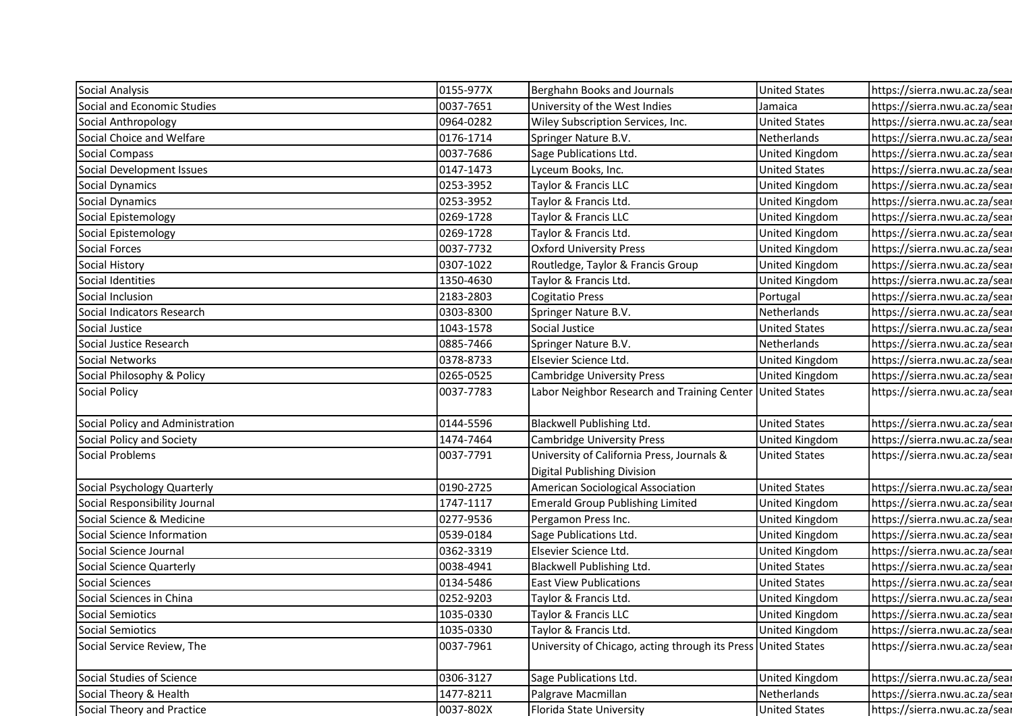| Social Analysis                                      | 0155-977X | Berghahn Books and Journals                                   | <b>United States</b>  | https://sierra.nwu.ac.za/sear                                  |
|------------------------------------------------------|-----------|---------------------------------------------------------------|-----------------------|----------------------------------------------------------------|
| Social and Economic Studies                          | 0037-7651 | University of the West Indies                                 | Jamaica               | https://sierra.nwu.ac.za/sear                                  |
| Social Anthropology                                  | 0964-0282 | Wiley Subscription Services, Inc.                             | <b>United States</b>  | https://sierra.nwu.ac.za/sear                                  |
| Social Choice and Welfare                            | 0176-1714 | Springer Nature B.V.                                          | Netherlands           | https://sierra.nwu.ac.za/sear                                  |
| Social Compass                                       | 0037-7686 | Sage Publications Ltd.                                        | United Kingdom        | https://sierra.nwu.ac.za/sear                                  |
| Social Development Issues                            | 0147-1473 | Lyceum Books, Inc.                                            | <b>United States</b>  | https://sierra.nwu.ac.za/sear                                  |
| Social Dynamics                                      | 0253-3952 | Taylor & Francis LLC                                          | United Kingdom        | https://sierra.nwu.ac.za/sear                                  |
| Social Dynamics                                      | 0253-3952 | Taylor & Francis Ltd.                                         | United Kingdom        | https://sierra.nwu.ac.za/sear                                  |
| Social Epistemology                                  | 0269-1728 | Taylor & Francis LLC                                          | United Kingdom        | https://sierra.nwu.ac.za/sear                                  |
| Social Epistemology                                  | 0269-1728 | Taylor & Francis Ltd.                                         | United Kingdom        | https://sierra.nwu.ac.za/sear                                  |
| Social Forces                                        | 0037-7732 | <b>Oxford University Press</b>                                | United Kingdom        | https://sierra.nwu.ac.za/sear                                  |
| Social History                                       | 0307-1022 | Routledge, Taylor & Francis Group                             | United Kingdom        | https://sierra.nwu.ac.za/sear                                  |
| Social Identities                                    | 1350-4630 | Taylor & Francis Ltd.                                         | United Kingdom        | https://sierra.nwu.ac.za/sear                                  |
| Social Inclusion                                     | 2183-2803 | <b>Cogitatio Press</b>                                        | Portugal              | https://sierra.nwu.ac.za/sear                                  |
| Social Indicators Research                           | 0303-8300 | Springer Nature B.V.                                          | Netherlands           | https://sierra.nwu.ac.za/sear                                  |
| Social Justice                                       | 1043-1578 | Social Justice                                                | <b>United States</b>  | https://sierra.nwu.ac.za/sear                                  |
| Social Justice Research                              | 0885-7466 | Springer Nature B.V.                                          | Netherlands           | https://sierra.nwu.ac.za/sear                                  |
| Social Networks                                      | 0378-8733 | Elsevier Science Ltd.                                         | United Kingdom        | https://sierra.nwu.ac.za/sear                                  |
| Social Philosophy & Policy                           | 0265-0525 | <b>Cambridge University Press</b>                             | United Kingdom        | https://sierra.nwu.ac.za/sear                                  |
| <b>Social Policy</b>                                 | 0037-7783 | Labor Neighbor Research and Training Center                   | <b>United States</b>  | https://sierra.nwu.ac.za/sear                                  |
| Social Policy and Administration                     | 0144-5596 | Blackwell Publishing Ltd.                                     | <b>United States</b>  | https://sierra.nwu.ac.za/sear                                  |
| Social Policy and Society                            | 1474-7464 | <b>Cambridge University Press</b>                             | United Kingdom        | https://sierra.nwu.ac.za/sear                                  |
| Social Problems                                      | 0037-7791 | University of California Press, Journals &                    | <b>United States</b>  | https://sierra.nwu.ac.za/sear                                  |
|                                                      |           | Digital Publishing Division                                   |                       |                                                                |
| Social Psychology Quarterly                          | 0190-2725 | American Sociological Association                             | <b>United States</b>  | https://sierra.nwu.ac.za/sear                                  |
| Social Responsibility Journal                        | 1747-1117 | <b>Emerald Group Publishing Limited</b>                       | United Kingdom        | https://sierra.nwu.ac.za/sear                                  |
| Social Science & Medicine                            | 0277-9536 | Pergamon Press Inc.                                           | United Kingdom        | https://sierra.nwu.ac.za/sear                                  |
|                                                      |           |                                                               |                       |                                                                |
| Social Science Information                           | 0539-0184 | Sage Publications Ltd.                                        | United Kingdom        | https://sierra.nwu.ac.za/sear                                  |
| Social Science Journal                               | 0362-3319 | Elsevier Science Ltd.                                         | United Kingdom        | https://sierra.nwu.ac.za/sear                                  |
| Social Science Quarterly                             | 0038-4941 | Blackwell Publishing Ltd.                                     | <b>United States</b>  | https://sierra.nwu.ac.za/sear                                  |
| Social Sciences                                      | 0134-5486 | <b>East View Publications</b>                                 | <b>United States</b>  | https://sierra.nwu.ac.za/sear                                  |
| Social Sciences in China                             | 0252-9203 | Taylor & Francis Ltd.                                         | United Kingdom        | https://sierra.nwu.ac.za/sear                                  |
| Social Semiotics                                     | 1035-0330 | Taylor & Francis LLC                                          | <b>United Kingdom</b> | https://sierra.nwu.ac.za/sear                                  |
|                                                      | 1035-0330 | Taylor & Francis Ltd.                                         | United Kingdom        | https://sierra.nwu.ac.za/sear                                  |
| Social Semiotics<br>Social Service Review, The       | 0037-7961 | University of Chicago, acting through its Press United States |                       | https://sierra.nwu.ac.za/sear                                  |
| Social Studies of Science                            | 0306-3127 | Sage Publications Ltd.                                        | United Kingdom        | https://sierra.nwu.ac.za/sear                                  |
| Social Theory & Health<br>Social Theory and Practice | 1477-8211 | Palgrave Macmillan                                            | Netherlands           | https://sierra.nwu.ac.za/sear<br>https://sierra.nwu.ac.za/sear |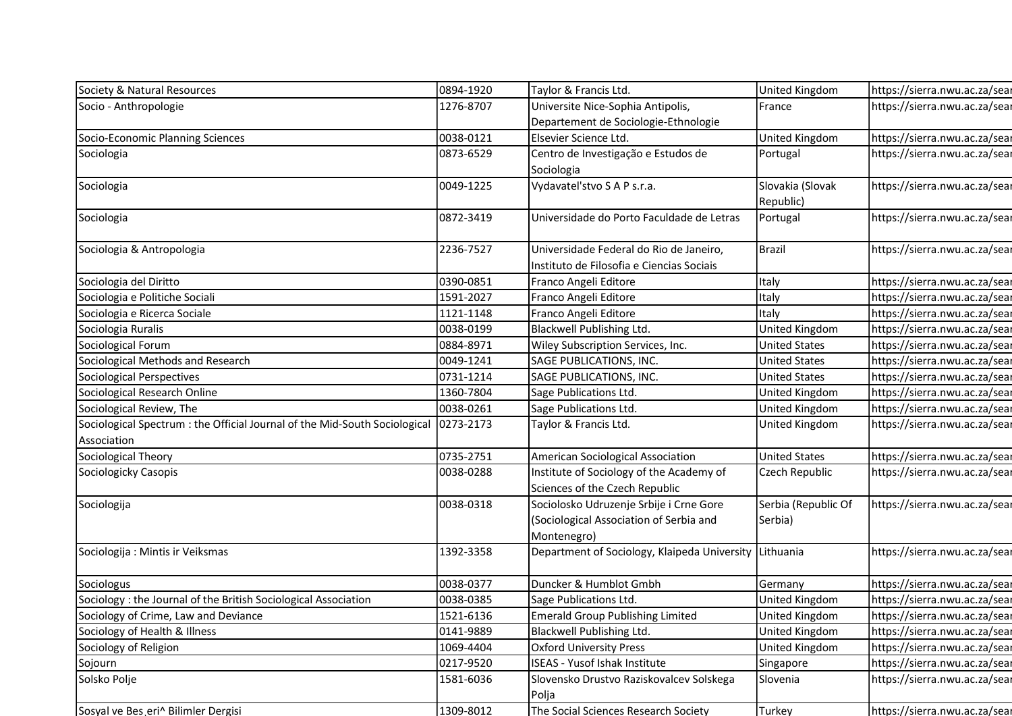| Society & Natural Resources                                                                            | 0894-1920              | Taylor & Francis Ltd.                                                                | United Kingdom                                 | https://sierra.nwu.ac.za/sear                                  |
|--------------------------------------------------------------------------------------------------------|------------------------|--------------------------------------------------------------------------------------|------------------------------------------------|----------------------------------------------------------------|
| Socio - Anthropologie                                                                                  | 1276-8707              | Universite Nice-Sophia Antipolis,                                                    | France                                         | https://sierra.nwu.ac.za/sear                                  |
|                                                                                                        |                        | Departement de Sociologie-Ethnologie                                                 |                                                |                                                                |
| Socio-Economic Planning Sciences                                                                       | 0038-0121              | Elsevier Science Ltd.                                                                | United Kingdom                                 | https://sierra.nwu.ac.za/sear                                  |
| Sociologia                                                                                             | 0873-6529              | Centro de Investigação e Estudos de<br>Sociologia                                    | Portugal                                       | https://sierra.nwu.ac.za/sear                                  |
| Sociologia                                                                                             | 0049-1225              | Vydavateľstvo SAP s.r.a.                                                             | Slovakia (Slovak                               | https://sierra.nwu.ac.za/sear                                  |
|                                                                                                        |                        |                                                                                      | Republic)                                      |                                                                |
| Sociologia                                                                                             | 0872-3419              | Universidade do Porto Faculdade de Letras                                            | Portugal                                       | https://sierra.nwu.ac.za/sear                                  |
| Sociologia & Antropologia                                                                              | 2236-7527              | Universidade Federal do Rio de Janeiro,<br>Instituto de Filosofia e Ciencias Sociais | <b>Brazil</b>                                  | https://sierra.nwu.ac.za/sear                                  |
| Sociologia del Diritto                                                                                 | 0390-0851              | Franco Angeli Editore                                                                | Italy                                          | https://sierra.nwu.ac.za/sear                                  |
| Sociologia e Politiche Sociali                                                                         | 1591-2027              | Franco Angeli Editore                                                                | Italy                                          | https://sierra.nwu.ac.za/sear                                  |
| Sociologia e Ricerca Sociale                                                                           | 1121-1148              | Franco Angeli Editore                                                                | Italy                                          | https://sierra.nwu.ac.za/sear                                  |
| Sociologia Ruralis                                                                                     | 0038-0199              | Blackwell Publishing Ltd.                                                            | <b>United Kingdom</b>                          | https://sierra.nwu.ac.za/sear                                  |
| Sociological Forum                                                                                     | 0884-8971              | Wiley Subscription Services, Inc.                                                    | <b>United States</b>                           | https://sierra.nwu.ac.za/sear                                  |
| Sociological Methods and Research                                                                      | 0049-1241              | SAGE PUBLICATIONS, INC.                                                              | <b>United States</b>                           | https://sierra.nwu.ac.za/sear                                  |
| Sociological Perspectives                                                                              | 0731-1214              | SAGE PUBLICATIONS, INC.                                                              | <b>United States</b>                           | https://sierra.nwu.ac.za/sear                                  |
| Sociological Research Online                                                                           | 1360-7804              | Sage Publications Ltd.                                                               | <b>United Kingdom</b>                          | https://sierra.nwu.ac.za/sear                                  |
| Sociological Review, The<br>Sociological Spectrum : the Official Journal of the Mid-South Sociological | 0038-0261<br>0273-2173 | Sage Publications Ltd.<br>Taylor & Francis Ltd.                                      | <b>United Kingdom</b><br><b>United Kingdom</b> | https://sierra.nwu.ac.za/sear<br>https://sierra.nwu.ac.za/sear |
| Association                                                                                            |                        |                                                                                      |                                                |                                                                |
| Sociological Theory                                                                                    | 0735-2751              | American Sociological Association                                                    | <b>United States</b>                           | https://sierra.nwu.ac.za/sear                                  |
| Sociologicky Casopis                                                                                   | 0038-0288              | Institute of Sociology of the Academy of                                             | Czech Republic                                 | https://sierra.nwu.ac.za/sear                                  |
|                                                                                                        |                        | Sciences of the Czech Republic                                                       |                                                |                                                                |
| Sociologija                                                                                            | 0038-0318              | Sociolosko Udruzenje Srbije i Crne Gore                                              | Serbia (Republic Of                            | https://sierra.nwu.ac.za/sear                                  |
|                                                                                                        |                        | (Sociological Association of Serbia and<br>Montenegro)                               | Serbia)                                        |                                                                |
| Sociologija : Mintis ir Veiksmas                                                                       | 1392-3358              | Department of Sociology, Klaipeda University Lithuania                               |                                                | https://sierra.nwu.ac.za/sear                                  |
| Sociologus                                                                                             | 0038-0377              | Duncker & Humblot Gmbh                                                               | Germany                                        | https://sierra.nwu.ac.za/sear                                  |
| Sociology: the Journal of the British Sociological Association                                         | 0038-0385              | Sage Publications Ltd.                                                               | United Kingdom                                 | https://sierra.nwu.ac.za/sear                                  |
| Sociology of Crime, Law and Deviance                                                                   | 1521-6136              | <b>Emerald Group Publishing Limited</b>                                              | United Kingdom                                 | https://sierra.nwu.ac.za/sear                                  |
| Sociology of Health & Illness                                                                          | 0141-9889              | Blackwell Publishing Ltd.                                                            | <b>United Kingdom</b>                          | https://sierra.nwu.ac.za/sear                                  |
| Sociology of Religion                                                                                  | 1069-4404              | <b>Oxford University Press</b>                                                       | United Kingdom                                 | https://sierra.nwu.ac.za/sear                                  |
| Sojourn                                                                                                | 0217-9520              | <b>ISEAS - Yusof Ishak Institute</b>                                                 | Singapore                                      | https://sierra.nwu.ac.za/sear                                  |
| Solsko Polje                                                                                           | 1581-6036              | Slovensko Drustvo Raziskovalcev Solskega<br>Polja                                    | Slovenia                                       | https://sierra.nwu.ac.za/sear                                  |
|                                                                                                        |                        |                                                                                      |                                                |                                                                |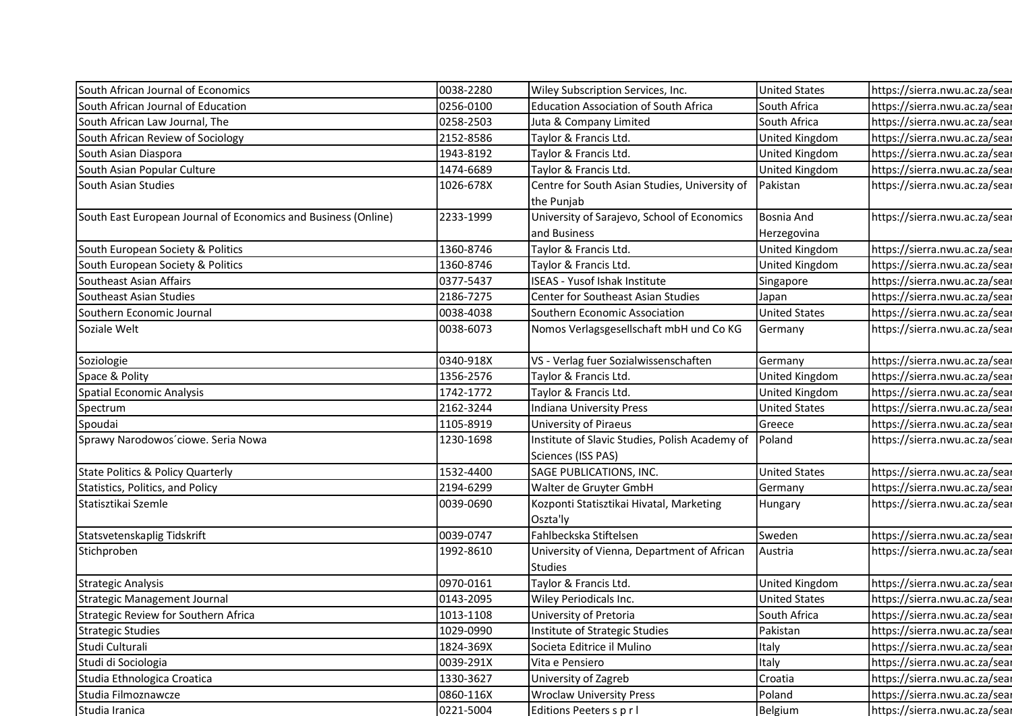| South African Journal of Economics                             | 0038-2280 | Wiley Subscription Services, Inc.                             | <b>United States</b> | https://sierra.nwu.ac.za/sear |
|----------------------------------------------------------------|-----------|---------------------------------------------------------------|----------------------|-------------------------------|
| South African Journal of Education                             | 0256-0100 | <b>Education Association of South Africa</b>                  | South Africa         | https://sierra.nwu.ac.za/sear |
| South African Law Journal, The                                 | 0258-2503 | Juta & Company Limited                                        | South Africa         | https://sierra.nwu.ac.za/sear |
| South African Review of Sociology                              | 2152-8586 | Taylor & Francis Ltd.                                         | United Kingdom       | https://sierra.nwu.ac.za/sear |
| South Asian Diaspora                                           | 1943-8192 | Taylor & Francis Ltd.                                         | United Kingdom       | https://sierra.nwu.ac.za/sear |
| South Asian Popular Culture                                    | 1474-6689 | Taylor & Francis Ltd.                                         | United Kingdom       | https://sierra.nwu.ac.za/sear |
| South Asian Studies                                            | 1026-678X | Centre for South Asian Studies, University of                 | Pakistan             | https://sierra.nwu.ac.za/sear |
|                                                                |           | the Punjab                                                    |                      |                               |
| South East European Journal of Economics and Business (Online) | 2233-1999 | University of Sarajevo, School of Economics                   | Bosnia And           | https://sierra.nwu.ac.za/sear |
|                                                                |           | and Business                                                  | Herzegovina          |                               |
| South European Society & Politics                              | 1360-8746 | Taylor & Francis Ltd.                                         | United Kingdom       | https://sierra.nwu.ac.za/sear |
| South European Society & Politics                              | 1360-8746 | Taylor & Francis Ltd.                                         | United Kingdom       | https://sierra.nwu.ac.za/sear |
| Southeast Asian Affairs                                        | 0377-5437 | <b>ISEAS - Yusof Ishak Institute</b>                          | Singapore            | https://sierra.nwu.ac.za/sear |
| Southeast Asian Studies                                        | 2186-7275 | Center for Southeast Asian Studies                            | Japan                | https://sierra.nwu.ac.za/sear |
| Southern Economic Journal                                      | 0038-4038 | Southern Economic Association                                 | <b>United States</b> | https://sierra.nwu.ac.za/sear |
| Soziale Welt                                                   | 0038-6073 | Nomos Verlagsgesellschaft mbH und Co KG                       | Germany              | https://sierra.nwu.ac.za/sear |
| Soziologie                                                     | 0340-918X | VS - Verlag fuer Sozialwissenschaften                         | Germany              | https://sierra.nwu.ac.za/sear |
| Space & Polity                                                 | 1356-2576 | Taylor & Francis Ltd.                                         | United Kingdom       | https://sierra.nwu.ac.za/sear |
| Spatial Economic Analysis                                      | 1742-1772 | Taylor & Francis Ltd.                                         | United Kingdom       | https://sierra.nwu.ac.za/sear |
| Spectrum                                                       | 2162-3244 | Indiana University Press                                      | <b>United States</b> | https://sierra.nwu.ac.za/sear |
| Spoudai                                                        | 1105-8919 | University of Piraeus                                         | Greece               | https://sierra.nwu.ac.za/sear |
| Sprawy Narodowos'ciowe. Seria Nowa                             | 1230-1698 | Institute of Slavic Studies, Polish Academy of                | Poland               | https://sierra.nwu.ac.za/sear |
|                                                                |           | Sciences (ISS PAS)                                            |                      |                               |
| <b>State Politics &amp; Policy Quarterly</b>                   | 1532-4400 | SAGE PUBLICATIONS, INC.                                       | <b>United States</b> | https://sierra.nwu.ac.za/sear |
| Statistics, Politics, and Policy                               | 2194-6299 | Walter de Gruyter GmbH                                        | Germany              | https://sierra.nwu.ac.za/sear |
| Statisztikai Szemle                                            | 0039-0690 | Kozponti Statisztikai Hivatal, Marketing                      | Hungary              | https://sierra.nwu.ac.za/sear |
|                                                                |           | Oszta'ly                                                      |                      |                               |
| Statsvetenskaplig Tidskrift                                    | 0039-0747 | Fahlbeckska Stiftelsen                                        | Sweden               | https://sierra.nwu.ac.za/sear |
| Stichproben                                                    | 1992-8610 | University of Vienna, Department of African<br><b>Studies</b> | Austria              | https://sierra.nwu.ac.za/sear |
| <b>Strategic Analysis</b>                                      | 0970-0161 | Taylor & Francis Ltd.                                         | United Kingdom       | https://sierra.nwu.ac.za/sear |
| <b>Strategic Management Journal</b>                            | 0143-2095 | Wiley Periodicals Inc.                                        | United States        | https://sierra.nwu.ac.za/sear |
| Strategic Review for Southern Africa                           | 1013-1108 | University of Pretoria                                        | South Africa         | https://sierra.nwu.ac.za/sear |
| <b>Strategic Studies</b>                                       | 1029-0990 | Institute of Strategic Studies                                | Pakistan             | https://sierra.nwu.ac.za/sear |
| Studi Culturali                                                | 1824-369X | Societa Editrice il Mulino                                    | Italy                | https://sierra.nwu.ac.za/sear |
| Studi di Sociologia                                            | 0039-291X | Vita e Pensiero                                               | Italy                | https://sierra.nwu.ac.za/sear |
| Studia Ethnologica Croatica                                    | 1330-3627 | University of Zagreb                                          | Croatia              | https://sierra.nwu.ac.za/sear |
| Studia Filmoznawcze                                            | 0860-116X | <b>Wroclaw University Press</b>                               | Poland               | https://sierra.nwu.ac.za/sear |
| Studia Iranica                                                 | 0221-5004 | Editions Peeters s p r l                                      | Belgium              | https://sierra.nwu.ac.za/sear |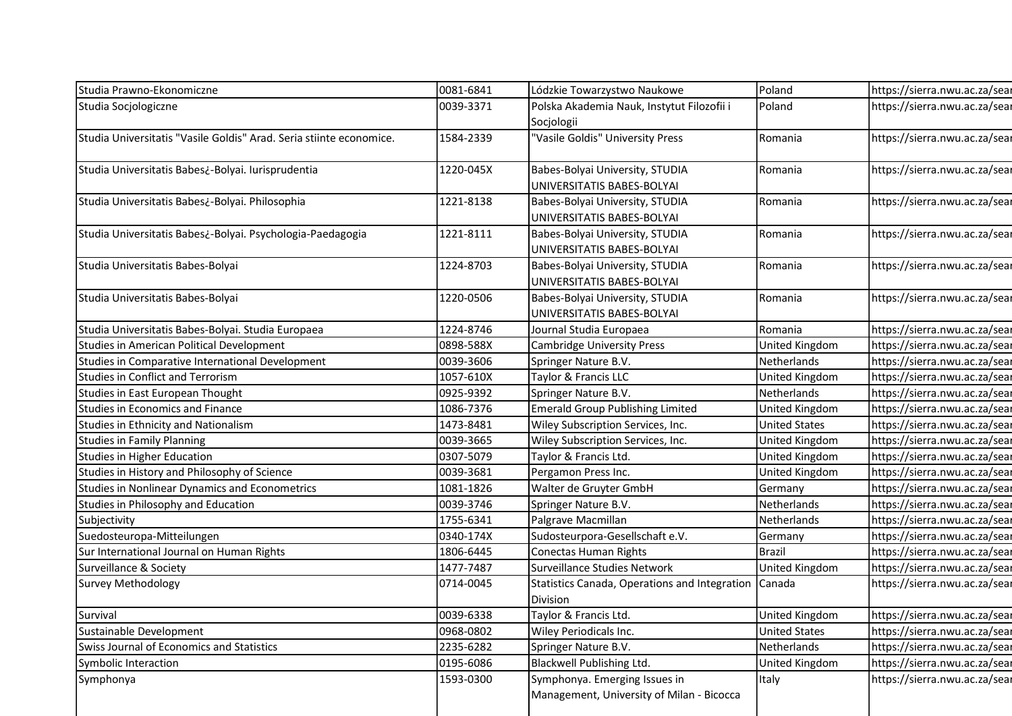| Studia Prawno-Ekonomiczne<br>Studia Socjologiczne<br>Studia Universitatis "Vasile Goldis" Arad. Seria stiinte economice. | 0081-6841 |                                                      |                       |                               |
|--------------------------------------------------------------------------------------------------------------------------|-----------|------------------------------------------------------|-----------------------|-------------------------------|
|                                                                                                                          |           |                                                      |                       |                               |
|                                                                                                                          |           |                                                      |                       |                               |
|                                                                                                                          |           |                                                      |                       |                               |
|                                                                                                                          |           |                                                      |                       |                               |
|                                                                                                                          |           |                                                      |                       |                               |
|                                                                                                                          |           |                                                      |                       |                               |
|                                                                                                                          |           |                                                      |                       |                               |
|                                                                                                                          |           |                                                      |                       |                               |
|                                                                                                                          |           | Lódzkie Towarzystwo Naukowe                          | Poland                | https://sierra.nwu.ac.za/sear |
|                                                                                                                          | 0039-3371 | Polska Akademia Nauk, Instytut Filozofii i           | Poland                | https://sierra.nwu.ac.za/sear |
|                                                                                                                          |           | Socjologii                                           |                       |                               |
|                                                                                                                          | 1584-2339 | "Vasile Goldis" University Press                     | Romania               | https://sierra.nwu.ac.za/sear |
|                                                                                                                          |           |                                                      |                       |                               |
| Studia Universitatis Babes¿-Bolyai. Iurisprudentia                                                                       | 1220-045X | Babes-Bolyai University, STUDIA                      | Romania               | https://sierra.nwu.ac.za/sear |
|                                                                                                                          |           | UNIVERSITATIS BABES-BOLYAI                           |                       |                               |
| Studia Universitatis Babes¿-Bolyai. Philosophia                                                                          | 1221-8138 | Babes-Bolyai University, STUDIA                      | Romania               | https://sierra.nwu.ac.za/sear |
|                                                                                                                          |           | UNIVERSITATIS BABES-BOLYAI                           |                       |                               |
| Studia Universitatis Babes¿-Bolyai. Psychologia-Paedagogia                                                               | 1221-8111 | Babes-Bolyai University, STUDIA                      | Romania               | https://sierra.nwu.ac.za/sear |
|                                                                                                                          |           | UNIVERSITATIS BABES-BOLYAI                           |                       |                               |
| Studia Universitatis Babes-Bolyai                                                                                        | 1224-8703 | Babes-Bolyai University, STUDIA                      | Romania               | https://sierra.nwu.ac.za/sear |
|                                                                                                                          |           | UNIVERSITATIS BABES-BOLYAI                           |                       |                               |
| Studia Universitatis Babes-Bolyai                                                                                        | 1220-0506 | Babes-Bolyai University, STUDIA                      | Romania               | https://sierra.nwu.ac.za/sear |
|                                                                                                                          |           | UNIVERSITATIS BABES-BOLYAI                           |                       |                               |
| Studia Universitatis Babes-Bolyai. Studia Europaea                                                                       | 1224-8746 | Journal Studia Europaea                              | Romania               | https://sierra.nwu.ac.za/sear |
| <b>Studies in American Political Development</b>                                                                         | 0898-588X | Cambridge University Press                           | United Kingdom        | https://sierra.nwu.ac.za/sear |
| Studies in Comparative International Development                                                                         | 0039-3606 | Springer Nature B.V.                                 | Netherlands           | https://sierra.nwu.ac.za/sear |
| <b>Studies in Conflict and Terrorism</b>                                                                                 | 1057-610X | Taylor & Francis LLC                                 | <b>United Kingdom</b> | https://sierra.nwu.ac.za/sear |
| Studies in East European Thought                                                                                         | 0925-9392 | Springer Nature B.V.                                 | Netherlands           | https://sierra.nwu.ac.za/sear |
| <b>Studies in Economics and Finance</b>                                                                                  | 1086-7376 | <b>Emerald Group Publishing Limited</b>              | <b>United Kingdom</b> | https://sierra.nwu.ac.za/sear |
| Studies in Ethnicity and Nationalism                                                                                     | 1473-8481 | Wiley Subscription Services, Inc.                    | <b>United States</b>  | https://sierra.nwu.ac.za/sear |
| <b>Studies in Family Planning</b>                                                                                        | 0039-3665 | Wiley Subscription Services, Inc.                    | United Kingdom        | https://sierra.nwu.ac.za/sear |
| <b>Studies in Higher Education</b>                                                                                       | 0307-5079 | Taylor & Francis Ltd.                                | United Kingdom        | https://sierra.nwu.ac.za/sear |
| Studies in History and Philosophy of Science                                                                             | 0039-3681 | Pergamon Press Inc.                                  | United Kingdom        | https://sierra.nwu.ac.za/sear |
| Studies in Nonlinear Dynamics and Econometrics                                                                           | 1081-1826 | Walter de Gruyter GmbH                               | Germany               | https://sierra.nwu.ac.za/sear |
| Studies in Philosophy and Education                                                                                      | 0039-3746 | Springer Nature B.V.                                 | Netherlands           | https://sierra.nwu.ac.za/sear |
| Subjectivity                                                                                                             | 1755-6341 | Palgrave Macmillan                                   | Netherlands           | https://sierra.nwu.ac.za/sear |
| Suedosteuropa-Mitteilungen                                                                                               | 0340-174X | Sudosteurpora-Gesellschaft e.V.                      | Germany               | https://sierra.nwu.ac.za/sear |
| Sur International Journal on Human Rights                                                                                | 1806-6445 | Conectas Human Rights                                | <b>Brazil</b>         | https://sierra.nwu.ac.za/sear |
| Surveillance & Society                                                                                                   | 1477-7487 | Surveillance Studies Network                         | <b>United Kingdom</b> | https://sierra.nwu.ac.za/sear |
| <b>Survey Methodology</b>                                                                                                | 0714-0045 | Statistics Canada, Operations and Integration Canada |                       | https://sierra.nwu.ac.za/sear |
|                                                                                                                          |           | Division                                             |                       |                               |
| Survival                                                                                                                 | 0039-6338 | Taylor & Francis Ltd.                                | <b>United Kingdom</b> | https://sierra.nwu.ac.za/sear |
| Sustainable Development                                                                                                  | 0968-0802 | Wiley Periodicals Inc.                               | <b>United States</b>  | https://sierra.nwu.ac.za/sear |
| Swiss Journal of Economics and Statistics                                                                                | 2235-6282 | Springer Nature B.V.                                 | Netherlands           | https://sierra.nwu.ac.za/sear |
| Symbolic Interaction                                                                                                     | 0195-6086 | Blackwell Publishing Ltd.                            | United Kingdom        | https://sierra.nwu.ac.za/sear |
| Symphonya                                                                                                                | 1593-0300 | Symphonya. Emerging Issues in                        | Italy                 | https://sierra.nwu.ac.za/sear |
|                                                                                                                          |           | Management, University of Milan - Bicocca            |                       |                               |
|                                                                                                                          |           |                                                      |                       |                               |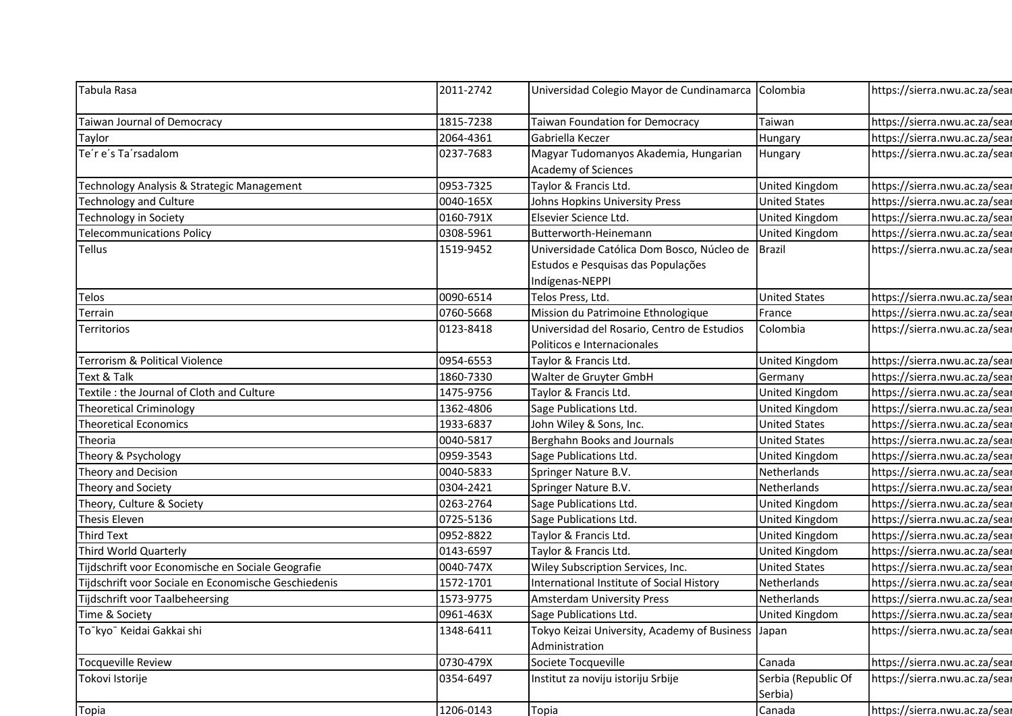| Tabula Rasa                                          | 2011-2742 | Universidad Colegio Mayor de Cundinamarca                      | Colombia              |                               |
|------------------------------------------------------|-----------|----------------------------------------------------------------|-----------------------|-------------------------------|
|                                                      |           |                                                                |                       | https://sierra.nwu.ac.za/sear |
| Taiwan Journal of Democracy                          | 1815-7238 | Taiwan Foundation for Democracy                                | Taiwan                | https://sierra.nwu.ac.za/sear |
| Taylor                                               | 2064-4361 | Gabriella Keczer                                               | Hungary               | https://sierra.nwu.ac.za/sear |
| Te'r e's Ta'rsadalom                                 | 0237-7683 | Magyar Tudomanyos Akademia, Hungarian                          | Hungary               | https://sierra.nwu.ac.za/sear |
|                                                      |           | Academy of Sciences                                            |                       |                               |
| Technology Analysis & Strategic Management           | 0953-7325 | Taylor & Francis Ltd.                                          | United Kingdom        | https://sierra.nwu.ac.za/sear |
| <b>Technology and Culture</b>                        | 0040-165X | Johns Hopkins University Press                                 | <b>United States</b>  | https://sierra.nwu.ac.za/sear |
| Technology in Society                                | 0160-791X | Elsevier Science Ltd.                                          | United Kingdom        | https://sierra.nwu.ac.za/sear |
| <b>Telecommunications Policy</b>                     | 0308-5961 | Butterworth-Heinemann                                          | United Kingdom        | https://sierra.nwu.ac.za/sear |
| <b>Tellus</b>                                        | 1519-9452 | Universidade Católica Dom Bosco, Núcleo de Brazil              |                       | https://sierra.nwu.ac.za/sear |
|                                                      |           | Estudos e Pesquisas das Populações                             |                       |                               |
|                                                      |           | Indígenas-NEPPI                                                |                       |                               |
| Telos                                                | 0090-6514 | Telos Press, Ltd.                                              | <b>United States</b>  | https://sierra.nwu.ac.za/sear |
| Terrain                                              | 0760-5668 | Mission du Patrimoine Ethnologique                             | France                | https://sierra.nwu.ac.za/sear |
| Territorios                                          | 0123-8418 | Universidad del Rosario, Centro de Estudios                    | Colombia              | https://sierra.nwu.ac.za/sear |
|                                                      |           | Politicos e Internacionales                                    |                       |                               |
| Terrorism & Political Violence                       | 0954-6553 | Taylor & Francis Ltd.                                          | United Kingdom        | https://sierra.nwu.ac.za/sear |
| Text & Talk                                          | 1860-7330 | Walter de Gruyter GmbH                                         | Germany               | https://sierra.nwu.ac.za/sear |
| Textile : the Journal of Cloth and Culture           | 1475-9756 | Taylor & Francis Ltd.                                          | United Kingdom        | https://sierra.nwu.ac.za/sear |
| <b>Theoretical Criminology</b>                       | 1362-4806 | Sage Publications Ltd.                                         | United Kingdom        | https://sierra.nwu.ac.za/sear |
| <b>Theoretical Economics</b>                         | 1933-6837 | John Wiley & Sons, Inc.                                        | <b>United States</b>  | https://sierra.nwu.ac.za/sear |
| Theoria                                              | 0040-5817 | Berghahn Books and Journals                                    | <b>United States</b>  | https://sierra.nwu.ac.za/sear |
| Theory & Psychology                                  | 0959-3543 | Sage Publications Ltd.                                         | United Kingdom        | https://sierra.nwu.ac.za/sear |
| Theory and Decision                                  | 0040-5833 | Springer Nature B.V.                                           | Netherlands           | https://sierra.nwu.ac.za/sear |
| Theory and Society                                   | 0304-2421 | Springer Nature B.V.                                           | Netherlands           | https://sierra.nwu.ac.za/sear |
| Theory, Culture & Society                            | 0263-2764 | Sage Publications Ltd.                                         | United Kingdom        | https://sierra.nwu.ac.za/sear |
| Thesis Eleven                                        | 0725-5136 | Sage Publications Ltd.                                         | <b>United Kingdom</b> | https://sierra.nwu.ac.za/sear |
| <b>Third Text</b>                                    | 0952-8822 | Taylor & Francis Ltd.                                          | United Kingdom        | https://sierra.nwu.ac.za/sear |
| Third World Quarterly                                | 0143-6597 | Taylor & Francis Ltd.                                          | United Kingdom        | https://sierra.nwu.ac.za/sear |
| Tijdschrift voor Economische en Sociale Geografie    | 0040-747X | Wiley Subscription Services, Inc.                              | <b>United States</b>  | https://sierra.nwu.ac.za/sear |
| Tijdschrift voor Sociale en Economische Geschiedenis | 1572-1701 | International Institute of Social History                      | Netherlands           | https://sierra.nwu.ac.za/sear |
| Tijdschrift voor Taalbeheersing                      | 1573-9775 | Amsterdam University Press                                     | Netherlands           | https://sierra.nwu.ac.za/sear |
| Time & Society                                       | 0961-463X | Sage Publications Ltd.                                         | <b>United Kingdom</b> | https://sierra.nwu.ac.za/sear |
| To <sup>-</sup> kyo <sup>-</sup> Keidai Gakkai shi   | 1348-6411 | Tokyo Keizai University, Academy of Business<br>Administration | Japan                 | https://sierra.nwu.ac.za/sear |
| <b>Tocqueville Review</b>                            | 0730-479X | Societe Tocqueville                                            | Canada                | https://sierra.nwu.ac.za/sear |
| Tokovi Istorije                                      | 0354-6497 | Institut za noviju istoriju Srbije                             | Serbia (Republic Of   | https://sierra.nwu.ac.za/sear |
|                                                      | 1206-0143 | Topia                                                          | Serbia)<br>Canada     |                               |
| Topia                                                |           |                                                                |                       | https://sierra.nwu.ac.za/sear |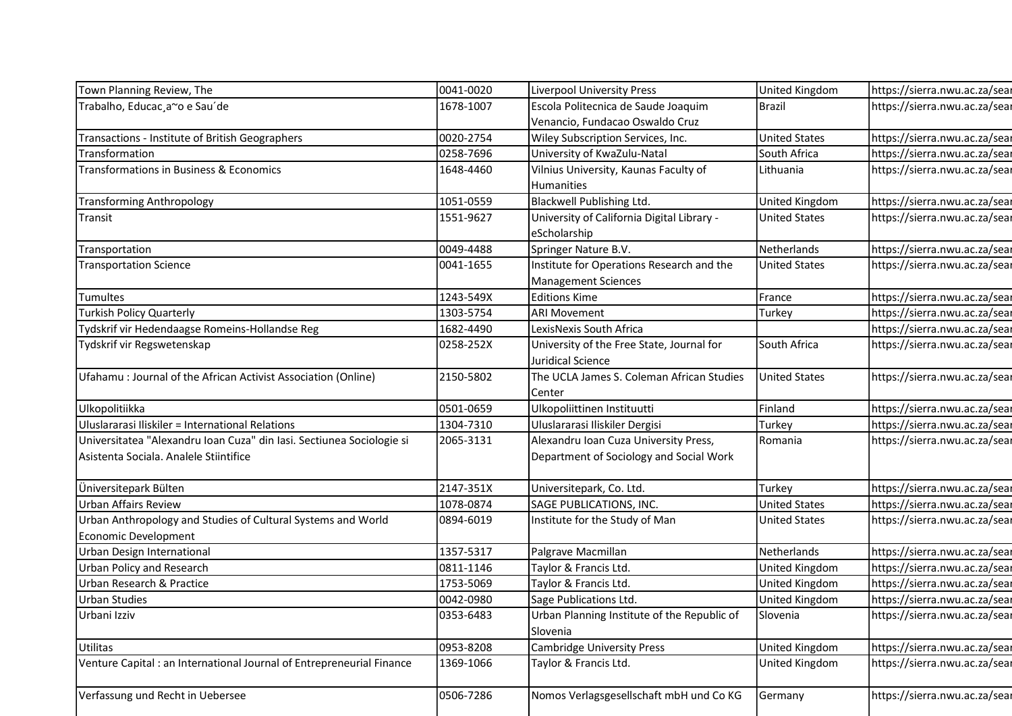| Town Planning Review, The                                                                                       | 0041-0020 | <b>Liverpool University Press</b>                                                | United Kingdom       | https://sierra.nwu.ac.za/sear                                  |
|-----------------------------------------------------------------------------------------------------------------|-----------|----------------------------------------------------------------------------------|----------------------|----------------------------------------------------------------|
| Trabalho, Educac, a~o e Sau'de                                                                                  | 1678-1007 | Escola Politecnica de Saude Joaquim                                              | <b>Brazil</b>        | https://sierra.nwu.ac.za/sear                                  |
|                                                                                                                 |           | Venancio, Fundacao Oswaldo Cruz                                                  |                      |                                                                |
| Transactions - Institute of British Geographers                                                                 | 0020-2754 | Wiley Subscription Services, Inc.                                                | <b>United States</b> | https://sierra.nwu.ac.za/sear                                  |
| Transformation                                                                                                  | 0258-7696 | University of KwaZulu-Natal                                                      | South Africa         | https://sierra.nwu.ac.za/sear                                  |
| Transformations in Business & Economics                                                                         | 1648-4460 | Vilnius University, Kaunas Faculty of                                            | Lithuania            | https://sierra.nwu.ac.za/sear                                  |
|                                                                                                                 |           | Humanities                                                                       |                      |                                                                |
| <b>Transforming Anthropology</b>                                                                                | 1051-0559 | Blackwell Publishing Ltd.                                                        | United Kingdom       | https://sierra.nwu.ac.za/sear                                  |
| Transit                                                                                                         | 1551-9627 | University of California Digital Library -                                       | <b>United States</b> | https://sierra.nwu.ac.za/sear                                  |
|                                                                                                                 |           | eScholarship                                                                     |                      |                                                                |
| Transportation                                                                                                  | 0049-4488 | Springer Nature B.V.                                                             | Netherlands          | https://sierra.nwu.ac.za/sear                                  |
| <b>Transportation Science</b>                                                                                   | 0041-1655 | Institute for Operations Research and the                                        | <b>United States</b> | https://sierra.nwu.ac.za/sear                                  |
|                                                                                                                 |           | <b>Management Sciences</b>                                                       |                      |                                                                |
| Tumultes                                                                                                        | 1243-549X | <b>Editions Kime</b>                                                             | France               | https://sierra.nwu.ac.za/sear                                  |
| <b>Turkish Policy Quarterly</b>                                                                                 | 1303-5754 | <b>ARI Movement</b>                                                              | Turkey               | https://sierra.nwu.ac.za/sear                                  |
| Tydskrif vir Hedendaagse Romeins-Hollandse Reg                                                                  | 1682-4490 | LexisNexis South Africa                                                          |                      | https://sierra.nwu.ac.za/sear                                  |
| Tydskrif vir Regswetenskap                                                                                      | 0258-252X | University of the Free State, Journal for                                        | South Africa         | https://sierra.nwu.ac.za/sear                                  |
|                                                                                                                 |           | Juridical Science                                                                |                      |                                                                |
| Ufahamu : Journal of the African Activist Association (Online)                                                  | 2150-5802 | The UCLA James S. Coleman African Studies                                        | <b>United States</b> | https://sierra.nwu.ac.za/sear                                  |
|                                                                                                                 |           | Center                                                                           |                      |                                                                |
| Ulkopolitiikka                                                                                                  | 0501-0659 | Ulkopoliittinen Instituutti                                                      | Finland              | https://sierra.nwu.ac.za/sear                                  |
| Uluslararasi Iliskiler = International Relations                                                                | 1304-7310 | Uluslararasi Iliskiler Dergisi                                                   | Turkey               | https://sierra.nwu.ac.za/sear<br>https://sierra.nwu.ac.za/sear |
| Universitatea "Alexandru Ioan Cuza" din Iasi. Sectiunea Sociologie si<br>Asistenta Sociala. Analele Stiintifice | 2065-3131 | Alexandru Ioan Cuza University Press,<br>Department of Sociology and Social Work | Romania              |                                                                |
|                                                                                                                 |           |                                                                                  |                      |                                                                |
| Üniversitepark Bülten                                                                                           | 2147-351X | Universitepark, Co. Ltd.                                                         | Turkey               | https://sierra.nwu.ac.za/sear                                  |
| <b>Urban Affairs Review</b>                                                                                     | 1078-0874 | SAGE PUBLICATIONS, INC.                                                          | <b>United States</b> | https://sierra.nwu.ac.za/sear                                  |
| Urban Anthropology and Studies of Cultural Systems and World                                                    | 0894-6019 | Institute for the Study of Man                                                   | <b>United States</b> | https://sierra.nwu.ac.za/sear                                  |
| Economic Development                                                                                            |           |                                                                                  |                      |                                                                |
| Urban Design International                                                                                      | 1357-5317 | Palgrave Macmillan                                                               | Netherlands          | https://sierra.nwu.ac.za/sear                                  |
| <b>Urban Policy and Research</b>                                                                                | 0811-1146 | Taylor & Francis Ltd.                                                            | United Kingdom       | https://sierra.nwu.ac.za/sear                                  |
| Urban Research & Practice                                                                                       | 1753-5069 | Taylor & Francis Ltd.                                                            | United Kingdom       | https://sierra.nwu.ac.za/sear                                  |
| Urban Studies                                                                                                   | 0042-0980 | Sage Publications Ltd.                                                           | United Kingdom       | https://sierra.nwu.ac.za/sear                                  |
| Urbani Izziv                                                                                                    | 0353-6483 | Urban Planning Institute of the Republic of                                      | Slovenia             | https://sierra.nwu.ac.za/sear                                  |
|                                                                                                                 |           | Slovenia                                                                         |                      |                                                                |
| Utilitas                                                                                                        | 0953-8208 | <b>Cambridge University Press</b>                                                | United Kingdom       | https://sierra.nwu.ac.za/sear                                  |
| Venture Capital : an International Journal of Entrepreneurial Finance                                           | 1369-1066 | Taylor & Francis Ltd.                                                            | United Kingdom       | https://sierra.nwu.ac.za/sear                                  |
|                                                                                                                 |           |                                                                                  |                      |                                                                |
| Verfassung und Recht in Uebersee                                                                                | 0506-7286 | Nomos Verlagsgesellschaft mbH und Co KG                                          | Germany              | https://sierra.nwu.ac.za/sear                                  |
|                                                                                                                 |           |                                                                                  |                      |                                                                |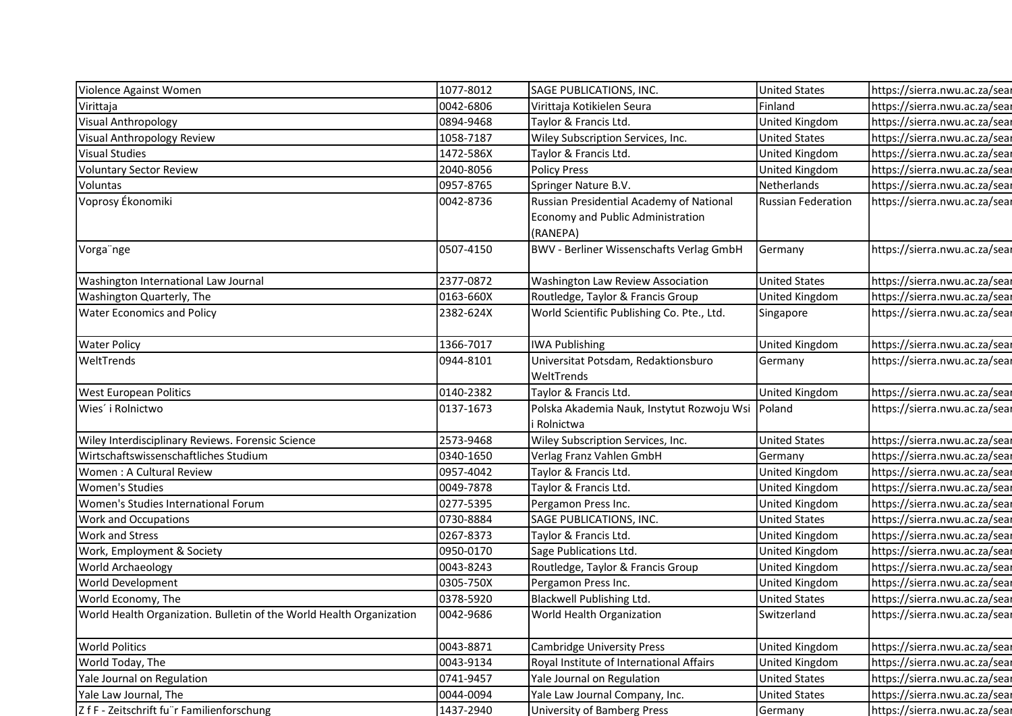| Violence Against Women                                               | 1077-8012 | SAGE PUBLICATIONS, INC.                                   | <b>United States</b>      | https://sierra.nwu.ac.za/sear |
|----------------------------------------------------------------------|-----------|-----------------------------------------------------------|---------------------------|-------------------------------|
| Virittaja                                                            | 0042-6806 | Virittaja Kotikielen Seura                                | Finland                   | https://sierra.nwu.ac.za/sear |
| Visual Anthropology                                                  | 0894-9468 | Taylor & Francis Ltd.                                     | United Kingdom            | https://sierra.nwu.ac.za/sear |
| Visual Anthropology Review                                           | 1058-7187 | Wiley Subscription Services, Inc.                         | <b>United States</b>      | https://sierra.nwu.ac.za/sear |
| <b>Visual Studies</b>                                                | 1472-586X | Taylor & Francis Ltd.                                     | United Kingdom            | https://sierra.nwu.ac.za/sear |
| <b>Voluntary Sector Review</b>                                       | 2040-8056 | <b>Policy Press</b>                                       | United Kingdom            | https://sierra.nwu.ac.za/sear |
| Voluntas                                                             | 0957-8765 | Springer Nature B.V.                                      | Netherlands               | https://sierra.nwu.ac.za/sear |
| Voprosy Ékonomiki                                                    | 0042-8736 | Russian Presidential Academy of National                  | <b>Russian Federation</b> | https://sierra.nwu.ac.za/sear |
|                                                                      |           | Economy and Public Administration<br>(RANEPA)             |                           |                               |
| Vorga nge                                                            | 0507-4150 | <b>BWV - Berliner Wissenschafts Verlag GmbH</b>           | Germany                   | https://sierra.nwu.ac.za/sear |
| Washington International Law Journal                                 | 2377-0872 | Washington Law Review Association                         | <b>United States</b>      | https://sierra.nwu.ac.za/sear |
| Washington Quarterly, The                                            | 0163-660X | Routledge, Taylor & Francis Group                         | United Kingdom            | https://sierra.nwu.ac.za/sear |
| <b>Water Economics and Policy</b>                                    | 2382-624X | World Scientific Publishing Co. Pte., Ltd.                | Singapore                 | https://sierra.nwu.ac.za/sear |
| <b>Water Policy</b>                                                  | 1366-7017 | <b>IWA Publishing</b>                                     | United Kingdom            | https://sierra.nwu.ac.za/sear |
| WeltTrends                                                           | 0944-8101 | Universitat Potsdam, Redaktionsburo                       | Germany                   | https://sierra.nwu.ac.za/sear |
|                                                                      |           | WeltTrends                                                |                           |                               |
| <b>West European Politics</b>                                        | 0140-2382 | Taylor & Francis Ltd.                                     | <b>United Kingdom</b>     | https://sierra.nwu.ac.za/sear |
| Wies' i Rolnictwo                                                    | 0137-1673 | Polska Akademia Nauk, Instytut Rozwoju Wsi<br>i Rolnictwa | Poland                    | https://sierra.nwu.ac.za/sear |
| Wiley Interdisciplinary Reviews. Forensic Science                    | 2573-9468 | Wiley Subscription Services, Inc.                         | <b>United States</b>      | https://sierra.nwu.ac.za/sear |
| Wirtschaftswissenschaftliches Studium                                | 0340-1650 | Verlag Franz Vahlen GmbH                                  | Germany                   | https://sierra.nwu.ac.za/sear |
| Women: A Cultural Review                                             | 0957-4042 | Taylor & Francis Ltd.                                     | United Kingdom            | https://sierra.nwu.ac.za/sear |
| <b>Women's Studies</b>                                               | 0049-7878 | Taylor & Francis Ltd.                                     | <b>United Kingdom</b>     | https://sierra.nwu.ac.za/sear |
| Women's Studies International Forum                                  | 0277-5395 | Pergamon Press Inc.                                       | United Kingdom            | https://sierra.nwu.ac.za/sear |
| <b>Work and Occupations</b>                                          | 0730-8884 | SAGE PUBLICATIONS, INC.                                   | <b>United States</b>      | https://sierra.nwu.ac.za/sear |
| <b>Work and Stress</b>                                               | 0267-8373 | Taylor & Francis Ltd.                                     | United Kingdom            | https://sierra.nwu.ac.za/sear |
| Work, Employment & Society                                           | 0950-0170 | Sage Publications Ltd.                                    | United Kingdom            | https://sierra.nwu.ac.za/sear |
| World Archaeology                                                    | 0043-8243 | Routledge, Taylor & Francis Group                         | United Kingdom            | https://sierra.nwu.ac.za/sear |
| <b>World Development</b>                                             | 0305-750X | Pergamon Press Inc.                                       | United Kingdom            | https://sierra.nwu.ac.za/sear |
| World Economy, The                                                   | 0378-5920 | Blackwell Publishing Ltd.                                 | <b>United States</b>      | https://sierra.nwu.ac.za/sear |
| World Health Organization. Bulletin of the World Health Organization | 0042-9686 | World Health Organization                                 | Switzerland               | https://sierra.nwu.ac.za/sear |
| <b>World Politics</b>                                                | 0043-8871 | <b>Cambridge University Press</b>                         | <b>United Kingdom</b>     | https://sierra.nwu.ac.za/sear |
| World Today, The                                                     | 0043-9134 | Royal Institute of International Affairs                  | United Kingdom            | https://sierra.nwu.ac.za/sear |
| Yale Journal on Regulation                                           | 0741-9457 | Yale Journal on Regulation                                | <b>United States</b>      | https://sierra.nwu.ac.za/sear |
|                                                                      |           |                                                           |                           | https://sierra.nwu.ac.za/sear |
| Yale Law Journal, The                                                | 0044-0094 | Yale Law Journal Company, Inc.                            | <b>United States</b>      |                               |